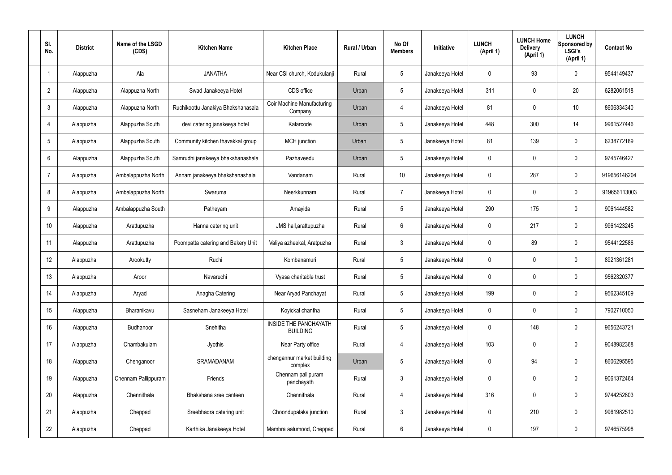| SI.<br>No.      | <b>District</b> | Name of the LSGD<br>(CDS) | <b>Kitchen Name</b>                | <b>Kitchen Place</b>                            | <b>Rural / Urban</b> | No Of<br><b>Members</b> | <b>Initiative</b> | <b>LUNCH</b><br>(April 1) | <b>LUNCH Home</b><br><b>Delivery</b><br>(April 1) | <b>LUNCH</b><br>Sponsored by<br><b>LSGI's</b><br>(April 1) | <b>Contact No</b> |
|-----------------|-----------------|---------------------------|------------------------------------|-------------------------------------------------|----------------------|-------------------------|-------------------|---------------------------|---------------------------------------------------|------------------------------------------------------------|-------------------|
|                 | Alappuzha       | Ala                       | <b>JANATHA</b>                     | Near CSI church, Kodukulanji                    | Rural                | $5\phantom{.0}$         | Janakeeya Hotel   | $\mathbf 0$               | 93                                                | $\mathbf 0$                                                | 9544149437        |
| $\overline{2}$  | Alappuzha       | Alappuzha North           | Swad Janakeeya Hotel               | CDS office                                      | Urban                | $5\phantom{.0}$         | Janakeeya Hotel   | 311                       | $\mathbf 0$                                       | 20                                                         | 6282061518        |
| $\mathbf{3}$    | Alappuzha       | Alappuzha North           | Ruchikoottu Janakiya Bhakshanasala | <b>Coir Machine Manufacturing</b><br>Company    | Urban                | 4                       | Janakeeya Hotel   | 81                        | $\mathbf 0$                                       | 10                                                         | 8606334340        |
| $\overline{4}$  | Alappuzha       | Alappuzha South           | devi catering janakeeya hotel      | Kalarcode                                       | Urban                | $5\phantom{.0}$         | Janakeeya Hotel   | 448                       | 300                                               | 14                                                         | 9961527446        |
| $5\overline{)}$ | Alappuzha       | Alappuzha South           | Community kitchen thavakkal group  | MCH junction                                    | Urban                | $5\phantom{.0}$         | Janakeeya Hotel   | 81                        | 139                                               | $\mathbf 0$                                                | 6238772189        |
| 6               | Alappuzha       | Alappuzha South           | Samrudhi janakeeya bhakshanashala  | Pazhaveedu                                      | Urban                | $5\phantom{.0}$         | Janakeeya Hotel   | $\mathbf 0$               | $\mathbf 0$                                       | $\mathbf 0$                                                | 9745746427        |
| $\overline{7}$  | Alappuzha       | Ambalappuzha North        | Annam janakeeya bhakshanashala     | Vandanam                                        | Rural                | 10 <sup>°</sup>         | Janakeeya Hotel   | $\mathbf 0$               | 287                                               | $\mathbf 0$                                                | 919656146204      |
| 8               | Alappuzha       | Ambalappuzha North        | Swaruma                            | Neerkkunnam                                     | Rural                | $\overline{7}$          | Janakeeya Hotel   | $\mathbf 0$               | $\mathbf 0$                                       | $\mathbf 0$                                                | 919656113003      |
| 9               | Alappuzha       | Ambalappuzha South        | Patheyam                           | Amayida                                         | Rural                | $5\phantom{.0}$         | Janakeeya Hotel   | 290                       | 175                                               | $\mathbf 0$                                                | 9061444582        |
| 10              | Alappuzha       | Arattupuzha               | Hanna catering unit                | JMS hall, arattupuzha                           | Rural                | $6\phantom{.}6$         | Janakeeya Hotel   | $\mathbf 0$               | 217                                               | $\mathbf 0$                                                | 9961423245        |
| 11              | Alappuzha       | Arattupuzha               | Poompatta catering and Bakery Unit | Valiya azheekal, Aratpuzha                      | Rural                | $\mathbf{3}$            | Janakeeya Hotel   | $\mathbf 0$               | 89                                                | $\mathbf 0$                                                | 9544122586        |
| 12              | Alappuzha       | Arookutty                 | Ruchi                              | Kombanamuri                                     | Rural                | $5\phantom{.0}$         | Janakeeya Hotel   | $\mathbf 0$               | $\mathbf 0$                                       | $\mathbf 0$                                                | 8921361281        |
| 13              | Alappuzha       | Aroor                     | Navaruchi                          | Vyasa charitable trust                          | Rural                | $5\phantom{.0}$         | Janakeeya Hotel   | $\mathbf 0$               | 0                                                 | 0                                                          | 9562320377        |
| 14              | Alappuzha       | Aryad                     | Anagha Catering                    | Near Aryad Panchayat                            | Rural                | $5\phantom{.0}$         | Janakeeya Hotel   | 199                       | $\mathbf 0$                                       | $\mathbf 0$                                                | 9562345109        |
| 15              | Alappuzha       | Bharanikavu               | Sasneham Janakeeya Hotel           | Koyickal chantha                                | Rural                | $5\phantom{.0}$         | Janakeeya Hotel   | $\mathbf 0$               | $\mathbf 0$                                       | $\mathbf 0$                                                | 7902710050        |
| 16              | Alappuzha       | Budhanoor                 | Snehitha                           | <b>INSIDE THE PANCHAYATH</b><br><b>BUILDING</b> | Rural                | $5\phantom{.0}$         | Janakeeya Hotel   | $\mathbf 0$               | 148                                               | $\mathbf 0$                                                | 9656243721        |
| 17              | Alappuzha       | Chambakulam               | Jyothis                            | Near Party office                               | Rural                | 4                       | Janakeeya Hotel   | 103                       | $\mathbf 0$                                       | $\mathbf 0$                                                | 9048982368        |
| 18              | Alappuzha       | Chenganoor                | SRAMADANAM                         | chengannur market building<br>complex           | Urban                | $5\phantom{.0}$         | Janakeeya Hotel   | $\mathbf 0$               | 94                                                | $\mathbf 0$                                                | 8606295595        |
| 19              | Alappuzha       | Chennam Pallippuram       | Friends                            | Chennam pallipuram<br>panchayath                | Rural                | $\mathbf{3}$            | Janakeeya Hotel   | $\mathbf 0$               | 0                                                 | $\mathbf 0$                                                | 9061372464        |
| 20              | Alappuzha       | Chennithala               | Bhakshana sree canteen             | Chennithala                                     | Rural                | $\overline{4}$          | Janakeeya Hotel   | 316                       | 0                                                 | $\mathbf 0$                                                | 9744252803        |
| 21              | Alappuzha       | Cheppad                   | Sreebhadra catering unit           | Choondupalaka junction                          | Rural                | $\mathbf{3}$            | Janakeeya Hotel   | $\mathbf 0$               | 210                                               | $\mathbf 0$                                                | 9961982510        |
| 22              | Alappuzha       | Cheppad                   | Karthika Janakeeya Hotel           | Mambra aalumood, Cheppad                        | Rural                | $6\overline{6}$         | Janakeeya Hotel   | 0                         | 197                                               | $\mathbf 0$                                                | 9746575998        |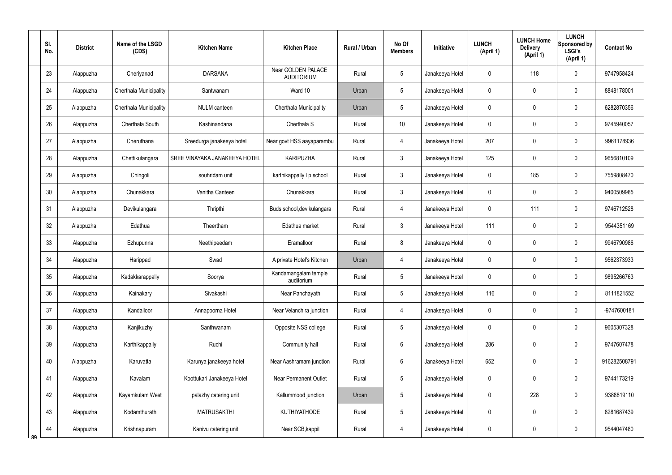|    | SI.<br>No. | <b>District</b> | Name of the LSGD<br>(CDS) | <b>Kitchen Name</b>           | <b>Kitchen Place</b>                    | Rural / Urban | No Of<br><b>Members</b> | Initiative      | <b>LUNCH</b><br>(April 1) | <b>LUNCH Home</b><br><b>Delivery</b><br>(April 1) | <b>LUNCH</b><br>Sponsored by<br><b>LSGI's</b><br>(April 1) | <b>Contact No</b> |
|----|------------|-----------------|---------------------------|-------------------------------|-----------------------------------------|---------------|-------------------------|-----------------|---------------------------|---------------------------------------------------|------------------------------------------------------------|-------------------|
|    | 23         | Alappuzha       | Cheriyanad                | <b>DARSANA</b>                | Near GOLDEN PALACE<br><b>AUDITORIUM</b> | Rural         | 5                       | Janakeeya Hotel | 0                         | 118                                               | $\mathbf 0$                                                | 9747958424        |
|    | 24         | Alappuzha       | Cherthala Municipality    | Santwanam                     | Ward 10                                 | Urban         | 5                       | Janakeeya Hotel | 0                         | $\mathbf 0$                                       | $\boldsymbol{0}$                                           | 8848178001        |
|    | 25         | Alappuzha       | Cherthala Municipality    | <b>NULM</b> canteen           | <b>Cherthala Municipality</b>           | Urban         | 5                       | Janakeeya Hotel | 0                         | $\mathbf 0$                                       | $\mathbf 0$                                                | 6282870356        |
|    | 26         | Alappuzha       | Cherthala South           | Kashinandana                  | Cherthala S                             | Rural         | 10                      | Janakeeya Hotel | 0                         | $\mathbf 0$                                       | $\boldsymbol{0}$                                           | 9745940057        |
|    | 27         | Alappuzha       | Cheruthana                | Sreedurga janakeeya hotel     | Near govt HSS aayaparambu               | Rural         | 4                       | Janakeeya Hotel | 207                       | 0                                                 | $\boldsymbol{0}$                                           | 9961178936        |
|    | 28         | Alappuzha       | Chettikulangara           | SREE VINAYAKA JANAKEEYA HOTEL | <b>KARIPUZHA</b>                        | Rural         | $\mathfrak{Z}$          | Janakeeya Hotel | 125                       | 0                                                 | $\boldsymbol{0}$                                           | 9656810109        |
|    | 29         | Alappuzha       | Chingoli                  | souhridam unit                | karthikappally I p school               | Rural         | $\mathfrak{Z}$          | Janakeeya Hotel | 0                         | 185                                               | $\boldsymbol{0}$                                           | 7559808470        |
|    | 30         | Alappuzha       | Chunakkara                | Vanitha Canteen               | Chunakkara                              | Rural         | $\mathfrak{Z}$          | Janakeeya Hotel | 0                         | 0                                                 | $\boldsymbol{0}$                                           | 9400509985        |
|    | 31         | Alappuzha       | Devikulangara             | Thripthi                      | Buds school, devikulangara              | Rural         | 4                       | Janakeeya Hotel | 0                         | 111                                               | $\mathbf 0$                                                | 9746712528        |
|    | 32         | Alappuzha       | Edathua                   | Theertham                     | Edathua market                          | Rural         | $\mathfrak{Z}$          | Janakeeya Hotel | 111                       | 0                                                 | $\boldsymbol{0}$                                           | 9544351169        |
|    | 33         | Alappuzha       | Ezhupunna                 | Neethipeedam                  | Eramalloor                              | Rural         | 8                       | Janakeeya Hotel | 0                         | $\boldsymbol{0}$                                  | $\pmb{0}$                                                  | 9946790986        |
|    | 34         | Alappuzha       | Harippad                  | Swad                          | A private Hotel's Kitchen               | Urban         | $\overline{4}$          | Janakeeya Hotel | 0                         | 0                                                 | $\boldsymbol{0}$                                           | 9562373933        |
|    | 35         | Alappuzha       | Kadakkarappally           | Soorya                        | Kandamangalam temple<br>auditorium      | Rural         | 5                       | Janakeeya Hotel | 0                         | $\mathbf 0$                                       | $\mathbf 0$                                                | 9895266763        |
|    | 36         | Alappuzha       | Kainakary                 | Sivakashi                     | Near Panchayath                         | Rural         | 5                       | Janakeeya Hotel | 116                       | $\pmb{0}$                                         | $\pmb{0}$                                                  | 8111821552        |
|    | 37         | Alappuzha       | Kandalloor                | Annapoorna Hotel              | Near Velanchira junction                | Rural         | $\overline{4}$          | Janakeeya Hotel | $\mathbf 0$               | $\mathbf 0$                                       | $\pmb{0}$                                                  | -9747600181       |
|    | 38         | Alappuzha       | Kanjikuzhy                | Santhwanam                    | Opposite NSS college                    | Rural         | 5                       | Janakeeya Hotel | 0                         | $\pmb{0}$                                         | $\pmb{0}$                                                  | 9605307328        |
|    | 39         | Alappuzha       | Karthikappally            | Ruchi                         | Community hall                          | Rural         | $6\phantom{.0}$         | Janakeeya Hotel | 286                       | $\pmb{0}$                                         | $\pmb{0}$                                                  | 9747607478        |
|    | 40         | Alappuzha       | Karuvatta                 | Karunya janakeeya hotel       | Near Aashramam junction                 | Rural         | $6\phantom{.0}$         | Janakeeya Hotel | 652                       | $\pmb{0}$                                         | $\pmb{0}$                                                  | 916282508791      |
|    | 41         | Alappuzha       | Kavalam                   | Koottukari Janakeeya Hotel    | <b>Near Permanent Outlet</b>            | Rural         | 5                       | Janakeeya Hotel | 0                         | $\overline{0}$                                    | $\pmb{0}$                                                  | 9744173219        |
|    | 42         | Alappuzha       | Kayamkulam West           | palazhy catering unit         | Kallummood junction                     | Urban         | 5                       | Janakeeya Hotel | 0                         | 228                                               | $\pmb{0}$                                                  | 9388819110        |
|    | 43         | Alappuzha       | Kodamthurath              | <b>MATRUSAKTHI</b>            | <b>KUTHIYATHODE</b>                     | Rural         | $\sqrt{5}$              | Janakeeya Hotel | 0                         | $\pmb{0}$                                         | $\pmb{0}$                                                  | 8281687439        |
| ՋQ | 44         | Alappuzha       | Krishnapuram              | Kanivu catering unit          | Near SCB, kappil                        | Rural         | $\overline{4}$          | Janakeeya Hotel | 0                         | $\pmb{0}$                                         | $\pmb{0}$                                                  | 9544047480        |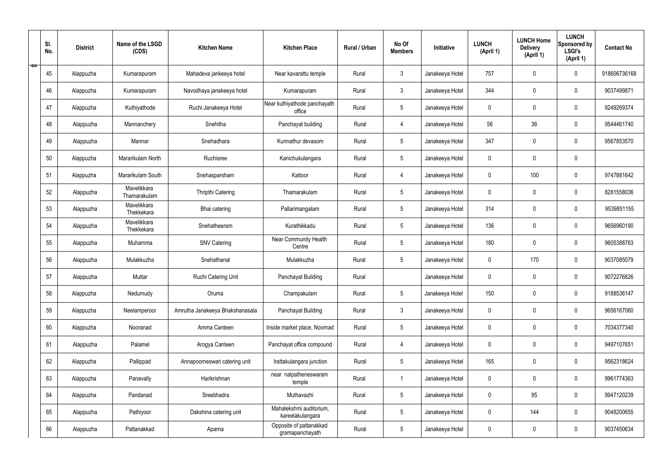|   | SI.<br>No. | <b>District</b> | Name of the LSGD<br>(CDS)   | <b>Kitchen Name</b>             | <b>Kitchen Place</b>                        | Rural / Urban | No Of<br><b>Members</b> | Initiative      | <b>LUNCH</b><br>(April 1) | <b>LUNCH Home</b><br><b>Delivery</b><br>(April 1) | <b>LUNCH</b><br>Sponsored by<br><b>LSGI's</b><br>(April 1) | <b>Contact No</b> |
|---|------------|-----------------|-----------------------------|---------------------------------|---------------------------------------------|---------------|-------------------------|-----------------|---------------------------|---------------------------------------------------|------------------------------------------------------------|-------------------|
| ಾ | 45         | Alappuzha       | Kumarapuram                 | Mahadeva jankeeya hotel         | Near kavarattu temple                       | Rural         | $\mathbf{3}$            | Janakeeya Hotel | 757                       | $\mathbf 0$                                       | $\mathbf 0$                                                | 918606736168      |
|   | 46         | Alappuzha       | Kumarapuram                 | Navodhaya janakeeya hotel       | Kumarapuram                                 | Rural         | $\mathbf{3}$            | Janakeeya Hotel | 344                       | $\mathbf 0$                                       | $\mathbf 0$                                                | 9037499871        |
|   | 47         | Alappuzha       | Kuthiyathode                | Ruchi Janakeeya Hotel           | Near kuthiyathode panchayath<br>office      | Rural         | $5\phantom{.0}$         | Janakeeya Hotel | $\mathbf 0$               | 0                                                 | $\mathbf 0$                                                | 9249269374        |
|   | 48         | Alappuzha       | Mannanchery                 | Snehitha                        | Panchayat building                          | Rural         | 4                       | Janakeeya Hotel | 56                        | 36                                                | $\mathbf 0$                                                | 9544461740        |
|   | 49         | Alappuzha       | Mannar                      | Snehadhara                      | Kunnathur devasom                           | Rural         | $5\phantom{.0}$         | Janakeeya Hotel | 347                       | $\mathbf 0$                                       | $\mathbf 0$                                                | 9567853570        |
|   | 50         | Alappuzha       | Mararikulam North           | Ruchisree                       | Kanichukulangara                            | Rural         | $5\phantom{.0}$         | Janakeeya Hotel | $\mathbf 0$               | $\mathbf 0$                                       | $\mathbf 0$                                                |                   |
|   | 51         | Alappuzha       | Mararikulam South           | Snehasparsham                   | Kattoor                                     | Rural         | 4                       | Janakeeya Hotel | $\mathbf 0$               | 100                                               | $\mathbf 0$                                                | 9747881642        |
|   | 52         | Alappuzha       | Mavelikkara<br>Thamarakulam | Thripthi Catering               | Thamarakulam                                | Rural         | $5\overline{)}$         | Janakeeya Hotel | $\mathbf 0$               | $\mathbf 0$                                       | $\mathbf 0$                                                | 8281558036        |
|   | 53         | Alappuzha       | Mavelikkara<br>Thekkekara   | Bhai catering                   | Pallarimangalam                             | Rural         | $5\phantom{.0}$         | Janakeeya Hotel | 314                       | $\mathbf 0$                                       | $\mathbf 0$                                                | 9539851155        |
|   | 54         | Alappuzha       | Mavelikkara<br>Thekkekara   | Snehatheeram                    | Kurathikkadu                                | Rural         | $5\overline{)}$         | Janakeeya Hotel | 136                       | $\mathbf 0$                                       | $\mathbf 0$                                                | 9656960190        |
|   | 55         | Alappuzha       | Muhamma                     | <b>SNV Catering</b>             | Near Community Health<br>Centre             | Rural         | $5\phantom{.0}$         | Janakeeya Hotel | 180                       | $\mathbf 0$                                       | $\mathbf 0$                                                | 9605388763        |
|   | 56         | Alappuzha       | Mulakkuzha                  | Snehathanal                     | Mulakkuzha                                  | Rural         | $5\phantom{.0}$         | Janakeeya Hotel | $\mathbf 0$               | 170                                               | $\mathbf 0$                                                | 9037085079        |
|   | 57         | Alappuzha       | Muttar                      | Ruchi Catering Unit             | Panchayat Building                          | Rural         |                         | Janakeeya Hotel | $\pmb{0}$                 | 0                                                 | $\mathbf 0$                                                | 9072276826        |
|   | 58         | Alappuzha       | Nedumudy                    | Oruma                           | Champakulam                                 | Rural         | $5\phantom{.0}$         | Janakeeya Hotel | 150                       | $\pmb{0}$                                         | $\mathbf 0$                                                | 9188536147        |
|   | 59         | Alappuzha       | Neelamperoor                | Amrutha Janakeeya Bhakshanasala | Panchayat Building                          | Rural         | $\mathbf{3}$            | Janakeeya Hotel | $\mathbf 0$               | $\pmb{0}$                                         | $\mathbf 0$                                                | 9656167060        |
|   | 60         | Alappuzha       | Nooranad                    | Amma Canteen                    | Inside market place, Noornad                | Rural         | $5\phantom{.0}$         | Janakeeya Hotel | $\pmb{0}$                 | $\mathbf 0$                                       | $\mathbf 0$                                                | 7034377340        |
|   | 61         | Alappuzha       | Palamel                     | Arogya Canteen                  | Panchayat office compound                   | Rural         | $\overline{4}$          | Janakeeya Hotel | $\mathbf 0$               | $\mathbf 0$                                       | $\mathbf 0$                                                | 9497107651        |
|   | 62         | Alappuzha       | Pallippad                   | Annapoorneswari catering unit   | Irattakulangara junction                    | Rural         | $5\phantom{.0}$         | Janakeeya Hotel | 165                       | $\mathbf 0$                                       | $\mathbf 0$                                                | 9562318624        |
|   | 63         | Alappuzha       | Panavally                   | Harikrishnan                    | near nalpatheneswaram<br>temple             | Rural         | $\mathbf{1}$            | Janakeeya Hotel | $\mathbf 0$               | $\pmb{0}$                                         | $\mathbf 0$                                                | 9961774363        |
|   | 64         | Alappuzha       | Pandanad                    | Sreebhadra                      | Muthavazhi                                  | Rural         | $5\phantom{.0}$         | Janakeeya Hotel | $\pmb{0}$                 | 95                                                | $\mathbf 0$                                                | 9947120239        |
|   | 65         | Alappuzha       | Pathiyoor                   | Dakshina catering unit          | Mahalekshmi auditorium,<br>kareelakulangara | Rural         | $5\phantom{.0}$         | Janakeeya Hotel | $\mathbf 0$               | 144                                               | $\mathbf 0$                                                | 9048200655        |
|   | 66         | Alappuzha       | Pattanakkad                 | Aparna                          | Opposite of pattanakkad<br>gramapanchayath  | Rural         | $5\phantom{.0}$         | Janakeeya Hotel | 0                         | $\pmb{0}$                                         | $\mathbf 0$                                                | 9037450634        |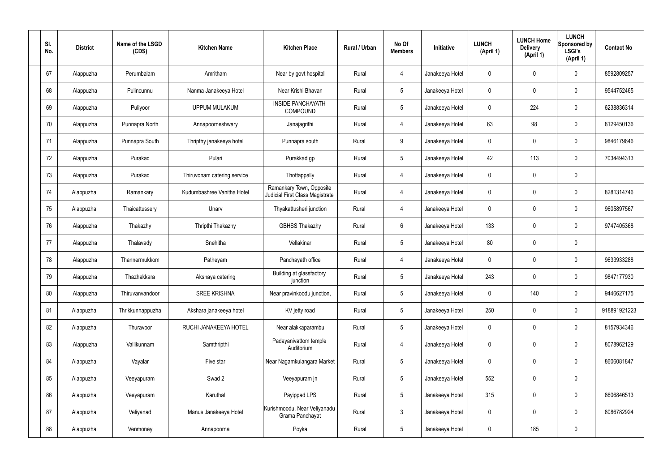| SI.<br>No. | <b>District</b> | Name of the LSGD<br>(CDS) | <b>Kitchen Name</b>         | <b>Kitchen Place</b>                                        | Rural / Urban | No Of<br><b>Members</b> | Initiative      | <b>LUNCH</b><br>(April 1) | <b>LUNCH Home</b><br><b>Delivery</b><br>(April 1) | <b>LUNCH</b><br>Sponsored by<br><b>LSGI's</b><br>(April 1) | <b>Contact No</b> |
|------------|-----------------|---------------------------|-----------------------------|-------------------------------------------------------------|---------------|-------------------------|-----------------|---------------------------|---------------------------------------------------|------------------------------------------------------------|-------------------|
| 67         | Alappuzha       | Perumbalam                | Amritham                    | Near by govt hospital                                       | Rural         | 4                       | Janakeeya Hotel | $\mathbf 0$               | $\mathbf 0$                                       | $\mathbf 0$                                                | 8592809257        |
| 68         | Alappuzha       | Pulincunnu                | Nanma Janakeeya Hotel       | Near Krishi Bhavan                                          | Rural         | $5\phantom{.0}$         | Janakeeya Hotel | $\mathbf 0$               | $\mathbf 0$                                       | $\pmb{0}$                                                  | 9544752465        |
| 69         | Alappuzha       | Puliyoor                  | <b>UPPUM MULAKUM</b>        | <b>INSIDE PANCHAYATH</b><br><b>COMPOUND</b>                 | Rural         | $5\phantom{.0}$         | Janakeeya Hotel | $\mathbf 0$               | 224                                               | $\pmb{0}$                                                  | 6238836314        |
| 70         | Alappuzha       | Punnapra North            | Annapoorneshwary            | Janajagrithi                                                | Rural         | $\overline{4}$          | Janakeeya Hotel | 63                        | 98                                                | $\pmb{0}$                                                  | 8129450136        |
| 71         | Alappuzha       | Punnapra South            | Thripthy janakeeya hotel    | Punnapra south                                              | Rural         | 9                       | Janakeeya Hotel | $\mathbf 0$               | $\mathbf 0$                                       | $\pmb{0}$                                                  | 9846179646        |
| 72         | Alappuzha       | Purakad                   | Pulari                      | Purakkad gp                                                 | Rural         | $5\phantom{.0}$         | Janakeeya Hotel | 42                        | 113                                               | $\pmb{0}$                                                  | 7034494313        |
| 73         | Alappuzha       | Purakad                   | Thiruvonam catering service | Thottappally                                                | Rural         | $\overline{4}$          | Janakeeya Hotel | $\mathbf 0$               | $\mathbf 0$                                       | $\pmb{0}$                                                  |                   |
| 74         | Alappuzha       | Ramankary                 | Kudumbashree Vanitha Hotel  | Ramankary Town, Opposite<br>Judicial First Class Magistrate | Rural         | 4                       | Janakeeya Hotel | $\mathbf 0$               | $\mathbf 0$                                       | $\pmb{0}$                                                  | 8281314746        |
| 75         | Alappuzha       | Thaicattussery            | Unarv                       | Thyakattusheri junction                                     | Rural         | $\overline{4}$          | Janakeeya Hotel | $\mathbf 0$               | $\mathbf 0$                                       | $\pmb{0}$                                                  | 9605897567        |
| 76         | Alappuzha       | Thakazhy                  | Thripthi Thakazhy           | <b>GBHSS Thakazhy</b>                                       | Rural         | $6\phantom{.}6$         | Janakeeya Hotel | 133                       | $\mathbf 0$                                       | $\mathbf 0$                                                | 9747405368        |
| 77         | Alappuzha       | Thalavady                 | Snehitha                    | Vellakinar                                                  | Rural         | $5\phantom{.0}$         | Janakeeya Hotel | 80                        | $\pmb{0}$                                         | $\pmb{0}$                                                  |                   |
| 78         | Alappuzha       | Thannermukkom             | Patheyam                    | Panchayath office                                           | Rural         | $\overline{4}$          | Janakeeya Hotel | $\mathbf 0$               | $\boldsymbol{0}$                                  | $\pmb{0}$                                                  | 9633933288        |
| 79         | Alappuzha       | Thazhakkara               | Akshaya catering            | Building at glassfactory<br>junction                        | Rural         | $5\phantom{.0}$         | Janakeeya Hotel | 243                       | 0                                                 | $\mathbf 0$                                                | 9847177930        |
| 80         | Alappuzha       | Thiruvanvandoor           | <b>SREE KRISHNA</b>         | Near pravinkoodu junction,                                  | Rural         | $5\phantom{.0}$         | Janakeeya Hotel | $\mathbf 0$               | 140                                               | $\pmb{0}$                                                  | 9446627175        |
| 81         | Alappuzha       | Thrikkunnappuzha          | Akshara janakeeya hotel     | KV jetty road                                               | Rural         | $5\phantom{.0}$         | Janakeeya Hotel | 250                       | $\pmb{0}$                                         | $\mathbf 0$                                                | 918891921223      |
| 82         | Alappuzha       | Thuravoor                 | RUCHI JANAKEEYA HOTEL       | Near alakkaparambu                                          | Rural         | $5\phantom{.0}$         | Janakeeya Hotel | $\pmb{0}$                 | $\pmb{0}$                                         | $\mathbf 0$                                                | 8157934346        |
| 83         | Alappuzha       | Vallikunnam               | Samthripthi                 | Padayanivattom temple<br>Auditorium                         | Rural         | $\overline{4}$          | Janakeeya Hotel | $\pmb{0}$                 | $\pmb{0}$                                         | $\mathbf 0$                                                | 8078962129        |
| 84         | Alappuzha       | Vayalar                   | Five star                   | Near Nagamkulangara Market                                  | Rural         | $5\phantom{.0}$         | Janakeeya Hotel | $\pmb{0}$                 | $\pmb{0}$                                         | $\mathbf 0$                                                | 8606081847        |
| 85         | Alappuzha       | Veeyapuram                | Swad 2                      | Veeyapuram jn                                               | Rural         | $5\phantom{.0}$         | Janakeeya Hotel | 552                       | $\pmb{0}$                                         | $\mathbf 0$                                                |                   |
| 86         | Alappuzha       | Veeyapuram                | Karuthal                    | Payippad LPS                                                | Rural         | $5\phantom{.0}$         | Janakeeya Hotel | 315                       | $\pmb{0}$                                         | $\mathbf 0$                                                | 8606846513        |
| 87         | Alappuzha       | Veliyanad                 | Manus Janakeeya Hotel       | Kurishmoodu, Near Veliyanadu<br>Grama Panchayat             | Rural         | $\mathfrak{Z}$          | Janakeeya Hotel | $\pmb{0}$                 | $\pmb{0}$                                         | $\mathbf 0$                                                | 8086782924        |
| 88         | Alappuzha       | Venmoney                  | Annapoorna                  | Poyka                                                       | Rural         | $5\phantom{.0}$         | Janakeeya Hotel | $\pmb{0}$                 | 185                                               | $\pmb{0}$                                                  |                   |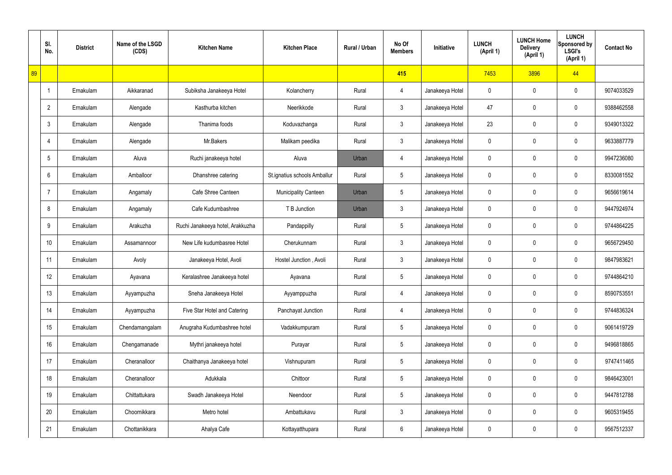|    | SI.<br>No.      | <b>District</b> | Name of the LSGD<br>(CDS) | <b>Kitchen Name</b>              | <b>Kitchen Place</b>         | Rural / Urban | No Of<br><b>Members</b> | Initiative      | <b>LUNCH</b><br>(April 1) | <b>LUNCH Home</b><br><b>Delivery</b><br>(April 1) | <b>LUNCH</b><br>Sponsored by<br><b>LSGI's</b><br>(April 1) | <b>Contact No</b> |
|----|-----------------|-----------------|---------------------------|----------------------------------|------------------------------|---------------|-------------------------|-----------------|---------------------------|---------------------------------------------------|------------------------------------------------------------|-------------------|
| 89 |                 |                 |                           |                                  |                              |               | 415                     |                 | 7453                      | 3896                                              | 44                                                         |                   |
|    | $\overline{1}$  | Ernakulam       | Aikkaranad                | Subiksha Janakeeya Hotel         | Kolancherry                  | Rural         | 4                       | Janakeeya Hotel | $\mathbf 0$               | 0                                                 | $\mathbf 0$                                                | 9074033529        |
|    | $\overline{2}$  | Ernakulam       | Alengade                  | Kasthurba kitchen                | Neerikkode                   | Rural         | 3                       | Janakeeya Hotel | 47                        | 0                                                 | $\mathbf 0$                                                | 9388462558        |
|    | 3               | Ernakulam       | Alengade                  | Thanima foods                    | Koduvazhanga                 | Rural         | 3                       | Janakeeya Hotel | 23                        | 0                                                 | $\mathbf 0$                                                | 9349013322        |
|    | $\overline{4}$  | Ernakulam       | Alengade                  | Mr.Bakers                        | Malikam peedika              | Rural         | 3                       | Janakeeya Hotel | 0                         | 0                                                 | $\mathbf 0$                                                | 9633887779        |
|    | 5               | Ernakulam       | Aluva                     | Ruchi janakeeya hotel            | Aluva                        | Urban         | 4                       | Janakeeya Hotel | 0                         | 0                                                 | $\mathbf 0$                                                | 9947236080        |
|    | 6               | Ernakulam       | Amballoor                 | Dhanshree catering               | St.ignatius schools Amballur | Rural         | $\overline{5}$          | Janakeeya Hotel | 0                         | 0                                                 | $\mathbf 0$                                                | 8330081552        |
|    | $\overline{7}$  | Ernakulam       | Angamaly                  | Cafe Shree Canteen               | <b>Municipality Canteen</b>  | Urban         | 5                       | Janakeeya Hotel | 0                         | 0                                                 | $\mathbf 0$                                                | 9656619614        |
|    | 8               | Ernakulam       | Angamaly                  | Cafe Kudumbashree                | T B Junction                 | Urban         | 3                       | Janakeeya Hotel | 0                         | 0                                                 | $\mathbf 0$                                                | 9447924974        |
|    | 9               | Ernakulam       | Arakuzha                  | Ruchi Janakeeya hotel, Arakkuzha | Pandappilly                  | Rural         | $5\phantom{.0}$         | Janakeeya Hotel | 0                         | 0                                                 | $\mathbf 0$                                                | 9744864225        |
|    | 10 <sup>1</sup> | Ernakulam       | Assamannoor               | New Life kudumbasree Hotel       | Cherukunnam                  | Rural         | $\mathfrak{Z}$          | Janakeeya Hotel | 0                         | 0                                                 | $\mathbf 0$                                                | 9656729450        |
|    | 11              | Ernakulam       | Avoly                     | Janakeeya Hotel, Avoli           | Hostel Junction, Avoli       | Rural         | 3                       | Janakeeya Hotel | 0                         | 0                                                 | $\mathbf 0$                                                | 9847983621        |
|    | 12              | Ernakulam       | Ayavana                   | Keralashree Janakeeya hotel      | Ayavana                      | Rural         | $5\phantom{.0}$         | Janakeeya Hotel | 0                         | 0                                                 | $\mathbf 0$                                                | 9744864210        |
|    | 13              | Ernakulam       | Ayyampuzha                | Sneha Janakeeya Hotel            | Ayyamppuzha                  | Rural         | 4                       | Janakeeya Hotel | $\mathbf 0$               | 0                                                 | $\mathbf 0$                                                | 8590753551        |
|    | 14              | Ernakulam       | Ayyampuzha                | Five Star Hotel and Catering     | Panchayat Junction           | Rural         | 4                       | Janakeeya Hotel | 0                         | 0                                                 | $\mathbf 0$                                                | 9744836324        |
|    | 15              | Ernakulam       | Chendamangalam            | Anugraha Kudumbashree hotel      | Vadakkumpuram                | Rural         | $5\phantom{.0}$         | Janakeeya Hotel | 0                         | 0                                                 | $\mathbf 0$                                                | 9061419729        |
|    | 16              | Ernakulam       | Chengamanade              | Mythri janakeeya hotel           | Purayar                      | Rural         | $5\phantom{.0}$         | Janakeeya Hotel | 0                         | 0                                                 | $\mathbf 0$                                                | 9496818865        |
|    | 17              | Ernakulam       | Cheranalloor              | Chaithanya Janakeeya hotel       | Vishnupuram                  | Rural         | $5\phantom{.0}$         | Janakeeya Hotel | 0                         | 0                                                 | $\mathbf 0$                                                | 9747411465        |
|    | 18              | Ernakulam       | Cheranalloor              | Adukkala                         | Chittoor                     | Rural         | $\overline{5}$          | Janakeeya Hotel | 0                         | 0                                                 | $\mathbf 0$                                                | 9846423001        |
|    | 19              | Ernakulam       | Chittattukara             | Swadh Janakeeya Hotel            | Neendoor                     | Rural         | $5\phantom{.0}$         | Janakeeya Hotel | 0                         | 0                                                 | $\mathbf 0$                                                | 9447812788        |
|    | 20              | Ernakulam       | Choornikkara              | Metro hotel                      | Ambattukavu                  | Rural         | $\mathfrak{Z}$          | Janakeeya Hotel | 0                         | $\mathbf 0$                                       | $\mathbf 0$                                                | 9605319455        |
|    | 21              | Ernakulam       | Chottanikkara             | Ahalya Cafe                      | Kottayatthupara              | Rural         | 6                       | Janakeeya Hotel | 0                         | 0                                                 | $\pmb{0}$                                                  | 9567512337        |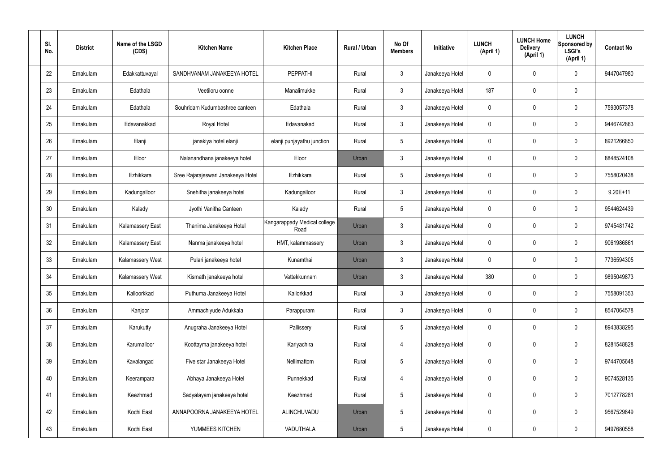| SI.<br>No. | <b>District</b> | Name of the LSGD<br>(CDS) | <b>Kitchen Name</b>                | <b>Kitchen Place</b>                 | Rural / Urban | No Of<br><b>Members</b> | Initiative      | <b>LUNCH</b><br>(April 1) | <b>LUNCH Home</b><br><b>Delivery</b><br>(April 1) | <b>LUNCH</b><br>Sponsored by<br><b>LSGI's</b><br>(April 1) | <b>Contact No</b> |
|------------|-----------------|---------------------------|------------------------------------|--------------------------------------|---------------|-------------------------|-----------------|---------------------------|---------------------------------------------------|------------------------------------------------------------|-------------------|
| 22         | Ernakulam       | Edakkattuvayal            | SANDHVANAM JANAKEEYA HOTEL         | <b>PEPPATHI</b>                      | Rural         | $\mathbf{3}$            | Janakeeya Hotel | 0                         | 0                                                 | $\mathbf 0$                                                | 9447047980        |
| 23         | Ernakulam       | Edathala                  | Veetiloru oonne                    | Manalimukke                          | Rural         | $\mathbf{3}$            | Janakeeya Hotel | 187                       | 0                                                 | $\mathbf 0$                                                |                   |
| 24         | Ernakulam       | Edathala                  | Souhridam Kudumbashree canteen     | Edathala                             | Rural         | $\mathbf{3}$            | Janakeeya Hotel | 0                         | 0                                                 | $\mathbf 0$                                                | 7593057378        |
| 25         | Ernakulam       | Edavanakkad               | Royal Hotel                        | Edavanakad                           | Rural         | $\mathbf{3}$            | Janakeeya Hotel | $\mathbf 0$               | 0                                                 | $\boldsymbol{0}$                                           | 9446742863        |
| 26         | Ernakulam       | Elanji                    | janakiya hotel elanji              | elanji punjayathu junction           | Rural         | $5\phantom{.0}$         | Janakeeya Hotel | 0                         | 0                                                 | 0                                                          | 8921266850        |
| 27         | Ernakulam       | Eloor                     | Nalanandhana janakeeya hotel       | Eloor                                | Urban         | $\mathbf{3}$            | Janakeeya Hotel | $\mathbf 0$               | 0                                                 | $\mathbf 0$                                                | 8848524108        |
| 28         | Ernakulam       | Ezhikkara                 | Sree Rajarajeswari Janakeeya Hotel | Ezhikkara                            | Rural         | $5\phantom{.0}$         | Janakeeya Hotel | 0                         | 0                                                 | $\mathbf 0$                                                | 7558020438        |
| 29         | Ernakulam       | Kadungalloor              | Snehitha janakeeya hotel           | Kadungalloor                         | Rural         | $\mathbf{3}$            | Janakeeya Hotel | $\mathbf 0$               | 0                                                 | $\boldsymbol{0}$                                           | $9.20E+11$        |
| 30         | Ernakulam       | Kalady                    | Jyothi Vanitha Canteen             | Kalady                               | Rural         | $5\phantom{.0}$         | Janakeeya Hotel | 0                         | 0                                                 | $\mathbf 0$                                                | 9544624439        |
| 31         | Ernakulam       | <b>Kalamassery East</b>   | Thanima Janakeeya Hotel            | Kangarappady Medical college<br>Road | Urban         | $\mathbf{3}$            | Janakeeya Hotel | $\mathbf 0$               | 0                                                 | $\mathbf 0$                                                | 9745481742        |
| 32         | Ernakulam       | <b>Kalamassery East</b>   | Nanma janakeeya hotel              | HMT, kalammassery                    | Urban         | $\mathbf{3}$            | Janakeeya Hotel | $\mathbf 0$               | 0                                                 | $\mathbf 0$                                                | 9061986861        |
| 33         | Ernakulam       | Kalamassery West          | Pulari janakeeya hotel             | Kunamthai                            | Urban         | $\mathbf{3}$            | Janakeeya Hotel | $\mathbf 0$               | 0                                                 | $\mathbf 0$                                                | 7736594305        |
| 34         | Ernakulam       | Kalamassery West          | Kismath janakeeya hotel            | Vattekkunnam                         | Urban         | $\mathbf{3}$            | Janakeeya Hotel | 380                       | 0                                                 | 0                                                          | 9895049873        |
| 35         | Ernakulam       | Kalloorkkad               | Puthuma Janakeeya Hotel            | Kallorkkad                           | Rural         | $\mathbf{3}$            | Janakeeya Hotel | $\mathbf 0$               | $\mathbf 0$                                       | $\pmb{0}$                                                  | 7558091353        |
| 36         | Ernakulam       | Kanjoor                   | Ammachiyude Adukkala               | Parappuram                           | Rural         | 3 <sup>1</sup>          | Janakeeya Hotel | $\pmb{0}$                 | 0                                                 | $\mathbf 0$                                                | 8547064578        |
| 37         | Ernakulam       | Karukutty                 | Anugraha Janakeeya Hotel           | Pallissery                           | Rural         | $5\phantom{.0}$         | Janakeeya Hotel | 0                         | 0                                                 | $\mathbf 0$                                                | 8943838295        |
| 38         | Ernakulam       | Karumalloor               | Koottayma janakeeya hotel          | Kariyachira                          | Rural         | $\overline{4}$          | Janakeeya Hotel | $\pmb{0}$                 | 0                                                 | $\mathbf 0$                                                | 8281548828        |
| 39         | Ernakulam       | Kavalangad                | Five star Janakeeya Hotel          | Nellimattom                          | Rural         | $5\phantom{.0}$         | Janakeeya Hotel | 0                         | 0                                                 | $\mathbf 0$                                                | 9744705648        |
| 40         | Ernakulam       | Keerampara                | Abhaya Janakeeya Hotel             | Punnekkad                            | Rural         | $\overline{4}$          | Janakeeya Hotel | $\pmb{0}$                 | 0                                                 | $\mathbf 0$                                                | 9074528135        |
| 41         | Ernakulam       | Keezhmad                  | Sadyalayam janakeeya hotel         | Keezhmad                             | Rural         | $5\phantom{.0}$         | Janakeeya Hotel | 0                         | 0                                                 | $\mathbf 0$                                                | 7012778281        |
| 42         | Ernakulam       | Kochi East                | ANNAPOORNA JANAKEEYA HOTEL         | ALINCHUVADU                          | Urban         | $5\phantom{.0}$         | Janakeeya Hotel | $\mathbf 0$               | $\mathbf 0$                                       | $\mathbf 0$                                                | 9567529849        |
| 43         | Ernakulam       | Kochi East                | YUMMEES KITCHEN                    | VADUTHALA                            | Urban         | $5\phantom{.0}$         | Janakeeya Hotel | 0                         | 0                                                 | $\boldsymbol{0}$                                           | 9497680558        |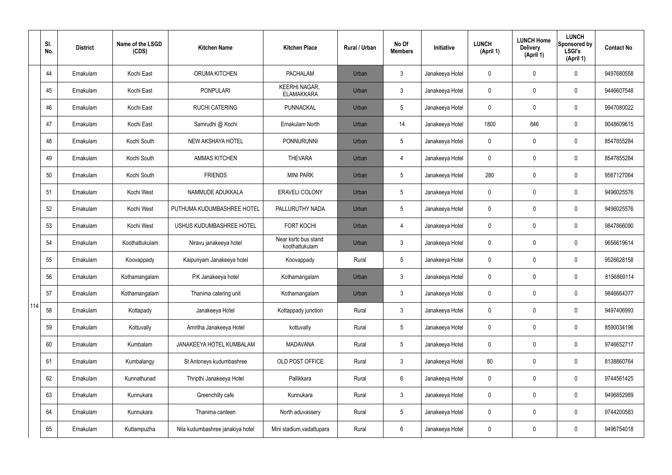|     | SI.<br>No. | <b>District</b> | Name of the LSGD<br>(CDS) | <b>Kitchen Name</b>              | <b>Kitchen Place</b>                      | <b>Rural / Urban</b> | No Of<br><b>Members</b> | Initiative      | <b>LUNCH</b><br>(April 1) | <b>LUNCH Home</b><br><b>Delivery</b><br>(April 1) | <b>LUNCH</b><br>Sponsored by<br><b>LSGI's</b><br>(April 1) | <b>Contact No</b> |
|-----|------------|-----------------|---------------------------|----------------------------------|-------------------------------------------|----------------------|-------------------------|-----------------|---------------------------|---------------------------------------------------|------------------------------------------------------------|-------------------|
|     | 44         | Ernakulam       | Kochi East                | <b>ORUMA KITCHEN</b>             | <b>PACHALAM</b>                           | Urban                | 3                       | Janakeeya Hotel | 0                         | 0                                                 | $\mathbf 0$                                                | 9497680558        |
|     | 45         | Ernakulam       | Kochi East                | <b>PONPULARI</b>                 | <b>KEERHI NAGAR,</b><br><b>ELAMAKKARA</b> | Urban                | $\mathfrak{Z}$          | Janakeeya Hotel | 0                         | 0                                                 | 0                                                          | 9446607548        |
|     | 46         | Ernakulam       | Kochi East                | <b>RUCHI CATERING</b>            | PUNNACKAL                                 | Urban                | $5\overline{)}$         | Janakeeya Hotel | 0                         | 0                                                 | $\mathbf 0$                                                | 9947080022        |
|     | 47         | Ernakulam       | Kochi East                | Samrudhi @ Kochi                 | Ernakulam North                           | Urban                | 14                      | Janakeeya Hotel | 1800                      | 846                                               | $\mathbf 0$                                                | 9048609615        |
|     | 48         | Ernakulam       | Kochi South               | NEW AKSHAYA HOTEL                | <b>PONNURUNNI</b>                         | Urban                | $5\overline{)}$         | Janakeeya Hotel | 0                         | 0                                                 | $\mathbf 0$                                                | 8547855284        |
|     | 49         | Ernakulam       | Kochi South               | <b>AMMAS KITCHEN</b>             | <b>THEVARA</b>                            | Urban                | 4                       | Janakeeya Hotel | 0                         | 0                                                 | $\mathbf 0$                                                | 8547855284        |
|     | 50         | Ernakulam       | Kochi South               | <b>FRIENDS</b>                   | <b>MINI PARK</b>                          | Urban                | 5                       | Janakeeya Hotel | 280                       | 0                                                 | $\mathbf 0$                                                | 9567127064        |
|     | 51         | Ernakulam       | Kochi West                | NAMMUDE ADUKKALA                 | <b>ERAVELI COLONY</b>                     | Urban                | 5                       | Janakeeya Hotel | 0                         | 0                                                 | $\mathbf 0$                                                | 9496025576        |
|     | 52         | Ernakulam       | Kochi West                | PUTHUMA KUDUMBASHREE HOTEL       | PALLURUTHY NADA                           | Urban                | 5                       | Janakeeya Hotel | 0                         | 0                                                 | $\mathbf 0$                                                | 9496025576        |
|     | 53         | Ernakulam       | Kochi West                | USHUS KUDUMBASHREE HOTEL         | <b>FORT KOCHI</b>                         | Urban                | 4                       | Janakeeya Hotel | 0                         | 0                                                 | $\pmb{0}$                                                  | 9847866090        |
|     | 54         | Ernakulam       | Koothattukulam            | Niravu janakeeya hotel           | Near ksrtc bus stand<br>koothattukulam    | Urban                | $\mathfrak{Z}$          | Janakeeya Hotel | 0                         | 0                                                 | $\pmb{0}$                                                  | 9656619614        |
|     | 55         | Ernakulam       | Koovappady                | Kaipunyam Janakeeya hotel        | Koovappady                                | Rural                | 5                       | Janakeeya Hotel | 0                         | 0                                                 | 0                                                          | 9526628158        |
|     | 56         | Ernakulam       | Kothamangalam             | P.K Janakeeya hotel              | Kothamangalam                             | Urban                | 3                       | Janakeeya Hotel | 0                         | 0                                                 | $\mathbf 0$                                                | 8156869114        |
|     | 57         | Ernakulam       | Kothamangalam             | Thanima catering unit            | Kothamangalam                             | Urban                | $\mathbf{3}$            | Janakeeya Hotel | $\mathbf 0$               | $\mathbf 0$                                       | $\mathbf 0$                                                | 9846664377        |
| 114 | 58         | Ernakulam       | Kottapady                 | Janakeeya Hotel                  | Kottappady junction                       | Rural                | $\mathbf{3}$            | Janakeeya Hotel | $\mathbf 0$               | $\mathbf 0$                                       | $\mathbf 0$                                                | 9497406993        |
|     | 59         | Ernakulam       | Kottuvally                | Amritha Janakeeya Hotel          | kottuvally                                | Rural                | $5\overline{)}$         | Janakeeya Hotel | 0                         | 0                                                 | $\mathbf 0$                                                | 8590034196        |
|     | 60         | Ernakulam       | Kumbalam                  | JANAKEEYA HOTEL KUMBALAM         | <b>MADAVANA</b>                           | Rural                | $5\overline{)}$         | Janakeeya Hotel | 0                         | $\mathbf 0$                                       | $\mathsf{0}$                                               | 9746652717        |
|     | 61         | Ernakulam       | Kumbalangy                | St Antoneys kudumbashree         | OLD POST OFFICE                           | Rural                | $\mathbf{3}$            | Janakeeya Hotel | 80                        | 0                                                 | $\mathsf{0}$                                               | 8138860764        |
|     | 62         | Ernakulam       | Kunnathunad               | Thripthi Janakeeya Hotel         | Pallikkara                                | Rural                | 6                       | Janakeeya Hotel | 0                         | 0                                                 | $\mathsf{0}$                                               | 9744561425        |
|     | 63         | Ernakulam       | Kunnukara                 | Greenchilly cafe                 | Kunnukara                                 | Rural                | $\mathbf{3}$            | Janakeeya Hotel | 0                         | 0                                                 | $\mathsf{0}$                                               | 9496852989        |
|     | 64         | Ernakulam       | Kunnukara                 | Thanima canteen                  | North aduvassery                          | Rural                | 5                       | Janakeeya Hotel | 0                         | 0                                                 | $\mathsf{0}$                                               | 9744200583        |
|     | 65         | Ernakulam       | Kuttampuzha               | Nila kudumbashree janakiya hotel | Mini stadium, vadattupara                 | Rural                | $6\phantom{.0}$         | Janakeeya Hotel | 0                         | 0                                                 | $\mathsf{0}$                                               | 9496754018        |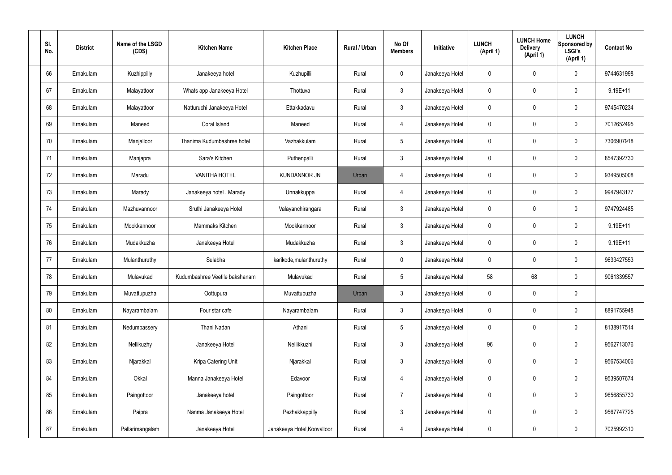| SI.<br>No. | <b>District</b> | Name of the LSGD<br>(CDS) | <b>Kitchen Name</b>            | <b>Kitchen Place</b>        | Rural / Urban | No Of<br><b>Members</b> | Initiative      | <b>LUNCH</b><br>(April 1) | <b>LUNCH Home</b><br><b>Delivery</b><br>(April 1) | <b>LUNCH</b><br>Sponsored by<br><b>LSGI's</b><br>(April 1) | <b>Contact No</b> |
|------------|-----------------|---------------------------|--------------------------------|-----------------------------|---------------|-------------------------|-----------------|---------------------------|---------------------------------------------------|------------------------------------------------------------|-------------------|
| 66         | Ernakulam       | Kuzhippilly               | Janakeeya hotel                | Kuzhupilli                  | Rural         | $\mathbf 0$             | Janakeeya Hotel | 0                         | 0                                                 | $\mathbf 0$                                                | 9744631998        |
| 67         | Ernakulam       | Malayattoor               | Whats app Janakeeya Hotel      | Thottuva                    | Rural         | $\mathbf{3}$            | Janakeeya Hotel | $\mathbf 0$               | 0                                                 | $\mathbf 0$                                                | 9.19E+11          |
| 68         | Ernakulam       | Malayattoor               | Natturuchi Janakeeya Hotel     | Ettakkadavu                 | Rural         | $\mathbf{3}$            | Janakeeya Hotel | $\mathbf 0$               | 0                                                 | $\mathbf 0$                                                | 9745470234        |
| 69         | Ernakulam       | Maneed                    | Coral Island                   | Maneed                      | Rural         | $\overline{4}$          | Janakeeya Hotel | $\mathbf 0$               | 0                                                 | $\mathbf 0$                                                | 7012652495        |
| 70         | Ernakulam       | Manjalloor                | Thanima Kudumbashree hotel     | Vazhakkulam                 | Rural         | $5\phantom{.0}$         | Janakeeya Hotel | $\mathbf 0$               | 0                                                 | $\mathbf 0$                                                | 7306907918        |
| 71         | Ernakulam       | Manjapra                  | Sara's Kitchen                 | Puthenpalli                 | Rural         | $\mathbf{3}$            | Janakeeya Hotel | $\mathbf 0$               | 0                                                 | $\mathbf 0$                                                | 8547392730        |
| 72         | Ernakulam       | Maradu                    | <b>VANITHA HOTEL</b>           | <b>KUNDANNOR JN</b>         | Urban         | $\overline{4}$          | Janakeeya Hotel | $\mathbf 0$               | 0                                                 | $\mathbf 0$                                                | 9349505008        |
| 73         | Ernakulam       | Marady                    | Janakeeya hotel, Marady        | Unnakkuppa                  | Rural         | $\overline{4}$          | Janakeeya Hotel | $\mathbf 0$               | 0                                                 | $\mathbf 0$                                                | 9947943177        |
| 74         | Ernakulam       | Mazhuvannoor              | Sruthi Janakeeya Hotel         | Valayanchirangara           | Rural         | $\mathbf{3}$            | Janakeeya Hotel | $\mathbf 0$               | 0                                                 | $\mathbf 0$                                                | 9747924485        |
| 75         | Ernakulam       | Mookkannoor               | Mammaks Kitchen                | Mookkannoor                 | Rural         | $\mathfrak{Z}$          | Janakeeya Hotel | $\mathbf 0$               | 0                                                 | $\mathbf 0$                                                | $9.19E + 11$      |
| 76         | Ernakulam       | Mudakkuzha                | Janakeeya Hotel                | Mudakkuzha                  | Rural         | $\mathbf{3}$            | Janakeeya Hotel | $\mathbf 0$               | 0                                                 | $\mathbf 0$                                                | $9.19E + 11$      |
| 77         | Ernakulam       | Mulanthuruthy             | Sulabha                        | karikode, mulanthuruthy     | Rural         | $\mathbf 0$             | Janakeeya Hotel | $\mathbf 0$               | 0                                                 | $\boldsymbol{0}$                                           | 9633427553        |
| 78         | Ernakulam       | Mulavukad                 | Kudumbashree Veetile bakshanam | Mulavukad                   | Rural         | $5\phantom{.0}$         | Janakeeya Hotel | 58                        | 68                                                | $\mathbf 0$                                                | 9061339557        |
| 79         | Ernakulam       | Muvattupuzha              | Oottupura                      | Muvattupuzha                | Urban         | $\mathbf{3}$            | Janakeeya Hotel | $\mathbf 0$               | $\mathsf{0}$                                      | $\pmb{0}$                                                  |                   |
| 80         | Ernakulam       | Nayarambalam              | Four star cafe                 | Nayarambalam                | Rural         | $3\phantom{a}$          | Janakeeya Hotel | $\mathbf 0$               | $\mathsf{0}$                                      | $\mathbf 0$                                                | 8891755948        |
| 81         | Ernakulam       | Nedumbassery              | Thani Nadan                    | Athani                      | Rural         | $5\phantom{.0}$         | Janakeeya Hotel | $\mathbf 0$               | $\mathbf 0$                                       | $\mathbf 0$                                                | 8138917514        |
| 82         | Ernakulam       | Nellikuzhy                | Janakeeya Hotel                | Nellikkuzhi                 | Rural         | $\mathbf{3}$            | Janakeeya Hotel | 96                        | $\mathbf 0$                                       | $\mathbf 0$                                                | 9562713076        |
| 83         | Ernakulam       | Njarakkal                 | Kripa Catering Unit            | Njarakkal                   | Rural         | $\mathbf{3}$            | Janakeeya Hotel | $\mathbf 0$               | $\mathbf 0$                                       | $\mathbf 0$                                                | 9567534006        |
| 84         | Ernakulam       | Okkal                     | Manna Janakeeya Hotel          | Edavoor                     | Rural         | $\overline{4}$          | Janakeeya Hotel | $\mathbf 0$               | $\mathbf 0$                                       | $\mathbf 0$                                                | 9539507674        |
| 85         | Ernakulam       | Paingottoor               | Janakeeya hotel                | Paingottoor                 | Rural         | $\overline{7}$          | Janakeeya Hotel | $\mathbf 0$               | $\mathbf 0$                                       | $\mathbf 0$                                                | 9656855730        |
| 86         | Ernakulam       | Paipra                    | Nanma Janakeeya Hotel          | Pezhakkappilly              | Rural         | $\mathfrak{Z}$          | Janakeeya Hotel | $\pmb{0}$                 | 0                                                 | $\mathbf 0$                                                | 9567747725        |
| 87         | Ernakulam       | Pallarimangalam           | Janakeeya Hotel                | Janakeeya Hotel, Koovalloor | Rural         | 4                       | Janakeeya Hotel | 0                         | $\pmb{0}$                                         | $\boldsymbol{0}$                                           | 7025992310        |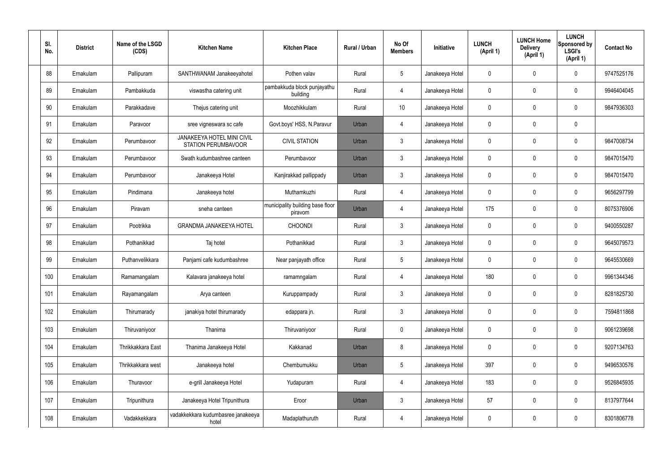| SI.<br>No. | <b>District</b> | Name of the LSGD<br>(CDS) | <b>Kitchen Name</b>                                             | <b>Kitchen Place</b>                        | <b>Rural / Urban</b> | No Of<br><b>Members</b> | <b>Initiative</b> | <b>LUNCH</b><br>(April 1) | <b>LUNCH Home</b><br><b>Delivery</b><br>(April 1) | <b>LUNCH</b><br>Sponsored by<br><b>LSGI's</b><br>(April 1) | <b>Contact No</b> |
|------------|-----------------|---------------------------|-----------------------------------------------------------------|---------------------------------------------|----------------------|-------------------------|-------------------|---------------------------|---------------------------------------------------|------------------------------------------------------------|-------------------|
| 88         | Ernakulam       | Pallipuram                | SANTHWANAM Janakeeyahotel                                       | Pothen valav                                | Rural                | $5\phantom{.0}$         | Janakeeya Hotel   | $\mathbf 0$               | 0                                                 | $\mathbf 0$                                                | 9747525176        |
| 89         | Ernakulam       | Pambakkuda                | viswastha catering unit                                         | pambakkuda block punjayathu<br>building     | Rural                | $\overline{4}$          | Janakeeya Hotel   | $\mathbf 0$               | 0                                                 | $\mathbf 0$                                                | 9946404045        |
| 90         | Ernakulam       | Parakkadave               | Thejus catering unit                                            | Moozhikkulam                                | Rural                | 10 <sup>°</sup>         | Janakeeya Hotel   | $\mathbf 0$               | 0                                                 | $\mathbf 0$                                                | 9847936303        |
| 91         | Ernakulam       | Paravoor                  | sree vigneswara sc cafe                                         | Govt.boys' HSS, N.Paravur                   | Urban                | 4                       | Janakeeya Hotel   | $\mathbf 0$               | 0                                                 | $\mathbf 0$                                                |                   |
| 92         | Ernakulam       | Perumbavoor               | <b>JANAKEEYA HOTEL MINI CIVIL</b><br><b>STATION PERUMBAVOOR</b> | <b>CIVIL STATION</b>                        | Urban                | $\mathbf{3}$            | Janakeeya Hotel   | $\mathbf 0$               | 0                                                 | $\mathbf 0$                                                | 9847008734        |
| 93         | Ernakulam       | Perumbavoor               | Swath kudumbashree canteen                                      | Perumbavoor                                 | Urban                | $\mathbf{3}$            | Janakeeya Hotel   | $\mathbf 0$               | 0                                                 | $\mathbf 0$                                                | 9847015470        |
| 94         | Ernakulam       | Perumbavoor               | Janakeeya Hotel                                                 | Kanjirakkad pallippady                      | Urban                | $\mathbf{3}$            | Janakeeya Hotel   | $\mathbf 0$               | 0                                                 | $\mathbf 0$                                                | 9847015470        |
| 95         | Ernakulam       | Pindimana                 | Janakeeya hotel                                                 | Muthamkuzhi                                 | Rural                | $\overline{4}$          | Janakeeya Hotel   | $\mathbf 0$               | 0                                                 | $\mathbf 0$                                                | 9656297799        |
| 96         | Ernakulam       | Piravam                   | sneha canteen                                                   | municipality building base floor<br>piravom | Urban                | 4                       | Janakeeya Hotel   | 175                       | $\mathbf 0$                                       | $\mathbf 0$                                                | 8075376906        |
| 97         | Ernakulam       | Pootrikka                 | <b>GRANDMA JANAKEEYA HOTEL</b>                                  | <b>CHOONDI</b>                              | Rural                | $\mathbf{3}$            | Janakeeya Hotel   | $\mathbf 0$               | 0                                                 | $\mathbf 0$                                                | 9400550287        |
| 98         | Ernakulam       | Pothanikkad               | Taj hotel                                                       | Pothanikkad                                 | Rural                | $\mathbf{3}$            | Janakeeya Hotel   | $\mathbf 0$               | 0                                                 | $\mathbf 0$                                                | 9645079573        |
| 99         | Ernakulam       | Puthanvelikkara           | Panjami cafe kudumbashree                                       | Near panjayath office                       | Rural                | $5\phantom{.0}$         | Janakeeya Hotel   | $\mathbf 0$               | 0                                                 | $\mathbf 0$                                                | 9645530669        |
| 100        | Ernakulam       | Ramamangalam              | Kalavara janakeeya hotel                                        | ramamngalam                                 | Rural                | 4                       | Janakeeya Hotel   | 180                       | 0                                                 | $\mathbf 0$                                                | 9961344346        |
| 101        | Ernakulam       | Rayamangalam              | Arya canteen                                                    | Kuruppampady                                | Rural                | $\mathbf{3}$            | Janakeeya Hotel   | $\mathbf 0$               | $\mathbf 0$                                       | $\mathbf 0$                                                | 8281825730        |
| 102        | Ernakulam       | Thirumarady               | janakiya hotel thirumarady                                      | edappara jn.                                | Rural                | $\mathfrak{Z}$          | Janakeeya Hotel   | $\mathbf 0$               | 0                                                 | $\mathbf 0$                                                | 7594811868        |
| 103        | Ernakulam       | Thiruvaniyoor             | Thanima                                                         | Thiruvaniyoor                               | Rural                | $\mathbf 0$             | Janakeeya Hotel   | $\pmb{0}$                 | 0                                                 | $\mathbf 0$                                                | 9061239698        |
| 104        | Ernakulam       | Thrikkakkara East         | Thanima Janakeeya Hotel                                         | Kakkanad                                    | Urban                | 8                       | Janakeeya Hotel   | $\mathbf 0$               | 0                                                 | $\mathbf 0$                                                | 9207134763        |
| 105        | Ernakulam       | Thrikkakkara west         | Janakeeya hotel                                                 | Chembumukku                                 | Urban                | $5\,$                   | Janakeeya Hotel   | 397                       | 0                                                 | $\mathbf 0$                                                | 9496530576        |
| 106        | Ernakulam       | Thuravoor                 | e-grill Janakeeya Hotel                                         | Yudapuram                                   | Rural                | $\overline{4}$          | Janakeeya Hotel   | 183                       | 0                                                 | $\mathbf 0$                                                | 9526845935        |
| 107        | Ernakulam       | Tripunithura              | Janakeeya Hotel Tripunithura                                    | Eroor                                       | Urban                | $\mathbf{3}$            | Janakeeya Hotel   | 57                        | 0                                                 | $\mathbf 0$                                                | 8137977644        |
| 108        | Ernakulam       | Vadakkekkara              | vadakkekkara kudumbasree janakeeya<br>hotel                     | Madaplathuruth                              | Rural                | $\overline{4}$          | Janakeeya Hotel   | 0                         | 0                                                 | $\mathbf 0$                                                | 8301806778        |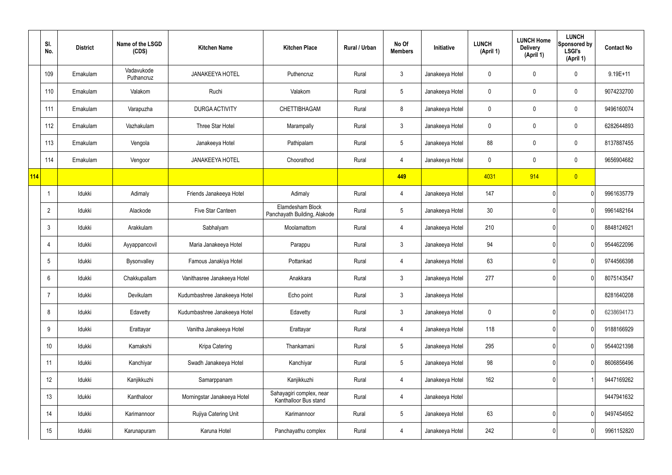|     | SI.<br>No.     | <b>District</b> | Name of the LSGD<br>(CDS) | <b>Kitchen Name</b>          | <b>Kitchen Place</b>                              | Rural / Urban | No Of<br><b>Members</b> | Initiative      | <b>LUNCH</b><br>(April 1) | <b>LUNCH Home</b><br><b>Delivery</b><br>(April 1) | <b>LUNCH</b><br>Sponsored by<br><b>LSGI's</b><br>(April 1) | <b>Contact No</b> |
|-----|----------------|-----------------|---------------------------|------------------------------|---------------------------------------------------|---------------|-------------------------|-----------------|---------------------------|---------------------------------------------------|------------------------------------------------------------|-------------------|
|     | 109            | Ernakulam       | Vadavukode<br>Puthancruz  | <b>JANAKEEYA HOTEL</b>       | Puthencruz                                        | Rural         | $\mathbf{3}$            | Janakeeya Hotel | $\mathbf 0$               | 0                                                 | $\mathbf 0$                                                | $9.19E + 11$      |
|     | 110            | Ernakulam       | Valakom                   | Ruchi                        | Valakom                                           | Rural         | $5\,$                   | Janakeeya Hotel | 0                         | $\mathbf 0$                                       | $\pmb{0}$                                                  | 9074232700        |
|     | 111            | Ernakulam       | Varapuzha                 | DURGA ACTIVITY               | CHETTIBHAGAM                                      | Rural         | 8                       | Janakeeya Hotel | $\mathbf 0$               | 0                                                 | $\mathbf 0$                                                | 9496160074        |
|     | 112            | Ernakulam       | Vazhakulam                | Three Star Hotel             | Marampally                                        | Rural         | $\mathbf{3}$            | Janakeeya Hotel | 0                         | 0                                                 | $\mathbf 0$                                                | 6282644893        |
|     | 113            | Ernakulam       | Vengola                   | Janakeeya Hotel              | Pathipalam                                        | Rural         | $5\phantom{.0}$         | Janakeeya Hotel | 88                        | 0                                                 | $\mathbf 0$                                                | 8137887455        |
|     | 114            | Ernakulam       | Vengoor                   | <b>JANAKEEYA HOTEL</b>       | Choorathod                                        | Rural         | $\overline{4}$          | Janakeeya Hotel | 0                         | 0                                                 | $\mathbf 0$                                                | 9656904682        |
| 114 |                |                 |                           |                              |                                                   |               | 449                     |                 | 4031                      | 914                                               | $\overline{0}$                                             |                   |
|     |                | Idukki          | Adimaly                   | Friends Janakeeya Hotel      | Adimaly                                           | Rural         | 4                       | Janakeeya Hotel | 147                       |                                                   | 0                                                          | 9961635779        |
|     | $\overline{2}$ | Idukki          | Alackode                  | Five Star Canteen            | Elamdesham Block<br>Panchayath Building, Alakode  | Rural         | $5\phantom{.0}$         | Janakeeya Hotel | 30                        |                                                   | 0                                                          | 9961482164        |
|     | 3              | Idukki          | Arakkulam                 | Sabhalyam                    | Moolamattom                                       | Rural         | 4                       | Janakeeya Hotel | 210                       |                                                   | 0                                                          | 8848124921        |
|     | 4              | Idukki          | Ayyappancovil             | Maria Janakeeya Hotel        | Parappu                                           | Rural         | $\mathbf{3}$            | Janakeeya Hotel | 94                        |                                                   | 0                                                          | 9544622096        |
|     | 5              | Idukki          | Bysonvalley               | Famous Janakiya Hotel        | Pottankad                                         | Rural         | 4                       | Janakeeya Hotel | 63                        |                                                   | 0                                                          | 9744566398        |
|     | 6              | Idukki          | Chakkupallam              | Vanithasree Janakeeya Hotel  | Anakkara                                          | Rural         | $\mathbf{3}$            | Janakeeya Hotel | 277                       |                                                   | 0                                                          | 8075143547        |
|     | $\overline{7}$ | Idukki          | Devikulam                 | Kudumbashree Janakeeya Hotel | Echo point                                        | Rural         | 3 <sup>1</sup>          | Janakeeya Hotel |                           |                                                   |                                                            | 8281640208        |
|     | 8              | Idukki          | Edavetty                  | Kudumbashree Janakeeya Hotel | Edavetty                                          | Rural         | $\mathbf{3}$            | Janakeeya Hotel | $\mathbf 0$               |                                                   | $\mathbf 0$                                                | 6238694173        |
|     | 9              | Idukki          | Erattayar                 | Vanitha Janakeeya Hotel      | Erattayar                                         | Rural         | $\overline{4}$          | Janakeeya Hotel | 118                       |                                                   | 0                                                          | 9188166929        |
|     | 10             | Idukki          | Kamakshi                  | Kripa Catering               | Thankamani                                        | Rural         | $5\overline{)}$         | Janakeeya Hotel | 295                       |                                                   | $\mathbf 0$                                                | 9544021398        |
|     | 11             | Idukki          | Kanchiyar                 | Swadh Janakeeya Hotel        | Kanchiyar                                         | Rural         | $5\overline{)}$         | Janakeeya Hotel | 98                        |                                                   | 0                                                          | 8606856496        |
|     | 12             | Idukki          | Kanjikkuzhi               | Samarppanam                  | Kanjikkuzhi                                       | Rural         | $\overline{4}$          | Janakeeya Hotel | 162                       |                                                   |                                                            | 9447169262        |
|     | 13             | Idukki          | Kanthaloor                | Morningstar Janakeeya Hotel  | Sahayagiri complex, near<br>Kanthalloor Bus stand | Rural         | $\overline{4}$          | Janakeeya Hotel |                           |                                                   |                                                            | 9447941632        |
|     | 14             | Idukki          | Karimannoor               | Rujiya Catering Unit         | Karimannoor                                       | Rural         | $5\phantom{.0}$         | Janakeeya Hotel | 63                        |                                                   | $\mathbf 0$                                                | 9497454952        |
|     | 15             | Idukki          | Karunapuram               | Karuna Hotel                 | Panchayathu complex                               | Rural         | $\overline{4}$          | Janakeeya Hotel | 242                       |                                                   | $\pmb{0}$                                                  | 9961152820        |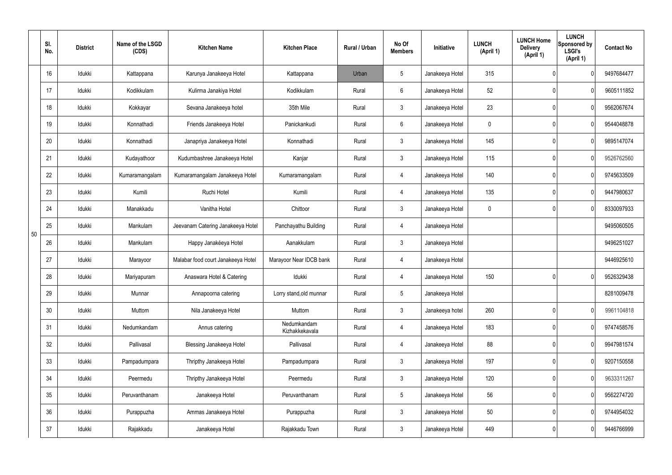|    | SI.<br>No. | <b>District</b> | Name of the LSGD<br>(CDS) | <b>Kitchen Name</b>                | <b>Kitchen Place</b>          | <b>Rural / Urban</b> | No Of<br><b>Members</b> | Initiative      | <b>LUNCH</b><br>(April 1) | <b>LUNCH Home</b><br><b>Delivery</b><br>(April 1) | <b>LUNCH</b><br>Sponsored by<br><b>LSGI's</b><br>(April 1) | <b>Contact No</b> |
|----|------------|-----------------|---------------------------|------------------------------------|-------------------------------|----------------------|-------------------------|-----------------|---------------------------|---------------------------------------------------|------------------------------------------------------------|-------------------|
|    | 16         | Idukki          | Kattappana                | Karunya Janakeeya Hotel            | Kattappana                    | Urban                | $5\phantom{.0}$         | Janakeeya Hotel | 315                       |                                                   | $\Omega$                                                   | 9497684477        |
|    | 17         | Idukki          | Kodikkulam                | Kulirma Janakiya Hotel             | Kodikkulam                    | Rural                | $6\overline{6}$         | Janakeeya Hotel | 52                        |                                                   | 0                                                          | 9605111852        |
|    | 18         | Idukki          | Kokkayar                  | Sevana Janakeeya hotel             | 35th Mile                     | Rural                | $\mathbf{3}$            | Janakeeya Hotel | 23                        |                                                   | 0                                                          | 9562067674        |
|    | 19         | Idukki          | Konnathadi                | Friends Janakeeya Hotel            | Panickankudi                  | Rural                | $6\overline{6}$         | Janakeeya Hotel | $\mathbf 0$               |                                                   | 0                                                          | 9544048878        |
|    | 20         | Idukki          | Konnathadi                | Janapriya Janakeeya Hotel          | Konnathadi                    | Rural                | $\mathbf{3}$            | Janakeeya Hotel | 145                       |                                                   | $\mathbf{0}$                                               | 9895147074        |
|    | 21         | Idukki          | Kudayathoor               | Kudumbashree Janakeeya Hotel       | Kanjar                        | Rural                | $\mathbf{3}$            | Janakeeya Hotel | 115                       |                                                   | 0                                                          | 9526762560        |
|    | 22         | Idukki          | Kumaramangalam            | Kumaramangalam Janakeeya Hotel     | Kumaramangalam                | Rural                | 4                       | Janakeeya Hotel | 140                       |                                                   | $\mathbf{0}$                                               | 9745633509        |
|    | 23         | Idukki          | Kumili                    | Ruchi Hotel                        | Kumili                        | Rural                | 4                       | Janakeeya Hotel | 135                       |                                                   | 0                                                          | 9447980637        |
|    | 24         | Idukki          | Manakkadu                 | Vanitha Hotel                      | Chittoor                      | Rural                | $\mathbf{3}$            | Janakeeya Hotel | $\mathbf 0$               |                                                   | $\mathbf{0}$                                               | 8330097933        |
| 50 | 25         | Idukki          | Mankulam                  | Jeevanam Catering Janakeeya Hotel  | Panchayathu Building          | Rural                | 4                       | Janakeeya Hotel |                           |                                                   |                                                            | 9495060505        |
|    | 26         | Idukki          | Mankulam                  | Happy Janakéeya Hotel              | Aanakkulam                    | Rural                | $\mathfrak{Z}$          | Janakeeya Hotel |                           |                                                   |                                                            | 9496251027        |
|    | 27         | Idukki          | Marayoor                  | Malabar food court Janakeeya Hotel | Marayoor Near IDCB bank       | Rural                | 4                       | Janakeeya Hotel |                           |                                                   |                                                            | 9446925610        |
|    | 28         | Idukki          | Mariyapuram               | Anaswara Hotel & Catering          | Idukki                        | Rural                | $\overline{4}$          | Janakeeya Hotel | 150                       |                                                   | 0                                                          | 9526329438        |
|    | 29         | Idukki          | Munnar                    | Annapoorna catering                | Lorry stand, old munnar       | Rural                | $5\phantom{.0}$         | Janakeeya Hotel |                           |                                                   |                                                            | 8281009478        |
|    | 30         | Idukki          | Muttom                    | Nila Janakeeya Hotel               | Muttom                        | Rural                | $\mathbf{3}$            | Janakeeya hotel | 260                       |                                                   | 0                                                          | 9961104818        |
|    | 31         | Idukki          | Nedumkandam               | Annus catering                     | Nedumkandam<br>Kizhakkekavala | Rural                | 4                       | Janakeeya Hotel | 183                       |                                                   | $\mathbf 0$                                                | 9747458576        |
|    | 32         | Idukki          | Pallivasal                | <b>Blessing Janakeeya Hotel</b>    | Pallivasal                    | Rural                | 4                       | Janakeeya Hotel | 88                        |                                                   | 0                                                          | 9947981574        |
|    | 33         | Idukki          | Pampadumpara              | Thripthy Janakeeya Hotel           | Pampadumpara                  | Rural                | $\mathfrak{Z}$          | Janakeeya Hotel | 197                       |                                                   | $\mathbf 0$                                                | 9207150558        |
|    | 34         | Idukki          | Peermedu                  | Thripthy Janakeeya Hotel           | Peermedu                      | Rural                | $\mathfrak{Z}$          | Janakeeya Hotel | 120                       |                                                   | 0                                                          | 9633311267        |
|    | 35         | Idukki          | Peruvanthanam             | Janakeeya Hotel                    | Peruvanthanam                 | Rural                | $5\phantom{.0}$         | Janakeeya Hotel | 56                        |                                                   | $\mathbf 0$                                                | 9562274720        |
|    | 36         | Idukki          | Purappuzha                | Ammas Janakeeya Hotel              | Purappuzha                    | Rural                | $\mathfrak{Z}$          | Janakeeya Hotel | 50                        |                                                   | 0                                                          | 9744954032        |
|    | 37         | Idukki          | Rajakkadu                 | Janakeeya Hotel                    | Rajakkadu Town                | Rural                | $\mathfrak{Z}$          | Janakeeya Hotel | 449                       |                                                   | $\mathbf 0$                                                | 9446766999        |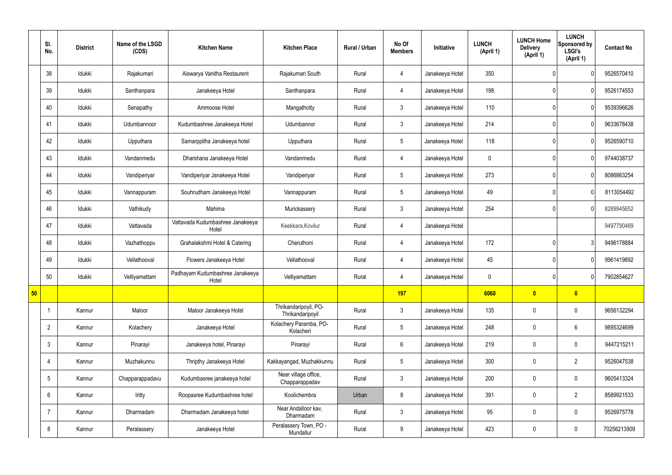|    | SI.<br>No.      | <b>District</b> | Name of the LSGD<br>(CDS) | <b>Kitchen Name</b>                       | <b>Kitchen Place</b>                      | Rural / Urban | No Of<br><b>Members</b> | Initiative      | <b>LUNCH</b><br>(April 1) | <b>LUNCH Home</b><br><b>Delivery</b><br>(April 1) | <b>LUNCH</b><br>Sponsored by<br><b>LSGI's</b><br>(April 1) | <b>Contact No</b> |
|----|-----------------|-----------------|---------------------------|-------------------------------------------|-------------------------------------------|---------------|-------------------------|-----------------|---------------------------|---------------------------------------------------|------------------------------------------------------------|-------------------|
|    | 38              | Idukki          | Rajakumari                | Aiswarya Vanitha Restaurent               | Rajakumari South                          | Rural         | 4                       | Janakeeya Hotel | 350                       |                                                   | $\mathbf{0}$                                               | 9526570410        |
|    | 39              | Idukki          | Santhanpara               | Janakeeya Hotel                           | Santhanpara                               | Rural         | 4                       | Janakeeya Hotel | 198                       |                                                   | $\mathbf{0}$                                               | 9526174553        |
|    | 40              | Idukki          | Senapathy                 | Ammoose Hotel                             | Mangathotty                               | Rural         | $\mathbf{3}$            | Janakeeya Hotel | 110                       |                                                   | $\mathbf{0}$                                               | 9539396626        |
|    | 41              | Idukki          | Udumbannoor               | Kudumbashree Janakeeya Hotel              | Udumbannor                                | Rural         | $\mathbf{3}$            | Janakeeya Hotel | 214                       |                                                   | $\mathbf{0}$                                               | 9633678438        |
|    | 42              | Idukki          | Upputhara                 | Samarppitha Janakeeya hotel               | Upputhara                                 | Rural         | $5\phantom{.0}$         | Janakeeya Hotel | 118                       |                                                   | $\mathbf{0}$                                               | 9526590710        |
|    | 43              | Idukki          | Vandanmedu                | Dharshana Janakeeya Hotel                 | Vandanmedu                                | Rural         | $\overline{4}$          | Janakeeya Hotel | $\pmb{0}$                 |                                                   | $\mathbf{0}$                                               | 9744038737        |
|    | 44              | Idukki          | Vandiperiyar              | Vandiperiyar Janakeeya Hotel              | Vandiperiyar                              | Rural         | $5\phantom{.0}$         | Janakeeya Hotel | 273                       |                                                   | $\mathbf{0}$                                               | 8086863254        |
|    | 45              | Idukki          | Vannappuram               | Souhrudham Janakeeya Hotel                | Vannappuram                               | Rural         | $\sqrt{5}$              | Janakeeya Hotel | 49                        |                                                   | $\mathbf{0}$                                               | 8113054492        |
|    | 46              | Idukki          | Vathikudy                 | Mahima                                    | Murickassery                              | Rural         | $\mathbf{3}$            | Janakeeya Hotel | 254                       |                                                   | $\overline{0}$                                             | 8289945652        |
|    | 47              | Idukki          | Vattavada                 | Vattavada Kudumbashree Janakeeya<br>Hotel | Keekkara, Kovilur                         | Rural         | $\overline{4}$          | Janakeeya Hotel |                           |                                                   |                                                            | 9497790469        |
|    | 48              | Idukki          | Vazhathoppu               | Grahalakshmi Hotel & Catering             | Cheruthoni                                | Rural         | $\overline{4}$          | Janakeeya Hotel | 172                       |                                                   | 3                                                          | 9496178884        |
|    | 49              | Idukki          | Vellathooval              | Flowers Janakeeya Hotel                   | Vellathooval                              | Rural         | 4                       | Janakeeya Hotel | 45                        |                                                   | $\mathbf{0}$                                               | 9961419892        |
|    | 50              | Idukki          | Velliyamattam             | Padhayam Kudumbashree Janakeeya<br>Hotel  | Velliyamattam                             | Rural         | 4                       | Janakeeya Hotel | $\mathbf 0$               |                                                   | $\overline{0}$                                             | 7902854627        |
| 50 |                 |                 |                           |                                           |                                           |               | 197                     |                 | 6060                      | $\bullet$                                         | $\bullet$                                                  |                   |
|    | -1              | Kannur          | Maloor                    | Maloor Janakeeya Hotel                    | Thrikandaripoyil, PO-<br>Thrikandaripoyil | Rural         | $\mathbf{3}$            | Janakeeya Hotel | 135                       | $\mathbf 0$                                       | $\mathbf 0$                                                | 9656132294        |
|    | $\overline{2}$  | Kannur          | Kolachery                 | Janakeeya Hotel                           | Kolachery Paramba, PO-<br>Kolacheri       | Rural         | $5\overline{)}$         | Janakeeya Hotel | 248                       | $\pmb{0}$                                         | $6\phantom{.}6$                                            | 9895324699        |
|    | $\mathbf{3}$    | Kannur          | Pinarayi                  | Janakeeya hotel, Pinarayi                 | Pinarayi                                  | Rural         | $6\overline{6}$         | Janakeeya Hotel | 219                       | $\pmb{0}$                                         | $\mathbf 0$                                                | 9447215211        |
|    | $\overline{4}$  | Kannur          | Muzhakunnu                | Thripthy Janakeeya Hotel                  | Kakkayangad, Muzhakkunnu                  | Rural         | $5\phantom{.0}$         | Janakeeya Hotel | 300                       | $\pmb{0}$                                         | $\overline{2}$                                             | 9526047538        |
|    | $5\,$           | Kannur          | Chapparappadavu           | Kudumbasree janakeeya hotel               | Near village office,<br>Chapparappadav    | Rural         | $\mathbf{3}$            | Janakeeya Hotel | 200                       | $\pmb{0}$                                         | $\mathbf 0$                                                | 9605413324        |
|    | $6\overline{6}$ | Kannur          | Iritty                    | Roopasree Kudumbashree hotel              | Koolichembra                              | Urban         | 8                       | Janakeeya Hotel | 391                       | $\mathbf 0$                                       | $\overline{2}$                                             | 8589921533        |
|    | $\overline{7}$  | Kannur          | Dharmadam                 | Dharmadam Janakeeya hotel                 | Near Andalloor kav,<br>Dharmadam          | Rural         | $\mathbf{3}$            | Janakeeya Hotel | 95                        | $\pmb{0}$                                         | $\mathbf 0$                                                | 9526975778        |
|    | 8               | Kannur          | Peralassery               | Janakeeya Hotel                           | Peralassery Town, PO -<br>Mundallur       | Rural         | 9                       | Janakeeya Hotel | 423                       | $\pmb{0}$                                         | $\boldsymbol{0}$                                           | 70256213909       |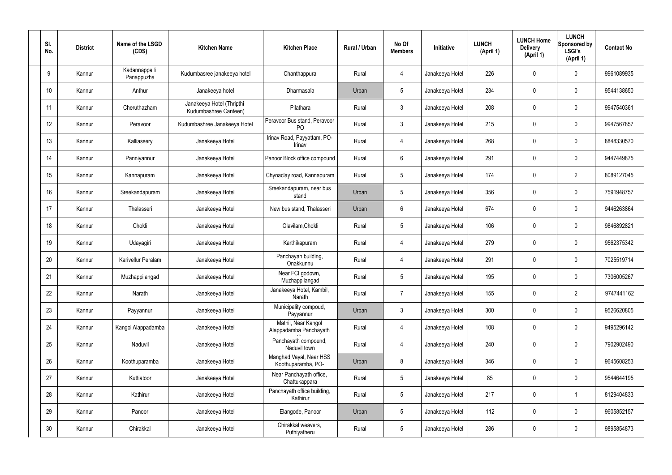| SI. | No.             | <b>District</b> | Name of the LSGD<br>(CDS)   | <b>Kitchen Name</b>                                | <b>Kitchen Place</b>                           | Rural / Urban | No Of<br><b>Members</b> | Initiative      | <b>LUNCH</b><br>(April 1) | <b>LUNCH Home</b><br><b>Delivery</b><br>(April 1) | <b>LUNCH</b><br>Sponsored by<br><b>LSGI's</b><br>(April 1) | <b>Contact No</b> |
|-----|-----------------|-----------------|-----------------------------|----------------------------------------------------|------------------------------------------------|---------------|-------------------------|-----------------|---------------------------|---------------------------------------------------|------------------------------------------------------------|-------------------|
|     | 9               | Kannur          | Kadannappalli<br>Panappuzha | Kudumbasree janakeeya hotel                        | Chanthappura                                   | Rural         | $\overline{4}$          | Janakeeya Hotel | 226                       | $\mathbf 0$                                       | $\mathbf 0$                                                | 9961089935        |
|     | 10 <sup>°</sup> | Kannur          | Anthur                      | Janakeeya hotel                                    | Dharmasala                                     | Urban         | $5\phantom{.0}$         | Janakeeya Hotel | 234                       | $\mathbf 0$                                       | $\mathbf 0$                                                | 9544138650        |
|     | 11              | Kannur          | Cheruthazham                | Janakeeya Hotel (Thripthi<br>Kudumbashree Canteen) | Pilathara                                      | Rural         | $\mathbf{3}$            | Janakeeya Hotel | 208                       | $\mathbf 0$                                       | $\mathbf 0$                                                | 9947540361        |
|     | 12              | Kannur          | Peravoor                    | Kudumbashree Janakeeya Hotel                       | Peravoor Bus stand, Peravoor<br>P <sub>O</sub> | Rural         | $\mathbf{3}$            | Janakeeya Hotel | 215                       | $\mathbf 0$                                       | $\pmb{0}$                                                  | 9947567857        |
|     | 13              | Kannur          | Kalliassery                 | Janakeeya Hotel                                    | Irinav Road, Payyattam, PO-<br>Irinav          | Rural         | 4                       | Janakeeya Hotel | 268                       | $\mathbf 0$                                       | $\mathbf 0$                                                | 8848330570        |
|     | 14              | Kannur          | Panniyannur                 | Janakeeya Hotel                                    | Panoor Block office compound                   | Rural         | $6\overline{6}$         | Janakeeya Hotel | 291                       | $\mathbf 0$                                       | $\pmb{0}$                                                  | 9447449875        |
|     | 15              | Kannur          | Kannapuram                  | Janakeeya Hotel                                    | Chynaclay road, Kannapuram                     | Rural         | $5\overline{)}$         | Janakeeya Hotel | 174                       | $\mathbf 0$                                       | $\overline{2}$                                             | 8089127045        |
|     | 16              | Kannur          | Sreekandapuram              | Janakeeya Hotel                                    | Sreekandapuram, near bus<br>stand              | Urban         | $5\phantom{.0}$         | Janakeeya Hotel | 356                       | $\mathbf 0$                                       | $\mathbf 0$                                                | 7591948757        |
|     | 17              | Kannur          | Thalasseri                  | Janakeeya Hotel                                    | New bus stand, Thalasseri                      | Urban         | $6\overline{6}$         | Janakeeya Hotel | 674                       | $\mathbf 0$                                       | $\mathbf 0$                                                | 9446263864        |
|     | 18              | Kannur          | Chokli                      | Janakeeya Hotel                                    | Olavilam, Chokli                               | Rural         | $5\phantom{.0}$         | Janakeeya Hotel | 106                       | $\mathbf 0$                                       | $\mathbf 0$                                                | 9846892821        |
|     | 19              | Kannur          | Udayagiri                   | Janakeeya Hotel                                    | Karthikapuram                                  | Rural         | $\overline{4}$          | Janakeeya Hotel | 279                       | 0                                                 | $\mathbf 0$                                                | 9562375342        |
|     | 20              | Kannur          | Karivellur Peralam          | Janakeeya Hotel                                    | Panchayah building,<br>Onakkunnu               | Rural         | 4                       | Janakeeya Hotel | 291                       | 0                                                 | $\mathbf 0$                                                | 7025519714        |
|     | 21              | Kannur          | Muzhappilangad              | Janakeeya Hotel                                    | Near FCI godown,<br>Muzhappilangad             | Rural         | 5                       | Janakeeya Hotel | 195                       | $\mathbf 0$                                       | $\mathbf 0$                                                | 7306005267        |
|     | 22              | Kannur          | Narath                      | Janakeeya Hotel                                    | Janakeeya Hotel, Kambil,<br>Narath             | Rural         | $\overline{7}$          | Janakeeya Hotel | 155                       | $\mathbf 0$                                       | $\overline{2}$                                             | 9747441162        |
|     | 23              | Kannur          | Payyannur                   | Janakeeya Hotel                                    | Municipality compoud,<br>Payyannur             | Urban         | $\mathbf{3}$            | Janakeeya Hotel | 300                       | $\pmb{0}$                                         | $\pmb{0}$                                                  | 9526620805        |
|     | 24              | Kannur          | Kangol Alappadamba          | Janakeeya Hotel                                    | Mathil, Near Kangol<br>Alappadamba Panchayath  | Rural         | $\overline{4}$          | Janakeeya Hotel | 108                       | $\pmb{0}$                                         | $\pmb{0}$                                                  | 9495296142        |
|     | 25              | Kannur          | Naduvil                     | Janakeeya Hotel                                    | Panchayath compound,<br>Naduvil town           | Rural         | $\overline{4}$          | Janakeeya Hotel | 240                       | $\pmb{0}$                                         | $\pmb{0}$                                                  | 7902902490        |
|     | 26              | Kannur          | Koothuparamba               | Janakeeya Hotel                                    | Manghad Vayal, Near HSS<br>Koothuparamba, PO-  | Urban         | 8                       | Janakeeya Hotel | 346                       | $\pmb{0}$                                         | $\pmb{0}$                                                  | 9645608253        |
|     | 27              | Kannur          | Kuttiatoor                  | Janakeeya Hotel                                    | Near Panchayath office,<br>Chattukappara       | Rural         | $5\phantom{.0}$         | Janakeeya Hotel | 85                        | $\mathbf 0$                                       | $\pmb{0}$                                                  | 9544644195        |
|     | 28              | Kannur          | Kathirur                    | Janakeeya Hotel                                    | Panchayath office building,<br>Kathirur        | Rural         | $5\phantom{.0}$         | Janakeeya Hotel | 217                       | $\pmb{0}$                                         | -1                                                         | 8129404833        |
|     | 29              | Kannur          | Panoor                      | Janakeeya Hotel                                    | Elangode, Panoor                               | Urban         | $5\phantom{.0}$         | Janakeeya Hotel | 112                       | $\pmb{0}$                                         | $\pmb{0}$                                                  | 9605852157        |
|     | 30 <sup>°</sup> | Kannur          | Chirakkal                   | Janakeeya Hotel                                    | Chirakkal weavers,<br>Puthiyatheru             | Rural         | $5\overline{)}$         | Janakeeya Hotel | 286                       | $\pmb{0}$                                         | $\pmb{0}$                                                  | 9895854873        |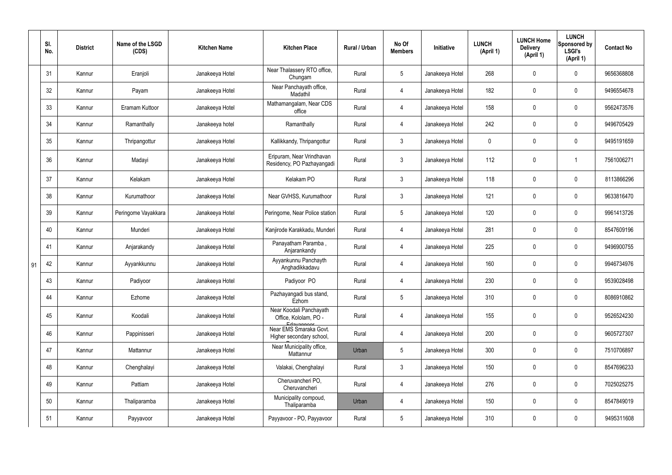|    | SI.<br>No. | <b>District</b> | Name of the LSGD<br>(CDS) | <b>Kitchen Name</b> | <b>Kitchen Place</b>                                           | Rural / Urban | No Of<br><b>Members</b> | Initiative      | <b>LUNCH</b><br>(April 1) | <b>LUNCH Home</b><br><b>Delivery</b><br>(April 1) | <b>LUNCH</b><br>Sponsored by<br><b>LSGI's</b><br>(April 1) | <b>Contact No</b> |
|----|------------|-----------------|---------------------------|---------------------|----------------------------------------------------------------|---------------|-------------------------|-----------------|---------------------------|---------------------------------------------------|------------------------------------------------------------|-------------------|
|    | 31         | Kannur          | Eranjoli                  | Janakeeya Hotel     | Near Thalassery RTO office,<br>Chungam                         | Rural         | $5\phantom{.0}$         | Janakeeya Hotel | 268                       | 0                                                 | $\mathbf 0$                                                | 9656368808        |
|    | 32         | Kannur          | Payam                     | Janakeeya Hotel     | Near Panchayath office,<br>Madathil                            | Rural         | 4                       | Janakeeya Hotel | 182                       | $\mathbf 0$                                       | $\mathbf 0$                                                | 9496554678        |
|    | 33         | Kannur          | Eramam Kuttoor            | Janakeeya Hotel     | Mathamangalam, Near CDS<br>office                              | Rural         | 4                       | Janakeeya Hotel | 158                       | 0                                                 | $\mathbf 0$                                                | 9562473576        |
|    | 34         | Kannur          | Ramanthally               | Janakeeya hotel     | Ramanthally                                                    | Rural         | 4                       | Janakeeya Hotel | 242                       | 0                                                 | $\mathbf 0$                                                | 9496705429        |
|    | 35         | Kannur          | Thripangottur             | Janakeeya Hotel     | Kallikkandy, Thripangottur                                     | Rural         | $\mathbf{3}$            | Janakeeya Hotel | $\mathbf 0$               | 0                                                 | $\mathbf 0$                                                | 9495191659        |
|    | 36         | Kannur          | Madayi                    | Janakeeya Hotel     | Eripuram, Near Vrindhavan<br>Residency, PO Pazhayangadi        | Rural         | $\mathbf{3}$            | Janakeeya Hotel | 112                       | 0                                                 |                                                            | 7561006271        |
|    | 37         | Kannur          | Kelakam                   | Janakeeya Hotel     | Kelakam PO                                                     | Rural         | $\mathbf{3}$            | Janakeeya Hotel | 118                       | 0                                                 | $\mathbf 0$                                                | 8113866296        |
|    | 38         | Kannur          | Kurumathoor               | Janakeeya Hotel     | Near GVHSS, Kurumathoor                                        | Rural         | $\mathbf{3}$            | Janakeeya Hotel | 121                       | 0                                                 | $\mathbf 0$                                                | 9633816470        |
|    | 39         | Kannur          | Peringome Vayakkara       | Janakeeya Hotel     | Peringome, Near Police station                                 | Rural         | $5\overline{)}$         | Janakeeya Hotel | 120                       | 0                                                 | $\mathbf 0$                                                | 9961413726        |
|    | 40         | Kannur          | Munderi                   | Janakeeya Hotel     | Kanjirode Karakkadu, Munderi                                   | Rural         | $\overline{4}$          | Janakeeya Hotel | 281                       | 0                                                 | $\mathbf 0$                                                | 8547609196        |
|    | 41         | Kannur          | Anjarakandy               | Janakeeya Hotel     | Panayatham Paramba,<br>Anjarankandy                            | Rural         | 4                       | Janakeeya Hotel | 225                       | 0                                                 | $\mathbf 0$                                                | 9496900755        |
| 91 | 42         | Kannur          | Ayyankkunnu               | Janakeeya Hotel     | Ayyankunnu Panchayth<br>Anghadikkadavu                         | Rural         | 4                       | Janakeeya Hotel | 160                       | 0                                                 | $\mathbf 0$                                                | 9946734976        |
|    | 43         | Kannur          | Padiyoor                  | Janakeeya Hotel     | Padiyoor PO                                                    | Rural         | 4                       | Janakeeya Hotel | 230                       | 0                                                 | $\Omega$                                                   | 9539028498        |
|    | 44         | Kannur          | Ezhome                    | Janakeeya Hotel     | Pazhayangadi bus stand,<br>Ezhom                               | Rural         | $5\phantom{.0}$         | Janakeeya Hotel | 310                       | 0                                                 | $\mathbf 0$                                                | 8086910862        |
|    | 45         | Kannur          | Koodali                   | Janakeeya Hotel     | Near Koodali Panchayath<br>Office, Kololam, PO -<br>Edavannoor | Rural         | $\overline{4}$          | Janakeeya Hotel | 155                       | 0                                                 | $\boldsymbol{0}$                                           | 9526524230        |
|    | 46         | Kannur          | Pappinisseri              | Janakeeya Hotel     | Near EMS Smaraka Govt.<br>Higher secondary school,             | Rural         | $\overline{4}$          | Janakeeya Hotel | 200                       | 0                                                 | $\mathbf 0$                                                | 9605727307        |
|    | 47         | Kannur          | Mattannur                 | Janakeeya Hotel     | Near Municipality office,<br>Mattannur                         | Urban         | $5\phantom{.0}$         | Janakeeya Hotel | 300                       | $\pmb{0}$                                         | $\mathbf 0$                                                | 7510706897        |
|    | 48         | Kannur          | Chenghalayi               | Janakeeya Hotel     | Valakai, Chenghalayi                                           | Rural         | 3                       | Janakeeya Hotel | 150                       | 0                                                 | $\mathbf 0$                                                | 8547696233        |
|    | 49         | Kannur          | Pattiam                   | Janakeeya Hotel     | Cheruvancheri PO,<br>Cheruvancheri                             | Rural         | $\overline{4}$          | Janakeeya Hotel | 276                       | $\pmb{0}$                                         | $\mathbf 0$                                                | 7025025275        |
|    | 50         | Kannur          | Thaliparamba              | Janakeeya Hotel     | Municipality compoud,<br>Thaliparamba                          | Urban         | 4                       | Janakeeya Hotel | 150                       | 0                                                 | $\mathbf 0$                                                | 8547849019        |
|    | 51         | Kannur          | Payyavoor                 | Janakeeya Hotel     | Payyavoor - PO, Payyavoor                                      | Rural         | $5\overline{)}$         | Janakeeya Hotel | 310                       | 0                                                 | $\mathbf 0$                                                | 9495311608        |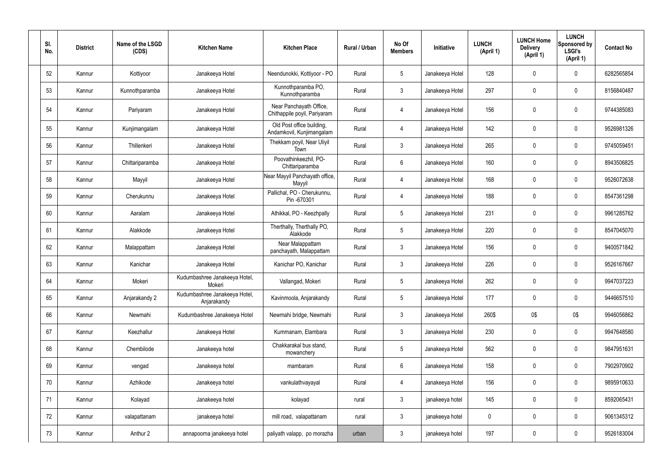| SI.<br>No. | <b>District</b> | Name of the LSGD<br>(CDS) | <b>Kitchen Name</b>                          | <b>Kitchen Place</b>                                    | Rural / Urban | No Of<br><b>Members</b> | Initiative      | <b>LUNCH</b><br>(April 1) | <b>LUNCH Home</b><br><b>Delivery</b><br>(April 1) | <b>LUNCH</b><br>Sponsored by<br><b>LSGI's</b><br>(April 1) | <b>Contact No</b> |
|------------|-----------------|---------------------------|----------------------------------------------|---------------------------------------------------------|---------------|-------------------------|-----------------|---------------------------|---------------------------------------------------|------------------------------------------------------------|-------------------|
| 52         | Kannur          | Kottiyoor                 | Janakeeya Hotel                              | Neendunokki, Kottiyoor - PO                             | Rural         | $5\phantom{.0}$         | Janakeeya Hotel | 128                       | 0                                                 | $\mathbf 0$                                                | 6282565854        |
| 53         | Kannur          | Kunnothparamba            | Janakeeya Hotel                              | Kunnothparamba PO,<br>Kunnothparamba                    | Rural         | $\mathbf{3}$            | Janakeeya Hotel | 297                       | $\mathbf 0$                                       | $\mathbf 0$                                                | 8156840487        |
| 54         | Kannur          | Pariyaram                 | Janakeeya Hotel                              | Near Panchayath Office,<br>Chithappile poyil, Pariyaram | Rural         | 4                       | Janakeeya Hotel | 156                       | 0                                                 | $\pmb{0}$                                                  | 9744385083        |
| 55         | Kannur          | Kunjimangalam             | Janakeeya Hotel                              | Old Post office building,<br>Andamkovil, Kunjimangalam  | Rural         | $\overline{4}$          | Janakeeya Hotel | 142                       | $\mathbf 0$                                       | $\mathbf 0$                                                | 9526981326        |
| 56         | Kannur          | Thillenkeri               | Janakeeya Hotel                              | Thekkam poyil, Near Uliyil<br>Town                      | Rural         | $\mathfrak{Z}$          | Janakeeya Hotel | 265                       | 0                                                 | $\overline{0}$                                             | 9745059451        |
| 57         | Kannur          | Chittariparamba           | Janakeeya Hotel                              | Poovathinkeezhil, PO-<br>Chittariparamba                | Rural         | $6\phantom{.}6$         | Janakeeya Hotel | 160                       | 0                                                 | $\mathbf 0$                                                | 8943506825        |
| 58         | Kannur          | Mayyil                    | Janakeeya Hotel                              | Near Mayyil Panchayath office,<br>Mayyil                | Rural         | 4                       | Janakeeya Hotel | 168                       | $\boldsymbol{0}$                                  | $\mathbf 0$                                                | 9526072638        |
| 59         | Kannur          | Cherukunnu                | Janakeeya Hotel                              | Pallichal, PO - Cherukunnu,<br>Pin -670301              | Rural         | $\overline{4}$          | Janakeeya Hotel | 188                       | 0                                                 | $\pmb{0}$                                                  | 8547361298        |
| 60         | Kannur          | Aaralam                   | Janakeeya Hotel                              | Athikkal, PO - Keezhpally                               | Rural         | $5\phantom{.0}$         | Janakeeya Hotel | 231                       | $\boldsymbol{0}$                                  | $\mathbf 0$                                                | 9961285762        |
| 61         | Kannur          | Alakkode                  | Janakeeya Hotel                              | Therthally, Therthally PO,<br>Alakkode                  | Rural         | $5\phantom{.0}$         | Janakeeya Hotel | 220                       | $\mathbf 0$                                       | $\mathbf 0$                                                | 8547045070        |
| 62         | Kannur          | Malappattam               | Janakeeya Hotel                              | Near Malappattam<br>panchayath, Malappattam             | Rural         | $\mathbf{3}$            | Janakeeya Hotel | 156                       | $\boldsymbol{0}$                                  | $\mathbf 0$                                                | 9400571842        |
| 63         | Kannur          | Kanichar                  | Janakeeya Hotel                              | Kanichar PO, Kanichar                                   | Rural         | $\mathbf{3}$            | Janakeeya Hotel | 226                       | 0                                                 | $\boldsymbol{0}$                                           | 9526167667        |
| 64         | Kannur          | Mokeri                    | Kudumbashree Janakeeya Hotel,<br>Mokeri      | Vallangad, Mokeri                                       | Rural         | 5                       | Janakeeya Hotel | 262                       | 0                                                 | 0                                                          | 9947037223        |
| 65         | Kannur          | Anjarakandy 2             | Kudumbashree Janakeeya Hotel,<br>Anjarakandy | Kavinmoola, Anjarakandy                                 | Rural         | $5\overline{)}$         | Janakeeya Hotel | 177                       | 0                                                 | $\boldsymbol{0}$                                           | 9446657510        |
| 66         | Kannur          | Newmahi                   | Kudumbashree Janakeeya Hotel                 | Newmahi bridge, Newmahi                                 | Rural         | $\mathbf{3}$            | Janakeeya Hotel | 260\$                     | 0\$                                               | 0\$                                                        | 9946056862        |
| 67         | Kannur          | Keezhallur                | Janakeeya Hotel                              | Kummanam, Elambara                                      | Rural         | $\mathfrak{Z}$          | Janakeeya Hotel | 230                       | 0                                                 | $\boldsymbol{0}$                                           | 9947648580        |
| 68         | Kannur          | Chembilode                | Janakeeya hotel                              | Chakkarakal bus stand,<br>mowanchery                    | Rural         | $5\overline{)}$         | Janakeeya Hotel | 562                       | 0                                                 | $\boldsymbol{0}$                                           | 9847951631        |
| 69         | Kannur          | vengad                    | Janakeeya hotel                              | mambaram                                                | Rural         | $6\,$                   | Janakeeya Hotel | 158                       | 0                                                 | $\boldsymbol{0}$                                           | 7902970902        |
| 70         | Kannur          | Azhikode                  | Janakeeya hotel                              | vankulathvayayal                                        | Rural         | 4                       | Janakeeya Hotel | 156                       | 0                                                 | $\boldsymbol{0}$                                           | 9895910633        |
| 71         | Kannur          | Kolayad                   | Janakeeya hotel                              | kolayad                                                 | rural         | $\mathbf{3}$            | janakeeya hotel | 145                       | 0                                                 | $\overline{0}$                                             | 8592065431        |
| 72         | Kannur          | valapattanam              | janakeeya hotel                              | mill road, valapattanam                                 | rural         | $\mathbf{3}$            | janakeeya hotel | 0                         | 0                                                 | $\boldsymbol{0}$                                           | 9061345312        |
| 73         | Kannur          | Anthur 2                  | annapoorna janakeeya hotel                   | paliyath valapp, po morazha                             | urban         | $\mathfrak{Z}$          | janakeeya hotel | 197                       | 0                                                 | $\boldsymbol{0}$                                           | 9526183004        |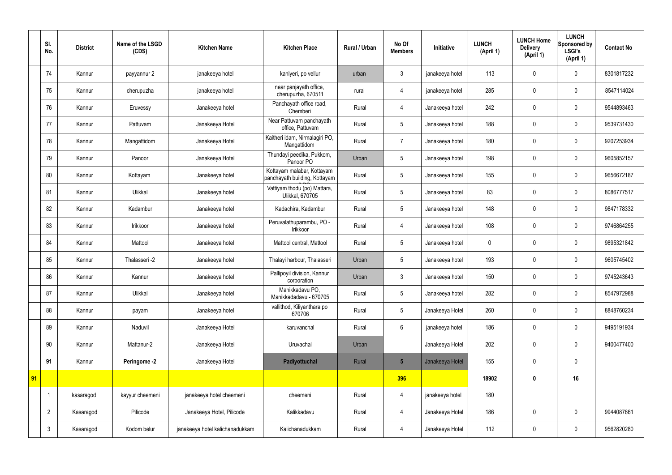|    | SI.<br>No.     | <b>District</b> | Name of the LSGD<br>(CDS) | <b>Kitchen Name</b>             | <b>Kitchen Place</b>                                        | <b>Rural / Urban</b> | No Of<br><b>Members</b> | Initiative      | <b>LUNCH</b><br>(April 1) | <b>LUNCH Home</b><br><b>Delivery</b><br>(April 1) | <b>LUNCH</b><br>Sponsored by<br><b>LSGI's</b><br>(April 1) | <b>Contact No</b> |
|----|----------------|-----------------|---------------------------|---------------------------------|-------------------------------------------------------------|----------------------|-------------------------|-----------------|---------------------------|---------------------------------------------------|------------------------------------------------------------|-------------------|
|    | 74             | Kannur          | payyannur 2               | janakeeya hotel                 | kaniyeri, po vellur                                         | urban                | 3                       | janakeeya hotel | 113                       | $\mathbf 0$                                       | $\mathbf 0$                                                | 8301817232        |
|    | 75             | Kannur          | cherupuzha                | janakeeya hotel                 | near panjayath office,<br>cherupuzha, 670511                | rural                | 4                       | janakeeya hotel | 285                       | $\mathbf 0$                                       | $\mathbf 0$                                                | 8547114024        |
|    | 76             | Kannur          | Eruvessy                  | Janakeeya hotel                 | Panchayath office road,<br>Chemberi                         | Rural                | 4                       | Janakeeya hotel | 242                       | $\mathbf 0$                                       | $\mathbf 0$                                                | 9544893463        |
|    | 77             | Kannur          | Pattuvam                  | Janakeeya Hotel                 | Near Pattuvam panchayath<br>office, Pattuvam                | Rural                | 5                       | Janakeeya hotel | 188                       | $\mathbf 0$                                       | $\mathbf 0$                                                | 9539731430        |
|    | 78             | Kannur          | Mangattidom               | Janakeeya Hotel                 | Kaitheri idam, Nirmalagiri PO,<br>Mangattidom               | Rural                | $\overline{7}$          | Janakeeya hotel | 180                       | $\mathbf 0$                                       | $\mathbf 0$                                                | 9207253934        |
|    | 79             | Kannur          | Panoor                    | Janakeeya Hotel                 | Thundayi peedika, Pukkom,<br>Panoor PO                      | Urban                | 5                       | Janakeeya hotel | 198                       | $\mathbf 0$                                       | $\mathbf 0$                                                | 9605852157        |
|    | 80             | Kannur          | Kottayam                  | Janakeeya hotel                 | Kottayam malabar, Kottayam<br>panchayath building, Kottayam | Rural                | 5                       | Janakeeya hotel | 155                       | $\mathbf 0$                                       | $\mathbf 0$                                                | 9656672187        |
|    | 81             | Kannur          | Ulikkal                   | Janakeeya hotel                 | Vattiyam thodu (po) Mattara,<br>Ulikkal, 670705             | Rural                | 5                       | Janakeeya hotel | 83                        | $\mathbf 0$                                       | $\mathbf 0$                                                | 8086777517        |
|    | 82             | Kannur          | Kadambur                  | Janakeeya hotel                 | Kadachira, Kadambur                                         | Rural                | 5                       | Janakeeya hotel | 148                       | $\mathbf 0$                                       | $\mathbf 0$                                                | 9847178332        |
|    | 83             | Kannur          | Irikkoor                  | Janakeeya hotel                 | Peruvalathuparambu, PO -<br>Irikkoor                        | Rural                | 4                       | Janakeeya hotel | 108                       | $\mathbf 0$                                       | $\mathbf 0$                                                | 9746864255        |
|    | 84             | Kannur          | Mattool                   | Janakeeya hotel                 | Mattool central, Mattool                                    | Rural                | $5\phantom{.0}$         | Janakeeya hotel | $\pmb{0}$                 | $\pmb{0}$                                         | $\mathbf 0$                                                | 9895321842        |
|    | 85             | Kannur          | Thalasseri -2             | Janakeeya hotel                 | Thalayi harbour, Thalasseri                                 | Urban                | 5                       | Janakeeya hotel | 193                       | $\mathbf 0$                                       | $\mathbf 0$                                                | 9605745402        |
|    | 86             | Kannur          | Kannur                    | Janakeeya hotel                 | Pallipoyil division, Kannur<br>corporation                  | Urban                | $\mathfrak{Z}$          | Janakeeya hotel | 150                       | $\mathbf 0$                                       | $\mathbf 0$                                                | 9745243643        |
|    | 87             | Kannur          | Ulikkal                   | Janakeeya hotel                 | Manikkadavu PO,<br>Manikkadadavu - 670705                   | Rural                | $5\overline{)}$         | Janakeeya hotel | 282                       | $\pmb{0}$                                         | $\mathbf 0$                                                | 8547972988        |
|    | 88             | Kannur          | payam                     | Janakeeya hotel                 | vallithod, Kiliyanthara po<br>670706                        | Rural                | $5\phantom{.0}$         | Janakeeya Hotel | 260                       | $\pmb{0}$                                         | $\mathbf 0$                                                | 8848760234        |
|    | 89             | Kannur          | Naduvil                   | Janakeeya Hotel                 | karuvanchal                                                 | Rural                | $6\phantom{.}$          | janakeeya hotel | 186                       | $\pmb{0}$                                         | $\mathbf 0$                                                | 9495191934        |
|    | 90             | Kannur          | Mattanur-2                | Janakeeya Hotel                 | Uruvachal                                                   | Urban                |                         | Janakeeya Hotel | 202                       | $\pmb{0}$                                         | $\mathbf 0$                                                | 9400477400        |
|    | 91             | Kannur          | Peringome -2              | Janakeeya Hotel                 | Padiyottuchal                                               | Rural                | $5\phantom{.0}$         | Janakeeya Hotel | 155                       | $\pmb{0}$                                         | $\mathbf 0$                                                |                   |
| 91 |                |                 |                           |                                 |                                                             |                      | 396                     |                 | 18902                     | $\pmb{0}$                                         | 16                                                         |                   |
|    |                | kasaragod       | kayyur cheemeni           | janakeeya hotel cheemeni        | cheemeni                                                    | Rural                | $\overline{4}$          | janakeeya hotel | 180                       |                                                   |                                                            |                   |
|    | $\overline{2}$ | Kasaragod       | Pilicode                  | Janakeeya Hotel, Pilicode       | Kalikkadavu                                                 | Rural                | $\overline{4}$          | Janakeeya Hotel | 186                       | $\mathbf 0$                                       | $\mathbf 0$                                                | 9944087661        |
|    | $\mathbf{3}$   | Kasaragod       | Kodom belur               | janakeeya hotel kalichanadukkam | Kalichanadukkam                                             | Rural                | $\overline{4}$          | Janakeeya Hotel | 112                       | $\pmb{0}$                                         | $\mathbf 0$                                                | 9562820280        |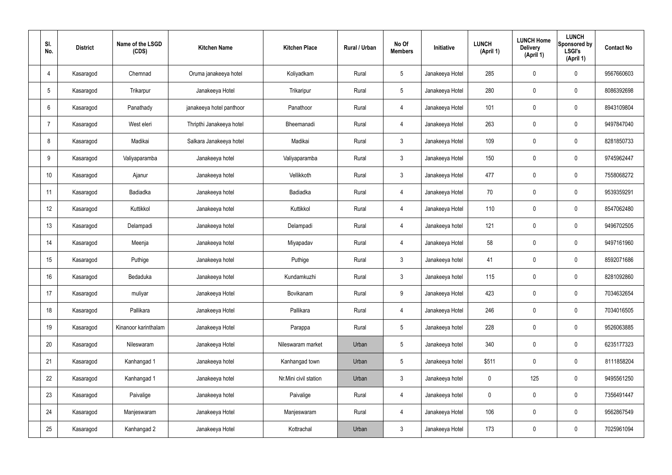| SI.<br>No.     | <b>District</b> | Name of the LSGD<br>(CDS) | <b>Kitchen Name</b>      | <b>Kitchen Place</b>  | <b>Rural / Urban</b> | No Of<br><b>Members</b> | <b>Initiative</b> | <b>LUNCH</b><br>(April 1) | <b>LUNCH Home</b><br><b>Delivery</b><br>(April 1) | <b>LUNCH</b><br>Sponsored by<br><b>LSGI's</b><br>(April 1) | <b>Contact No</b> |
|----------------|-----------------|---------------------------|--------------------------|-----------------------|----------------------|-------------------------|-------------------|---------------------------|---------------------------------------------------|------------------------------------------------------------|-------------------|
| 4              | Kasaragod       | Chemnad                   | Oruma janakeeya hotel    | Koliyadkam            | Rural                | $5\phantom{.0}$         | Janakeeya Hotel   | 285                       | $\mathbf 0$                                       | $\mathbf 0$                                                | 9567660603        |
| 5              | Kasaragod       | Trikarpur                 | Janakeeya Hotel          | Trikaripur            | Rural                | $5\phantom{.0}$         | Janakeeya Hotel   | 280                       | $\mathbf 0$                                       | $\mathbf 0$                                                | 8086392698        |
| 6              | Kasaragod       | Panathady                 | janakeeya hotel panthoor | Panathoor             | Rural                | $\overline{4}$          | Janakeeya Hotel   | 101                       | $\mathbf 0$                                       | $\mathbf 0$                                                | 8943109804        |
| $\overline{7}$ | Kasaragod       | West eleri                | Thripthi Janakeeya hotel | Bheemanadi            | Rural                | $\overline{4}$          | Janakeeya Hotel   | 263                       | $\mathbf 0$                                       | $\mathbf 0$                                                | 9497847040        |
| 8              | Kasaragod       | Madikai                   | Salkara Janakeeya hotel  | Madikai               | Rural                | $\mathbf{3}$            | Janakeeya Hotel   | 109                       | $\pmb{0}$                                         | $\mathbf 0$                                                | 8281850733        |
| 9              | Kasaragod       | Valiyaparamba             | Janakeeya hotel          | Valiyaparamba         | Rural                | $\mathbf{3}$            | Janakeeya Hotel   | 150                       | $\pmb{0}$                                         | $\mathbf 0$                                                | 9745962447        |
| 10             | Kasaragod       | Ajanur                    | Janakeeya hotel          | Vellikkoth            | Rural                | $\mathbf{3}$            | Janakeeya Hotel   | 477                       | $\pmb{0}$                                         | $\mathbf 0$                                                | 7558068272        |
| 11             | Kasaragod       | Badiadka                  | Janakeeya hotel          | Badiadka              | Rural                | $\overline{4}$          | Janakeeya Hotel   | 70                        | $\mathbf 0$                                       | $\mathbf 0$                                                | 9539359291        |
| 12             | Kasaragod       | Kuttikkol                 | Janakeeya hotel          | Kuttikkol             | Rural                | $\overline{4}$          | Janakeeya Hotel   | 110                       | $\pmb{0}$                                         | $\mathbf 0$                                                | 8547062480        |
| 13             | Kasaragod       | Delampadi                 | Janakeeya hotel          | Delampadi             | Rural                | $\overline{4}$          | Janakeeya hotel   | 121                       | $\mathbf 0$                                       | $\mathbf 0$                                                | 9496702505        |
| 14             | Kasaragod       | Meenja                    | Janakeeya hotel          | Miyapadav             | Rural                | $\overline{4}$          | Janakeeya Hotel   | 58                        | $\pmb{0}$                                         | $\mathbf 0$                                                | 9497161960        |
| 15             | Kasaragod       | Puthige                   | Janakeeya hotel          | Puthige               | Rural                | $\mathbf{3}$            | Janakeeya hotel   | 41                        | $\mathbf 0$                                       | $\mathbf 0$                                                | 8592071686        |
| 16             | Kasaragod       | Bedaduka                  | Janakeeya hotel          | Kundamkuzhi           | Rural                | $\mathfrak{Z}$          | Janakeeya hotel   | 115                       | $\mathbf 0$                                       | $\mathbf 0$                                                | 8281092860        |
| 17             | Kasaragod       | muliyar                   | Janakeeya Hotel          | Bovikanam             | Rural                | 9                       | Janakeeya Hotel   | 423                       | $\pmb{0}$                                         | $\mathbf 0$                                                | 7034632654        |
| 18             | Kasaragod       | Pallikara                 | Janakeeya Hotel          | Pallikara             | Rural                | $\overline{4}$          | Janakeeya Hotel   | 246                       | $\pmb{0}$                                         | $\mathbf 0$                                                | 7034016505        |
| 19             | Kasaragod       | Kinanoor karinthalam      | Janakeeya Hotel          | Parappa               | Rural                | $5\phantom{.0}$         | Janakeeya hotel   | 228                       | $\pmb{0}$                                         | $\mathbf 0$                                                | 9526063885        |
| 20             | Kasaragod       | Nileswaram                | Janakeeya Hotel          | Nileswaram market     | Urban                | $5\phantom{.0}$         | Janakeeya hotel   | 340                       | $\pmb{0}$                                         | $\mathbf 0$                                                | 6235177323        |
| 21             | Kasaragod       | Kanhangad 1               | Janakeeya hotel          | Kanhangad town        | Urban                | $5\phantom{.0}$         | Janakeeya hotel   | \$511                     | $\pmb{0}$                                         | $\mathbf 0$                                                | 8111858204        |
| 22             | Kasaragod       | Kanhangad 1               | Janakeeya hotel          | Nr.Mini civil station | Urban                | $\mathbf{3}$            | Janakeeya hotel   | $\pmb{0}$                 | 125                                               | $\mathbf 0$                                                | 9495561250        |
| 23             | Kasaragod       | Paivalige                 | Janakeeya hotel          | Paivalige             | Rural                | $\overline{4}$          | Janakeeya hotel   | $\pmb{0}$                 | $\pmb{0}$                                         | $\mathbf 0$                                                | 7356491447        |
| 24             | Kasaragod       | Manjeswaram               | Janakeeya Hotel          | Manjeswaram           | Rural                | $\overline{4}$          | Janakeeya Hotel   | 106                       | $\pmb{0}$                                         | $\mathbf 0$                                                | 9562867549        |
| 25             | Kasaragod       | Kanhangad 2               | Janakeeya Hotel          | Kottrachal            | Urban                | 3 <sup>1</sup>          | Janakeeya Hotel   | 173                       | $\pmb{0}$                                         | $\boldsymbol{0}$                                           | 7025961094        |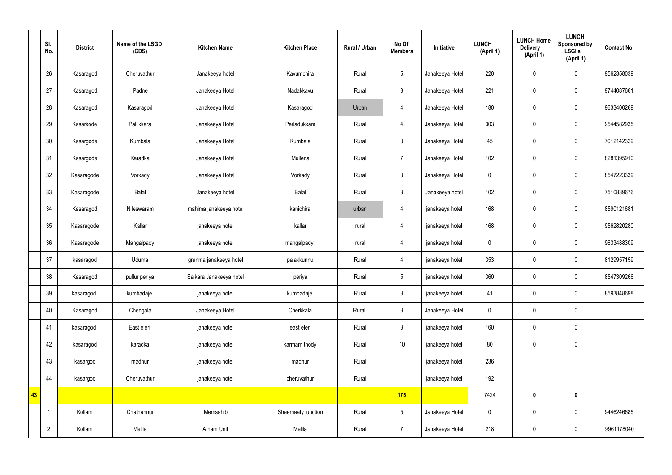|    | SI.<br>No.     | <b>District</b> | Name of the LSGD<br>(CDS) | <b>Kitchen Name</b>     | <b>Kitchen Place</b> | Rural / Urban | No Of<br><b>Members</b> | Initiative      | <b>LUNCH</b><br>(April 1) | <b>LUNCH Home</b><br><b>Delivery</b><br>(April 1) | <b>LUNCH</b><br>Sponsored by<br><b>LSGI's</b><br>(April 1) | <b>Contact No</b> |
|----|----------------|-----------------|---------------------------|-------------------------|----------------------|---------------|-------------------------|-----------------|---------------------------|---------------------------------------------------|------------------------------------------------------------|-------------------|
|    | 26             | Kasaragod       | Cheruvathur               | Janakeeya hotel         | Kavumchira           | Rural         | $\sqrt{5}$              | Janakeeya Hotel | 220                       | $\pmb{0}$                                         | $\mathbf 0$                                                | 9562358039        |
|    | 27             | Kasaragod       | Padne                     | Janakeeya Hotel         | Nadakkavu            | Rural         | $\mathbf{3}$            | Janakeeya Hotel | 221                       | $\mathbf 0$                                       | $\mathbf 0$                                                | 9744087661        |
|    | 28             | Kasaragod       | Kasaragod                 | Janakeeya Hotel         | Kasaragod            | Urban         | $\overline{4}$          | Janakeeya Hotel | 180                       | $\mathbf 0$                                       | $\mathbf 0$                                                | 9633400269        |
|    | 29             | Kasarkode       | Pallikkara                | Janakeeya Hotel         | Perladukkam          | Rural         | $\overline{4}$          | Janakeeya Hotel | 303                       | $\mathbf 0$                                       | $\mathbf 0$                                                | 9544582935        |
|    | 30             | Kasargode       | Kumbala                   | Janakeeya Hotel         | Kumbala              | Rural         | $\mathbf{3}$            | Janakeeya Hotel | 45                        | $\pmb{0}$                                         | $\mathbf 0$                                                | 7012142329        |
|    | 31             | Kasargode       | Karadka                   | Janakeeya Hotel         | Mulleria             | Rural         | $\overline{7}$          | Janakeeya Hotel | 102                       | $\pmb{0}$                                         | $\mathbf 0$                                                | 8281395910        |
|    | 32             | Kasaragode      | Vorkady                   | Janakeeya Hotel         | Vorkady              | Rural         | $\mathbf{3}$            | Janakeeya Hotel | $\mathbf 0$               | $\pmb{0}$                                         | $\mathbf 0$                                                | 8547223339        |
|    | 33             | Kasaragode      | Balal                     | Janakeeya hotel         | Balal                | Rural         | $\mathbf{3}$            | Janakeeya hotel | 102                       | $\pmb{0}$                                         | $\mathbf 0$                                                | 7510839676        |
|    | 34             | Kasaragod       | Nileswaram                | mahima janakeeya hotel  | kanichira            | urban         | $\overline{4}$          | janakeeya hotel | 168                       | $\pmb{0}$                                         | $\mathbf 0$                                                | 8590121681        |
|    | 35             | Kasaragode      | Kallar                    | janakeeya hotel         | kallar               | rural         | $\overline{4}$          | janakeeya hotel | 168                       | $\pmb{0}$                                         | $\mathbf 0$                                                | 9562820280        |
|    | 36             | Kasaragode      | Mangalpady                | janakeeya hotel         | mangalpady           | rural         | $\overline{4}$          | janakeeya hotel | $\mathbf 0$               | $\pmb{0}$                                         | $\mathbf 0$                                                | 9633488309        |
|    | 37             | kasaragod       | Uduma                     | granma janakeeya hotel  | palakkunnu           | Rural         | $\overline{4}$          | janakeeya hotel | 353                       | $\pmb{0}$                                         | $\mathbf 0$                                                | 8129957159        |
|    | 38             | Kasaragod       | pullur periya             | Salkara Janakeeya hotel | periya               | Rural         | $5\phantom{.0}$         | janakeeya hotel | 360                       | $\mathbf 0$                                       | $\mathbf 0$                                                | 8547309266        |
|    | 39             | kasaragod       | kumbadaje                 | janakeeya hotel         | kumbadaje            | Rural         | $\mathbf{3}$            | janakeeya hotel | 41                        | $\pmb{0}$                                         | $\mathbf 0$                                                | 8593848698        |
|    | 40             | Kasaragod       | Chengala                  | Janakeeya Hotel         | Cherkkala            | Rural         | $\mathbf{3}$            | Janakeeya Hotel | $\mathbf 0$               | $\pmb{0}$                                         | $\mathbf 0$                                                |                   |
|    | 41             | kasaragod       | East eleri                | janakeeya hotel         | east eleri           | Rural         | $\mathbf{3}$            | janakeeya hotel | 160                       | $\pmb{0}$                                         | $\mathbf 0$                                                |                   |
|    | 42             | kasaragod       | karadka                   | janakeeya hotel         | karmam thody         | Rural         | $10$                    | janakeeya hotel | 80                        | $\pmb{0}$                                         | $\mathbf 0$                                                |                   |
|    | 43             | kasargod        | madhur                    | janakeeya hotel         | madhur               | Rural         |                         | janakeeya hotel | 236                       |                                                   |                                                            |                   |
|    | 44             | kasargod        | Cheruvathur               | janakeeya hotel         | cheruvathur          | Rural         |                         | janakeeya hotel | 192                       |                                                   |                                                            |                   |
| 43 |                |                 |                           |                         |                      |               | 175                     |                 | 7424                      | $\pmb{0}$                                         | $\mathbf 0$                                                |                   |
|    |                | Kollam          | Chathannur                | Memsahib                | Sheemaaty junction   | Rural         | $5\phantom{.0}$         | Janakeeya Hotel | $\pmb{0}$                 | $\pmb{0}$                                         | $\mathbf 0$                                                | 9446246685        |
|    | $\overline{2}$ | Kollam          | Melila                    | Atham Unit              | Melila               | Rural         | $\overline{7}$          | Janakeeya Hotel | 218                       | $\pmb{0}$                                         | $\pmb{0}$                                                  | 9961178040        |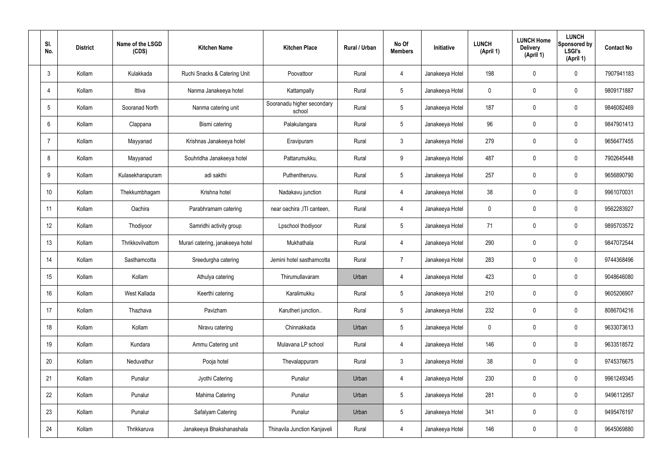| SI.<br>No.      | <b>District</b> | Name of the LSGD<br>(CDS) | <b>Kitchen Name</b>              | <b>Kitchen Place</b>                 | Rural / Urban | No Of<br><b>Members</b> | <b>Initiative</b> | <b>LUNCH</b><br>(April 1) | <b>LUNCH Home</b><br><b>Delivery</b><br>(April 1) | <b>LUNCH</b><br>Sponsored by<br><b>LSGI's</b><br>(April 1) | <b>Contact No</b> |
|-----------------|-----------------|---------------------------|----------------------------------|--------------------------------------|---------------|-------------------------|-------------------|---------------------------|---------------------------------------------------|------------------------------------------------------------|-------------------|
| $\mathbf{3}$    | Kollam          | Kulakkada                 | Ruchi Snacks & Catering Unit     | Poovattoor                           | Rural         | 4                       | Janakeeya Hotel   | 198                       | $\mathbf 0$                                       | $\mathbf 0$                                                | 7907941183        |
| $\overline{4}$  | Kollam          | Ittiva                    | Nanma Janakeeya hotel            | Kattampally                          | Rural         | $5\phantom{.0}$         | Janakeeya Hotel   | $\mathbf 0$               | $\mathbf 0$                                       | $\mathbf 0$                                                | 9809171887        |
| $5\overline{)}$ | Kollam          | Sooranad North            | Nanma catering unit              | Sooranadu higher secondary<br>school | Rural         | $5\phantom{.0}$         | Janakeeya Hotel   | 187                       | $\mathbf 0$                                       | $\mathbf 0$                                                | 9846082469        |
| 6               | Kollam          | Clappana                  | Bismi catering                   | Palakulangara                        | Rural         | $5\phantom{.0}$         | Janakeeya Hotel   | 96                        | $\mathbf 0$                                       | $\mathbf 0$                                                | 9847901413        |
| $\overline{7}$  | Kollam          | Mayyanad                  | Krishnas Janakeeya hotel         | Eravipuram                           | Rural         | $\mathbf{3}$            | Janakeeya Hotel   | 279                       | $\mathbf 0$                                       | $\mathbf 0$                                                | 9656477455        |
| 8               | Kollam          | Mayyanad                  | Souhridha Janakeeya hotel        | Pattarumukku,                        | Rural         | 9                       | Janakeeya Hotel   | 487                       | $\mathbf 0$                                       | $\mathbf 0$                                                | 7902645448        |
| 9               | Kollam          | Kulasekharapuram          | adi sakthi                       | Puthentheruvu.                       | Rural         | $5\overline{)}$         | Janakeeya Hotel   | 257                       | $\mathbf 0$                                       | $\mathbf 0$                                                | 9656890790        |
| 10              | Kollam          | Thekkumbhagam             | Krishna hotel                    | Nadakavu junction                    | Rural         | $\overline{4}$          | Janakeeya Hotel   | 38                        | 0                                                 | $\mathbf 0$                                                | 9961070031        |
| 11              | Kollam          | Oachira                   | Parabhramam catering             | near oachira , ITI canteen,          | Rural         | $\overline{4}$          | Janakeeya Hotel   | $\mathbf 0$               | $\mathbf 0$                                       | $\mathbf 0$                                                | 9562283927        |
| 12              | Kollam          | Thodiyoor                 | Samridhi activity group          | Lpschool thodiyoor                   | Rural         | $5\phantom{.0}$         | Janakeeya Hotel   | 71                        | 0                                                 | $\mathbf 0$                                                | 9895703572        |
| 13              | Kollam          | Thrikkovilvattom          | Murari catering, janakeeya hotel | Mukhathala                           | Rural         | 4                       | Janakeeya Hotel   | 290                       | 0                                                 | $\mathbf 0$                                                | 9847072544        |
| 14              | Kollam          | Sasthamcotta              | Sreedurgha catering              | Jemini hotel sasthamcotta            | Rural         | $\overline{7}$          | Janakeeya Hotel   | 283                       | $\mathbf 0$                                       | $\mathbf 0$                                                | 9744368496        |
| 15              | Kollam          | Kollam                    | Athulya catering                 | Thirumullavaram                      | Urban         | 4                       | Janakeeya Hotel   | 423                       | 0                                                 | $\mathbf 0$                                                | 9048646080        |
| 16              | Kollam          | West Kallada              | Keerthi catering                 | Karalimukku                          | Rural         | $5\phantom{.0}$         | Janakeeya Hotel   | 210                       | $\mathbf 0$                                       | $\mathbf 0$                                                | 9605206907        |
| 17              | Kollam          | Thazhava                  | Pavizham                         | Karutheri junction                   | Rural         | $5\overline{)}$         | Janakeeya Hotel   | 232                       | 0                                                 | $\mathbf 0$                                                | 8086704216        |
| 18              | Kollam          | Kollam                    | Niravu catering                  | Chinnakkada                          | Urban         | $5\phantom{.0}$         | Janakeeya Hotel   | $\mathbf 0$               | 0                                                 | $\mathbf 0$                                                | 9633073613        |
| 19              | Kollam          | Kundara                   | Ammu Catering unit               | Mulavana LP school                   | Rural         | $\overline{4}$          | Janakeeya Hotel   | 146                       | 0                                                 | $\mathbf 0$                                                | 9633518572        |
| 20              | Kollam          | Neduvathur                | Pooja hotel                      | Thevalappuram                        | Rural         | $\mathbf{3}$            | Janakeeya Hotel   | 38                        | 0                                                 | $\mathbf 0$                                                | 9745376675        |
| 21              | Kollam          | Punalur                   | Jyothi Catering                  | Punalur                              | Urban         | $\overline{4}$          | Janakeeya Hotel   | 230                       | 0                                                 | $\mathbf 0$                                                | 9961249345        |
| 22              | Kollam          | Punalur                   | Mahima Catering                  | Punalur                              | Urban         | $5\phantom{.0}$         | Janakeeya Hotel   | 281                       | 0                                                 | $\mathbf 0$                                                | 9496112957        |
| 23              | Kollam          | Punalur                   | Safalyam Catering                | Punalur                              | Urban         | $5\phantom{.0}$         | Janakeeya Hotel   | 341                       | 0                                                 | $\mathbf 0$                                                | 9495476197        |
| 24              | Kollam          | Thrikkaruva               | Janakeeya Bhakshanashala         | Thinavila Junction Kanjaveli         | Rural         | 4                       | Janakeeya Hotel   | 146                       | 0                                                 | $\mathbf 0$                                                | 9645069880        |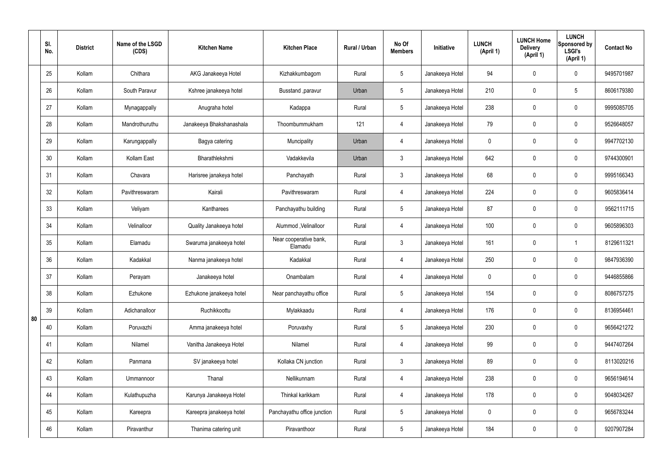|    | SI.<br>No. | <b>District</b> | Name of the LSGD<br>(CDS) | <b>Kitchen Name</b>      | <b>Kitchen Place</b>              | <b>Rural / Urban</b> | No Of<br><b>Members</b> | Initiative      | <b>LUNCH</b><br>(April 1) | <b>LUNCH Home</b><br><b>Delivery</b><br>(April 1) | <b>LUNCH</b><br>Sponsored by<br><b>LSGI's</b><br>(April 1) | <b>Contact No</b> |
|----|------------|-----------------|---------------------------|--------------------------|-----------------------------------|----------------------|-------------------------|-----------------|---------------------------|---------------------------------------------------|------------------------------------------------------------|-------------------|
|    | 25         | Kollam          | Chithara                  | AKG Janakeeya Hotel      | Kizhakkumbagom                    | Rural                | 5                       | Janakeeya Hotel | 94                        | 0                                                 | $\pmb{0}$                                                  | 9495701987        |
|    | 26         | Kollam          | South Paravur             | Kshree janakeeya hotel   | Busstand , paravur                | Urban                | 5                       | Janakeeya Hotel | 210                       | $\mathbf 0$                                       | $5\overline{)}$                                            | 8606179380        |
|    | 27         | Kollam          | Mynagappally              | Anugraha hotel           | Kadappa                           | Rural                | 5                       | Janakeeya Hotel | 238                       | $\mathbf 0$                                       | $\pmb{0}$                                                  | 9995085705        |
|    | 28         | Kollam          | Mandrothuruthu            | Janakeeya Bhakshanashala | Thoombummukham                    | 121                  | 4                       | Janakeeya Hotel | 79                        | $\mathbf 0$                                       | $\pmb{0}$                                                  | 9526648057        |
|    | 29         | Kollam          | Karungappally             | Bagya catering           | Muncipality                       | Urban                | 4                       | Janakeeya Hotel | 0                         | 0                                                 | $\pmb{0}$                                                  | 9947702130        |
|    | 30         | Kollam          | Kollam East               | Bharathlekshmi           | Vadakkevila                       | Urban                | $\mathbf{3}$            | Janakeeya Hotel | 642                       | $\pmb{0}$                                         | $\pmb{0}$                                                  | 9744300901        |
|    | 31         | Kollam          | Chavara                   | Harisree janakeya hotel  | Panchayath                        | Rural                | $\mathbf{3}$            | Janakeeya Hotel | 68                        | 0                                                 | $\pmb{0}$                                                  | 9995166343        |
|    | 32         | Kollam          | Pavithreswaram            | Kairali                  | Pavithreswaram                    | Rural                | 4                       | Janakeeya Hotel | 224                       | $\pmb{0}$                                         | $\pmb{0}$                                                  | 9605836414        |
|    | 33         | Kollam          | Veliyam                   | Kantharees               | Panchayathu building              | Rural                | 5                       | Janakeeya Hotel | 87                        | 0                                                 | $\pmb{0}$                                                  | 9562111715        |
|    | 34         | Kollam          | Velinalloor               | Quality Janakeeya hotel  | Alummod , Velinalloor             | Rural                | 4                       | Janakeeya Hotel | 100                       | $\mathbf 0$                                       | $\pmb{0}$                                                  | 9605896303        |
|    | 35         | Kollam          | Elamadu                   | Swaruma janakeeya hotel  | Near cooperative bank,<br>Elamadu | Rural                | 3                       | Janakeeya Hotel | 161                       | $\mathbf 0$                                       | $\overline{1}$                                             | 8129611321        |
|    | 36         | Kollam          | Kadakkal                  | Nanma janakeeya hotel    | Kadakkal                          | Rural                | 4                       | Janakeeya Hotel | 250                       | $\mathbf 0$                                       | $\mathbf 0$                                                | 9847936390        |
|    | 37         | Kollam          | Perayam                   | Janakeeya hotel          | Onambalam                         | Rural                | 4                       | Janakeeya Hotel | 0                         | $\mathbf 0$                                       | $\mathbf 0$                                                | 9446855866        |
|    | 38         | Kollam          | Ezhukone                  | Ezhukone janakeeya hotel | Near panchayathu office           | Rural                | $5\phantom{.0}$         | Janakeeya Hotel | 154                       | $\mathbf 0$                                       | $\mathbf 0$                                                | 8086757275        |
| 80 | 39         | Kollam          | Adichanalloor             | Ruchikkoottu             | Mylakkaadu                        | Rural                | $\overline{4}$          | Janakeeya Hotel | 176                       | $\mathbf 0$                                       | $\mathbf 0$                                                | 8136954461        |
|    | 40         | Kollam          | Poruvazhi                 | Amma janakeeya hotel     | Poruvaxhy                         | Rural                | $5\phantom{.0}$         | Janakeeya Hotel | 230                       | 0                                                 | $\mathbf 0$                                                | 9656421272        |
|    | 41         | Kollam          | Nilamel                   | Vanitha Janakeeya Hotel  | Nilamel                           | Rural                | $\overline{4}$          | Janakeeya Hotel | 99                        | $\mathbf 0$                                       | $\pmb{0}$                                                  | 9447407264        |
|    | 42         | Kollam          | Panmana                   | SV janakeeya hotel       | Kollaka CN junction               | Rural                | 3                       | Janakeeya Hotel | 89                        | 0                                                 | $\mathbf 0$                                                | 8113020216        |
|    | 43         | Kollam          | Ummannoor                 | Thanal                   | Nellikunnam                       | Rural                | $\overline{4}$          | Janakeeya Hotel | 238                       | $\mathbf 0$                                       | $\pmb{0}$                                                  | 9656194614        |
|    | 44         | Kollam          | Kulathupuzha              | Karunya Janakeeya Hotel  | Thinkal karikkam                  | Rural                | 4                       | Janakeeya Hotel | 178                       | $\mathbf 0$                                       | $\pmb{0}$                                                  | 9048034267        |
|    | 45         | Kollam          | Kareepra                  | Kareepra janakeeya hotel | Panchayathu office junction       | Rural                | $5\phantom{.0}$         | Janakeeya Hotel | $\mathbf 0$               | $\mathbf 0$                                       | $\mathbf 0$                                                | 9656783244        |
|    | 46         | Kollam          | Piravanthur               | Thanima catering unit    | Piravanthoor                      | Rural                | $\overline{5}$          | Janakeeya Hotel | 184                       | $\mathbf 0$                                       | $\mathbf 0$                                                | 9207907284        |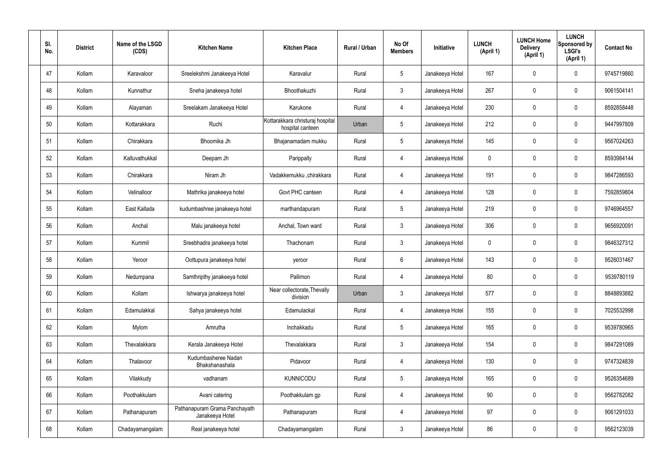| SI.<br>No. | <b>District</b> | Name of the LSGD<br>(CDS) | <b>Kitchen Name</b>                              | <b>Kitchen Place</b>                                 | Rural / Urban | No Of<br><b>Members</b> | <b>Initiative</b> | <b>LUNCH</b><br>(April 1) | <b>LUNCH Home</b><br><b>Delivery</b><br>(April 1) | <b>LUNCH</b><br>Sponsored by<br><b>LSGI's</b><br>(April 1) | <b>Contact No</b> |
|------------|-----------------|---------------------------|--------------------------------------------------|------------------------------------------------------|---------------|-------------------------|-------------------|---------------------------|---------------------------------------------------|------------------------------------------------------------|-------------------|
| 47         | Kollam          | Karavaloor                | Sreelekshmi Janakeeya Hotel                      | Karavalur                                            | Rural         | $5\phantom{.0}$         | Janakeeya Hotel   | 167                       | 0                                                 | $\mathbf 0$                                                | 9745719860        |
| 48         | Kollam          | Kunnathur                 | Sneha janakeeya hotel                            | Bhoothakuzhi                                         | Rural         | $\mathbf{3}$            | Janakeeya Hotel   | 267                       | 0                                                 | $\mathbf 0$                                                | 9061504141        |
| 49         | Kollam          | Alayaman                  | Sreelakam Janakeeya Hotel                        | Karukone                                             | Rural         | $\overline{4}$          | Janakeeya Hotel   | 230                       | $\mathbf 0$                                       | $\mathbf 0$                                                | 8592858448        |
| 50         | Kollam          | Kottarakkara              | Ruchi                                            | Kottarakkara christuraj hospital<br>hospital canteen | Urban         | $5\phantom{.0}$         | Janakeeya Hotel   | 212                       | 0                                                 | $\mathbf 0$                                                | 9447997809        |
| 51         | Kollam          | Chirakkara                | Bhoomika Jh                                      | Bhajanamadam mukku                                   | Rural         | $5\phantom{.0}$         | Janakeeya Hotel   | 145                       | $\mathbf 0$                                       | $\mathbf 0$                                                | 9567024263        |
| 52         | Kollam          | Kalluvathukkal            | Deepam Jh                                        | Parippally                                           | Rural         | $\overline{4}$          | Janakeeya Hotel   | $\mathbf 0$               | 0                                                 | $\mathbf 0$                                                | 8593984144        |
| 53         | Kollam          | Chirakkara                | Niram Jh                                         | Vadakkemukku ,chirakkara                             | Rural         | $\overline{4}$          | Janakeeya Hotel   | 191                       | $\mathbf 0$                                       | $\mathbf 0$                                                | 9847286593        |
| 54         | Kollam          | Velinalloor               | Mathrika janakeeya hotel                         | Govt PHC canteen                                     | Rural         | $\overline{4}$          | Janakeeya Hotel   | 128                       | 0                                                 | $\mathbf 0$                                                | 7592859804        |
| 55         | Kollam          | East Kallada              | kudumbashree janakeeya hotel                     | marthandapuram                                       | Rural         | $5\phantom{.0}$         | Janakeeya Hotel   | 219                       | $\mathbf 0$                                       | $\mathbf 0$                                                | 9746964557        |
| 56         | Kollam          | Anchal                    | Malu janakeeya hotel                             | Anchal, Town ward                                    | Rural         | $\mathbf{3}$            | Janakeeya Hotel   | 306                       | 0                                                 | $\mathbf 0$                                                | 9656920091        |
| 57         | Kollam          | Kummil                    | Sreebhadra janakeeya hotel                       | Thachonam                                            | Rural         | $\mathbf{3}$            | Janakeeya Hotel   | $\mathbf 0$               | 0                                                 | $\mathbf 0$                                                | 9846327312        |
| 58         | Kollam          | Yeroor                    | Oottupura janakeeya hotel                        | yeroor                                               | Rural         | $6\phantom{.}6$         | Janakeeya Hotel   | 143                       | 0                                                 | $\mathbf 0$                                                | 9526031467        |
| 59         | Kollam          | Nedumpana                 | Samthripthy janakeeya hotel                      | Pallimon                                             | Rural         | 4                       | Janakeeya Hotel   | 80                        | 0                                                 | 0                                                          | 9539780119        |
| 60         | Kollam          | Kollam                    | Ishwarya janakeeya hotel                         | Near collectorate, Thevally<br>division              | Urban         | $\mathbf{3}$            | Janakeeya Hotel   | 577                       | $\mathbf 0$                                       | $\mathbf 0$                                                | 8848893882        |
| 61         | Kollam          | Edamulakkal               | Sahya janakeeya hotel                            | Edamulackal                                          | Rural         | $\overline{4}$          | Janakeeya Hotel   | 155                       | $\mathbf 0$                                       | $\mathbf 0$                                                | 7025532998        |
| 62         | Kollam          | Mylom                     | Amrutha                                          | Inchakkadu                                           | Rural         | $5\phantom{.0}$         | Janakeeya Hotel   | 165                       | $\mathbf 0$                                       | $\mathbf 0$                                                | 9539780965        |
| 63         | Kollam          | Thevalakkara              | Kerala Janakeeya Hotel                           | Thevalakkara                                         | Rural         | $\mathbf{3}$            | Janakeeya Hotel   | 154                       | $\mathbf 0$                                       | $\mathbf 0$                                                | 9847291089        |
| 64         | Kollam          | Thalavoor                 | Kudumbasheree Nadan<br>Bhakshanashala            | Pidavoor                                             | Rural         | $\overline{4}$          | Janakeeya Hotel   | 130                       | 0                                                 | $\mathbf 0$                                                | 9747324839        |
| 65         | Kollam          | Vilakkudy                 | vadhanam                                         | KUNNICODU                                            | Rural         | $5\phantom{.0}$         | Janakeeya Hotel   | 165                       | 0                                                 | $\mathbf 0$                                                | 9526354689        |
| 66         | Kollam          | Poothakkulam              | Avani catering                                   | Poothakkulam gp                                      | Rural         | $\overline{4}$          | Janakeeya Hotel   | 90                        | 0                                                 | $\mathbf 0$                                                | 9562782082        |
| 67         | Kollam          | Pathanapuram              | Pathanapuram Grama Panchayath<br>Janakeeya Hotel | Pathanapuram                                         | Rural         | $\overline{4}$          | Janakeeya Hotel   | 97                        | $\mathbf 0$                                       | $\mathbf 0$                                                | 9061291033        |
| 68         | Kollam          | Chadayamangalam           | Real janakeeya hotel                             | Chadayamangalam                                      | Rural         | $\mathbf{3}$            | Janakeeya Hotel   | 86                        | 0                                                 | $\mathbf 0$                                                | 9562123039        |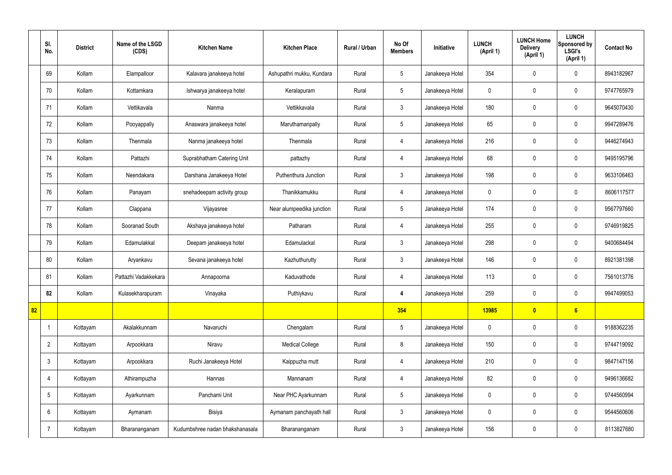|    | SI.<br>No.      | <b>District</b> | Name of the LSGD<br>(CDS) | <b>Kitchen Name</b>             | <b>Kitchen Place</b>      | Rural / Urban | No Of<br><b>Members</b> | Initiative      | <b>LUNCH</b><br>(April 1) | <b>LUNCH Home</b><br><b>Delivery</b><br>(April 1) | <b>LUNCH</b><br>Sponsored by<br><b>LSGI's</b><br>(April 1) | <b>Contact No</b> |
|----|-----------------|-----------------|---------------------------|---------------------------------|---------------------------|---------------|-------------------------|-----------------|---------------------------|---------------------------------------------------|------------------------------------------------------------|-------------------|
|    | 69              | Kollam          | Elampalloor               | Kalavara janakeeya hotel        | Ashupathri mukku, Kundara | Rural         | $\sqrt{5}$              | Janakeeya Hotel | 354                       | $\mathbf 0$                                       | $\mathbf 0$                                                | 8943182967        |
|    | 70              | Kollam          | Kottamkara                | Ishwarya janakeeya hotel        | Keralapuram               | Rural         | $5\phantom{.0}$         | Janakeeya Hotel | $\mathbf 0$               | $\mathbf 0$                                       | $\mathbf 0$                                                | 9747765979        |
|    | 71              | Kollam          | Vettikavala               | Nanma                           | Vettikkavala              | Rural         | $\mathbf{3}$            | Janakeeya Hotel | 180                       | $\mathbf 0$                                       | $\mathbf 0$                                                | 9645070430        |
|    | 72              | Kollam          | Pooyappally               | Anaswara janakeeya hotel        | Maruthamanpally           | Rural         | $5\phantom{.0}$         | Janakeeya Hotel | 65                        | $\mathbf 0$                                       | $\mathbf 0$                                                | 9947289476        |
|    | 73              | Kollam          | Thenmala                  | Nanma janakeeya hotel           | Thenmala                  | Rural         | $\overline{4}$          | Janakeeya Hotel | 216                       | $\pmb{0}$                                         | $\mathbf 0$                                                | 9446274943        |
|    | 74              | Kollam          | Pattazhi                  | Suprabhatham Catering Unit      | pattazhy                  | Rural         | $\overline{4}$          | Janakeeya Hotel | 68                        | $\mathbf 0$                                       | $\mathbf 0$                                                | 9495195796        |
|    | 75              | Kollam          | Neendakara                | Darshana Janakeeya Hotel        | Puthenthura Junction      | Rural         | $\mathbf{3}$            | Janakeeya Hotel | 198                       | $\pmb{0}$                                         | $\mathbf 0$                                                | 9633106463        |
|    | 76              | Kollam          | Panayam                   | snehadeepam activity group      | Thanikkamukku             | Rural         | $\overline{4}$          | Janakeeya Hotel | $\mathbf 0$               | $\mathbf 0$                                       | $\mathbf 0$                                                | 8606117577        |
|    | 77              | Kollam          | Clappana                  | Vijayasree                      | Near alumpeedika junction | Rural         | $5\phantom{.0}$         | Janakeeya Hotel | 174                       | $\mathbf 0$                                       | $\mathbf 0$                                                | 9567797660        |
|    | 78              | Kollam          | Sooranad South            | Akshaya janakeeya hotel         | Patharam                  | Rural         | $\overline{4}$          | Janakeeya Hotel | 255                       | $\mathbf 0$                                       | $\mathbf 0$                                                | 9746919825        |
|    | 79              | Kollam          | Edamulakkal               | Deepam janakeeya hotel          | Edamulackal               | Rural         | $\mathbf{3}$            | Janakeeya Hotel | 298                       | $\mathbf 0$                                       | $\mathbf 0$                                                | 9400684494        |
|    | 80              | Kollam          | Aryankavu                 | Sevana janakeeya hotel          | Kazhuthurutty             | Rural         | $\mathbf{3}$            | Janakeeya Hotel | 146                       | $\mathbf 0$                                       | $\mathbf 0$                                                | 8921381398        |
|    | 81              | Kollam          | Pattazhi Vadakkekara      | Annapoorna                      | Kaduvathode               | Rural         | 4                       | Janakeeya Hotel | 113                       | $\mathbf 0$                                       | $\mathbf 0$                                                | 7561013776        |
|    | 82              | Kollam          | Kulasekharapuram          | Vinayaka                        | Puthiykavu                | Rural         | 4                       | Janakeeya Hotel | 259                       | $\pmb{0}$                                         | $\mathbf 0$                                                | 9947499053        |
| 82 |                 |                 |                           |                                 |                           |               | 354                     |                 | 13985                     | $\bullet$                                         | 6                                                          |                   |
|    |                 | Kottayam        | Akalakkunnam              | Navaruchi                       | Chengalam                 | Rural         | $5\phantom{.0}$         | Janakeeya Hotel | $\mathbf 0$               | $\pmb{0}$                                         | $\mathbf 0$                                                | 9188362235        |
|    | $\overline{2}$  | Kottayam        | Arpookkara                | Niravu                          | <b>Medical College</b>    | Rural         | 8                       | Janakeeya Hotel | 150                       | $\pmb{0}$                                         | $\mathbf 0$                                                | 9744719092        |
|    | $\mathfrak{Z}$  | Kottayam        | Arpookkara                | Ruchi Janakeeya Hotel           | Kaippuzha mutt            | Rural         | $\overline{4}$          | Janakeeya Hotel | 210                       | $\pmb{0}$                                         | $\mathbf 0$                                                | 9847147156        |
|    | $\overline{4}$  | Kottayam        | Athirampuzha              | Hannas                          | Mannanam                  | Rural         | $\overline{4}$          | Janakeeya Hotel | 82                        | $\pmb{0}$                                         | $\mathbf 0$                                                | 9496136682        |
|    | $5\phantom{.0}$ | Kottayam        | Ayarkunnam                | Panchami Unit                   | Near PHC Ayarkunnam       | Rural         | $5\overline{)}$         | Janakeeya Hotel | $\mathbf 0$               | $\mathbf 0$                                       | $\mathbf 0$                                                | 9744560994        |
|    | $6\phantom{.}$  | Kottayam        | Aymanam                   | Bisiya                          | Aymanam panchayath hall   | Rural         | $\mathbf{3}$            | Janakeeya Hotel | $\mathbf 0$               | $\pmb{0}$                                         | $\mathbf 0$                                                | 9544560606        |
|    | $\overline{7}$  | Kottayam        | Bharananganam             | Kudumbshree nadan bhakshanasala | Bharananganam             | Rural         | $\mathbf{3}$            | Janakeeya Hotel | 156                       | $\pmb{0}$                                         | $\mathbf 0$                                                | 8113827680        |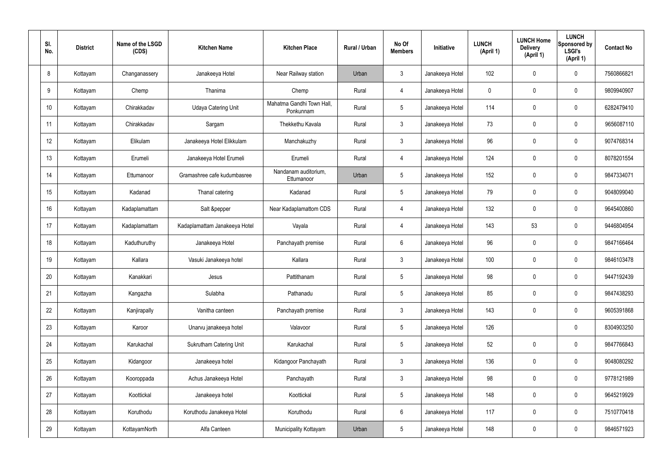| SI.<br>No. | <b>District</b> | Name of the LSGD<br>(CDS) | <b>Kitchen Name</b>           | <b>Kitchen Place</b>                   | Rural / Urban | No Of<br><b>Members</b> | Initiative      | <b>LUNCH</b><br>(April 1) | <b>LUNCH Home</b><br><b>Delivery</b><br>(April 1) | <b>LUNCH</b><br>Sponsored by<br><b>LSGI's</b><br>(April 1) | <b>Contact No</b> |
|------------|-----------------|---------------------------|-------------------------------|----------------------------------------|---------------|-------------------------|-----------------|---------------------------|---------------------------------------------------|------------------------------------------------------------|-------------------|
| 8          | Kottayam        | Changanassery             | Janakeeya Hotel               | Near Railway station                   | Urban         | 3                       | Janakeeya Hotel | 102                       | 0                                                 | $\mathbf 0$                                                | 7560866821        |
| 9          | Kottayam        | Chemp                     | Thanima                       | Chemp                                  | Rural         | 4                       | Janakeeya Hotel | $\mathbf 0$               | 0                                                 | $\mathbf 0$                                                | 9809940907        |
| 10         | Kottayam        | Chirakkadav               | <b>Udaya Catering Unit</b>    | Mahatma Gandhi Town Hall,<br>Ponkunnam | Rural         | $5\overline{)}$         | Janakeeya Hotel | 114                       | 0                                                 | $\mathbf 0$                                                | 6282479410        |
| 11         | Kottayam        | Chirakkadav               | Sargam                        | Thekkethu Kavala                       | Rural         | $\mathbf{3}$            | Janakeeya Hotel | 73                        | 0                                                 | $\mathbf 0$                                                | 9656087110        |
| 12         | Kottayam        | Elikulam                  | Janakeeya Hotel Elikkulam     | Manchakuzhy                            | Rural         | $\mathbf{3}$            | Janakeeya Hotel | 96                        | 0                                                 | $\mathbf 0$                                                | 9074768314        |
| 13         | Kottayam        | Erumeli                   | Janakeeya Hotel Erumeli       | Erumeli                                | Rural         | $\overline{4}$          | Janakeeya Hotel | 124                       | 0                                                 | $\mathbf 0$                                                | 8078201554        |
| 14         | Kottayam        | Ettumanoor                | Gramashree cafe kudumbasree   | Nandanam auditorium,<br>Ettumanoor     | Urban         | $5\overline{)}$         | Janakeeya Hotel | 152                       | $\mathbf 0$                                       | $\mathbf 0$                                                | 9847334071        |
| 15         | Kottayam        | Kadanad                   | Thanal catering               | Kadanad                                | Rural         | $5\overline{)}$         | Janakeeya Hotel | 79                        | 0                                                 | $\mathbf 0$                                                | 9048099040        |
| 16         | Kottayam        | Kadaplamattam             | Salt &pepper                  | Near Kadaplamattom CDS                 | Rural         | 4                       | Janakeeya Hotel | 132                       | $\mathbf 0$                                       | $\mathbf 0$                                                | 9645400860        |
| 17         | Kottayam        | Kadaplamattam             | Kadaplamattam Janakeeya Hotel | Vayala                                 | Rural         | 4                       | Janakeeya Hotel | 143                       | 53                                                | $\mathbf 0$                                                | 9446804954        |
| 18         | Kottayam        | Kaduthuruthy              | Janakeeya Hotel               | Panchayath premise                     | Rural         | $6\phantom{.}6$         | Janakeeya Hotel | 96                        | 0                                                 | $\mathbf 0$                                                | 9847166464        |
| 19         | Kottayam        | Kallara                   | Vasuki Janakeeya hotel        | Kallara                                | Rural         | $\mathbf{3}$            | Janakeeya Hotel | 100                       | 0                                                 | $\mathbf 0$                                                | 9846103478        |
| 20         | Kottayam        | Kanakkari                 | Jesus                         | Pattithanam                            | Rural         | $5\phantom{.0}$         | Janakeeya Hotel | 98                        | 0                                                 | $\mathbf 0$                                                | 9447192439        |
| 21         | Kottayam        | Kangazha                  | Sulabha                       | Pathanadu                              | Rural         | $5\,$                   | Janakeeya Hotel | 85                        | $\mathsf{0}$                                      | $\mathbf 0$                                                | 9847438293        |
| 22         | Kottayam        | Kanjirapally              | Vanitha canteen               | Panchayath premise                     | Rural         | $3\phantom{a}$          | Janakeeya Hotel | 143                       | $\mathsf{0}$                                      | $\mathbf 0$                                                | 9605391868        |
| 23         | Kottayam        | Karoor                    | Unarvu janakeeya hotel        | Valavoor                               | Rural         | $5\phantom{.0}$         | Janakeeya Hotel | 126                       |                                                   | $\mathbf 0$                                                | 8304903250        |
| 24         | Kottayam        | Karukachal                | Sukrutham Catering Unit       | Karukachal                             | Rural         | $5\phantom{.0}$         | Janakeeya Hotel | 52                        | $\mathbf 0$                                       | $\mathbf 0$                                                | 9847766843        |
| 25         | Kottayam        | Kidangoor                 | Janakeeya hotel               | Kidangoor Panchayath                   | Rural         | $\mathfrak{Z}$          | Janakeeya Hotel | 136                       | 0                                                 | $\mathbf 0$                                                | 9048080292        |
| 26         | Kottayam        | Kooroppada                | Achus Janakeeya Hotel         | Panchayath                             | Rural         | $\mathfrak{Z}$          | Janakeeya Hotel | 98                        | 0                                                 | $\mathbf 0$                                                | 9778121989        |
| 27         | Kottayam        | Koottickal                | Janakeeya hotel               | Koottickal                             | Rural         | $5\phantom{.0}$         | Janakeeya Hotel | 148                       | 0                                                 | $\mathbf 0$                                                | 9645219929        |
| 28         | Kottayam        | Koruthodu                 | Koruthodu Janakeeya Hotel     | Koruthodu                              | Rural         | $6\,$                   | Janakeeya Hotel | 117                       | 0                                                 | $\mathbf 0$                                                | 7510770418        |
| 29         | Kottayam        | KottayamNorth             | Alfa Canteen                  | Municipality Kottayam                  | Urban         | $5\phantom{.0}$         | Janakeeya Hotel | 148                       | 0                                                 | $\boldsymbol{0}$                                           | 9846571923        |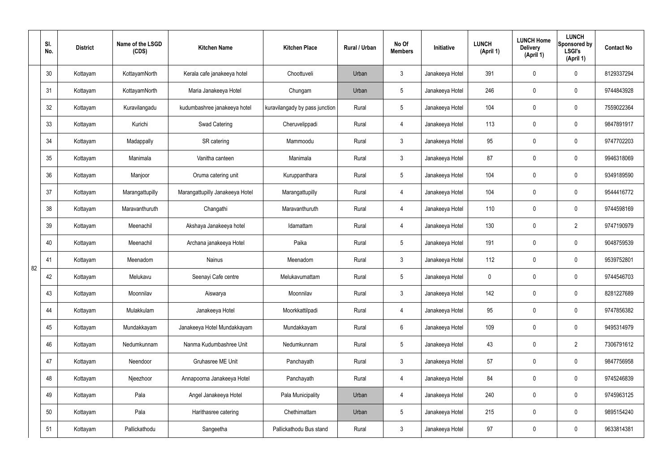|    | SI.<br>No. | <b>District</b> | Name of the LSGD<br>(CDS) | <b>Kitchen Name</b>             | <b>Kitchen Place</b>           | <b>Rural / Urban</b> | No Of<br><b>Members</b> | Initiative      | <b>LUNCH</b><br>(April 1) | <b>LUNCH Home</b><br><b>Delivery</b><br>(April 1) | <b>LUNCH</b><br>Sponsored by<br><b>LSGI's</b><br>(April 1) | <b>Contact No</b> |
|----|------------|-----------------|---------------------------|---------------------------------|--------------------------------|----------------------|-------------------------|-----------------|---------------------------|---------------------------------------------------|------------------------------------------------------------|-------------------|
|    | 30         | Kottayam        | KottayamNorth             | Kerala cafe janakeeya hotel     | Choottuveli                    | Urban                | $\mathfrak{Z}$          | Janakeeya Hotel | 391                       | 0                                                 | $\pmb{0}$                                                  | 8129337294        |
|    | 31         | Kottayam        | KottayamNorth             | Maria Janakeeya Hotel           | Chungam                        | Urban                | $5\overline{)}$         | Janakeeya Hotel | 246                       | $\mathbf 0$                                       | $\pmb{0}$                                                  | 9744843928        |
|    | 32         | Kottayam        | Kuravilangadu             | kudumbashree janakeeya hotel    | kuravilangady by pass junction | Rural                | $5\overline{)}$         | Janakeeya Hotel | 104                       | 0                                                 | $\pmb{0}$                                                  | 7559022364        |
|    | 33         | Kottayam        | Kurichi                   | <b>Swad Catering</b>            | Cheruvelippadi                 | Rural                | 4                       | Janakeeya Hotel | 113                       | 0                                                 | $\pmb{0}$                                                  | 9847891917        |
|    | 34         | Kottayam        | Madappally                | SR catering                     | Mammoodu                       | Rural                | $\mathbf{3}$            | Janakeeya Hotel | 95                        | 0                                                 | $\pmb{0}$                                                  | 9747702203        |
|    | 35         | Kottayam        | Manimala                  | Vanitha canteen                 | Manimala                       | Rural                | $\mathfrak{Z}$          | Janakeeya Hotel | 87                        | 0                                                 | $\pmb{0}$                                                  | 9946318069        |
|    | 36         | Kottayam        | Manjoor                   | Oruma catering unit             | Kuruppanthara                  | Rural                | $5\overline{)}$         | Janakeeya Hotel | 104                       | 0                                                 | $\pmb{0}$                                                  | 9349189590        |
|    | 37         | Kottayam        | Marangattupilly           | Marangattupilly Janakeeya Hotel | Marangattupilly                | Rural                | 4                       | Janakeeya Hotel | 104                       | 0                                                 | $\pmb{0}$                                                  | 9544416772        |
|    | 38         | Kottayam        | Maravanthuruth            | Changathi                       | Maravanthuruth                 | Rural                | 4                       | Janakeeya Hotel | 110                       | 0                                                 | $\pmb{0}$                                                  | 9744598169        |
|    | 39         | Kottayam        | Meenachil                 | Akshaya Janakeeya hotel         | Idamattam                      | Rural                | 4                       | Janakeeya Hotel | 130                       | 0                                                 | $\overline{2}$                                             | 9747190979        |
|    | 40         | Kottayam        | Meenachil                 | Archana janakeeya Hotel         | Paika                          | Rural                | $5\overline{)}$         | Janakeeya Hotel | 191                       | $\mathbf 0$                                       | $\mathbf 0$                                                | 9048759539        |
| 82 | 41         | Kottayam        | Meenadom                  | Nainus                          | Meenadom                       | Rural                | $\mathfrak{Z}$          | Janakeeya Hotel | 112                       | $\mathbf 0$                                       | 0                                                          | 9539752801        |
|    | 42         | Kottayam        | Melukavu                  | Seenayi Cafe centre             | Melukavumattam                 | Rural                | $5\phantom{.0}$         | Janakeeya Hotel | 0                         | 0                                                 | $\mathbf 0$                                                | 9744546703        |
|    | 43         | Kottayam        | Moonnilav                 | Aiswarya                        | Moonnilav                      | Rural                | $\mathfrak{Z}$          | Janakeeya Hotel | 142                       | 0                                                 | $\pmb{0}$                                                  | 8281227689        |
|    | 44         | Kottayam        | Mulakkulam                | Janakeeya Hotel                 | Moorkkattilpadi                | Rural                | $\overline{4}$          | Janakeeya Hotel | 95                        | 0                                                 | $\mathbf 0$                                                | 9747856382        |
|    | 45         | Kottayam        | Mundakkayam               | Janakeeya Hotel Mundakkayam     | Mundakkayam                    | Rural                | $6\overline{6}$         | Janakeeya Hotel | 109                       | 0                                                 | $\mathbf 0$                                                | 9495314979        |
|    | 46         | Kottayam        | Nedumkunnam               | Nanma Kudumbashree Unit         | Nedumkunnam                    | Rural                | $5\phantom{.0}$         | Janakeeya Hotel | 43                        | 0                                                 | $\overline{2}$                                             | 7306791612        |
|    | 47         | Kottayam        | Neendoor                  | Gruhasree ME Unit               | Panchayath                     | Rural                | $\mathbf{3}$            | Janakeeya Hotel | 57                        | 0                                                 | $\mathbf 0$                                                | 9847756958        |
|    | 48         | Kottayam        | Njeezhoor                 | Annapoorna Janakeeya Hotel      | Panchayath                     | Rural                | $\overline{4}$          | Janakeeya Hotel | 84                        | 0                                                 | $\pmb{0}$                                                  | 9745246839        |
|    | 49         | Kottayam        | Pala                      | Angel Janakeeya Hotel           | Pala Municipality              | Urban                | 4                       | Janakeeya Hotel | 240                       | 0                                                 | $\mathbf 0$                                                | 9745963125        |
|    | 50         | Kottayam        | Pala                      | Harithasree catering            | Chethimattam                   | Urban                | $5\phantom{.0}$         | Janakeeya Hotel | 215                       | $\mathbf 0$                                       | $\mathbf 0$                                                | 9895154240        |
|    | 51         | Kottayam        | Pallickathodu             | Sangeetha                       | Pallickathodu Bus stand        | Rural                | $\mathfrak{Z}$          | Janakeeya Hotel | 97                        | 0                                                 | $\mathbf 0$                                                | 9633814381        |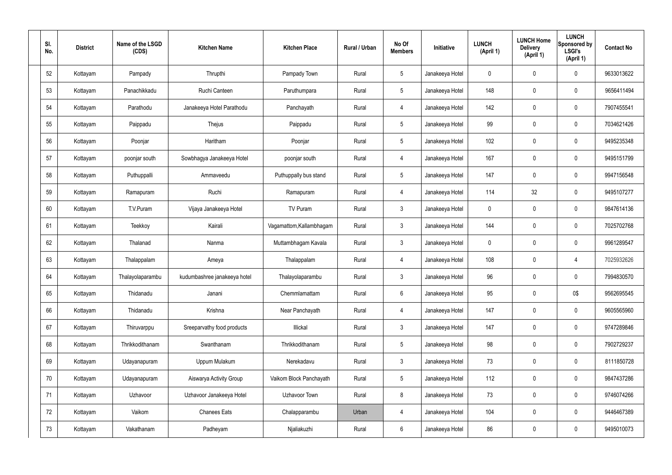| SI.<br>No. | <b>District</b> | Name of the LSGD<br>(CDS) | <b>Kitchen Name</b>          | <b>Kitchen Place</b>     | Rural / Urban | No Of<br><b>Members</b> | Initiative      | <b>LUNCH</b><br>(April 1) | <b>LUNCH Home</b><br><b>Delivery</b><br>(April 1) | <b>LUNCH</b><br>Sponsored by<br><b>LSGI's</b><br>(April 1) | <b>Contact No</b> |
|------------|-----------------|---------------------------|------------------------------|--------------------------|---------------|-------------------------|-----------------|---------------------------|---------------------------------------------------|------------------------------------------------------------|-------------------|
| 52         | Kottayam        | Pampady                   | Thrupthi                     | Pampady Town             | Rural         | $5\phantom{.0}$         | Janakeeya Hotel | $\mathbf 0$               | 0                                                 | $\mathbf 0$                                                | 9633013622        |
| 53         | Kottayam        | Panachikkadu              | Ruchi Canteen                | Paruthumpara             | Rural         | $5\phantom{.0}$         | Janakeeya Hotel | 148                       | $\mathbf 0$                                       | $\mathbf 0$                                                | 9656411494        |
| 54         | Kottayam        | Parathodu                 | Janakeeya Hotel Parathodu    | Panchayath               | Rural         | 4                       | Janakeeya Hotel | 142                       | 0                                                 | $\mathbf 0$                                                | 7907455541        |
| 55         | Kottayam        | Paippadu                  | Thejus                       | Paippadu                 | Rural         | $5\phantom{.0}$         | Janakeeya Hotel | 99                        | 0                                                 | $\mathbf 0$                                                | 7034621426        |
| 56         | Kottayam        | Poonjar                   | Haritham                     | Poonjar                  | Rural         | $5\phantom{.0}$         | Janakeeya Hotel | 102                       | 0                                                 | $\mathbf 0$                                                | 9495235348        |
| 57         | Kottayam        | poonjar south             | Sowbhagya Janakeeya Hotel    | poonjar south            | Rural         | 4                       | Janakeeya Hotel | 167                       | $\boldsymbol{0}$                                  | $\mathbf 0$                                                | 9495151799        |
| 58         | Kottayam        | Puthuppalli               | Ammaveedu                    | Puthuppally bus stand    | Rural         | $5\phantom{.0}$         | Janakeeya Hotel | 147                       | 0                                                 | $\mathbf 0$                                                | 9947156548        |
| 59         | Kottayam        | Ramapuram                 | Ruchi                        | Ramapuram                | Rural         | 4                       | Janakeeya Hotel | 114                       | 32                                                | $\mathbf 0$                                                | 9495107277        |
| 60         | Kottayam        | T.V.Puram                 | Vijaya Janakeeya Hotel       | TV Puram                 | Rural         | $\mathfrak{Z}$          | Janakeeya Hotel | $\mathbf 0$               | 0                                                 | $\mathbf 0$                                                | 9847614136        |
| 61         | Kottayam        | Teekkoy                   | Kairali                      | Vagamattom, Kallambhagam | Rural         | $\mathfrak{Z}$          | Janakeeya Hotel | 144                       | 0                                                 | $\mathbf 0$                                                | 7025702768        |
| 62         | Kottayam        | Thalanad                  | Nanma                        | Muttambhagam Kavala      | Rural         | $\mathfrak{Z}$          | Janakeeya Hotel | $\mathbf 0$               | 0                                                 | $\mathbf 0$                                                | 9961289547        |
| 63         | Kottayam        | Thalappalam               | Ameya                        | Thalappalam              | Rural         | 4                       | Janakeeya Hotel | 108                       | 0                                                 | 4                                                          | 7025932626        |
| 64         | Kottayam        | Thalayolaparambu          | kudumbashree janakeeya hotel | Thalayolaparambu         | Rural         | $\mathbf{3}$            | Janakeeya Hotel | 96                        | $\mathbf 0$                                       | $\mathbf 0$                                                | 7994830570        |
| 65         | Kottayam        | Thidanadu                 | Janani                       | Chemmlamattam            | Rural         | $6\,$                   | Janakeeya Hotel | 95                        | 0                                                 | 0\$                                                        | 9562695545        |
| 66         | Kottayam        | Thidanadu                 | Krishna                      | Near Panchayath          | Rural         | $\overline{4}$          | Janakeeya Hotel | 147                       | 0                                                 | $\mathbf 0$                                                | 9605565960        |
| 67         | Kottayam        | Thiruvarppu               | Sreeparvathy food products   | Illickal                 | Rural         | $\mathbf{3}$            | Janakeeya Hotel | 147                       | 0                                                 | $\mathbf 0$                                                | 9747289846        |
| 68         | Kottayam        | Thrikkodithanam           | Swanthanam                   | Thrikkodithanam          | Rural         | $5\phantom{.0}$         | Janakeeya Hotel | 98                        | 0                                                 | $\mathbf 0$                                                | 7902729237        |
| 69         | Kottayam        | Udayanapuram              | Uppum Mulakum                | Nerekadavu               | Rural         | $\mathbf{3}$            | Janakeeya Hotel | 73                        | 0                                                 | $\mathbf 0$                                                | 8111850728        |
| 70         | Kottayam        | Udayanapuram              | Aiswarya Activity Group      | Vaikom Block Panchayath  | Rural         | $5\phantom{.0}$         | Janakeeya Hotel | 112                       | 0                                                 | $\mathbf 0$                                                | 9847437286        |
| 71         | Kottayam        | Uzhavoor                  | Uzhavoor Janakeeya Hotel     | Uzhavoor Town            | Rural         | 8                       | Janakeeya Hotel | 73                        | 0                                                 | $\mathbf 0$                                                | 9746074266        |
| 72         | Kottayam        | Vaikom                    | <b>Chanees Eats</b>          | Chalapparambu            | Urban         | 4                       | Janakeeya Hotel | 104                       | $\pmb{0}$                                         | $\mathbf 0$                                                | 9446467389        |
| 73         | Kottayam        | Vakathanam                | Padheyam                     | Njaliakuzhi              | Rural         | $6\,$                   | Janakeeya Hotel | 86                        | $\pmb{0}$                                         | $\boldsymbol{0}$                                           | 9495010073        |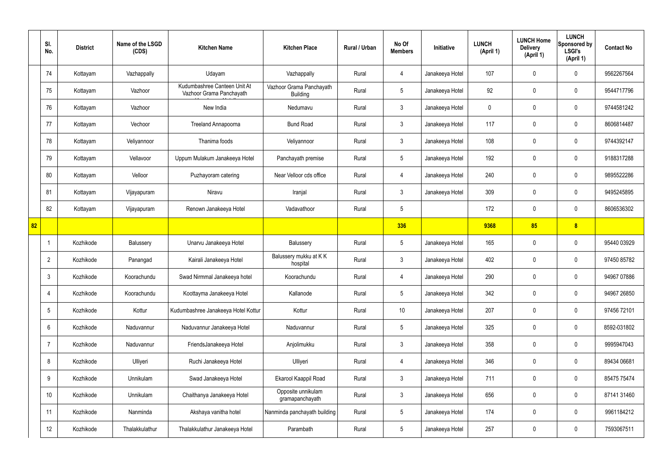|    | SI.<br>No.      | <b>District</b> | Name of the LSGD<br>(CDS) | <b>Kitchen Name</b>                                      | <b>Kitchen Place</b>                        | <b>Rural / Urban</b> | No Of<br><b>Members</b> | <b>Initiative</b> | <b>LUNCH</b><br>(April 1) | <b>LUNCH Home</b><br><b>Delivery</b><br>(April 1) | <b>LUNCH</b><br>Sponsored by<br><b>LSGI's</b><br>(April 1) | <b>Contact No</b> |
|----|-----------------|-----------------|---------------------------|----------------------------------------------------------|---------------------------------------------|----------------------|-------------------------|-------------------|---------------------------|---------------------------------------------------|------------------------------------------------------------|-------------------|
|    | 74              | Kottayam        | Vazhappally               | Udayam                                                   | Vazhappally                                 | Rural                | 4                       | Janakeeya Hotel   | 107                       | $\mathbf 0$                                       | $\mathbf 0$                                                | 9562267564        |
|    | 75              | Kottayam        | Vazhoor                   | Kudumbashree Canteen Unit At<br>Vazhoor Grama Panchayath | Vazhoor Grama Panchayath<br><b>Building</b> | Rural                | $5\overline{)}$         | Janakeeya Hotel   | 92                        | $\mathbf 0$                                       | $\mathbf 0$                                                | 9544717796        |
|    | 76              | Kottayam        | Vazhoor                   | New India                                                | Nedumavu                                    | Rural                | $\mathbf{3}$            | Janakeeya Hotel   | 0                         | $\mathbf 0$                                       | $\mathbf 0$                                                | 9744581242        |
|    | 77              | Kottayam        | Vechoor                   | Treeland Annapoorna                                      | <b>Bund Road</b>                            | Rural                | $\mathbf{3}$            | Janakeeya Hotel   | 117                       | $\mathbf 0$                                       | $\mathbf 0$                                                | 8606814487        |
|    | 78              | Kottayam        | Veliyannoor               | Thanima foods                                            | Veliyannoor                                 | Rural                | $\mathbf{3}$            | Janakeeya Hotel   | 108                       | $\mathbf 0$                                       | $\mathbf 0$                                                | 9744392147        |
|    | 79              | Kottayam        | Vellavoor                 | Uppum Mulakum Janakeeya Hotel                            | Panchayath premise                          | Rural                | $5\overline{)}$         | Janakeeya Hotel   | 192                       | $\mathbf 0$                                       | $\mathbf 0$                                                | 9188317288        |
|    | 80              | Kottayam        | Velloor                   | Puzhayoram catering                                      | Near Velloor cds office                     | Rural                | $\overline{4}$          | Janakeeya Hotel   | 240                       | $\mathbf 0$                                       | $\mathbf 0$                                                | 9895522286        |
|    | 81              | Kottayam        | Vijayapuram               | Niravu                                                   | Iranjal                                     | Rural                | $\mathbf{3}$            | Janakeeya Hotel   | 309                       | $\mathbf 0$                                       | $\mathbf 0$                                                | 9495245895        |
|    | 82              | Kottayam        | Vijayapuram               | Renown Janakeeya Hotel                                   | Vadavathoor                                 | Rural                | $5\phantom{.0}$         |                   | 172                       | $\mathbf 0$                                       | $\mathbf 0$                                                | 8606536302        |
| 82 |                 |                 |                           |                                                          |                                             |                      | 336                     |                   | 9368                      | 85                                                | 8                                                          |                   |
|    |                 | Kozhikode       | Balussery                 | Unarvu Janakeeya Hotel                                   | Balussery                                   | Rural                | $5\phantom{.0}$         | Janakeeya Hotel   | 165                       | 0                                                 | $\mathbf 0$                                                | 95440 03929       |
|    | $\overline{2}$  | Kozhikode       | Panangad                  | Kairali Janakeeya Hotel                                  | Balussery mukku at KK<br>hospital           | Rural                | $\mathbf{3}$            | Janakeeya Hotel   | 402                       | $\mathbf 0$                                       | $\mathbf 0$                                                | 97450 85782       |
|    | $\mathbf{3}$    | Kozhikode       | Koorachundu               | Swad Nirmmal Janakeeya hotel                             | Koorachundu                                 | Rural                | 4                       | Janakeeya Hotel   | 290                       | 0                                                 | $\mathbf 0$                                                | 94967 07886       |
|    | $\overline{4}$  | Kozhikode       | Koorachundu               | Koottayma Janakeeya Hotel                                | Kallanode                                   | Rural                | $5\phantom{.0}$         | Janakeeya Hotel   | 342                       | $\mathbf 0$                                       | $\mathbf 0$                                                | 94967 26850       |
|    | $5\overline{)}$ | Kozhikode       | Kottur                    | Kudumbashree Janakeeya Hotel Kottur                      | Kottur                                      | Rural                | 10                      | Janakeeya Hotel   | 207                       | $\mathbf 0$                                       | $\mathbf 0$                                                | 97456 72101       |
|    | 6               | Kozhikode       | Naduvannur                | Naduvannur Janakeeya Hotel                               | Naduvannur                                  | Rural                | $5\overline{)}$         | Janakeeya Hotel   | 325                       | 0                                                 | $\mathbf 0$                                                | 8592-031802       |
|    | 7               | Kozhikode       | Naduvannur                | FriendsJanakeeya Hotel                                   | Anjolimukku                                 | Rural                | $\mathbf{3}$            | Janakeeya Hotel   | 358                       | 0                                                 | $\mathbf 0$                                                | 9995947043        |
|    | 8               | Kozhikode       | Ulliyeri                  | Ruchi Janakeeya Hotel                                    | Ulliyeri                                    | Rural                | $\overline{4}$          | Janakeeya Hotel   | 346                       | 0                                                 | $\mathbf 0$                                                | 89434 06681       |
|    | 9               | Kozhikode       | Unnikulam                 | Swad Janakeeya Hotel                                     | Ekarool Kaappil Road                        | Rural                | $\mathfrak{Z}$          | Janakeeya Hotel   | 711                       | 0                                                 | $\mathbf 0$                                                | 85475 75474       |
|    | 10              | Kozhikode       | Unnikulam                 | Chaithanya Janakeeya Hotel                               | Opposite unnikulam<br>gramapanchayath       | Rural                | $\mathbf{3}$            | Janakeeya Hotel   | 656                       | 0                                                 | $\mathbf 0$                                                | 87141 31460       |
|    | 11              | Kozhikode       | Nanminda                  | Akshaya vanitha hotel                                    | Nanminda panchayath building                | Rural                | $5\phantom{.0}$         | Janakeeya Hotel   | 174                       | 0                                                 | $\mathbf 0$                                                | 9961184212        |
|    | 12              | Kozhikode       | Thalakkulathur            | Thalakkulathur Janakeeya Hotel                           | Parambath                                   | Rural                | $5\phantom{.0}$         | Janakeeya Hotel   | 257                       | 0                                                 | $\overline{0}$                                             | 7593067511        |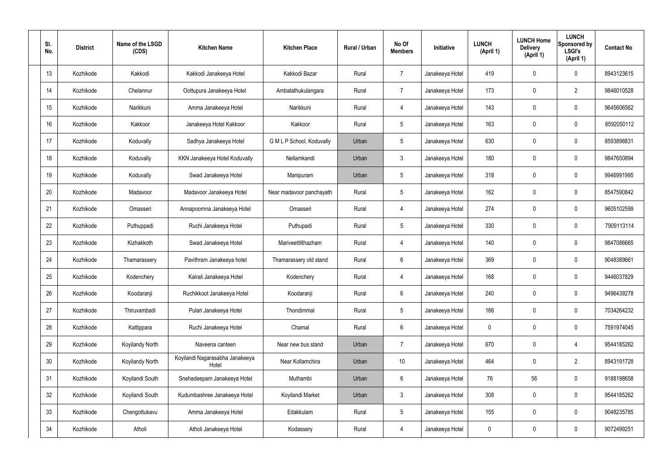| SI.<br>No.      | <b>District</b> | Name of the LSGD<br>(CDS) | <b>Kitchen Name</b>                      | <b>Kitchen Place</b>      | Rural / Urban | No Of<br><b>Members</b> | Initiative      | <b>LUNCH</b><br>(April 1) | <b>LUNCH Home</b><br><b>Delivery</b><br>(April 1) | <b>LUNCH</b><br>Sponsored by<br><b>LSGI's</b><br>(April 1) | <b>Contact No</b> |
|-----------------|-----------------|---------------------------|------------------------------------------|---------------------------|---------------|-------------------------|-----------------|---------------------------|---------------------------------------------------|------------------------------------------------------------|-------------------|
| 13              | Kozhikode       | Kakkodi                   | Kakkodi Janakeeya Hotel                  | Kakkodi Bazar             | Rural         | $\overline{7}$          | Janakeeya Hotel | 419                       | 0                                                 | $\mathbf 0$                                                | 8943123615        |
| 14              | Kozhikode       | Chelannur                 | Oottupura Janakeeya Hotel                | Ambalathukulangara        | Rural         | $\overline{7}$          | Janakeeya Hotel | 173                       | 0                                                 | $\overline{2}$                                             | 9846010528        |
| 15              | Kozhikode       | Narikkuni                 | Amma Janakeeya Hotel                     | Narikkuni                 | Rural         | 4                       | Janakeeya Hotel | 143                       | 0                                                 | $\mathbf 0$                                                | 9645606562        |
| 16              | Kozhikode       | Kakkoor                   | Janakeeya Hotel Kakkoor                  | Kakkoor                   | Rural         | $5\phantom{.0}$         | Janakeeya Hotel | 163                       | 0                                                 | $\mathbf 0$                                                | 8592050112        |
| 17              | Kozhikode       | Koduvally                 | Sadhya Janakeeya Hotel                   | G M L P School, Koduvally | Urban         | $5\phantom{.0}$         | Janakeeya Hotel | 630                       | 0                                                 | $\mathbf 0$                                                | 8593898831        |
| 18              | Kozhikode       | Koduvally                 | KKN Janakeeya Hotel Koduvally            | Nellamkandi               | Urban         | $\mathbf{3}$            | Janakeeya Hotel | 180                       | 0                                                 | $\mathbf 0$                                                | 9847650894        |
| 19              | Kozhikode       | Koduvally                 | Swad Janakeeya Hotel                     | Manipuram                 | Urban         | $5\phantom{.0}$         | Janakeeya Hotel | 318                       | 0                                                 | $\mathbf 0$                                                | 9946991995        |
| 20              | Kozhikode       | Madavoor                  | Madavoor Janakeeya Hotel                 | Near madavoor panchayath  | Rural         | $5\,$                   | Janakeeya Hotel | 162                       | 0                                                 | $\mathbf 0$                                                | 8547590842        |
| 21              | Kozhikode       | Omasseri                  | Annapoornna Janakeeya Hotel              | Omasseri                  | Rural         | 4                       | Janakeeya Hotel | 274                       | 0                                                 | $\mathbf 0$                                                | 9605102599        |
| 22              | Kozhikode       | Puthuppadi                | Ruchi Janakeeya Hotel                    | Puthupadi                 | Rural         | $5\overline{)}$         | Janakeeya Hotel | 330                       | 0                                                 | $\mathbf 0$                                                | 7909113114        |
| 23              | Kozhikode       | Kizhakkoth                | Swad Janakeeya Hotel                     | Mariveettilthazham        | Rural         | 4                       | Janakeeya Hotel | 140                       | $\mathbf 0$                                       | $\mathbf 0$                                                | 9847086665        |
| 24              | Kozhikode       | Thamarassery              | Pavithram Janakeeya hotel                | Thamarassery old stand    | Rural         | $6\phantom{.}6$         | Janakeeya Hotel | 369                       | 0                                                 | $\mathbf 0$                                                | 9048389661        |
| 25              | Kozhikode       | Kodenchery                | Kairali Janakeeya Hotel                  | Kodenchery                | Rural         | 4                       | Janakeeya Hotel | 168                       | $\mathbf 0$                                       | 0                                                          | 9446037829        |
| 26              | Kozhikode       | Koodaranji                | Ruchikkoot Janakeeya Hotel               | Koodaranji                | Rural         | $6\,$                   | Janakeeya Hotel | 240                       | 0                                                 | $\mathbf 0$                                                | 9496439278        |
| 27              | Kozhikode       | Thiruvambadi              | Pulari Janakeeya Hotel                   | Thondimmal                | Rural         | $5\phantom{.0}$         | Janakeeya Hotel | 166                       | 0                                                 | $\mathbf 0$                                                | 7034264232        |
| 28              | Kozhikode       | Kattippara                | Ruchi Janakeeya Hotel                    | Chamal                    | Rural         | $6\phantom{.}6$         | Janakeeya Hotel | 0                         | 0                                                 | $\mathbf 0$                                                | 7591974045        |
| 29              | Kozhikode       | Koyilandy North           | Naveena canteen                          | Near new bus stand        | Urban         | $\overline{7}$          | Janakeeya Hotel | 670                       | 0                                                 | $\overline{4}$                                             | 9544185262        |
| 30 <sup>°</sup> | Kozhikode       | Koyilandy North           | Koyilandi Nagarasabha Janakeeya<br>Hotel | Near Kollamchira          | Urban         | 10 <sup>°</sup>         | Janakeeya Hotel | 464                       | 0                                                 | $\overline{2}$                                             | 8943191728        |
| 31              | Kozhikode       | Koyilandi South           | Snehadeepam Janakeeya Hotel              | Muthambi                  | Urban         | $6\phantom{.}6$         | Janakeeya Hotel | 76                        | 56                                                | $\mathbf 0$                                                | 9188198658        |
| 32              | Kozhikode       | Koyilandi South           | Kudumbashree Janakeeya Hotel             | Koyilandi Market          | Urban         | $\mathbf{3}$            | Janakeeya Hotel | 308                       | 0                                                 | $\mathbf 0$                                                | 9544185262        |
| 33              | Kozhikode       | Chengottukavu             | Amma Janakeeya Hotel                     | Edakkulam                 | Rural         | $5\,$                   | Janakeeya Hotel | 155                       | 0                                                 | $\mathbf 0$                                                | 9048235785        |
| 34              | Kozhikode       | Atholi                    | Atholi Janakeeya Hotel                   | Kodassery                 | Rural         | 4                       | Janakeeya Hotel | 0                         | 0                                                 | $\pmb{0}$                                                  | 9072499251        |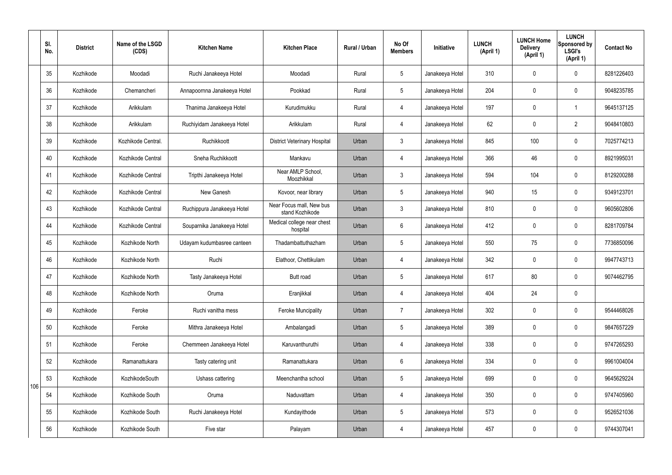|     | SI.<br>No. | <b>District</b> | Name of the LSGD<br>(CDS) | <b>Kitchen Name</b>         | <b>Kitchen Place</b>                        | Rural / Urban | No Of<br><b>Members</b> | Initiative      | <b>LUNCH</b><br>(April 1) | <b>LUNCH Home</b><br><b>Delivery</b><br>(April 1) | <b>LUNCH</b><br>Sponsored by<br><b>LSGI's</b><br>(April 1) | <b>Contact No</b> |
|-----|------------|-----------------|---------------------------|-----------------------------|---------------------------------------------|---------------|-------------------------|-----------------|---------------------------|---------------------------------------------------|------------------------------------------------------------|-------------------|
|     | 35         | Kozhikode       | Moodadi                   | Ruchi Janakeeya Hotel       | Moodadi                                     | Rural         | $5\overline{)}$         | Janakeeya Hotel | 310                       | $\mathbf 0$                                       | $\mathbf 0$                                                | 8281226403        |
|     | 36         | Kozhikode       | Chemancheri               | Annapoornna Janakeeya Hotel | Pookkad                                     | Rural         | $5\overline{)}$         | Janakeeya Hotel | 204                       | $\mathbf 0$                                       | $\mathbf 0$                                                | 9048235785        |
|     | 37         | Kozhikode       | Arikkulam                 | Thanima Janakeeya Hotel     | Kurudimukku                                 | Rural         | $\overline{4}$          | Janakeeya Hotel | 197                       | $\mathbf 0$                                       | -1                                                         | 9645137125        |
|     | 38         | Kozhikode       | Arikkulam                 | Ruchiyidam Janakeeya Hotel  | Arikkulam                                   | Rural         | $\overline{4}$          | Janakeeya Hotel | 62                        | $\mathbf 0$                                       | $\overline{2}$                                             | 9048410803        |
|     | 39         | Kozhikode       | Kozhikode Central.        | Ruchikkoott                 | <b>District Veterinary Hospital</b>         | Urban         | $\mathbf{3}$            | Janakeeya Hotel | 845                       | 100                                               | $\mathbf 0$                                                | 7025774213        |
|     | 40         | Kozhikode       | Kozhikode Central         | Sneha Ruchikkoott           | Mankavu                                     | Urban         | $\overline{4}$          | Janakeeya Hotel | 366                       | 46                                                | $\mathbf 0$                                                | 8921995031        |
|     | 41         | Kozhikode       | Kozhikode Central         | Tripthi Janakeeya Hotel     | Near AMLP School,<br>Moozhikkal             | Urban         | $\mathbf{3}$            | Janakeeya Hotel | 594                       | 104                                               | $\mathbf 0$                                                | 8129200288        |
|     | 42         | Kozhikode       | Kozhikode Central         | New Ganesh                  | Kovoor, near library                        | Urban         | $5\overline{)}$         | Janakeeya Hotel | 940                       | 15                                                | $\mathbf 0$                                                | 9349123701        |
|     | 43         | Kozhikode       | Kozhikode Central         | Ruchippura Janakeeya Hotel  | Near Focus mall, New bus<br>stand Kozhikode | Urban         | $\mathbf{3}$            | Janakeeya Hotel | 810                       | $\mathbf 0$                                       | $\mathbf 0$                                                | 9605602806        |
|     | 44         | Kozhikode       | Kozhikode Central         | Souparnika Janakeeya Hotel  | Medical college near chest<br>hospital      | Urban         | 6                       | Janakeeya Hotel | 412                       | $\mathbf 0$                                       | $\mathbf 0$                                                | 8281709784        |
|     | 45         | Kozhikode       | Kozhikode North           | Udayam kudumbasree canteen  | Thadambattuthazham                          | Urban         | 5 <sup>5</sup>          | Janakeeya Hotel | 550                       | 75                                                | $\mathbf 0$                                                | 7736850096        |
|     | 46         | Kozhikode       | Kozhikode North           | Ruchi                       | Elathoor, Chettikulam                       | Urban         | 4                       | Janakeeya Hotel | 342                       | $\mathbf 0$                                       | $\mathbf 0$                                                | 9947743713        |
|     | 47         | Kozhikode       | Kozhikode North           | Tasty Janakeeya Hotel       | <b>Butt</b> road                            | Urban         | 5                       | Janakeeya Hotel | 617                       | 80                                                | $\mathbf 0$                                                | 9074462795        |
|     | 48         | Kozhikode       | Kozhikode North           | Oruma                       | Eranjikkal                                  | Urban         | $\overline{4}$          | Janakeeya Hotel | 404                       | 24                                                | $\mathbf 0$                                                |                   |
|     | 49         | Kozhikode       | Feroke                    | Ruchi vanitha mess          | <b>Feroke Muncipality</b>                   | Urban         | $\overline{7}$          | Janakeeya Hotel | 302                       | $\mathbf 0$                                       | $\mathbf 0$                                                | 9544468026        |
|     | 50         | Kozhikode       | Feroke                    | Mithra Janakeeya Hotel      | Ambalangadi                                 | Urban         | 5 <sup>5</sup>          | Janakeeya Hotel | 389                       | $\mathbf 0$                                       | $\mathbf 0$                                                | 9847657229        |
|     | 51         | Kozhikode       | Feroke                    | Chemmeen Janakeeya Hotel    | Karuvanthuruthi                             | Urban         | 4                       | Janakeeya Hotel | 338                       | $\pmb{0}$                                         | $\mathbf 0$                                                | 9747265293        |
|     | 52         | Kozhikode       | Ramanattukara             | Tasty catering unit         | Ramanattukara                               | Urban         | $6\overline{6}$         | Janakeeya Hotel | 334                       | $\mathbf 0$                                       | $\mathbf 0$                                                | 9961004004        |
| 106 | 53         | Kozhikode       | KozhikodeSouth            | Ushass cattering            | Meenchantha school                          | Urban         | $5\phantom{.0}$         | Janakeeya Hotel | 699                       | $\pmb{0}$                                         | $\mathbf 0$                                                | 9645629224        |
|     | 54         | Kozhikode       | Kozhikode South           | Oruma                       | Naduvattam                                  | Urban         | 4                       | Janakeeya Hotel | 350                       | $\mathbf 0$                                       | $\mathbf 0$                                                | 9747405960        |
|     | 55         | Kozhikode       | Kozhikode South           | Ruchi Janakeeya Hotel       | Kundayithode                                | Urban         | $5\phantom{.0}$         | Janakeeya Hotel | 573                       | $\mathbf 0$                                       | $\mathbf 0$                                                | 9526521036        |
|     | 56         | Kozhikode       | Kozhikode South           | Five star                   | Palayam                                     | Urban         | 4                       | Janakeeya Hotel | 457                       | $\pmb{0}$                                         | $\overline{0}$                                             | 9744307041        |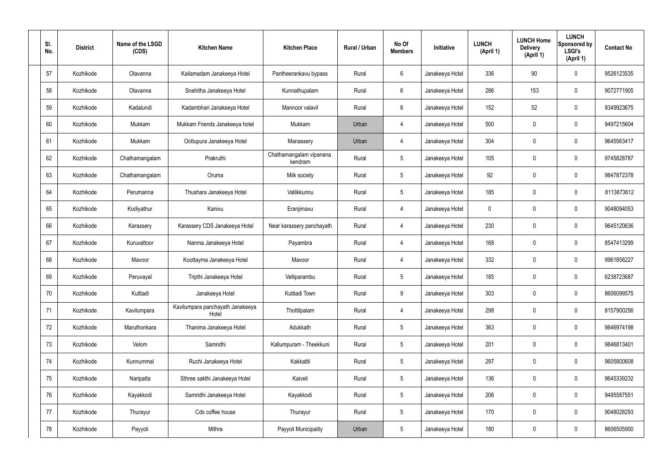| SI.<br>No. | <b>District</b> | Name of the LSGD<br>(CDS) | <b>Kitchen Name</b>                       | <b>Kitchen Place</b>               | Rural / Urban | No Of<br><b>Members</b> | Initiative      | <b>LUNCH</b><br>(April 1) | <b>LUNCH Home</b><br><b>Delivery</b><br>(April 1) | <b>LUNCH</b><br>Sponsored by<br><b>LSGI's</b><br>(April 1) | <b>Contact No</b> |
|------------|-----------------|---------------------------|-------------------------------------------|------------------------------------|---------------|-------------------------|-----------------|---------------------------|---------------------------------------------------|------------------------------------------------------------|-------------------|
| 57         | Kozhikode       | Olavanna                  | Kailamadam Janakeeya Hotel                | Pantheerankavu bypass              | Rural         | 6                       | Janakeeya Hotel | 336                       | 90                                                | 0                                                          | 9526123535        |
| 58         | Kozhikode       | Olavanna                  | Snehitha Janakeeya Hotel                  | Kunnathupalam                      | Rural         | $6\phantom{.}6$         | Janakeeya Hotel | 286                       | 153                                               | 0                                                          | 9072771905        |
| 59         | Kozhikode       | Kadalundi                 | Kadambhari Janakeeya Hotel                | Mannoor valavil                    | Rural         | 6                       | Janakeeya Hotel | 152                       | 52                                                | 0                                                          | 9349923675        |
| 60         | Kozhikode       | Mukkam                    | Mukkam Friends Janakeeya hotel            | Mukkam                             | Urban         | $\overline{4}$          | Janakeeya Hotel | 500                       | $\mathbf 0$                                       | 0                                                          | 9497215604        |
| 61         | Kozhikode       | Mukkam                    | Oottupura Janakeeya Hotel                 | Manassery                          | Urban         | $\overline{4}$          | Janakeeya Hotel | 304                       | 0                                                 | 0                                                          | 9645563417        |
| 62         | Kozhikode       | Chathamangalam            | Prakruthi                                 | Chathamangalam vipanana<br>kendram | Rural         | $\sqrt{5}$              | Janakeeya Hotel | 105                       | $\mathbf 0$                                       | 0                                                          | 9745828787        |
| 63         | Kozhikode       | Chathamangalam            | Oruma                                     | Milk society                       | Rural         | $5\phantom{.0}$         | Janakeeya Hotel | 92                        | 0                                                 | 0                                                          | 9847872378        |
| 64         | Kozhikode       | Perumanna                 | Thushara Janakeeya Hotel                  | Vallikkunnu                        | Rural         | $5\phantom{.0}$         | Janakeeya Hotel | 185                       | $\mathbf 0$                                       | 0                                                          | 8113873612        |
| 65         | Kozhikode       | Kodiyathur                | Kanivu                                    | Eranjimavu                         | Rural         | 4                       | Janakeeya Hotel | $\mathbf 0$               | $\boldsymbol{0}$                                  | 0                                                          | 9048094053        |
| 66         | Kozhikode       | Karassery                 | Karassery CDS Janakeeya Hotel             | Near karassery panchayath          | Rural         | 4                       | Janakeeya Hotel | 230                       | $\mathbf 0$                                       | 0                                                          | 9645120636        |
| 67         | Kozhikode       | Kuruvattoor               | Nanma Janakeeya Hotel                     | Payambra                           | Rural         | 4                       | Janakeeya Hotel | 168                       | 0                                                 | 0                                                          | 8547413299        |
| 68         | Kozhikode       | Mavoor                    | Koottayma Janakeeya Hotel                 | Mavoor                             | Rural         | 4                       | Janakeeya Hotel | 332                       | $\mathbf 0$                                       | 0                                                          | 9961856227        |
| 69         | Kozhikode       | Peruvayal                 | Tripthi Janakeeya Hotel                   | Velliparambu                       | Rural         | $5\phantom{.0}$         | Janakeeya Hotel | 185                       | $\boldsymbol{0}$                                  | 0                                                          | 6238723687        |
| 70         | Kozhikode       | Kuttiadi                  | Janakeeya Hotel                           | Kuttiadi Town                      | Rural         | 9                       | Janakeeya Hotel | 303                       | $\pmb{0}$                                         | 0                                                          | 8606099575        |
| 71         | Kozhikode       | Kavilumpara               | Kavilumpara panchayath Janakeeya<br>Hotel | Thottilpalam                       | Rural         | $\overline{4}$          | Janakeeya Hotel | 298                       | $\pmb{0}$                                         | $\mathbf 0$                                                | 8157900256        |
| 72         | Kozhikode       | Maruthonkara              | Thanima Janakeeya Hotel                   | Adukkath                           | Rural         | $5\phantom{.0}$         | Janakeeya Hotel | 363                       | $\boldsymbol{0}$                                  | 0                                                          | 9846974198        |
| 73         | Kozhikode       | Velom                     | Samridhi                                  | Kallumpuram - Theekkuni            | Rural         | $5\phantom{.0}$         | Janakeeya Hotel | 201                       | $\pmb{0}$                                         | 0                                                          | 9846813401        |
| 74         | Kozhikode       | Kunnummal                 | Ruchi Janakeeya Hotel                     | Kakkattil                          | Rural         | $5\phantom{.0}$         | Janakeeya Hotel | 297                       | $\boldsymbol{0}$                                  | 0                                                          | 9605800608        |
| 75         | Kozhikode       | Naripatta                 | Sthree sakthi Janakeeya Hotel             | Kaiveli                            | Rural         | $5\phantom{.0}$         | Janakeeya Hotel | 136                       | $\pmb{0}$                                         | $\mathbf 0$                                                | 9645339232        |
| 76         | Kozhikode       | Kayakkodi                 | Samridhi Janakeeya Hotel                  | Kayakkodi                          | Rural         | $5\phantom{.0}$         | Janakeeya Hotel | 206                       | $\boldsymbol{0}$                                  | 0                                                          | 9495587551        |
| 77         | Kozhikode       | Thurayur                  | Cds coffee house                          | Thurayur                           | Rural         | $5\phantom{.0}$         | Janakeeya Hotel | 170                       | $\pmb{0}$                                         | 0                                                          | 9048028293        |
| 78         | Kozhikode       | Payyoli                   | Mithra                                    | Payyoli Municipality               | Urban         | $5\phantom{.0}$         | Janakeeya Hotel | 180                       | $\pmb{0}$                                         | 0                                                          | 8606505900        |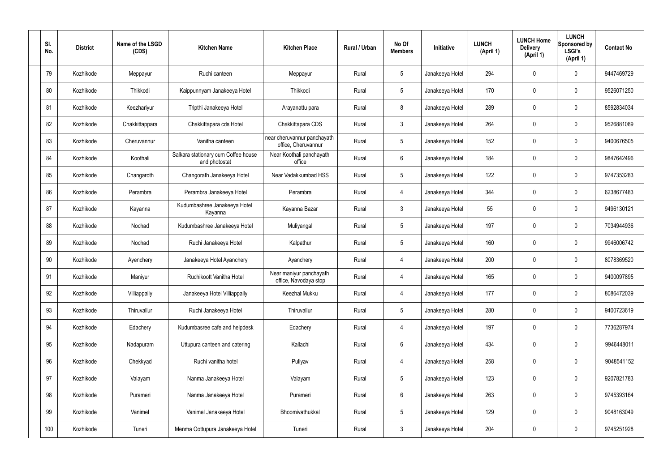| SI.<br>No. | <b>District</b> | Name of the LSGD<br>(CDS) | <b>Kitchen Name</b>                                  | <b>Kitchen Place</b>                               | Rural / Urban | No Of<br><b>Members</b> | Initiative      | <b>LUNCH</b><br>(April 1) | <b>LUNCH Home</b><br><b>Delivery</b><br>(April 1) | <b>LUNCH</b><br>Sponsored by<br><b>LSGI's</b><br>(April 1) | <b>Contact No</b> |
|------------|-----------------|---------------------------|------------------------------------------------------|----------------------------------------------------|---------------|-------------------------|-----------------|---------------------------|---------------------------------------------------|------------------------------------------------------------|-------------------|
| 79         | Kozhikode       | Meppayur                  | Ruchi canteen                                        | Meppayur                                           | Rural         | $5\phantom{.0}$         | Janakeeya Hotel | 294                       | 0                                                 | $\mathbf 0$                                                | 9447469729        |
| 80         | Kozhikode       | Thikkodi                  | Kaippunnyam Janakeeya Hotel                          | Thikkodi                                           | Rural         | $5\phantom{.0}$         | Janakeeya Hotel | 170                       | 0                                                 | $\pmb{0}$                                                  | 9526071250        |
| 81         | Kozhikode       | Keezhariyur               | Tripthi Janakeeya Hotel                              | Arayanattu para                                    | Rural         | 8                       | Janakeeya Hotel | 289                       | 0                                                 | $\mathbf 0$                                                | 8592834034        |
| 82         | Kozhikode       | Chakkittappara            | Chakkittapara cds Hotel                              | Chakkittapara CDS                                  | Rural         | $\mathbf{3}$            | Janakeeya Hotel | 264                       | 0                                                 | $\mathbf 0$                                                | 9526881089        |
| 83         | Kozhikode       | Cheruvannur               | Vanitha canteen                                      | near cheruvannur panchayath<br>office, Cheruvannur | Rural         | $5\phantom{.0}$         | Janakeeya Hotel | 152                       | 0                                                 | $\mathbf 0$                                                | 9400676505        |
| 84         | Kozhikode       | Koothali                  | Salkara stationary cum Coffee house<br>and photostat | Near Koothali panchayath<br>office                 | Rural         | $6\phantom{.}$          | Janakeeya Hotel | 184                       | 0                                                 | $\mathbf 0$                                                | 9847642496        |
| 85         | Kozhikode       | Changaroth                | Changorath Janakeeya Hotel                           | Near Vadakkumbad HSS                               | Rural         | $5\phantom{.0}$         | Janakeeya Hotel | 122                       | 0                                                 | $\mathbf 0$                                                | 9747353283        |
| 86         | Kozhikode       | Perambra                  | Perambra Janakeeya Hotel                             | Perambra                                           | Rural         | $\overline{4}$          | Janakeeya Hotel | 344                       | 0                                                 | $\mathbf 0$                                                | 6238677483        |
| 87         | Kozhikode       | Kayanna                   | Kudumbashree Janakeeya Hotel<br>Kayanna              | Kayanna Bazar                                      | Rural         | $\mathbf{3}$            | Janakeeya Hotel | 55                        | 0                                                 | $\mathbf 0$                                                | 9496130121        |
| 88         | Kozhikode       | Nochad                    | Kudumbashree Janakeeya Hotel                         | Muliyangal                                         | Rural         | $5\phantom{.0}$         | Janakeeya Hotel | 197                       | 0                                                 | $\mathbf 0$                                                | 7034944936        |
| 89         | Kozhikode       | Nochad                    | Ruchi Janakeeya Hotel                                | Kalpathur                                          | Rural         | $5\phantom{.0}$         | Janakeeya Hotel | 160                       | 0                                                 | $\boldsymbol{0}$                                           | 9946006742        |
| 90         | Kozhikode       | Ayenchery                 | Janakeeya Hotel Ayanchery                            | Ayanchery                                          | Rural         | 4                       | Janakeeya Hotel | 200                       | 0                                                 | $\boldsymbol{0}$                                           | 8078369520        |
| 91         | Kozhikode       | Maniyur                   | Ruchikoott Vanitha Hotel                             | Near maniyur panchayath<br>office, Navodaya stop   | Rural         | 4                       | Janakeeya Hotel | 165                       | 0                                                 | 0                                                          | 9400097895        |
| 92         | Kozhikode       | Villiappally              | Janakeeya Hotel Villiappally                         | Keezhal Mukku                                      | Rural         | $\overline{4}$          | Janakeeya Hotel | 177                       | $\mathbf 0$                                       | $\mathbf 0$                                                | 8086472039        |
| 93         | Kozhikode       | Thiruvallur               | Ruchi Janakeeya Hotel                                | Thiruvallur                                        | Rural         | $5\phantom{.0}$         | Janakeeya Hotel | 280                       | $\mathbf 0$                                       | $\mathbf 0$                                                | 9400723619        |
| 94         | Kozhikode       | Edachery                  | Kudumbasree cafe and helpdesk                        | Edachery                                           | Rural         | $\overline{4}$          | Janakeeya Hotel | 197                       | $\mathbf 0$                                       | $\mathbf 0$                                                | 7736287974        |
| 95         | Kozhikode       | Nadapuram                 | Uttupura canteen and catering                        | Kallachi                                           | Rural         | $6\,$                   | Janakeeya Hotel | 434                       | $\mathbf 0$                                       | $\mathbf 0$                                                | 9946448011        |
| 96         | Kozhikode       | Chekkyad                  | Ruchi vanitha hotel                                  | Puliyav                                            | Rural         | $\overline{4}$          | Janakeeya Hotel | 258                       | 0                                                 | $\mathbf 0$                                                | 9048541152        |
| 97         | Kozhikode       | Valayam                   | Nanma Janakeeya Hotel                                | Valayam                                            | Rural         | $5\phantom{.0}$         | Janakeeya Hotel | 123                       | 0                                                 | $\mathbf 0$                                                | 9207821783        |
| 98         | Kozhikode       | Purameri                  | Nanma Janakeeya Hotel                                | Purameri                                           | Rural         | $6\phantom{.}$          | Janakeeya Hotel | 263                       | 0                                                 | $\mathbf 0$                                                | 9745393164        |
| 99         | Kozhikode       | Vanimel                   | Vanimel Janakeeya Hotel                              | Bhoomivathukkal                                    | Rural         | $5\phantom{.0}$         | Janakeeya Hotel | 129                       | 0                                                 | $\mathbf 0$                                                | 9048163049        |
| 100        | Kozhikode       | Tuneri                    | Menma Oottupura Janakeeya Hotel                      | Tuneri                                             | Rural         | $\mathfrak{Z}$          | Janakeeya Hotel | 204                       | $\pmb{0}$                                         | $\boldsymbol{0}$                                           | 9745251928        |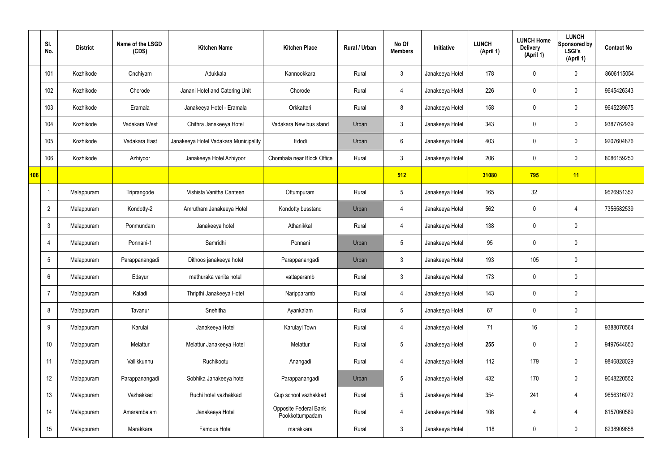|     | SI.<br>No.     | <b>District</b> | Name of the LSGD<br>(CDS) | <b>Kitchen Name</b>                   | <b>Kitchen Place</b>                     | Rural / Urban | No Of<br><b>Members</b> | Initiative      | <b>LUNCH</b><br>(April 1) | <b>LUNCH Home</b><br><b>Delivery</b><br>(April 1) | <b>LUNCH</b><br>Sponsored by<br><b>LSGI's</b><br>(April 1) | <b>Contact No</b> |
|-----|----------------|-----------------|---------------------------|---------------------------------------|------------------------------------------|---------------|-------------------------|-----------------|---------------------------|---------------------------------------------------|------------------------------------------------------------|-------------------|
|     | 101            | Kozhikode       | Onchiyam                  | Adukkala                              | Kannookkara                              | Rural         | $\mathbf{3}$            | Janakeeya Hotel | 178                       | $\mathbf 0$                                       | $\mathbf 0$                                                | 8606115054        |
|     | 102            | Kozhikode       | Chorode                   | Janani Hotel and Catering Unit        | Chorode                                  | Rural         | $\overline{4}$          | Janakeeya Hotel | 226                       | $\mathbf 0$                                       | $\mathbf 0$                                                | 9645426343        |
|     | 103            | Kozhikode       | Eramala                   | Janakeeya Hotel - Eramala             | Orkkatteri                               | Rural         | 8                       | Janakeeya Hotel | 158                       | $\mathbf 0$                                       | $\mathbf 0$                                                | 9645239675        |
|     | 104            | Kozhikode       | Vadakara West             | Chithra Janakeeya Hotel               | Vadakara New bus stand                   | Urban         | $\mathbf{3}$            | Janakeeya Hotel | 343                       | $\mathbf 0$                                       | $\mathbf 0$                                                | 9387762939        |
|     | 105            | Kozhikode       | Vadakara East             | Janakeeya Hotel Vadakara Municipality | Edodi                                    | Urban         | $6\overline{6}$         | Janakeeya Hotel | 403                       | $\mathbf 0$                                       | $\mathbf 0$                                                | 9207604876        |
|     | 106            | Kozhikode       | Azhiyoor                  | Janakeeya Hotel Azhiyoor              | Chombala near Block Office               | Rural         | $\mathbf{3}$            | Janakeeya Hotel | 206                       | $\mathbf 0$                                       | $\mathbf 0$                                                | 8086159250        |
| 106 |                |                 |                           |                                       |                                          |               | 512                     |                 | 31080                     | 795                                               | 11                                                         |                   |
|     | -1             | Malappuram      | Triprangode               | Vishista Vanitha Canteen              | Ottumpuram                               | Rural         | $5\overline{)}$         | Janakeeya Hotel | 165                       | 32                                                |                                                            | 9526951352        |
|     | $\overline{2}$ | Malappuram      | Kondotty-2                | Amrutham Janakeeya Hotel              | Kondotty busstand                        | Urban         | 4                       | Janakeeya Hotel | 562                       | $\mathbf 0$                                       | 4                                                          | 7356582539        |
|     | $\mathbf{3}$   | Malappuram      | Ponmundam                 | Janakeeya hotel                       | Athanikkal                               | Rural         | 4                       | Janakeeya Hotel | 138                       | $\mathbf 0$                                       | $\mathbf 0$                                                |                   |
|     | $\overline{4}$ | Malappuram      | Ponnani-1                 | Samridhi                              | Ponnani                                  | Urban         | $5\overline{)}$         | Janakeeya Hotel | 95                        | $\mathbf 0$                                       | $\mathbf 0$                                                |                   |
|     | 5              | Malappuram      | Parappanangadi            | Dithoos janakeeya hotel               | Parappanangadi                           | Urban         | $\mathbf{3}$            | Janakeeya Hotel | 193                       | 105                                               | $\mathbf 0$                                                |                   |
|     | 6              | Malappuram      | Edayur                    | mathuraka vanita hotel                | vattaparamb                              | Rural         | $\mathbf{3}$            | Janakeeya Hotel | 173                       | $\mathbf 0$                                       | $\mathbf 0$                                                |                   |
|     | $\overline{7}$ | Malappuram      | Kaladi                    | Thripthi Janakeeya Hotel              | Naripparamb                              | Rural         | $\overline{4}$          | Janakeeya Hotel | 143                       | $\pmb{0}$                                         | $\mathbf 0$                                                |                   |
|     | 8              | Malappuram      | Tavanur                   | Snehitha                              | Ayankalam                                | Rural         | $5\overline{)}$         | Janakeeya Hotel | 67                        | $\pmb{0}$                                         | $\mathbf 0$                                                |                   |
|     | 9              | Malappuram      | Karulai                   | Janakeeya Hotel                       | Karulayi Town                            | Rural         | $\overline{4}$          | Janakeeya Hotel | 71                        | 16                                                | $\mathbf 0$                                                | 9388070564        |
|     | 10             | Malappuram      | Melattur                  | Melattur Janakeeya Hotel              | Melattur                                 | Rural         | $5\overline{)}$         | Janakeeya Hotel | 255                       | 0                                                 | $\mathbf 0$                                                | 9497644650        |
|     | 11             | Malappuram      | Vallikkunnu               | Ruchikootu                            | Anangadi                                 | Rural         | $\overline{4}$          | Janakeeya Hotel | 112                       | 179                                               | $\mathbf 0$                                                | 9846828029        |
|     | 12             | Malappuram      | Parappanangadi            | Sobhika Janakeeya hotel               | Parappanangadi                           | Urban         | $5\phantom{.0}$         | Janakeeya Hotel | 432                       | 170                                               | $\mathbf 0$                                                | 9048220552        |
|     | 13             | Malappuram      | Vazhakkad                 | Ruchi hotel vazhakkad                 | Gup school vazhakkad                     | Rural         | $5\overline{)}$         | Janakeeya Hotel | 354                       | 241                                               | 4                                                          | 9656316072        |
|     | 14             | Malappuram      | Amarambalam               | Janakeeya Hotel                       | Opposite Federal Bank<br>Pookkottumpadam | Rural         | $\overline{4}$          | Janakeeya Hotel | 106                       | 4                                                 | 4                                                          | 8157060589        |
|     | 15             | Malappuram      | Marakkara                 | Famous Hotel                          | marakkara                                | Rural         | 3 <sup>2</sup>          | Janakeeya Hotel | 118                       | 0                                                 | $\overline{0}$                                             | 6238909658        |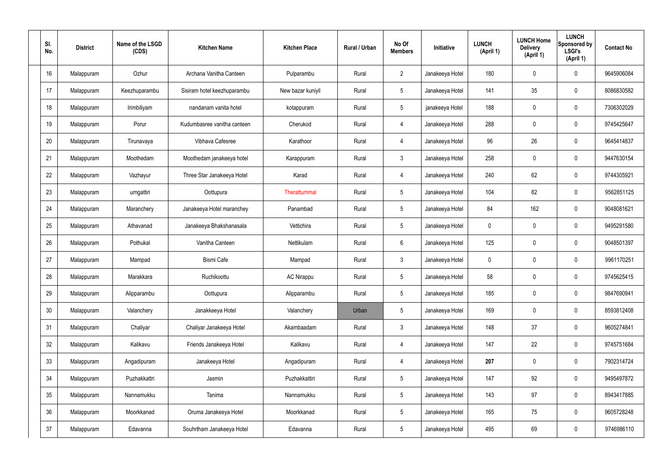| SI.<br>No. | <b>District</b> | Name of the LSGD<br>(CDS) | <b>Kitchen Name</b>         | <b>Kitchen Place</b> | Rural / Urban | No Of<br><b>Members</b> | <b>Initiative</b> | <b>LUNCH</b><br>(April 1) | <b>LUNCH Home</b><br><b>Delivery</b><br>(April 1) | <b>LUNCH</b><br>Sponsored by<br><b>LSGI's</b><br>(April 1) | <b>Contact No</b> |
|------------|-----------------|---------------------------|-----------------------------|----------------------|---------------|-------------------------|-------------------|---------------------------|---------------------------------------------------|------------------------------------------------------------|-------------------|
| 16         | Malappuram      | Ozhur                     | Archana Vanitha Canteen     | Pulparambu           | Rural         | $\overline{2}$          | Janakeeya Hotel   | 180                       | $\mathbf 0$                                       | $\mathbf 0$                                                | 9645906084        |
| 17         | Malappuram      | Keezhuparambu             | Sisiram hotel keezhuparambu | New bazar kuniyil    | Rural         | $5\phantom{.0}$         | Janakeeya Hotel   | 141                       | 35                                                | $\mathbf 0$                                                | 8086830582        |
| 18         | Malappuram      | Irimbiliyam               | nandanam vanita hotel       | kotappuram           | Rural         | $5\overline{)}$         | janakeeya Hotel   | 188                       | 0                                                 | $\mathbf 0$                                                | 7306302029        |
| 19         | Malappuram      | Porur                     | Kudumbasree vanitha canteen | Cherukod             | Rural         | $\overline{4}$          | Janakeeya Hotel   | 288                       | $\mathbf 0$                                       | $\mathbf 0$                                                | 9745425647        |
| 20         | Malappuram      | Tirunavaya                | Vibhava Cafesree            | Karathoor            | Rural         | $\overline{4}$          | Janakeeya Hotel   | 96                        | 26                                                | $\mathbf 0$                                                | 9645414837        |
| 21         | Malappuram      | Moothedam                 | Moothedam janakeeya hotel   | Karappuram           | Rural         | $\mathbf{3}$            | Janakeeya Hotel   | 258                       | $\mathbf 0$                                       | $\mathbf 0$                                                | 9447630154        |
| 22         | Malappuram      | Vazhayur                  | Three Star Janakeeya Hotel  | Karad                | Rural         | $\overline{4}$          | Janakeeya Hotel   | 240                       | 62                                                | $\mathbf 0$                                                | 9744305921        |
| 23         | Malappuram      | urngattiri                | Oottupura                   | Therattummal         | Rural         | $5\phantom{.0}$         | Janakeeya Hotel   | 104                       | 82                                                | $\mathbf 0$                                                | 9562851125        |
| 24         | Malappuram      | Maranchery                | Janakeeya Hotel maranchey   | Panambad             | Rural         | $5\overline{)}$         | Janakeeya Hotel   | 84                        | 162                                               | $\mathbf 0$                                                | 9048081621        |
| 25         | Malappuram      | Athavanad                 | Janakeeya Bhakshanasala     | Vettichira           | Rural         | $5\phantom{.0}$         | Janakeeya Hotel   | $\mathbf 0$               | $\mathbf 0$                                       | $\mathbf 0$                                                | 9495291580        |
| 26         | Malappuram      | Pothukal                  | Vanitha Canteen             | Nettikulam           | Rural         | $6\overline{6}$         | Janakeeya Hotel   | 125                       | 0                                                 | $\mathbf 0$                                                | 9048501397        |
| 27         | Malappuram      | Mampad                    | Bismi Cafe                  | Mampad               | Rural         | $\mathbf{3}$            | Janakeeya Hotel   | $\mathbf 0$               | $\mathbf 0$                                       | $\mathbf 0$                                                | 9961170251        |
| 28         | Malappuram      | Marakkara                 | Ruchikoottu                 | <b>AC Nirappu</b>    | Rural         | $5\phantom{.0}$         | Janakeeya Hotel   | 58                        | 0                                                 | $\mathbf 0$                                                | 9745625415        |
| 29         | Malappuram      | Alipparambu               | Oottupura                   | Alipparambu          | Rural         | $5\phantom{.0}$         | Janakeeya Hotel   | 185                       | $\mathbf 0$                                       | $\mathbf 0$                                                | 9847690941        |
| 30         | Malappuram      | Valanchery                | Janakkeeya Hotel            | Valanchery           | Urban         | $5\phantom{.0}$         | Janakeeya Hotel   | 169                       | $\mathbf 0$                                       | $\mathbf 0$                                                | 8593812408        |
| 31         | Malappuram      | Chaliyar                  | Chaliyar Janakeeya Hotel    | Akambaadam           | Rural         | $\mathbf{3}$            | Janakeeya Hotel   | 148                       | 37                                                | $\mathbf 0$                                                | 9605274841        |
| 32         | Malappuram      | Kalikavu                  | Friends Janakeeya Hotel     | Kalikavu             | Rural         | $\overline{4}$          | Janakeeya Hotel   | 147                       | 22                                                | $\mathbf 0$                                                | 9745751684        |
| 33         | Malappuram      | Angadipuram               | Janakeeya Hotel             | Angadipuram          | Rural         | $\overline{4}$          | Janakeeya Hotel   | 207                       | 0                                                 | $\mathbf 0$                                                | 7902314724        |
| 34         | Malappuram      | Puzhakkattri              | Jasmin                      | Puzhakkattiri        | Rural         | $5\phantom{.0}$         | Janakeeya Hotel   | 147                       | 92                                                | $\mathbf 0$                                                | 9495497872        |
| 35         | Malappuram      | Nannamukku                | Tanima                      | Nannamukku           | Rural         | $5\overline{)}$         | Janakeeya Hotel   | 143                       | 97                                                | $\mathbf 0$                                                | 8943417885        |
| 36         | Malappuram      | Moorkkanad                | Oruma Janakeeya Hotel       | Moorkkanad           | Rural         | $5\phantom{.0}$         | Janakeeya Hotel   | 165                       | 75                                                | $\mathbf 0$                                                | 9605728248        |
| 37         | Malappuram      | Edavanna                  | Souhrtham Janakeeya Hotel   | Edavanna             | Rural         | $5\,$                   | Janakeeya Hotel   | 495                       | 69                                                | $\mathbf 0$                                                | 9746986110        |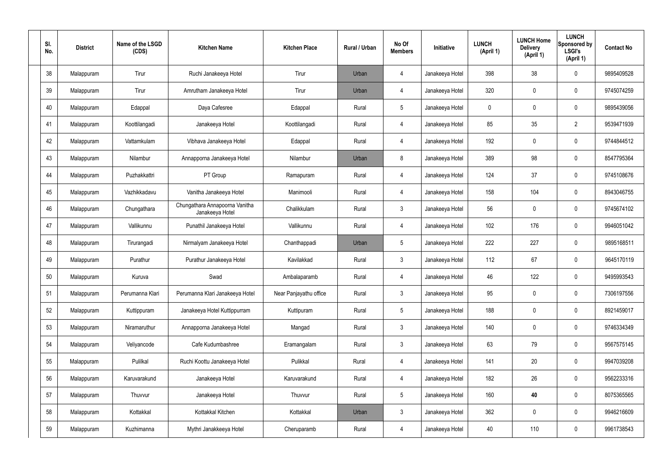| SI.<br>No. | <b>District</b> | Name of the LSGD<br>(CDS) | <b>Kitchen Name</b>                               | <b>Kitchen Place</b>   | Rural / Urban | No Of<br><b>Members</b> | Initiative      | <b>LUNCH</b><br>(April 1) | <b>LUNCH Home</b><br><b>Delivery</b><br>(April 1) | <b>LUNCH</b><br>Sponsored by<br><b>LSGI's</b><br>(April 1) | <b>Contact No</b> |
|------------|-----------------|---------------------------|---------------------------------------------------|------------------------|---------------|-------------------------|-----------------|---------------------------|---------------------------------------------------|------------------------------------------------------------|-------------------|
| 38         | Malappuram      | Tirur                     | Ruchi Janakeeya Hotel                             | Tirur                  | Urban         | 4                       | Janakeeya Hotel | 398                       | 38                                                | $\mathbf 0$                                                | 9895409528        |
| 39         | Malappuram      | Tirur                     | Amrutham Janakeeya Hotel                          | Tirur                  | Urban         | $\overline{4}$          | Janakeeya Hotel | 320                       | 0                                                 | $\mathbf 0$                                                | 9745074259        |
| 40         | Malappuram      | Edappal                   | Daya Cafesree                                     | Edappal                | Rural         | $5\phantom{.0}$         | Janakeeya Hotel | $\mathbf 0$               | 0                                                 | $\mathbf 0$                                                | 9895439056        |
| 41         | Malappuram      | Koottilangadi             | Janakeeya Hotel                                   | Koottilangadi          | Rural         | $\overline{4}$          | Janakeeya Hotel | 85                        | 35                                                | $\overline{2}$                                             | 9539471939        |
| 42         | Malappuram      | Vattamkulam               | Vibhava Janakeeya Hotel                           | Edappal                | Rural         | $\overline{4}$          | Janakeeya Hotel | 192                       | $\mathbf 0$                                       | $\mathbf 0$                                                | 9744844512        |
| 43         | Malappuram      | Nilambur                  | Annapporna Janakeeya Hotel                        | Nilambur               | Urban         | 8                       | Janakeeya Hotel | 389                       | 98                                                | $\mathbf 0$                                                | 8547795364        |
| 44         | Malappuram      | Puzhakkattri              | PT Group                                          | Ramapuram              | Rural         | $\overline{4}$          | Janakeeya Hotel | 124                       | 37                                                | $\mathbf 0$                                                | 9745108676        |
| 45         | Malappuram      | Vazhikkadavu              | Vanitha Janakeeya Hotel                           | Manimooli              | Rural         | $\overline{4}$          | Janakeeya Hotel | 158                       | 104                                               | $\mathbf 0$                                                | 8943046755        |
| 46         | Malappuram      | Chungathara               | Chungathara Annapoorna Vanitha<br>Janakeeya Hotel | Chalikkulam            | Rural         | $\mathbf{3}$            | Janakeeya Hotel | 56                        | 0                                                 | $\mathbf 0$                                                | 9745674102        |
| 47         | Malappuram      | Vallikunnu                | Punathil Janakeeya Hotel                          | Vallikunnu             | Rural         | 4                       | Janakeeya Hotel | 102                       | 176                                               | $\boldsymbol{0}$                                           | 9946051042        |
| 48         | Malappuram      | Tirurangadi               | Nirmalyam Janakeeya Hotel                         | Chanthappadi           | Urban         | $5\phantom{.0}$         | Janakeeya Hotel | 222                       | 227                                               | $\mathbf 0$                                                | 9895168511        |
| 49         | Malappuram      | Purathur                  | Purathur Janakeeya Hotel                          | Kavilakkad             | Rural         | $\mathfrak{Z}$          | Janakeeya Hotel | 112                       | 67                                                | $\boldsymbol{0}$                                           | 9645170119        |
| 50         | Malappuram      | Kuruva                    | Swad                                              | Ambalaparamb           | Rural         | 4                       | Janakeeya Hotel | 46                        | 122                                               | 0                                                          | 9495993543        |
| 51         | Malappuram      | Perumanna Klari           | Perumanna Klari Janakeeya Hotel                   | Near Panjayathu office | Rural         | $\mathbf{3}$            | Janakeeya Hotel | 95                        | 0                                                 | $\mathbf 0$                                                | 7306197556        |
| 52         | Malappuram      | Kuttippuram               | Janakeeya Hotel Kuttippurram                      | Kuttipuram             | Rural         | $5\phantom{.0}$         | Janakeeya Hotel | 188                       | $\mathsf{0}$                                      | $\mathbf 0$                                                | 8921459017        |
| 53         | Malappuram      | Niramaruthur              | Annapporna Janakeeya Hotel                        | Mangad                 | Rural         | $\mathbf{3}$            | Janakeeya Hotel | 140                       | $\mathbf 0$                                       | $\mathbf 0$                                                | 9746334349        |
| 54         | Malappuram      | Veliyancode               | Cafe Kudumbashree                                 | Eramangalam            | Rural         | $\mathbf{3}$            | Janakeeya Hotel | 63                        | 79                                                | $\mathbf 0$                                                | 9567575145        |
| 55         | Malappuram      | Pulilkal                  | Ruchi Koottu Janakeeya Hotel                      | Pulikkal               | Rural         | $\overline{4}$          | Janakeeya Hotel | 141                       | 20                                                | $\mathbf 0$                                                | 9947039208        |
| 56         | Malappuram      | Karuvarakund              | Janakeeya Hotel                                   | Karuvarakund           | Rural         | $\overline{4}$          | Janakeeya Hotel | 182                       | 26                                                | $\mathbf 0$                                                | 9562233316        |
| 57         | Malappuram      | Thuvvur                   | Janakeeya Hotel                                   | Thuvvur                | Rural         | $5\phantom{.0}$         | Janakeeya Hotel | 160                       | 40                                                | $\mathbf 0$                                                | 8075365565        |
| 58         | Malappuram      | Kottakkal                 | Kottakkal Kitchen                                 | Kottakkal              | Urban         | $\mathbf{3}$            | Janakeeya Hotel | 362                       | 0                                                 | $\mathbf 0$                                                | 9946216609        |
| 59         | Malappuram      | Kuzhimanna                | Mythri Janakkeeya Hotel                           | Cheruparamb            | Rural         | 4                       | Janakeeya Hotel | 40                        | 110                                               | $\boldsymbol{0}$                                           | 9961738543        |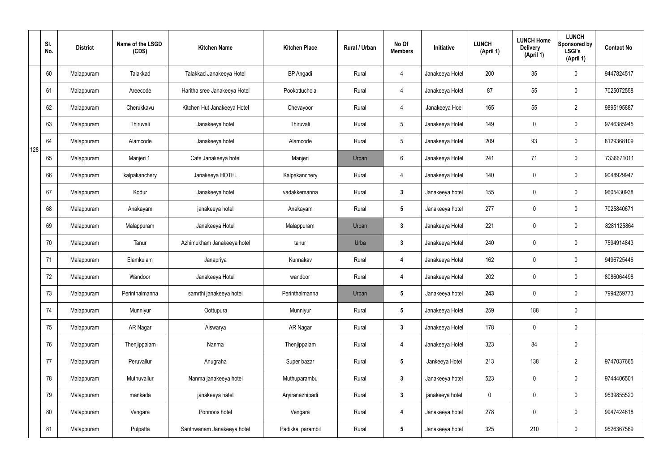|     | SI.<br>No. | <b>District</b> | Name of the LSGD<br>(CDS) | <b>Kitchen Name</b>          | <b>Kitchen Place</b> | Rural / Urban | No Of<br><b>Members</b> | Initiative      | <b>LUNCH</b><br>(April 1) | <b>LUNCH Home</b><br><b>Delivery</b><br>(April 1) | <b>LUNCH</b><br>Sponsored by<br><b>LSGI's</b><br>(April 1) | <b>Contact No</b> |
|-----|------------|-----------------|---------------------------|------------------------------|----------------------|---------------|-------------------------|-----------------|---------------------------|---------------------------------------------------|------------------------------------------------------------|-------------------|
|     | 60         | Malappuram      | Talakkad                  | Talakkad Janakeeya Hotel     | <b>BP</b> Angadi     | Rural         | 4                       | Janakeeya Hotel | 200                       | 35                                                | $\mathbf 0$                                                | 9447824517        |
|     | 61         | Malappuram      | Areecode                  | Haritha sree Janakeeya Hotel | Pookottuchola        | Rural         | $\overline{4}$          | Janakeeya Hotel | 87                        | 55                                                | $\mathbf 0$                                                | 7025072558        |
|     | 62         | Malappuram      | Cherukkavu                | Kitchen Hut Janakeeya Hotel  | Chevayoor            | Rural         | $\overline{4}$          | Janakeeya Hoel  | 165                       | 55                                                | $\overline{2}$                                             | 9895195887        |
|     | 63         | Malappuram      | Thiruvali                 | Janakeeya hotel              | Thiruvali            | Rural         | $5\phantom{.0}$         | Janakeeya Hotel | 149                       | $\mathbf 0$                                       | $\mathbf 0$                                                | 9746385945        |
| 128 | 64         | Malappuram      | Alamcode                  | Janakeeya hotel              | Alamcode             | Rural         | $5\overline{)}$         | Janakeeya Hotel | 209                       | 93                                                | $\mathbf 0$                                                | 8129368109        |
|     | 65         | Malappuram      | Manjeri 1                 | Cafe Janakeeya hotel         | Manjeri              | Urban         | $6\phantom{.}6$         | Janakeeya Hotel | 241                       | 71                                                | $\mathbf 0$                                                | 7336671011        |
|     | 66         | Malappuram      | kalpakanchery             | Janakeeya HOTEL              | Kalpakanchery        | Rural         | $\overline{4}$          | Janakeeya Hotel | 140                       | $\mathbf 0$                                       | $\mathbf 0$                                                | 9048929947        |
|     | 67         | Malappuram      | Kodur                     | Janakeeya hotel              | vadakkemanna         | Rural         | $\mathbf{3}$            | Janakeeya hotel | 155                       | 0                                                 | $\mathbf 0$                                                | 9605430938        |
|     | 68         | Malappuram      | Anakayam                  | janakeeya hotel              | Anakayam             | Rural         | $5\phantom{.0}$         | Janakeeya hotel | 277                       | $\mathbf 0$                                       | $\mathbf 0$                                                | 7025840671        |
|     | 69         | Malappuram      | Malappuram                | Janakeeya Hotel              | Malappuram           | Urban         | $\mathbf{3}$            | Janakeeya Hotel | 221                       | $\boldsymbol{0}$                                  | $\mathbf 0$                                                | 8281125864        |
|     | 70         | Malappuram      | Tanur                     | Azhimukham Janakeeya hotel   | tanur                | Urba          | $\mathbf{3}$            | Janakeeya Hotel | 240                       | 0                                                 | $\mathbf 0$                                                | 7594914843        |
|     | 71         | Malappuram      | Elamkulam                 | Janapriya                    | Kunnakav             | Rural         | 4                       | Janakeeya Hotel | 162                       | $\mathbf 0$                                       | $\mathbf 0$                                                | 9496725446        |
|     | 72         | Malappuram      | Wandoor                   | Janakeeya Hotel              | wandoor              | Rural         | 4                       | Janakeeya Hotel | 202                       | 0                                                 | $\mathbf 0$                                                | 8086064498        |
|     | 73         | Malappuram      | Perinthalmanna            | samrthi janakeeya hotei      | Perinthalmanna       | Urban         | $5\phantom{.0}$         | Janakeeya hotel | 243                       | $\mathbf 0$                                       | $\mathbf 0$                                                | 7994259773        |
|     | 74         | Malappuram      | Munniyur                  | Oottupura                    | Munniyur             | Rural         | $5\phantom{.0}$         | Janakeeya Hotel | 259                       | 188                                               | $\mathbf 0$                                                |                   |
|     | 75         | Malappuram      | AR Nagar                  | Aiswarya                     | AR Nagar             | Rural         | $3\phantom{a}$          | Janakeeya Hotel | 178                       | 0                                                 | $\mathbf 0$                                                |                   |
|     | 76         | Malappuram      | Thenjippalam              | Nanma                        | Thenjippalam         | Rural         | 4                       | Janakeeya Hotel | 323                       | 84                                                | $\mathbf 0$                                                |                   |
|     | 77         | Malappuram      | Peruvallur                | Anugraha                     | Super bazar          | Rural         | $5\phantom{.0}$         | Jankeeya Hotel  | 213                       | 138                                               | $\overline{2}$                                             | 9747037665        |
|     | 78         | Malappuram      | Muthuvallur               | Nanma janakeeya hotel        | Muthuparambu         | Rural         | $\mathbf{3}$            | Janakeeya hotel | 523                       | 0                                                 | $\mathbf 0$                                                | 9744406501        |
|     | 79         | Malappuram      | mankada                   | janakeeya hatel              | Aryiranazhipadi      | Rural         | $3\phantom{a}$          | janakeeya hotel | $\pmb{0}$                 | 0                                                 | $\mathbf 0$                                                | 9539855520        |
|     | 80         | Malappuram      | Vengara                   | Ponnoos hotel                | Vengara              | Rural         | 4                       | Janakeeya hotel | 278                       | 0                                                 | $\mathbf 0$                                                | 9947424618        |
|     | 81         | Malappuram      | Pulpatta                  | Santhwanam Janakeeya hotel   | Padikkal parambil    | Rural         | $5\phantom{.0}$         | Janakeeya hotel | 325                       | 210                                               | $\mathbf 0$                                                | 9526367569        |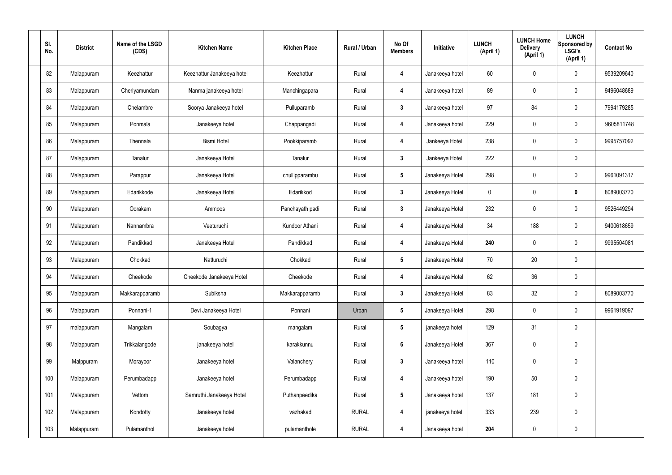| SI.<br>No. | <b>District</b> | Name of the LSGD<br>(CDS) | <b>Kitchen Name</b>        | <b>Kitchen Place</b> | Rural / Urban | No Of<br><b>Members</b> | Initiative      | <b>LUNCH</b><br>(April 1) | <b>LUNCH Home</b><br><b>Delivery</b><br>(April 1) | <b>LUNCH</b><br>Sponsored by<br><b>LSGI's</b><br>(April 1) | <b>Contact No</b> |
|------------|-----------------|---------------------------|----------------------------|----------------------|---------------|-------------------------|-----------------|---------------------------|---------------------------------------------------|------------------------------------------------------------|-------------------|
| 82         | Malappuram      | Keezhattur                | Keezhattur Janakeeya hotel | Keezhattur           | Rural         | 4                       | Janakeeya hotel | 60                        | 0                                                 | $\mathbf 0$                                                | 9539209640        |
| 83         | Malappuram      | Cheriyamundam             | Nanma janakeeya hotel      | Manchingapara        | Rural         | 4                       | Janakeeya hotel | 89                        | $\pmb{0}$                                         | $\mathbf 0$                                                | 9496048689        |
| 84         | Malappuram      | Chelambre                 | Soorya Janakeeya hotel     | Pulluparamb          | Rural         | $\mathbf{3}$            | Janakeeya hotel | 97                        | 84                                                | $\mathbf 0$                                                | 7994179285        |
| 85         | Malappuram      | Ponmala                   | Janakeeya hotel            | Chappangadi          | Rural         | 4                       | Janakeeya hotel | 229                       | $\pmb{0}$                                         | $\mathbf 0$                                                | 9605811748        |
| 86         | Malappuram      | Thennala                  | <b>Bismi Hotel</b>         | Pookkiparamb         | Rural         | 4                       | Jankeeya Hotel  | 238                       | 0                                                 | $\mathbf 0$                                                | 9995757092        |
| 87         | Malappuram      | Tanalur                   | Janakeeya Hotel            | Tanalur              | Rural         | $\mathbf{3}$            | Jankeeya Hotel  | 222                       | $\pmb{0}$                                         | $\mathbf 0$                                                |                   |
| 88         | Malappuram      | Parappur                  | Janakeeya Hotel            | chullipparambu       | Rural         | $5\phantom{.0}$         | Janakeeya Hotel | 298                       | 0                                                 | $\mathbf 0$                                                | 9961091317        |
| 89         | Malappuram      | Edarikkode                | Janakeeya Hotel            | Edarikkod            | Rural         | $\mathbf{3}$            | Janakeeya Hotel | 0                         | $\pmb{0}$                                         | $\mathbf 0$                                                | 8089003770        |
| 90         | Malappuram      | Oorakam                   | Ammoos                     | Panchayath padi      | Rural         | $3\phantom{a}$          | Janakeeya Hotel | 232                       | 0                                                 | $\mathbf 0$                                                | 9526449294        |
| 91         | Malappuram      | Nannambra                 | Veeturuchi                 | Kundoor Athani       | Rural         | 4                       | Janakeeya Hotel | 34                        | 188                                               | $\mathbf 0$                                                | 9400618659        |
| 92         | Malappuram      | Pandikkad                 | Janakeeya Hotel            | Pandikkad            | Rural         | $\overline{\mathbf{4}}$ | Janakeeya Hotel | 240                       | 0                                                 | $\mathbf 0$                                                | 9995504081        |
| 93         | Malappuram      | Chokkad                   | Natturuchi                 | Chokkad              | Rural         | $5\phantom{.0}$         | Janakeeya Hotel | 70                        | 20                                                | $\mathbf 0$                                                |                   |
| 94         | Malappuram      | Cheekode                  | Cheekode Janakeeya Hotel   | Cheekode             | Rural         | 4                       | Janakeeya Hotel | 62                        | 36                                                | $\mathbf 0$                                                |                   |
| 95         | Malappuram      | Makkarapparamb            | Subiksha                   | Makkarapparamb       | Rural         | $\mathbf{3}$            | Janakeeya Hotel | 83                        | 32                                                | $\mathbf 0$                                                | 8089003770        |
| 96         | Malappuram      | Ponnani-1                 | Devi Janakeeya Hotel       | Ponnani              | Urban         | $5\phantom{.0}$         | Janakeeya Hotel | 298                       | $\pmb{0}$                                         | $\mathbf 0$                                                | 9961919097        |
| 97         | malappuram      | Mangalam                  | Soubagya                   | mangalam             | Rural         | $5\phantom{.0}$         | janakeeya hotel | 129                       | 31                                                | $\mathbf 0$                                                |                   |
| 98         | Malappuram      | Trikkalangode             | janakeeya hotel            | karakkunnu           | Rural         | $6\phantom{a}$          | Janakeeya Hotel | 367                       | $\pmb{0}$                                         | $\mathbf 0$                                                |                   |
| 99         | Malppuram       | Morayoor                  | Janakeeya hotel            | Valanchery           | Rural         | $3\phantom{a}$          | Janakeeya hotel | 110                       | $\pmb{0}$                                         | $\mathbf 0$                                                |                   |
| 100        | Malappuram      | Perumbadapp               | Janakeeya hotel            | Perumbadapp          | Rural         | $\overline{\mathbf{4}}$ | Janakeeya hotel | 190                       | 50                                                | $\mathbf 0$                                                |                   |
| 101        | Malappuram      | Vettom                    | Samruthi Janakeeya Hotel   | Puthanpeedika        | Rural         | $5\phantom{.0}$         | Janakeeya hotel | 137                       | 181                                               | $\mathbf 0$                                                |                   |
| 102        | Malappuram      | Kondotty                  | Janakeeya hotel            | vazhakad             | <b>RURAL</b>  | 4                       | janakeeya hotel | 333                       | 239                                               | $\mathbf 0$                                                |                   |
| 103        | Malappuram      | Pulamanthol               | Janakeeya hotel            | pulamanthole         | <b>RURAL</b>  | 4                       | Janakeeya hotel | 204                       | $\pmb{0}$                                         | $\pmb{0}$                                                  |                   |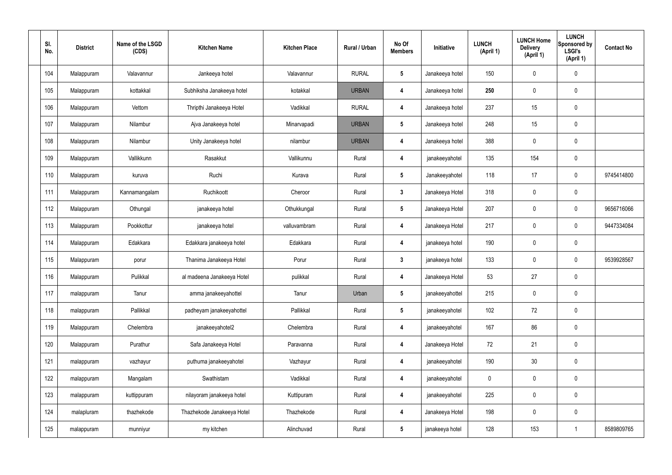| SI.<br>No. | <b>District</b> | Name of the LSGD<br>(CDS) | <b>Kitchen Name</b>        | <b>Kitchen Place</b> | Rural / Urban | No Of<br><b>Members</b> | Initiative      | <b>LUNCH</b><br>(April 1) | <b>LUNCH Home</b><br><b>Delivery</b><br>(April 1) | <b>LUNCH</b><br>Sponsored by<br><b>LSGI's</b><br>(April 1) | <b>Contact No</b> |
|------------|-----------------|---------------------------|----------------------------|----------------------|---------------|-------------------------|-----------------|---------------------------|---------------------------------------------------|------------------------------------------------------------|-------------------|
| 104        | Malappuram      | Valavannur                | Jankeeya hotel             | Valavannur           | <b>RURAL</b>  | $5\phantom{.0}$         | Janakeeya hotel | 150                       | 0                                                 | $\mathbf 0$                                                |                   |
| 105        | Malappuram      | kottakkal                 | Subhiksha Janakeeya hotel  | kotakkal             | <b>URBAN</b>  | 4                       | Janakeeya hotel | 250                       | $\mathbf 0$                                       | $\mathbf 0$                                                |                   |
| 106        | Malappuram      | Vettom                    | Thripthi Janakeeya Hotel   | Vadikkal             | <b>RURAL</b>  | 4                       | Janakeeya hotel | 237                       | 15                                                | $\mathbf 0$                                                |                   |
| 107        | Malappuram      | Nilambur                  | Ajva Janakeeya hotel       | Minarvapadi          | <b>URBAN</b>  | $5\phantom{.0}$         | Janakeeya hotel | 248                       | 15                                                | $\mathbf 0$                                                |                   |
| 108        | Malappuram      | Nilambur                  | Unity Janakeeya hotel      | nilambur             | <b>URBAN</b>  | 4                       | Janakeeya hotel | 388                       | 0                                                 | $\mathbf 0$                                                |                   |
| 109        | Malappuram      | Vallikkunn                | Rasakkut                   | Vallikunnu           | Rural         | 4                       | janakeeyahotel  | 135                       | 154                                               | $\mathbf 0$                                                |                   |
| 110        | Malappuram      | kuruva                    | Ruchi                      | Kurava               | Rural         | $5\phantom{.0}$         | Janakeeyahotel  | 118                       | 17                                                | $\mathbf 0$                                                | 9745414800        |
| 111        | Malappuram      | Kannamangalam             | Ruchikoott                 | Cheroor              | Rural         | $\mathbf{3}$            | Janakeeya Hotel | 318                       | $\boldsymbol{0}$                                  | $\mathbf 0$                                                |                   |
| 112        | Malappuram      | Othungal                  | janakeeya hotel            | Othukkungal          | Rural         | $5\phantom{.0}$         | Janakeeya Hotel | 207                       | 0                                                 | $\mathbf 0$                                                | 9656716066        |
| 113        | Malappuram      | Pookkottur                | janakeeya hotel            | valluvambram         | Rural         | 4                       | Janakeeya Hotel | 217                       | 0                                                 | $\mathbf 0$                                                | 9447334084        |
| 114        | Malappuram      | Edakkara                  | Edakkara janakeeya hotel   | Edakkara             | Rural         | 4                       | janakeeya hotel | 190                       | 0                                                 | $\mathbf 0$                                                |                   |
| 115        | Malappuram      | porur                     | Thanima Janakeeya Hotel    | Porur                | Rural         | $\mathbf{3}$            | janakeeya hotel | 133                       | 0                                                 | $\mathbf 0$                                                | 9539928567        |
| 116        | Malappuram      | Pulikkal                  | al madeena Janakeeya Hotel | pulikkal             | Rural         | 4                       | Janakeeya Hotel | 53                        | 27                                                | $\mathbf 0$                                                |                   |
| 117        | malappuram      | Tanur                     | amma janakeeyahottel       | Tanur                | Urban         | $5\phantom{.0}$         | janakeeyahottel | 215                       | 0                                                 | $\mathbf 0$                                                |                   |
| 118        | malappuram      | Pallikkal                 | padheyam janakeeyahottel   | Pallikkal            | Rural         | $5\phantom{.0}$         | janakeeyahotel  | 102                       | 72                                                | $\mathbf 0$                                                |                   |
| 119        | Malappuram      | Chelembra                 | janakeeyahotel2            | Chelembra            | Rural         | $\overline{\mathbf{4}}$ | janakeeyahotel  | 167                       | 86                                                | $\mathbf 0$                                                |                   |
| 120        | Malappuram      | Purathur                  | Safa Janakeeya Hotel       | Paravanna            | Rural         | $\overline{\mathbf{4}}$ | Janakeeya Hotel | 72                        | 21                                                | $\mathbf 0$                                                |                   |
| 121        | malappuram      | vazhayur                  | puthuma janakeeyahotel     | Vazhayur             | Rural         | $\overline{\mathbf{4}}$ | janakeeyahotel  | 190                       | 30                                                | $\mathbf 0$                                                |                   |
| 122        | malappuram      | Mangalam                  | Swathistam                 | Vadikkal             | Rural         | $\overline{\mathbf{4}}$ | janakeeyahotel  | $\mathbf 0$               | 0                                                 | $\mathbf 0$                                                |                   |
| 123        | malappuram      | kuttippuram               | nilayoram janakeeya hotel  | Kuttipuram           | Rural         | $\overline{\mathbf{4}}$ | janakeeyahotel  | 225                       | 0                                                 | $\mathbf 0$                                                |                   |
| 124        | malapluram      | thazhekode                | Thazhekode Janakeeya Hotel | Thazhekode           | Rural         | 4                       | Janakeeya Hotel | 198                       | $\pmb{0}$                                         | $\mathbf 0$                                                |                   |
| 125        | malappuram      | munniyur                  | my kitchen                 | Alinchuvad           | Rural         | $5\phantom{.0}$         | janakeeya hotel | 128                       | 153                                               | $\overline{1}$                                             | 8589809765        |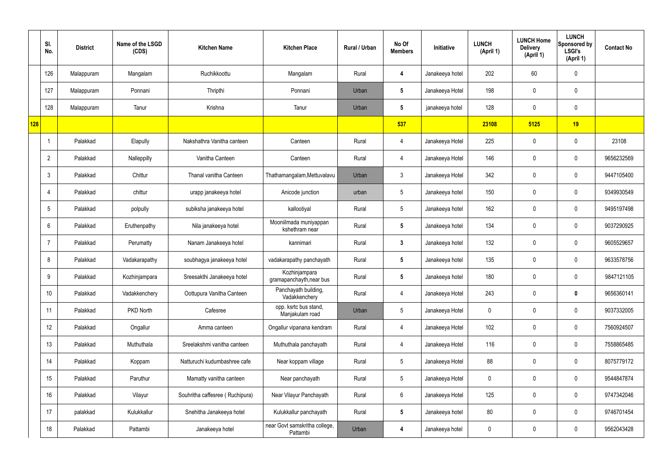|            | SI.<br>No.           | <b>District</b> | Name of the LSGD<br>(CDS) | <b>Kitchen Name</b>             | <b>Kitchen Place</b>                      | Rural / Urban | No Of<br><b>Members</b> | Initiative      | <b>LUNCH</b><br>(April 1) | <b>LUNCH Home</b><br><b>Delivery</b><br>(April 1) | <b>LUNCH</b><br>Sponsored by<br><b>LSGI's</b><br>(April 1) | <b>Contact No</b> |
|------------|----------------------|-----------------|---------------------------|---------------------------------|-------------------------------------------|---------------|-------------------------|-----------------|---------------------------|---------------------------------------------------|------------------------------------------------------------|-------------------|
|            | 126                  | Malappuram      | Mangalam                  | Ruchikkoottu                    | Mangalam                                  | Rural         | $\overline{4}$          | Janakeeya hotel | 202                       | 60                                                | $\mathbf 0$                                                |                   |
|            | 127                  | Malappuram      | Ponnani                   | Thripthi                        | Ponnani                                   | Urban         | $5\phantom{.0}$         | Janakeeya Hotel | 198                       | 0                                                 | $\mathbf 0$                                                |                   |
|            | 128                  | Malappuram      | Tanur                     | Krishna                         | Tanur                                     | Urban         | $5\phantom{.0}$         | janakeeya hotel | 128                       | 0                                                 | $\mathbf 0$                                                |                   |
| <b>128</b> |                      |                 |                           |                                 |                                           |               | 537                     |                 | 23108                     | 5125                                              | 19                                                         |                   |
|            | $\blacktriangleleft$ | Palakkad        | Elapully                  | Nakshathra Vanitha canteen      | Canteen                                   | Rural         | $\overline{4}$          | Janakeeya Hotel | 225                       | 0                                                 | $\mathbf 0$                                                | 23108             |
|            | $\overline{2}$       | Palakkad        | Nalleppilly               | Vanitha Canteen                 | Canteen                                   | Rural         | $\overline{4}$          | Janakeeya Hotel | 146                       | 0                                                 | $\pmb{0}$                                                  | 9656232569        |
|            | 3                    | Palakkad        | Chittur                   | Thanal vanitha Canteen          | Thathamangalam, Mettuvalavu               | Urban         | $\mathbf{3}$            | Janakeeya Hotel | 342                       | 0                                                 | $\mathbf 0$                                                | 9447105400        |
|            |                      | Palakkad        | chittur                   | urapp janakeeya hotel           | Anicode junction                          | urban         | $5\phantom{.0}$         | Janakeeya hotel | 150                       | 0                                                 | $\pmb{0}$                                                  | 9349930549        |
|            | 5                    | Palakkad        | polpully                  | subiksha janakeeya hotel        | kallootiyal                               | Rural         | $5\phantom{.0}$         | Janakeeya hotel | 162                       | 0                                                 | $\mathbf 0$                                                | 9495197498        |
|            | 6                    | Palakkad        | Eruthenpathy              | Nila janakeeya hotel            | Mooniilmada muniyappan<br>kshethram near  | Rural         | $5\phantom{.0}$         | Janakeeya hotel | 134                       | 0                                                 | $\pmb{0}$                                                  | 9037290925        |
|            | -7                   | Palakkad        | Perumatty                 | Nanam Janakeeya hotel           | kannimari                                 | Rural         | $\mathbf{3}$            | Janakeeya hotel | 132                       | 0                                                 | $\mathbf 0$                                                | 9605529657        |
|            | 8                    | Palakkad        | Vadakarapathy             | soubhagya janakeeya hotel       | vadakarapathy panchayath                  | Rural         | $5\phantom{.0}$         | Janakeeya hotel | 135                       | 0                                                 | $\pmb{0}$                                                  | 9633578756        |
|            | 9                    | Palakkad        | Kozhinjampara             | Sreesakthi Janakeeya hotel      | Kozhinjampara<br>gramapanchayth, near bus | Rural         | $5\phantom{.0}$         | Janakeeya hotel | 180                       | 0                                                 | $\mathbf 0$                                                | 9847121105        |
|            | 10                   | Palakkad        | Vadakkenchery             | Oottupura Vanitha Canteen       | Panchayath building,<br>Vadakkenchery     | Rural         | $\overline{4}$          | Janakeeya Hotel | 243                       | $\mathbf 0$                                       | $\pmb{0}$                                                  | 9656360141        |
|            | 11                   | Palakkad        | PKD North                 | Cafesree                        | opp. ksrtc bus stand,<br>Manjakulam road  | Urban         | $5\phantom{.0}$         | Janakeeya Hotel | 0                         | $\mathbf 0$                                       | $\mathbf 0$                                                | 9037332005        |
|            | 12                   | Palakkad        | Ongallur                  | Amma canteen                    | Ongallur vipanana kendram                 | Rural         | $\overline{4}$          | Janakeeya Hotel | 102                       | $\mathbf 0$                                       | $\mathbf 0$                                                | 7560924507        |
|            | 13                   | Palakkad        | Muthuthala                | Sreelakshmi vanitha canteen     | Muthuthala panchayath                     | Rural         | $\overline{4}$          | Janakeeya Hotel | 116                       | $\mathbf 0$                                       | $\mathbf 0$                                                | 7558865485        |
|            | 14                   | Palakkad        | Koppam                    | Natturuchi kudumbashree cafe    | Near koppam village                       | Rural         | $\sqrt{5}$              | Janakeeya Hotel | 88                        | 0                                                 | $\mathbf 0$                                                | 8075779172        |
|            | 15                   | Palakkad        | Paruthur                  | Mamatty vanitha canteen         | Near panchayath                           | Rural         | $\sqrt{5}$              | Janakeeya Hotel | 0                         | $\mathbf 0$                                       | $\mathbf 0$                                                | 9544847874        |
|            | 16                   | Palakkad        | Vilayur                   | Souhritha caffesree (Ruchipura) | Near Vilayur Panchayath                   | Rural         | $6\phantom{.}$          | Janakeeya Hotel | 125                       | 0                                                 | $\mathbf 0$                                                | 9747342046        |
|            | 17                   | palakkad        | Kulukkallur               | Snehitha Janakeeya hotel        | Kulukkallur panchayath                    | Rural         | $5\phantom{.0}$         | Janakeeya hotel | 80                        | $\mathbf 0$                                       | $\mathbf 0$                                                | 9746701454        |
|            | 18                   | Palakkad        | Pattambi                  | Janakeeya hotel                 | near Govt samskritha college,<br>Pattambi | Urban         | 4                       | Janakeeya hotel | 0                         | 0                                                 | $\mathbf 0$                                                | 9562043428        |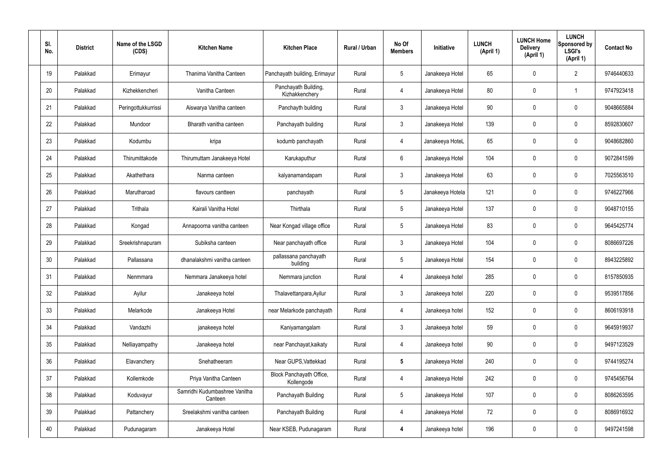| SI.<br>No. | <b>District</b> | Name of the LSGD<br>(CDS) | <b>Kitchen Name</b>                      | <b>Kitchen Place</b>                   | Rural / Urban | No Of<br><b>Members</b> | Initiative       | <b>LUNCH</b><br>(April 1) | <b>LUNCH Home</b><br><b>Delivery</b><br>(April 1) | <b>LUNCH</b><br>Sponsored by<br><b>LSGI's</b><br>(April 1) | <b>Contact No</b> |
|------------|-----------------|---------------------------|------------------------------------------|----------------------------------------|---------------|-------------------------|------------------|---------------------------|---------------------------------------------------|------------------------------------------------------------|-------------------|
| 19         | Palakkad        | Erimayur                  | Thanima Vanitha Canteen                  | Panchayath building, Erimayur          | Rural         | $5\phantom{.0}$         | Janakeeya Hotel  | 65                        | $\mathbf 0$                                       | $\overline{2}$                                             | 9746440633        |
| 20         | Palakkad        | Kizhekkencheri            | Vanitha Canteen                          | Panchayath Building,<br>Kizhakkenchery | Rural         | 4                       | Janakeeya Hotel  | 80                        | $\mathbf 0$                                       | -1                                                         | 9747923418        |
| 21         | Palakkad        | Peringottukkurrissi       | Aiswarya Vanitha canteen                 | Panchayth building                     | Rural         | $\mathbf{3}$            | Janakeeya Hotel  | 90                        | $\mathbf 0$                                       | 0                                                          | 9048665884        |
| 22         | Palakkad        | Mundoor                   | Bharath vanitha canteen                  | Panchayath building                    | Rural         | $\mathbf{3}$            | Janakeeya Hotel  | 139                       | $\mathbf 0$                                       | 0                                                          | 8592830607        |
| 23         | Palakkad        | Kodumbu                   | kripa                                    | kodumb panchayath                      | Rural         | 4                       | Janakeeya HoteL  | 65                        | 0                                                 | 0                                                          | 9048682860        |
| 24         | Palakkad        | Thirumittakode            | Thirumuttam Janakeeya Hotel              | Karukaputhur                           | Rural         | $6\phantom{.}6$         | Janakeeya Hotel  | 104                       | $\mathbf 0$                                       | 0                                                          | 9072841599        |
| 25         | Palakkad        | Akathethara               | Nanma canteen                            | kalyanamandapam                        | Rural         | $\mathbf{3}$            | Janakeeya Hotel  | 63                        | $\mathbf 0$                                       | 0                                                          | 7025563510        |
| 26         | Palakkad        | Marutharoad               | flavours cantteen                        | panchayath                             | Rural         | $5\phantom{.0}$         | Janakeeya Hotela | 121                       | $\mathbf 0$                                       | 0                                                          | 9746227966        |
| 27         | Palakkad        | Trithala                  | Kairali Vanitha Hotel                    | Thirthala                              | Rural         | $5\phantom{.0}$         | Janakeeya Hotel  | 137                       | 0                                                 | 0                                                          | 9048710155        |
| 28         | Palakkad        | Kongad                    | Annapoorna vanitha canteen               | Near Kongad village office             | Rural         | $5\phantom{.0}$         | Janakeeya Hotel  | 83                        | 0                                                 | 0                                                          | 9645425774        |
| 29         | Palakkad        | Sreekrishnapuram          | Subiksha canteen                         | Near panchayath office                 | Rural         | $\mathbf{3}$            | Janakeeya Hotel  | 104                       | 0                                                 | 0                                                          | 8086697226        |
| 30         | Palakkad        | Pallassana                | dhanalakshmi vanitha canteen             | pallassana panchayath<br>building      | Rural         | $5\phantom{.0}$         | Janakeeya Hotel  | 154                       | 0                                                 | 0                                                          | 8943225892        |
| 31         | Palakkad        | Nenmmara                  | Nemmara Janakeeya hotel                  | Nemmara junction                       | Rural         | 4                       | Janakeeya hotel  | 285                       | 0                                                 | 0                                                          | 8157850935        |
| 32         | Palakkad        | Ayilur                    | Janakeeya hotel                          | Thalavettanpara, Ayilur                | Rural         | $\mathbf{3}$            | Janakeeya hotel  | 220                       | $\mathbf 0$                                       | 0                                                          | 9539517856        |
| 33         | Palakkad        | Melarkode                 | Janakeeya Hotel                          | near Melarkode panchayath              | Rural         | $\overline{4}$          | Janakeeya hotel  | 152                       | $\mathbf 0$                                       | 0                                                          | 8606193918        |
| 34         | Palakkad        | Vandazhi                  | janakeeya hotel                          | Kaniyamangalam                         | Rural         | $\mathbf{3}$            | Janakeeya hotel  | 59                        | $\mathbf 0$                                       | 0                                                          | 9645919937        |
| 35         | Palakkad        | Nelliayampathy            | Janakeeya hotel                          | near Panchayat, kaikaty                | Rural         | $\overline{4}$          | Janakeeya hotel  | 90 <sup>°</sup>           | $\mathbf 0$                                       | 0                                                          | 9497123529        |
| 36         | Palakkad        | Elavanchery               | Snehatheeram                             | Near GUPS, Vattekkad                   | Rural         | $5\phantom{.0}$         | Janakeeya Hotel  | 240                       | $\mathbf 0$                                       | 0                                                          | 9744195274        |
| 37         | Palakkad        | Kollemkode                | Priya Vanitha Canteen                    | Block Panchayath Office,<br>Kollengode | Rural         | $\overline{4}$          | Janakeeya Hotel  | 242                       | $\mathbf 0$                                       | 0                                                          | 9745456764        |
| 38         | Palakkad        | Koduvayur                 | Samridhi Kudumbashree Vanitha<br>Canteen | Panchayath Building                    | Rural         | $5\phantom{.0}$         | Janakeeya Hotel  | 107                       | $\mathbf 0$                                       | 0                                                          | 8086263595        |
| 39         | Palakkad        | Pattanchery               | Sreelakshmi vanitha canteen              | Panchayath Building                    | Rural         | $\overline{4}$          | Janakeeya Hotel  | 72                        | $\mathbf 0$                                       | 0                                                          | 8086916932        |
| 40         | Palakkad        | Pudunagaram               | Janakeeya Hotel                          | Near KSEB, Pudunagaram                 | Rural         | 4                       | Janakeeya hotel  | 196                       | 0                                                 | 0                                                          | 9497241598        |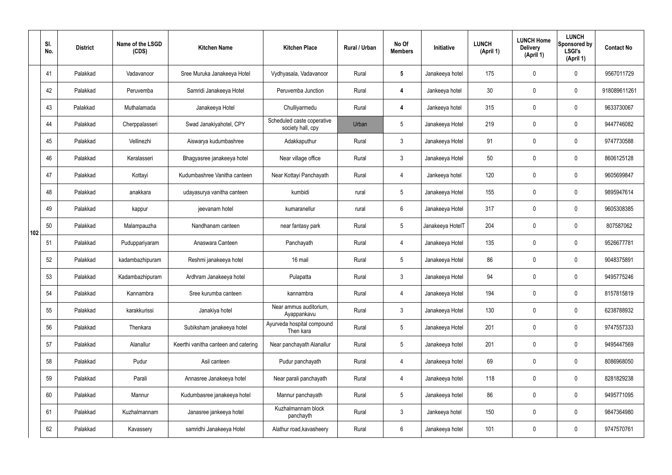|     | SI.<br>No. | <b>District</b> | Name of the LSGD<br>(CDS) | <b>Kitchen Name</b>                  | <b>Kitchen Place</b>                            | Rural / Urban | No Of<br><b>Members</b> | Initiative       | <b>LUNCH</b><br>(April 1) | <b>LUNCH Home</b><br><b>Delivery</b><br>(April 1) | <b>LUNCH</b><br>Sponsored by<br><b>LSGI's</b><br>(April 1) | <b>Contact No</b> |
|-----|------------|-----------------|---------------------------|--------------------------------------|-------------------------------------------------|---------------|-------------------------|------------------|---------------------------|---------------------------------------------------|------------------------------------------------------------|-------------------|
|     | 41         | Palakkad        | Vadavanoor                | Sree Muruka Janakeeya Hotel          | Vydhyasala, Vadavanoor                          | Rural         | 5                       | Janakeeya hotel  | 175                       | 0                                                 | $\mathbf 0$                                                | 9567011729        |
|     | 42         | Palakkad        | Peruvemba                 | Samridi Janakeeya Hotel              | Peruvemba Junction                              | Rural         | 4                       | Jankeeya hotel   | 30 <sup>°</sup>           | 0                                                 | $\pmb{0}$                                                  | 918089611261      |
|     | 43         | Palakkad        | Muthalamada               | Janakeeya Hotel                      | Chulliyarmedu                                   | Rural         | 4                       | Jankeeya hotel   | 315                       | $\mathbf 0$                                       | $\mathbf 0$                                                | 9633730067        |
|     | 44         | Palakkad        | Cherppalasseri            | Swad Janakiyahotel, CPY              | Scheduled caste coperative<br>society hall, cpy | Urban         | 5                       | Janakeeya Hotel  | 219                       | 0                                                 | $\mathbf 0$                                                | 9447746082        |
|     | 45         | Palakkad        | Vellinezhi                | Aiswarya kudumbashree                | Adakkaputhur                                    | Rural         | $\mathbf{3}$            | Janakeeya Hotel  | 91                        | $\mathbf 0$                                       | $\mathbf 0$                                                | 9747730588        |
|     | 46         | Palakkad        | Keralasseri               | Bhagyasree janakeeya hotel           | Near village office                             | Rural         | $\mathbf{3}$            | Janakeeya Hotel  | 50                        | 0                                                 | $\mathbf 0$                                                | 8606125128        |
|     | 47         | Palakkad        | Kottayi                   | Kudumbashree Vanitha canteen         | Near Kottayi Panchayath                         | Rural         | 4                       | Jankeeya hotel   | 120                       | 0                                                 | $\mathbf 0$                                                | 9605699847        |
|     | 48         | Palakkad        | anakkara                  | udayasurya vanitha canteen           | kumbidi                                         | rural         | 5                       | Janakeeya Hotel  | 155                       | 0                                                 | $\mathbf 0$                                                | 9895947614        |
|     | 49         | Palakkad        | kappur                    | jeevanam hotel                       | kumaranellur                                    | rural         | 6                       | Janakeeya Hotel  | 317                       | 0                                                 | $\mathbf 0$                                                | 9605308385        |
| 102 | 50         | Palakkad        | Malampauzha               | Nandhanam canteen                    | near fantasy park                               | Rural         | $5\phantom{.0}$         | Janakeeya HotelT | 204                       | 0                                                 | $\mathbf 0$                                                | 807587062         |
|     | 51         | Palakkad        | Puduppariyaram            | Anaswara Canteen                     | Panchayath                                      | Rural         | 4                       | Janakeeya Hotel  | 135                       | 0                                                 | $\mathbf 0$                                                | 9526677781        |
|     | 52         | Palakkad        | kadambazhipuram           | Reshmi janakeeya hotel               | 16 mail                                         | Rural         | 5                       | Janakeeya Hotel  | 86                        | 0                                                 | $\mathbf 0$                                                | 9048375891        |
|     | 53         | Palakkad        | Kadambazhipuram           | Ardhram Janakeeya hotel              | Pulapatta                                       | Rural         | 3                       | Janakeeya Hotel  | 94                        | 0                                                 | $\mathbf 0$                                                | 9495775246        |
|     | 54         | Palakkad        | Kannambra                 | Sree kurumba canteen                 | kannambra                                       | Rural         | $\overline{4}$          | Janakeeya Hotel  | 194                       | 0                                                 | $\pmb{0}$                                                  | 8157815819        |
|     | 55         | Palakkad        | karakkurissi              | Janakiya hotel                       | Near ammus auditorium,<br>Ayappankavu           | Rural         | $\mathbf{3}$            | Janakeeya Hotel  | 130                       | 0                                                 | $\mathbf 0$                                                | 6238788932        |
|     | 56         | Palakkad        | Thenkara                  | Subiksham janakeeya hotel            | Ayurveda hospital compound<br>Then kara         | Rural         | 5                       | Janakeeya Hotel  | 201                       | 0                                                 | $\mathbf 0$                                                | 9747557333        |
|     | 57         | Palakkad        | Alanallur                 | Keerthi vanitha canteen and catering | Near panchayath Alanallur                       | Rural         | $5\phantom{.0}$         | Janakeeya hotel  | 201                       | 0                                                 | $\mathbf 0$                                                | 9495447569        |
|     | 58         | Palakkad        | Pudur                     | Asil canteen                         | Pudur panchayath                                | Rural         | $\overline{4}$          | Janakeeya hotel  | 69                        | 0                                                 | $\mathbf 0$                                                | 8086968050        |
|     | 59         | Palakkad        | Parali                    | Annasree Janakeeya hotel             | Near parali panchayath                          | Rural         | $\overline{4}$          | Janakeeya hotel  | 118                       | 0                                                 | $\mathbf 0$                                                | 8281829238        |
|     | 60         | Palakkad        | Mannur                    | Kudumbasree janakeeya hotel          | Mannur panchayath                               | Rural         | $5\phantom{.0}$         | Janakeeya hotel  | 86                        | 0                                                 | $\mathbf 0$                                                | 9495771095        |
|     | 61         | Palakkad        | Kuzhalmannam              | Janasree jankeeya hotel              | Kuzhalmannam block<br>panchayth                 | Rural         | $\mathbf{3}$            | Jankeeya hotel   | 150                       | 0                                                 | $\mathbf 0$                                                | 9847364980        |
|     | 62         | Palakkad        | Kavassery                 | samridhi Janakeeya Hotel             | Alathur road, kavasheery                        | Rural         | $6\phantom{.}6$         | Janakeeya hotel  | 101                       | 0                                                 | $\boldsymbol{0}$                                           | 9747570761        |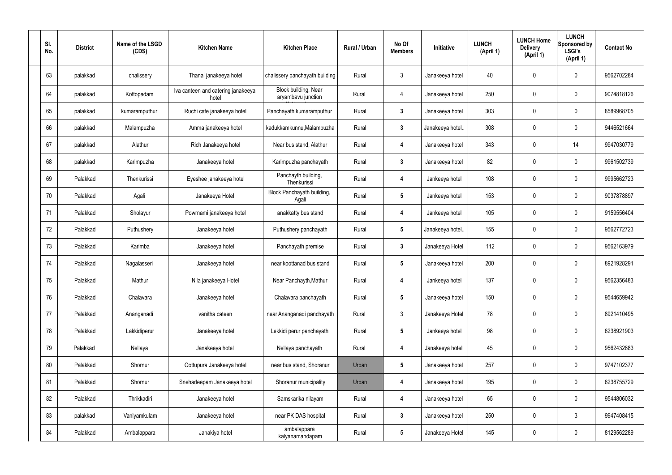| SI.<br>No. | <b>District</b> | Name of the LSGD<br>(CDS) | <b>Kitchen Name</b>                         | <b>Kitchen Place</b>                       | Rural / Urban | No Of<br><b>Members</b> | Initiative       | <b>LUNCH</b><br>(April 1) | <b>LUNCH Home</b><br><b>Delivery</b><br>(April 1) | <b>LUNCH</b><br>Sponsored by<br><b>LSGI's</b><br>(April 1) | <b>Contact No</b> |
|------------|-----------------|---------------------------|---------------------------------------------|--------------------------------------------|---------------|-------------------------|------------------|---------------------------|---------------------------------------------------|------------------------------------------------------------|-------------------|
| 63         | palakkad        | chalissery                | Thanal janakeeya hotel                      | chalissery panchayath building             | Rural         | $\mathbf{3}$            | Janakeeya hotel  | 40                        | 0                                                 | 0                                                          | 9562702284        |
| 64         | palakkad        | Kottopadam                | Iva canteen and catering janakeeya<br>hotel | Block building, Near<br>aryambavu junction | Rural         | 4                       | Janakeeya hotel  | 250                       | $\boldsymbol{0}$                                  | $\mathbf 0$                                                | 9074818126        |
| 65         | palakkad        | kumaramputhur             | Ruchi cafe janakeeya hotel                  | Panchayath kumaramputhur                   | Rural         | $\mathbf{3}$            | Janakeeya hotel  | 303                       | $\boldsymbol{0}$                                  | $\mathbf 0$                                                | 8589968705        |
| 66         | palakkad        | Malampuzha                | Amma janakeeya hotel                        | kadukkamkunnu, Malampuzha                  | Rural         | $\mathbf{3}$            | Janakeeya hotel. | 308                       | 0                                                 | $\mathbf 0$                                                | 9446521664        |
| 67         | palakkad        | Alathur                   | Rich Janakeeya hotel                        | Near bus stand, Alathur                    | Rural         | 4                       | Janakeeya hotel  | 343                       | 0                                                 | 14                                                         | 9947030779        |
| 68         | palakkad        | Karimpuzha                | Janakeeya hotel                             | Karimpuzha panchayath                      | Rural         | $\mathbf{3}$            | Janakeeya hotel  | 82                        | 0                                                 | $\mathbf 0$                                                | 9961502739        |
| 69         | Palakkad        | Thenkurissi               | Eyeshee janakeeya hotel                     | Panchayth building,<br>Thenkurissi         | Rural         | 4                       | Jankeeya hotel   | 108                       | 0                                                 | $\mathbf 0$                                                | 9995662723        |
| 70         | Palakkad        | Agali                     | Janakeeya Hotel                             | Block Panchayath building,<br>Agali        | Rural         | $5\phantom{.0}$         | Jankeeya hotel   | 153                       | 0                                                 | $\mathbf 0$                                                | 9037878897        |
| 71         | Palakkad        | Sholayur                  | Powrnami janakeeya hotel                    | anakkatty bus stand                        | Rural         | 4                       | Jankeeya hotel   | 105                       | $\boldsymbol{0}$                                  | $\mathbf 0$                                                | 9159556404        |
| 72         | Palakkad        | Puthushery                | Janakeeya hotel                             | Puthushery panchayath                      | Rural         | $5\phantom{.0}$         | Janakeeya hotel. | 155                       | 0                                                 | $\mathbf 0$                                                | 9562772723        |
| 73         | Palakkad        | Karimba                   | Janakeeya hotel                             | Panchayath premise                         | Rural         | $\mathbf{3}$            | Janakeeya Hotel  | 112                       | $\mathbf 0$                                       | $\mathbf 0$                                                | 9562163979        |
| 74         | Palakkad        | Nagalasseri               | Janakeeya hotel                             | near koottanad bus stand                   | Rural         | $5\phantom{.0}$         | Janakeeya hotel  | 200                       | 0                                                 | $\mathbf 0$                                                | 8921928291        |
| 75         | Palakkad        | Mathur                    | Nila janakeeya Hotel                        | Near Panchayth, Mathur                     | Rural         | 4                       | Jankeeya hotel   | 137                       | 0                                                 | $\Omega$                                                   | 9562356483        |
| 76         | Palakkad        | Chalavara                 | Janakeeya hotel                             | Chalavara panchayath                       | Rural         | $5\phantom{.0}$         | Janakeeya hotel  | 150                       | 0                                                 | $\mathbf 0$                                                | 9544659942        |
| 77         | Palakkad        | Ananganadi                | vanitha cateen                              | near Ananganadi panchayath                 | Rural         | $\mathbf{3}$            | Janakeeya Hotel  | 78                        | 0                                                 | $\mathbf 0$                                                | 8921410495        |
| 78         | Palakkad        | Lakkidiperur              | Janakeeya hotel                             | Lekkidi perur panchayath                   | Rural         | $5\phantom{.0}$         | Jankeeya hotel   | 98                        | 0                                                 | $\mathbf 0$                                                | 6238921903        |
| 79         | Palakkad        | Nellaya                   | Janakeeya hotel                             | Nellaya panchayath                         | Rural         | 4                       | Janakeeya hotel  | 45                        | 0                                                 | $\mathbf 0$                                                | 9562432883        |
| 80         | Palakkad        | Shornur                   | Oottupura Janakeeya hotel                   | near bus stand, Shoranur                   | Urban         | $5\phantom{.0}$         | Janakeeya hotel  | 257                       | 0                                                 | $\mathbf 0$                                                | 9747102377        |
| 81         | Palakkad        | Shornur                   | Snehadeepam Janakeeya hotel                 | Shoranur municipality                      | Urban         | 4                       | Janakeeya hotel  | 195                       | 0                                                 | $\mathbf 0$                                                | 6238755729        |
| 82         | Palakkad        | Thrikkadiri               | Janakeeya hotel                             | Samskarika nilayam                         | Rural         | 4                       | Janakeeya hotel  | 65                        | 0                                                 | $\mathbf 0$                                                | 9544806032        |
| 83         | palakkad        | Vaniyamkulam              | Janakeeya hotel                             | near PK DAS hospital                       | Rural         | $\mathbf{3}$            | Janakeeya hotel  | 250                       | 0                                                 | $\mathfrak{Z}$                                             | 9947408415        |
| 84         | Palakkad        | Ambalappara               | Janakiya hotel                              | ambalappara<br>kalyanamandapam             | Rural         | $5\phantom{.0}$         | Janakeeya Hotel  | 145                       | 0                                                 | $\mathbf 0$                                                | 8129562289        |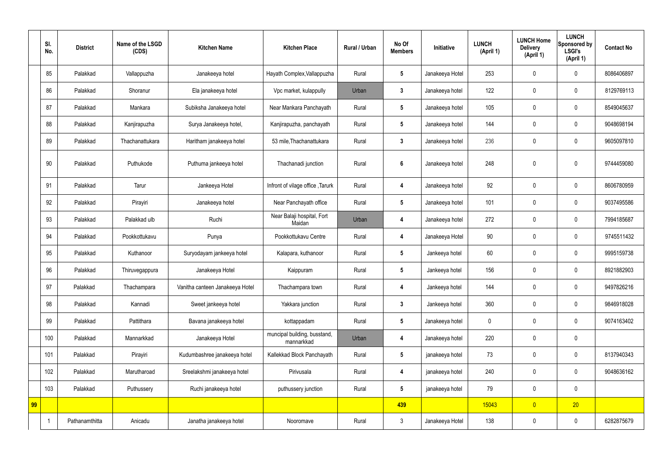|    | SI.<br>No.     | <b>District</b> | Name of the LSGD<br>(CDS) | <b>Kitchen Name</b>             | <b>Kitchen Place</b>                       | Rural / Urban | No Of<br><b>Members</b> | Initiative      | <b>LUNCH</b><br>(April 1) | <b>LUNCH Home</b><br><b>Delivery</b><br>(April 1) | <b>LUNCH</b><br>Sponsored by<br><b>LSGI's</b><br>(April 1) | <b>Contact No</b> |
|----|----------------|-----------------|---------------------------|---------------------------------|--------------------------------------------|---------------|-------------------------|-----------------|---------------------------|---------------------------------------------------|------------------------------------------------------------|-------------------|
|    | 85             | Palakkad        | Vallappuzha               | Janakeeya hotel                 | Hayath Complex, Vallappuzha                | Rural         | $5\phantom{.0}$         | Janakeeya Hotel | 253                       | 0                                                 | $\mathbf 0$                                                | 8086406897        |
|    | 86             | Palakkad        | Shoranur                  | Ela janakeeya hotel             | Vpc market, kulappully                     | Urban         | $\mathbf{3}$            | Janakeeya hotel | 122                       | 0                                                 | $\overline{0}$                                             | 8129769113        |
|    | 87             | Palakkad        | Mankara                   | Subiksha Janakeeya hotel        | Near Mankara Panchayath                    | Rural         | $5\overline{)}$         | Janakeeya hotel | 105                       | $\boldsymbol{0}$                                  | $\mathbf 0$                                                | 8549045637        |
|    | 88             | Palakkad        | Kanjirapuzha              | Surya Janakeeya hotel,          | Kanjirapuzha, panchayath                   | Rural         | $5\phantom{.0}$         | Janakeeya hotel | 144                       | 0                                                 | $\overline{0}$                                             | 9048698194        |
|    | 89             | Palakkad        | Thachanattukara           | Haritham janakeeya hotel        | 53 mile, Thachanattukara                   | Rural         | $3\phantom{a}$          | Janakeeya hotel | 236                       | $\boldsymbol{0}$                                  | $\mathbf 0$                                                | 9605097810        |
|    | 90             | Palakkad        | Puthukode                 | Puthuma jankeeya hotel          | Thachanadi junction                        | Rural         | 6                       | Janakeeya hotel | 248                       | $\boldsymbol{0}$                                  | $\mathbf 0$                                                | 9744459080        |
|    | 91             | Palakkad        | Tarur                     | Jankeeya Hotel                  | Infront of vilage office, Tarurk           | Rural         | 4                       | Janakeeya hotel | 92                        | 0                                                 | $\mathbf 0$                                                | 8606780959        |
|    | 92             | Palakkad        | Pirayiri                  | Janakeeya hotel                 | Near Panchayath office                     | Rural         | $5\overline{)}$         | Janakeeya hotel | 101                       | 0                                                 | $\mathbf 0$                                                | 9037495586        |
|    | 93             | Palakkad        | Palakkad ulb              | Ruchi                           | Near Balaji hospital, Fort<br>Maidan       | Urban         | 4                       | Janakeeya hotel | 272                       | 0                                                 | $\mathbf 0$                                                | 7994185687        |
|    | 94             | Palakkad        | Pookkottukavu             | Punya                           | Pookkottukavu Centre                       | Rural         | 4                       | Janakeeya Hotel | 90                        | 0                                                 | $\mathbf 0$                                                | 9745511432        |
|    | 95             | Palakkad        | Kuthanoor                 | Suryodayam jankeeya hotel       | Kalapara, kuthanoor                        | Rural         | $5\phantom{.0}$         | Jankeeya hotel  | 60                        | $\mathbf 0$                                       | $\mathbf 0$                                                | 9995159738        |
|    | 96             | Palakkad        | Thiruvegappura            | Janakeeya Hotel                 | Kaippuram                                  | Rural         | $5\phantom{.0}$         | Jankeeya hotel  | 156                       | 0                                                 | $\mathbf 0$                                                | 8921882903        |
|    | 97             | Palakkad        | Thachampara               | Vanitha canteen Janakeeya Hotel | Thachampara town                           | Rural         | 4                       | Jankeeya hotel  | 144                       | 0                                                 | $\mathbf 0$                                                | 9497826216        |
|    | 98             | Palakkad        | Kannadi                   | Sweet jankeeya hotel            | Yakkara junction                           | Rural         | $3\phantom{a}$          | Jankeeya hotel  | 360                       | 0                                                 | $\mathbf 0$                                                | 9846918028        |
|    | 99             | Palakkad        | Pattithara                | Bavana janakeeya hotel          | kottappadam                                | Rural         | $5\phantom{.0}$         | Janakeeya hotel | 0                         | 0                                                 | $\mathbf 0$                                                | 9074163402        |
|    | 100            | Palakkad        | Mannarkkad                | Janakeeya Hotel                 | muncipal building, busstand,<br>mannarkkad | Urban         | 4                       | Janakeeya hotel | 220                       | 0                                                 | $\mathbf 0$                                                |                   |
|    | 101            | Palakkad        | Pirayiri                  | Kudumbashree janakeeya hotel    | Kallekkad Block Panchayath                 | Rural         | $5\phantom{.0}$         | janakeeya hotel | 73                        | $\pmb{0}$                                         | $\mathbf 0$                                                | 8137940343        |
|    | 102            | Palakkad        | Marutharoad               | Sreelakshmi janakeeya hotel     | Pirivusala                                 | Rural         | 4                       | janakeeya hotel | 240                       | 0                                                 | $\mathbf 0$                                                | 9048636162        |
|    | 103            | Palakkad        | Puthussery                | Ruchi janakeeya hotel           | puthussery junction                        | Rural         | $5\phantom{.0}$         | janakeeya hotel | 79                        | 0                                                 | $\mathbf 0$                                                |                   |
| 99 |                |                 |                           |                                 |                                            |               | 439                     |                 | 15043                     | $\overline{0}$                                    | 20                                                         |                   |
|    | $\overline{1}$ | Pathanamthitta  | Anicadu                   | Janatha janakeeya hotel         | Nooromave                                  | Rural         | $\mathfrak{Z}$          | Janakeeya Hotel | 138                       | $\pmb{0}$                                         | $\boldsymbol{0}$                                           | 6282875679        |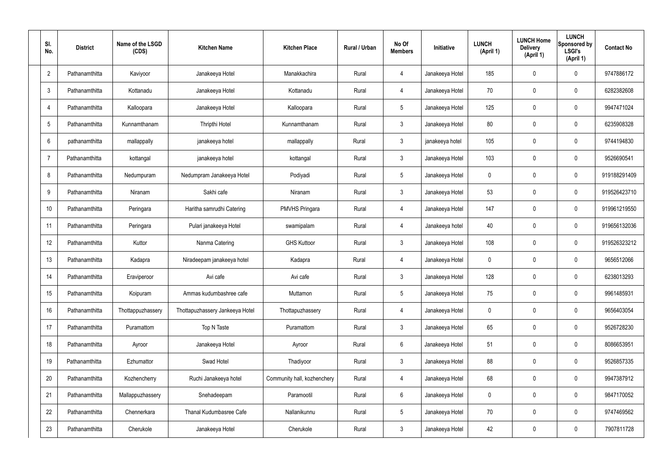| SI.<br>No.      | <b>District</b> | Name of the LSGD<br>(CDS) | <b>Kitchen Name</b>             | <b>Kitchen Place</b>        | Rural / Urban | No Of<br><b>Members</b> | Initiative      | <b>LUNCH</b><br>(April 1) | <b>LUNCH Home</b><br><b>Delivery</b><br>(April 1) | <b>LUNCH</b><br><b>Sponsored by</b><br><b>LSGI's</b><br>(April 1) | <b>Contact No</b> |
|-----------------|-----------------|---------------------------|---------------------------------|-----------------------------|---------------|-------------------------|-----------------|---------------------------|---------------------------------------------------|-------------------------------------------------------------------|-------------------|
| $\overline{2}$  | Pathanamthitta  | Kaviyoor                  | Janakeeya Hotel                 | Manakkachira                | Rural         | 4                       | Janakeeya Hotel | 185                       | 0                                                 | 0                                                                 | 9747886172        |
| $\mathbf{3}$    | Pathanamthitta  | Kottanadu                 | Janakeeya Hotel                 | Kottanadu                   | Rural         | $\overline{4}$          | Janakeeya Hotel | 70                        | $\mathbf 0$                                       | 0                                                                 | 6282382608        |
| 4               | Pathanamthitta  | Kalloopara                | Janakeeya Hotel                 | Kalloopara                  | Rural         | $5\phantom{.0}$         | Janakeeya Hotel | 125                       | $\mathbf 0$                                       | 0                                                                 | 9947471024        |
| $5\phantom{.0}$ | Pathanamthitta  | Kunnamthanam              | <b>Thripthi Hotel</b>           | Kunnamthanam                | Rural         | $\mathbf{3}$            | Janakeeya Hotel | 80                        | $\mathbf 0$                                       | 0                                                                 | 6235908328        |
| 6               | pathanamthitta  | mallappally               | janakeeya hotel                 | mallappally                 | Rural         | $\mathbf{3}$            | janakeeya hotel | 105                       | 0                                                 | 0                                                                 | 9744194830        |
|                 | Pathanamthitta  | kottangal                 | janakeeya hotel                 | kottangal                   | Rural         | $\mathbf{3}$            | Janakeeya Hotel | 103                       | $\mathbf 0$                                       | 0                                                                 | 9526690541        |
| 8               | Pathanamthitta  | Nedumpuram                | Nedumpram Janakeeya Hotel       | Podiyadi                    | Rural         | $5\phantom{.0}$         | Janakeeya Hotel | 0                         | 0                                                 | 0                                                                 | 919188291409      |
| 9               | Pathanamthitta  | Niranam                   | Sakhi cafe                      | Niranam                     | Rural         | $\mathbf{3}$            | Janakeeya Hotel | 53                        | $\mathbf 0$                                       | 0                                                                 | 919526423710      |
| 10              | Pathanamthitta  | Peringara                 | Haritha samrudhi Catering       | PMVHS Pringara              | Rural         | 4                       | Janakeeya Hotel | 147                       | 0                                                 | 0                                                                 | 919961219550      |
| 11              | Pathanamthitta  | Peringara                 | Pulari janakeeya Hotel          | swamipalam                  | Rural         | $\overline{4}$          | Janakeeya hotel | 40                        | 0                                                 | 0                                                                 | 919656132036      |
| 12              | Pathanamthitta  | Kuttor                    | Nanma Catering                  | <b>GHS Kuttoor</b>          | Rural         | $\mathbf{3}$            | Janakeeya Hotel | 108                       | 0                                                 | 0                                                                 | 919526323212      |
| 13              | Pathanamthitta  | Kadapra                   | Niradeepam janakeeya hotel      | Kadapra                     | Rural         | 4                       | Janakeeya Hotel | $\mathbf 0$               | 0                                                 | 0                                                                 | 9656512066        |
| 14              | Pathanamthitta  | Eraviperoor               | Avi cafe                        | Avi cafe                    | Rural         | $\mathbf{3}$            | Janakeeya Hotel | 128                       | 0                                                 | 0                                                                 | 6238013293        |
| 15              | Pathanamthitta  | Koipuram                  | Ammas kudumbashree cafe         | Muttamon                    | Rural         | $5\phantom{.0}$         | Janakeeya Hotel | 75                        | $\mathbf 0$                                       | 0                                                                 | 9961485931        |
| 16              | Pathanamthitta  | Thottappuzhassery         | Thottapuzhassery Jankeeya Hotel | Thottapuzhassery            | Rural         | $\overline{4}$          | Janakeeya Hotel | $\mathbf 0$               | $\mathbf 0$                                       | $\mathbf 0$                                                       | 9656403054        |
| 17              | Pathanamthitta  | Puramattom                | Top N Taste                     | Puramattom                  | Rural         | $\mathbf{3}$            | Janakeeya Hotel | 65                        | $\mathbf 0$                                       | 0                                                                 | 9526728230        |
| 18              | Pathanamthitta  | Ayroor                    | Janakeeya Hotel                 | Ayroor                      | Rural         | $6\overline{6}$         | Janakeeya Hotel | 51                        | $\mathbf 0$                                       | 0                                                                 | 8086653951        |
| 19              | Pathanamthitta  | Ezhumattor                | Swad Hotel                      | Thadiyoor                   | Rural         | $\mathbf{3}$            | Janakeeya Hotel | 88                        | $\mathbf 0$                                       | 0                                                                 | 9526857335        |
| 20              | Pathanamthitta  | Kozhencherry              | Ruchi Janakeeya hotel           | Community hall, kozhenchery | Rural         | $\overline{4}$          | Janakeeya Hotel | 68                        | $\pmb{0}$                                         | $\mathbf 0$                                                       | 9947387912        |
| 21              | Pathanamthitta  | Mallappuzhassery          | Snehadeepam                     | Paramootil                  | Rural         | $6\overline{6}$         | Janakeeya Hotel | $\mathbf 0$               | $\mathbf 0$                                       | 0                                                                 | 9847170052        |
| 22              | Pathanamthitta  | Chennerkara               | Thanal Kudumbasree Cafe         | Nallanikunnu                | Rural         | $5\phantom{.0}$         | Janakeeya Hotel | 70                        | $\mathbf 0$                                       | 0                                                                 | 9747469562        |
| 23              | Pathanamthitta  | Cherukole                 | Janakeeya Hotel                 | Cherukole                   | Rural         | $\mathfrak{Z}$          | Janakeeya Hotel | 42                        | $\boldsymbol{0}$                                  | 0                                                                 | 7907811728        |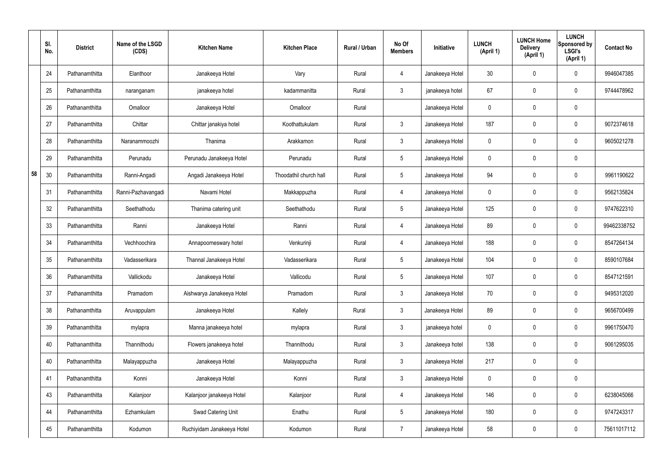|    | SI.<br>No. | <b>District</b> | Name of the LSGD<br>(CDS) | <b>Kitchen Name</b>        | <b>Kitchen Place</b>   | Rural / Urban | No Of<br><b>Members</b> | Initiative      | <b>LUNCH</b><br>(April 1) | <b>LUNCH Home</b><br><b>Delivery</b><br>(April 1) | <b>LUNCH</b><br>Sponsored by<br><b>LSGI's</b><br>(April 1) | <b>Contact No</b> |
|----|------------|-----------------|---------------------------|----------------------------|------------------------|---------------|-------------------------|-----------------|---------------------------|---------------------------------------------------|------------------------------------------------------------|-------------------|
|    | 24         | Pathanamthitta  | Elanthoor                 | Janakeeya Hotel            | Vary                   | Rural         | $\overline{4}$          | Janakeeya Hotel | 30 <sup>°</sup>           | 0                                                 | $\mathbf 0$                                                | 9946047385        |
|    | 25         | Pathanamthitta  | naranganam                | janakeeya hotel            | kadammanitta           | Rural         | $\mathbf{3}$            | janakeeya hotel | 67                        | 0                                                 | $\pmb{0}$                                                  | 9744478962        |
|    | 26         | Pathanamthitta  | Omalloor                  | Janakeeya Hotel            | Omalloor               | Rural         |                         | Janakeeya Hotel | 0                         | 0                                                 | $\mathbf 0$                                                |                   |
|    | 27         | Pathanamthitta  | Chittar                   | Chittar janakiya hotel     | Koothattukulam         | Rural         | $\mathbf{3}$            | Janakeeya Hotel | 187                       | 0                                                 | $\pmb{0}$                                                  | 9072374618        |
|    | 28         | Pathanamthitta  | Naranammoozhi             | Thanima                    | Arakkamon              | Rural         | $\mathbf{3}$            | Janakeeya Hotel | $\mathbf 0$               | 0                                                 | $\mathbf 0$                                                | 9605021278        |
|    | 29         | Pathanamthitta  | Perunadu                  | Perunadu Janakeeya Hotel   | Perunadu               | Rural         | $5\phantom{.0}$         | Janakeeya Hotel | $\mathbf 0$               | 0                                                 | $\pmb{0}$                                                  |                   |
| 58 | 30         | Pathanamthitta  | Ranni-Angadi              | Angadi Janakeeya Hotel     | Thoodathil church hall | Rural         | $5\phantom{.0}$         | Janakeeya Hotel | 94                        | 0                                                 | $\mathbf 0$                                                | 9961190622        |
|    | 31         | Pathanamthitta  | Ranni-Pazhavangadi        | Navami Hotel               | Makkappuzha            | Rural         | $\overline{4}$          | Janakeeya Hotel | $\mathbf 0$               | 0                                                 | $\mathbf 0$                                                | 9562135824        |
|    | 32         | Pathanamthitta  | Seethathodu               | Thanima catering unit      | Seethathodu            | Rural         | $5\phantom{.0}$         | Janakeeya Hotel | 125                       | $\boldsymbol{0}$                                  | $\mathbf 0$                                                | 9747622310        |
|    | 33         | Pathanamthitta  | Ranni                     | Janakeeya Hotel            | Ranni                  | Rural         | 4                       | Janakeeya Hotel | 89                        | 0                                                 | $\mathbf 0$                                                | 99462338752       |
|    | 34         | Pathanamthitta  | Vechhoochira              | Annapoorneswary hotel      | Venkurinji             | Rural         | 4                       | Janakeeya Hotel | 188                       | 0                                                 | $\boldsymbol{0}$                                           | 8547264134        |
|    | 35         | Pathanamthitta  | Vadasserikara             | Thannal Janakeeya Hotel    | Vadasserikara          | Rural         | $5\phantom{.0}$         | Janakeeya Hotel | 104                       | 0                                                 | $\boldsymbol{0}$                                           | 8590107684        |
|    | 36         | Pathanamthitta  | Vallickodu                | Janakeeya Hotel            | Vallicodu              | Rural         | $5\phantom{.0}$         | Janakeeya Hotel | 107                       | 0                                                 | $\mathbf 0$                                                | 8547121591        |
|    | 37         | Pathanamthitta  | Pramadom                  | Aishwarya Janakeeya Hotel  | Pramadom               | Rural         | $\mathbf{3}$            | Janakeeya Hotel | 70                        | $\mathbf 0$                                       | $\mathbf 0$                                                | 9495312020        |
|    | 38         | Pathanamthitta  | Aruvappulam               | Janakeeya Hotel            | Kallely                | Rural         | $\mathbf{3}$            | Janakeeya Hotel | 89                        | $\mathbf 0$                                       | $\mathbf 0$                                                | 9656700499        |
|    | 39         | Pathanamthitta  | mylapra                   | Manna janakeeya hotel      | mylapra                | Rural         | $\mathbf{3}$            | janakeeya hotel | $\mathbf 0$               | $\mathbf 0$                                       | $\mathbf 0$                                                | 9961750470        |
|    | 40         | Pathanamthitta  | Thannithodu               | Flowers janakeeya hotel    | Thannithodu            | Rural         | $\mathbf{3}$            | Janakeeya hotel | 138                       | $\mathbf 0$                                       | $\mathbf 0$                                                | 9061295035        |
|    | 40         | Pathanamthitta  | Malayappuzha              | Janakeeya Hotel            | Malayappuzha           | Rural         | $\mathbf{3}$            | Janakeeya Hotel | 217                       | $\mathbf 0$                                       | $\mathbf 0$                                                |                   |
|    | 41         | Pathanamthitta  | Konni                     | Janakeeya Hotel            | Konni                  | Rural         | $\mathbf{3}$            | Janakeeya Hotel | $\mathbf 0$               | $\mathbf 0$                                       | $\mathbf 0$                                                |                   |
|    | 43         | Pathanamthitta  | Kalanjoor                 | Kalanjoor janakeeya Hotel  | Kalanjoor              | Rural         | $\overline{4}$          | Janakeeya Hotel | 146                       | 0                                                 | $\mathbf 0$                                                | 6238045066        |
|    | 44         | Pathanamthitta  | Ezhamkulam                | Swad Catering Unit         | Enathu                 | Rural         | $5\,$                   | Janakeeya Hotel | 180                       | 0                                                 | $\mathbf 0$                                                | 9747243317        |
|    | 45         | Pathanamthitta  | Kodumon                   | Ruchiyidam Janakeeya Hotel | Kodumon                | Rural         | $\overline{7}$          | Janakeeya Hotel | 58                        | $\pmb{0}$                                         | $\boldsymbol{0}$                                           | 75611017112       |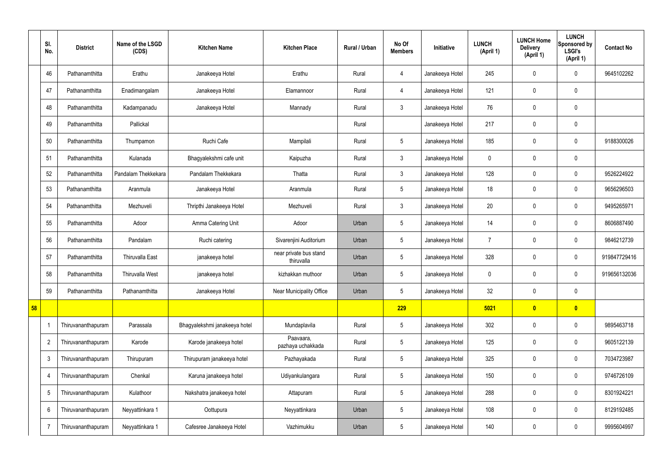|                 | SI.<br>No.      | <b>District</b>    | Name of the LSGD<br>(CDS) | <b>Kitchen Name</b>           | <b>Kitchen Place</b>                 | <b>Rural / Urban</b> | No Of<br><b>Members</b> | Initiative      | <b>LUNCH</b><br>(April 1) | <b>LUNCH Home</b><br><b>Delivery</b><br>(April 1) | <b>LUNCH</b><br>Sponsored by<br><b>LSGI's</b><br>(April 1) | <b>Contact No</b> |
|-----------------|-----------------|--------------------|---------------------------|-------------------------------|--------------------------------------|----------------------|-------------------------|-----------------|---------------------------|---------------------------------------------------|------------------------------------------------------------|-------------------|
|                 | 46              | Pathanamthitta     | Erathu                    | Janakeeya Hotel               | Erathu                               | Rural                | 4                       | Janakeeya Hotel | 245                       | $\mathbf 0$                                       | $\mathbf 0$                                                | 9645102262        |
|                 | 47              | Pathanamthitta     | Enadimangalam             | Janakeeya Hotel               | Elamannoor                           | Rural                | 4                       | Janakeeya Hotel | 121                       | $\mathbf 0$                                       | $\mathbf 0$                                                |                   |
|                 | 48              | Pathanamthitta     | Kadampanadu               | Janakeeya Hotel               | Mannady                              | Rural                | $\mathbf{3}$            | Janakeeya Hotel | 76                        | $\mathbf 0$                                       | $\mathbf 0$                                                |                   |
|                 | 49              | Pathanamthitta     | Pallickal                 |                               |                                      | Rural                |                         | Janakeeya Hotel | 217                       | $\mathbf 0$                                       | $\mathbf 0$                                                |                   |
|                 | 50              | Pathanamthitta     | Thumpamon                 | Ruchi Cafe                    | Mampilali                            | Rural                | $5\overline{)}$         | Janakeeya Hotel | 185                       | $\mathbf 0$                                       | $\mathbf 0$                                                | 9188300026        |
|                 | 51              | Pathanamthitta     | Kulanada                  | Bhagyalekshmi cafe unit       | Kaipuzha                             | Rural                | $\mathbf{3}$            | Janakeeya Hotel | 0                         | $\mathbf 0$                                       | $\mathbf 0$                                                |                   |
|                 | 52              | Pathanamthitta     | Pandalam Thekkekara       | Pandalam Thekkekara           | Thatta                               | Rural                | 3                       | Janakeeya Hotel | 128                       | $\mathbf 0$                                       | $\mathbf 0$                                                | 9526224922        |
|                 | 53              | Pathanamthitta     | Aranmula                  | Janakeeya Hotel               | Aranmula                             | Rural                | $5\phantom{.0}$         | Janakeeya Hotel | 18                        | $\mathbf 0$                                       | $\mathbf 0$                                                | 9656296503        |
|                 | 54              | Pathanamthitta     | Mezhuveli                 | Thripthi Janakeeya Hotel      | Mezhuveli                            | Rural                | $\mathfrak{Z}$          | Janakeeya Hotel | 20                        | $\mathbf 0$                                       | $\mathbf 0$                                                | 9495265971        |
|                 | 55              | Pathanamthitta     | Adoor                     | Amma Catering Unit            | Adoor                                | Urban                | $5\phantom{.0}$         | Janakeeya Hotel | 14                        | $\mathbf 0$                                       | $\mathbf 0$                                                | 8606887490        |
|                 | 56              | Pathanamthitta     | Pandalam                  | Ruchi catering                | Sivarenjini Auditorium               | Urban                | $5\phantom{.0}$         | Janakeeya Hotel | $\overline{7}$            | $\mathbf 0$                                       | $\mathbf 0$                                                | 9846212739        |
|                 | 57              | Pathanamthitta     | Thiruvalla East           | janakeeya hotel               | near private bus stand<br>thiruvalla | Urban                | $5\phantom{.0}$         | Janakeeya Hotel | 328                       | $\boldsymbol{0}$                                  | $\mathbf 0$                                                | 919847729416      |
|                 | 58              | Pathanamthitta     | <b>Thiruvalla West</b>    | janakeeya hotel               | kizhakkan muthoor                    | Urban                | $5\phantom{.0}$         | Janakeeya Hotel | 0                         | $\mathbf 0$                                       | $\mathbf 0$                                                | 919656132036      |
|                 | 59              | Pathanamthitta     | Pathanamthitta            | Janakeeya Hotel               | Near Municipality Office             | Urban                | $5\phantom{.0}$         | Janakeeya Hotel | 32                        | $\mathbf 0$                                       | $\mathbf 0$                                                |                   |
| 58 <sub>5</sub> |                 |                    |                           |                               |                                      |                      | <b>229</b>              |                 | 5021                      | $\bullet$                                         | $\bullet$                                                  |                   |
|                 |                 | Thiruvananthapuram | Parassala                 | Bhagyalekshmi janakeeya hotel | Mundaplavila                         | Rural                | $5\phantom{.0}$         | Janakeeya Hotel | 302                       | $\boldsymbol{0}$                                  | $\pmb{0}$                                                  | 9895463718        |
|                 | $\overline{2}$  | Thiruvananthapuram | Karode                    | Karode janakeeya hotel        | Paavaara,<br>pazhaya uchakkada       | Rural                | $5\phantom{.0}$         | Janakeeya Hotel | 125                       | $\pmb{0}$                                         | $\mathbf 0$                                                | 9605122139        |
|                 | $\mathbf{3}$    | Thiruvananthapuram | Thirupuram                | Thirupuram janakeeya hotel    | Pazhayakada                          | Rural                | $5\phantom{.0}$         | Janakeeya Hotel | 325                       | $\boldsymbol{0}$                                  | $\mathbf 0$                                                | 7034723987        |
|                 | $\overline{4}$  | Thiruvananthapuram | Chenkal                   | Karuna janakeeya hotel        | Udiyankulangara                      | Rural                | $5\overline{)}$         | Janakeeya Hotel | 150                       | $\boldsymbol{0}$                                  | $\mathbf 0$                                                | 9746726109        |
|                 | $5\phantom{.0}$ | Thiruvananthapuram | Kulathoor                 | Nakshatra janakeeya hotel     | Attapuram                            | Rural                | $5\phantom{.0}$         | Janakeeya Hotel | 288                       | $\boldsymbol{0}$                                  | $\mathbf 0$                                                | 8301924221        |
|                 | 6               | Thiruvananthapuram | Neyyattinkara 1           | Oottupura                     | Neyyattinkara                        | Urban                | $5\phantom{.0}$         | Janakeeya Hotel | 108                       | $\boldsymbol{0}$                                  | $\mathbf 0$                                                | 8129192485        |
|                 | 7               | Thiruvananthapuram | Neyyattinkara 1           | Cafesree Janakeeya Hotel      | Vazhimukku                           | Urban                | $5\phantom{.0}$         | Janakeeya Hotel | 140                       | $\boldsymbol{0}$                                  | $\pmb{0}$                                                  | 9995604997        |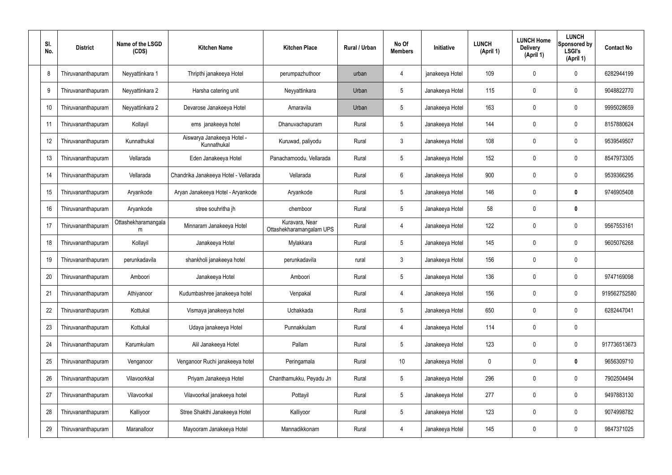| SI.<br>No. | <b>District</b>    | Name of the LSGD<br>(CDS) | <b>Kitchen Name</b>                       | <b>Kitchen Place</b>                       | Rural / Urban | No Of<br><b>Members</b> | Initiative      | <b>LUNCH</b><br>(April 1) | <b>LUNCH Home</b><br><b>Delivery</b><br>(April 1) | <b>LUNCH</b><br>Sponsored by<br><b>LSGI's</b><br>(April 1) | <b>Contact No</b> |
|------------|--------------------|---------------------------|-------------------------------------------|--------------------------------------------|---------------|-------------------------|-----------------|---------------------------|---------------------------------------------------|------------------------------------------------------------|-------------------|
| 8          | Thiruvananthapuram | Neyyattinkara 1           | Thripthi janakeeya Hotel                  | perumpazhuthoor                            | urban         | 4                       | janakeeya Hotel | 109                       | 0                                                 | $\mathbf 0$                                                | 6282944199        |
| 9          | Thiruvananthapuram | Neyyattinkara 2           | Harsha catering unit                      | Neyyattinkara                              | Urban         | $5\phantom{.0}$         | Janakeeya Hotel | 115                       | 0                                                 | $\mathbf 0$                                                | 9048822770        |
| 10         | Thiruvananthapuram | Neyyattinkara 2           | Devarose Janakeeya Hotel                  | Amaravila                                  | Urban         | $5\phantom{.0}$         | Janakeeya Hotel | 163                       | 0                                                 | $\mathbf 0$                                                | 9995028659        |
| 11         | Thiruvananthapuram | Kollayil                  | ems janakeeya hotel                       | Dhanuvachapuram                            | Rural         | $5\phantom{.0}$         | Janakeeya Hotel | 144                       | 0                                                 | $\mathbf 0$                                                | 8157880624        |
| 12         | Thiruvananthapuram | Kunnathukal               | Aiswarya Janakeeya Hotel -<br>Kunnathukal | Kuruwad, paliyodu                          | Rural         | $\mathbf{3}$            | Janakeeya Hotel | 108                       | 0                                                 | $\mathbf 0$                                                | 9539549507        |
| 13         | Thiruvananthapuram | Vellarada                 | Eden Janakeeya Hotel                      | Panachamoodu, Vellarada                    | Rural         | $5\phantom{.0}$         | Janakeeya Hotel | 152                       | 0                                                 | $\mathbf 0$                                                | 8547973305        |
| 14         | Thiruvananthapuram | Vellarada                 | Chandrika Janakeeya Hotel - Vellarada     | Vellarada                                  | Rural         | 6                       | Janakeeya Hotel | 900                       | 0                                                 | $\mathbf 0$                                                | 9539366295        |
| 15         | Thiruvananthapuram | Aryankode                 | Aryan Janakeeya Hotel - Aryankode         | Aryankode                                  | Rural         | $5\phantom{.0}$         | Janakeeya Hotel | 146                       | 0                                                 | $\mathbf 0$                                                | 9746905408        |
| 16         | Thiruvananthapuram | Aryankode                 | stree souhritha jh                        | chemboor                                   | Rural         | $5\phantom{.0}$         | Janakeeya Hotel | 58                        | 0                                                 | $\boldsymbol{0}$                                           |                   |
| 17         | Thiruvananthapuram | Ottashekharamangala<br>m  | Minnaram Janakeeya Hotel                  | Kuravara, Near<br>Ottashekharamangalam UPS | Rural         | 4                       | Janakeeya Hotel | 122                       | 0                                                 | $\boldsymbol{0}$                                           | 9567553161        |
| 18         | Thiruvananthapuram | Kollayil                  | Janakeeya Hotel                           | Mylakkara                                  | Rural         | $5\phantom{.0}$         | Janakeeya Hotel | 145                       | 0                                                 | $\mathbf 0$                                                | 9605076268        |
| 19         | Thiruvananthapuram | perunkadavila             | shankholi janakeeya hotel                 | perunkadavila                              | rural         | $\mathbf{3}$            | Janakeeya Hotel | 156                       | 0                                                 | $\boldsymbol{0}$                                           |                   |
| 20         | Thiruvananthapuram | Amboori                   | Janakeeya Hotel                           | Amboori                                    | Rural         | $5\phantom{.0}$         | Janakeeya Hotel | 136                       | 0                                                 | 0                                                          | 9747169098        |
| 21         | Thiruvananthapuram | Athiyanoor                | Kudumbashree janakeeya hotel              | Venpakal                                   | Rural         | 4                       | Janakeeya Hotel | 156                       | 0                                                 | $\mathbf 0$                                                | 919562752580      |
| 22         | Thiruvananthapuram | Kottukal                  | Vismaya janakeeya hotel                   | Uchakkada                                  | Rural         | $5\phantom{.0}$         | Janakeeya Hotel | 650                       | 0                                                 | $\mathbf 0$                                                | 6282447041        |
| 23         | Thiruvananthapuram | Kottukal                  | Udaya janakeeya Hotel                     | Punnakkulam                                | Rural         | 4                       | Janakeeya Hotel | 114                       | 0                                                 | $\mathbf 0$                                                |                   |
| 24         | Thiruvananthapuram | Karumkulam                | Alil Janakeeya Hotel                      | Pallam                                     | Rural         | $5\phantom{.0}$         | Janakeeya Hotel | 123                       | 0                                                 | $\mathbf 0$                                                | 917736513673      |
| 25         | Thiruvananthapuram | Venganoor                 | Venganoor Ruchi janakeeya hotel           | Peringamala                                | Rural         | 10                      | Janakeeya Hotel | 0                         | 0                                                 | $\pmb{0}$                                                  | 9656309710        |
| 26         | Thiruvananthapuram | Vilavoorkkal              | Priyam Janakeeya Hotel                    | Chanthamukku, Peyadu Jn                    | Rural         | $5\phantom{.0}$         | Janakeeya Hotel | 296                       | 0                                                 | $\mathbf 0$                                                | 7902504494        |
| 27         | Thiruvananthapuram | Vilavoorkal               | Vilavoorkal janakeeya hotel               | Pottayil                                   | Rural         | $5\phantom{.0}$         | Janakeeya Hotel | 277                       | 0                                                 | $\mathbf 0$                                                | 9497883130        |
| 28         | Thiruvananthapuram | Kalliyoor                 | Stree Shakthi Janakeeya Hotel             | Kalliyoor                                  | Rural         | $5\phantom{.0}$         | Janakeeya Hotel | 123                       | 0                                                 | $\mathbf 0$                                                | 9074998782        |
| 29         | Thiruvananthapuram | Maranalloor               | Mayooram Janakeeya Hotel                  | Mannadikkonam                              | Rural         | 4                       | Janakeeya Hotel | 145                       | 0                                                 | $\pmb{0}$                                                  | 9847371025        |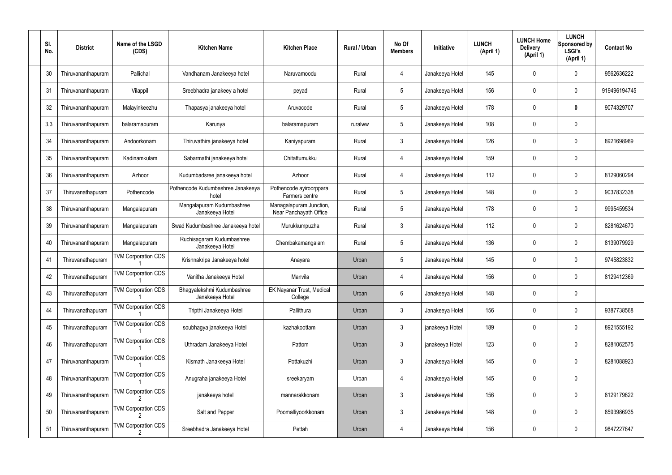| SI.<br>No. | <b>District</b>    | Name of the LSGD<br>(CDS)                    | <b>Kitchen Name</b>                           | <b>Kitchen Place</b>                              | Rural / Urban | No Of<br><b>Members</b> | Initiative      | <b>LUNCH</b><br>(April 1) | <b>LUNCH Home</b><br><b>Delivery</b><br>(April 1) | <b>LUNCH</b><br>Sponsored by<br><b>LSGI's</b><br>(April 1) | <b>Contact No</b> |
|------------|--------------------|----------------------------------------------|-----------------------------------------------|---------------------------------------------------|---------------|-------------------------|-----------------|---------------------------|---------------------------------------------------|------------------------------------------------------------|-------------------|
| 30         | Thiruvananthapuram | Pallichal                                    | Vandhanam Janakeeya hotel                     | Naruvamoodu                                       | Rural         | 4                       | Janakeeya Hotel | 145                       | 0                                                 | $\mathbf 0$                                                | 9562636222        |
| 31         | Thiruvananthapuram | Vilappil                                     | Sreebhadra janakeey a hotel                   | peyad                                             | Rural         | $5\phantom{.0}$         | Janakeeya Hotel | 156                       | 0                                                 | $\mathbf 0$                                                | 919496194745      |
| 32         | Thiruvananthapuram | Malayinkeezhu                                | Thapasya janakeeya hotel                      | Aruvacode                                         | Rural         | $5\phantom{.0}$         | Janakeeya Hotel | 178                       | 0                                                 | 0                                                          | 9074329707        |
| 3,3        | Thiruvananthapuram | balaramapuram                                | Karunya                                       | balaramapuram                                     | ruralww       | $5\phantom{.0}$         | Janakeeya Hotel | 108                       | 0                                                 | $\mathbf 0$                                                |                   |
| 34         | Thiruvananthapuram | Andoorkonam                                  | Thiruvathira janakeeya hotel                  | Kaniyapuram                                       | Rural         | 3                       | Janakeeya Hotel | 126                       | 0                                                 | $\mathbf 0$                                                | 8921698989        |
| 35         | Thiruvananthapuram | Kadinamkulam                                 | Sabarmathi janakeeya hotel                    | Chitattumukku                                     | Rural         | 4                       | Janakeeya Hotel | 159                       | $\mathbf{0}$                                      | $\mathbf 0$                                                |                   |
| 36         | Thiruvananthapuram | Azhoor                                       | Kudumbadsree janakeeya hotel                  | Azhoor                                            | Rural         | 4                       | Janakeeya Hotel | 112                       | $\mathbf{0}$                                      | $\mathbf 0$                                                | 8129060294        |
| 37         | Thiruvanathapuram  | Pothencode                                   | Pothencode Kudumbashree Janakeeya<br>hotel    | Pothencode ayiroorppara<br>Farmers centre         | Rural         | $5\phantom{.0}$         | Janakeeya Hotel | 148                       | $\mathbf{0}$                                      | $\mathbf 0$                                                | 9037832338        |
| 38         | Thiruvananthapuram | Mangalapuram                                 | Mangalapuram Kudumbashree<br>Janakeeya Hotel  | Managalapuram Junction,<br>Near Panchayath Office | Rural         | $5\phantom{.0}$         | Janakeeya Hotel | 178                       | 0                                                 | $\mathbf 0$                                                | 9995459534        |
| 39         | Thiruvananthapuram | Mangalapuram                                 | Swad Kudumbashree Janakeeya hotel             | Murukkumpuzha                                     | Rural         | $\mathbf{3}$            | Janakeeya Hotel | 112                       | 0                                                 | 0                                                          | 8281624670        |
| 40         | Thiruvananthapuram | Mangalapuram                                 | Ruchisagaram Kudumbashree<br>Janakeeya Hotel  | Chembakamangalam                                  | Rural         | $5\phantom{.0}$         | Janakeeya Hotel | 136                       | 0                                                 | 0                                                          | 8139079929        |
| 41         | Thiruvanathapuram  | <b>TVM Corporation CDS</b>                   | Krishnakripa Janakeeya hotel                  | Anayara                                           | Urban         | 5                       | Janakeeya Hotel | 145                       | 0                                                 | 0                                                          | 9745823832        |
| 42         | Thiruvanathapuram  | <b>TVM Corporation CDS</b>                   | Vanitha Janakeeya Hotel                       | Manvila                                           | Urban         | 4                       | Janakeeya Hotel | 156                       | 0                                                 | 0                                                          | 8129412369        |
| 43         | Thiruvanathapuram  | <b>TVM Corporation CDS</b>                   | Bhagyalekshmi Kudumbashree<br>Janakeeya Hotel | <b>EK Nayanar Trust, Medical</b><br>College       | Urban         | $6\phantom{.}6$         | Janakeeya Hotel | 148                       | 0                                                 | $\mathbf 0$                                                |                   |
| 44         | Thiruvanathapuram  | <b>TVM Corporation CDS</b>                   | Tripthi Janakeeya Hotel                       | Pallithura                                        | Urban         | $\mathfrak{Z}$          | Janakeeya Hotel | 156                       | $\mathbf 0$                                       | $\mathbf 0$                                                | 9387738568        |
| 45         | Thiruvanathapuram  | <b>TVM Corporation CDS</b>                   | soubhagya janakeeya Hotel                     | kazhakoottam                                      | Urban         | $\mathfrak{Z}$          | janakeeya Hotel | 189                       | 0                                                 | $\mathbf 0$                                                | 8921555192        |
| 46         | Thiruvanathapuram  | <b>TVM Corporation CDS</b>                   | Uthradam Janakeeya Hotel                      | Pattom                                            | Urban         | $\mathfrak{Z}$          | janakeeya Hotel | 123                       | 0                                                 | $\mathbf 0$                                                | 8281062575        |
| 47         | Thiruvananthapuram | <b>TVM Corporation CDS</b>                   | Kismath Janakeeya Hotel                       | Pottakuzhi                                        | Urban         | $\mathfrak{Z}$          | Janakeeya Hotel | 145                       | 0                                                 | $\mathbf 0$                                                | 8281088923        |
| 48         | Thiruvananthapuram | <b>TVM Corporation CDS</b>                   | Anugraha janakeeya Hotel                      | sreekaryam                                        | Urban         | 4                       | Janakeeya Hotel | 145                       | $\boldsymbol{0}$                                  | $\pmb{0}$                                                  |                   |
| 49         | Thiruvananthapuram | <b>TVM Corporation CDS</b><br>2              | janakeeya hotel                               | mannarakkonam                                     | Urban         | $\mathfrak{Z}$          | Janakeeya Hotel | 156                       | 0                                                 | $\mathbf 0$                                                | 8129179622        |
| 50         | Thiruvananthapuram | <b>TVM Corporation CDS</b>                   | Salt and Pepper                               | Poomalliyoorkkonam                                | Urban         | $\mathfrak{Z}$          | Janakeeya Hotel | 148                       | $\boldsymbol{0}$                                  | $\mathbf 0$                                                | 8593986935        |
| 51         | Thiruvananthapuram | <b>TVM Corporation CDS</b><br>$\mathfrak{p}$ | Sreebhadra Janakeeya Hotel                    | Pettah                                            | Urban         | 4                       | Janakeeya Hotel | 156                       | 0                                                 | $\boldsymbol{0}$                                           | 9847227647        |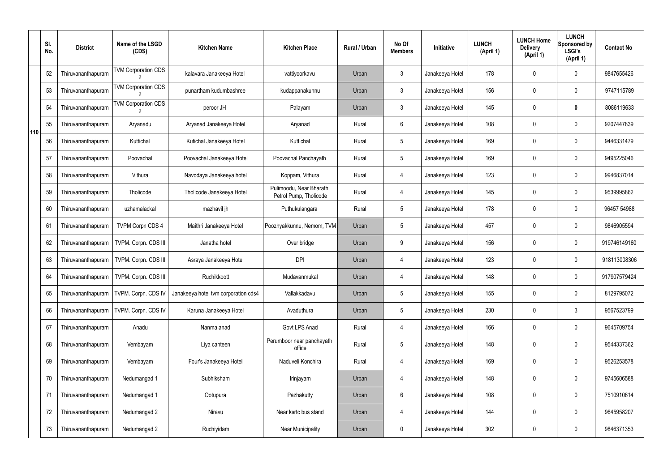|     | SI.<br>No. | <b>District</b>    | Name of the LSGD<br>(CDS)  | <b>Kitchen Name</b>                  | <b>Kitchen Place</b>                              | Rural / Urban | No Of<br><b>Members</b> | Initiative      | <b>LUNCH</b><br>(April 1) | <b>LUNCH Home</b><br><b>Delivery</b><br>(April 1) | <b>LUNCH</b><br>Sponsored by<br><b>LSGI's</b><br>(April 1) | <b>Contact No</b> |
|-----|------------|--------------------|----------------------------|--------------------------------------|---------------------------------------------------|---------------|-------------------------|-----------------|---------------------------|---------------------------------------------------|------------------------------------------------------------|-------------------|
|     | 52         | Thiruvananthapuram | <b>TVM Corporation CDS</b> | kalavara Janakeeya Hotel             | vattiyoorkavu                                     | Urban         | $\mathbf{3}$            | Janakeeya Hotel | 178                       | 0                                                 | $\mathbf 0$                                                | 9847655426        |
|     | 53         | Thiruvananthapuram | <b>TVM Corporation CDS</b> | punartham kudumbashree               | kudappanakunnu                                    | Urban         | $\mathbf{3}$            | Janakeeya Hotel | 156                       | $\mathbf 0$                                       | $\mathbf 0$                                                | 9747115789        |
|     | 54         | Thiruvananthapuram | <b>TVM Corporation CDS</b> | peroor JH                            | Palayam                                           | Urban         | $\mathbf{3}$            | Janakeeya Hotel | 145                       | 0                                                 | $\boldsymbol{0}$                                           | 8086119633        |
| 110 | 55         | Thiruvananthapuram | Aryanadu                   | Aryanad Janakeeya Hotel              | Aryanad                                           | Rural         | 6                       | Janakeeya Hotel | 108                       | $\mathbf 0$                                       | $\mathbf 0$                                                | 9207447839        |
|     | 56         | Thiruvananthapuram | Kuttichal                  | Kutichal Janakeeya Hotel             | Kuttichal                                         | Rural         | $5\overline{)}$         | Janakeeya Hotel | 169                       | $\mathbf 0$                                       | $\mathbf 0$                                                | 9446331479        |
|     | 57         | Thiruvananthapuram | Poovachal                  | Poovachal Janakeeya Hotel            | Poovachal Panchayath                              | Rural         | $5\phantom{.0}$         | Janakeeya Hotel | 169                       | $\mathbf 0$                                       | $\mathbf 0$                                                | 9495225046        |
|     | 58         | Thiruvananthapuram | Vithura                    | Navodaya Janakeeya hotel             | Koppam, Vithura                                   | Rural         | 4                       | Janakeeya Hotel | 123                       | $\mathbf 0$                                       | $\mathbf 0$                                                | 9946837014        |
|     | 59         | Thiruvananthapuram | Tholicode                  | Tholicode Janakeeya Hotel            | Pulimoodu, Near Bharath<br>Petrol Pump, Tholicode | Rural         | 4                       | Janakeeya Hotel | 145                       | $\mathbf 0$                                       | $\mathbf 0$                                                | 9539995862        |
|     | 60         | Thiruvananthapuram | uzhamalackal               | mazhavil jh                          | Puthukulangara                                    | Rural         | $5\overline{)}$         | Janakeeya Hotel | 178                       | $\mathbf 0$                                       | $\mathbf 0$                                                | 96457 54988       |
|     | 61         | Thiruvananthapuram | <b>TVPM Corpn CDS 4</b>    | Maithri Janakeeya Hotel              | Poozhyakkunnu, Nemom, TVM                         | Urban         | 5                       | Janakeeya Hotel | 457                       | $\mathbf 0$                                       | $\mathbf 0$                                                | 9846905594        |
|     | 62         | Thiruvananthapuram | TVPM. Corpn. CDS III       | Janatha hotel                        | Over bridge                                       | Urban         | 9                       | Janakeeya Hotel | 156                       | $\mathbf 0$                                       | $\mathbf 0$                                                | 919746149160      |
|     | 63         | Thiruvananthapuram | TVPM. Corpn. CDS III       | Asraya Janakeeya Hotel               | <b>DPI</b>                                        | Urban         | 4                       | Janakeeya Hotel | 123                       | $\mathbf 0$                                       | $\mathbf 0$                                                | 918113008306      |
|     | 64         | Thiruvananthapuram | TVPM. Corpn. CDS III       | Ruchikkoott                          | Mudavanmukal                                      | Urban         | 4                       | Janakeeya Hotel | 148                       | 0                                                 | $\mathbf 0$                                                | 917907579424      |
|     | 65         | Thiruvananthapuram | TVPM. Corpn. CDS IV        | Janakeeya hotel tvm corporation cds4 | Vallakkadavu                                      | Urban         | 5                       | Janakeeya Hotel | 155                       | $\mathbf 0$                                       | $\mathbf 0$                                                | 8129795072        |
|     | 66         | Thiruvananthapuram | TVPM. Corpn. CDS IV        | Karuna Janakeeya Hotel               | Avaduthura                                        | Urban         | $5\phantom{.0}$         | Janakeeya Hotel | 230                       | $\mathbf 0$                                       | $\mathbf{3}$                                               | 9567523799        |
|     | 67         | Thiruvananthapuram | Anadu                      | Nanma anad                           | Govt LPS Anad                                     | Rural         | $\overline{4}$          | Janakeeya Hotel | 166                       | $\mathbf 0$                                       | $\mathbf 0$                                                | 9645709754        |
|     | 68         | Thiruvananthapuram | Vembayam                   | Liya canteen                         | Perumboor near panchayath<br>office               | Rural         | $5\phantom{.0}$         | Janakeeya Hotel | 148                       | $\mathbf 0$                                       | $\mathbf 0$                                                | 9544337362        |
|     | 69         | Thiruvananthapuram | Vembayam                   | Four's Janakeeya Hotel               | Naduveli Konchira                                 | Rural         | 4                       | Janakeeya Hotel | 169                       | 0                                                 | $\mathbf 0$                                                | 9526253578        |
|     | 70         | Thiruvananthapuram | Nedumangad 1               | Subhiksham                           | Irinjayam                                         | Urban         | 4                       | Janakeeya Hotel | 148                       | 0                                                 | $\mathbf 0$                                                | 9745606588        |
|     | 71         | Thiruvananthapuram | Nedumangad 1               | Ootupura                             | Pazhakutty                                        | Urban         | 6                       | Janakeeya Hotel | 108                       | 0                                                 | $\mathbf 0$                                                | 7510910614        |
|     | 72         | Thiruvananthapuram | Nedumangad 2               | Niravu                               | Near ksrtc bus stand                              | Urban         | 4                       | Janakeeya Hotel | 144                       | 0                                                 | $\mathbf 0$                                                | 9645958207        |
|     | 73         | Thiruvananthapuram | Nedumangad 2               | Ruchiyidam                           | <b>Near Municipality</b>                          | Urban         | $\mathbf 0$             | Janakeeya Hotel | 302                       | 0                                                 | $\overline{0}$                                             | 9846371353        |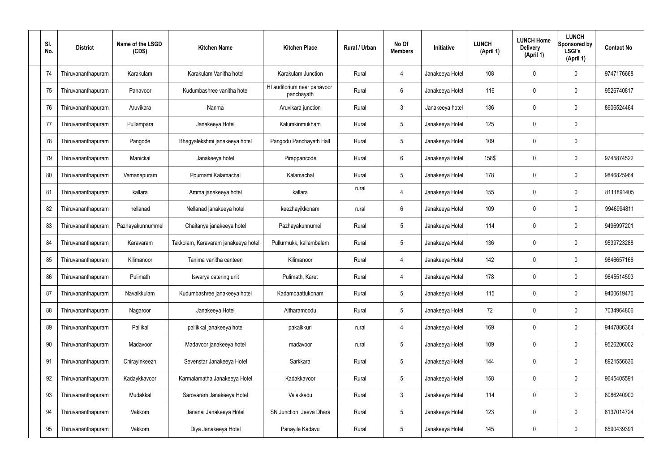| SI.<br>No. | <b>District</b>    | Name of the LSGD<br>(CDS) | <b>Kitchen Name</b>                 | <b>Kitchen Place</b>                      | Rural / Urban | No Of<br><b>Members</b> | Initiative      | <b>LUNCH</b><br>(April 1) | <b>LUNCH Home</b><br><b>Delivery</b><br>(April 1) | <b>LUNCH</b><br>Sponsored by<br><b>LSGI's</b><br>(April 1) | <b>Contact No</b> |
|------------|--------------------|---------------------------|-------------------------------------|-------------------------------------------|---------------|-------------------------|-----------------|---------------------------|---------------------------------------------------|------------------------------------------------------------|-------------------|
| 74         | Thiruvananthapuram | Karakulam                 | Karakulam Vanitha hotel             | Karakulam Junction                        | Rural         | 4                       | Janakeeya Hotel | 108                       | 0                                                 | $\mathbf 0$                                                | 9747176668        |
| 75         | Thiruvananthapuram | Panavoor                  | Kudumbashree vanitha hotel          | HI auditorium near panavoor<br>panchayath | Rural         | 6                       | Janakeeya Hotel | 116                       | 0                                                 | $\mathbf 0$                                                | 9526740817        |
| 76         | Thiruvananthapuram | Aruvikara                 | Nanma                               | Aruvikara junction                        | Rural         | $\mathbf{3}$            | Janakeeya hotel | 136                       | 0                                                 | $\mathbf 0$                                                | 8606524464        |
| 77         | Thiruvananthapuram | Pullampara                | Janakeeya Hotel                     | Kalumkinmukham                            | Rural         | $5\phantom{.0}$         | Janakeeya Hotel | 125                       | 0                                                 | $\mathbf 0$                                                |                   |
| 78         | Thiruvananthapuram | Pangode                   | Bhagyalekshmi janakeeya hotel       | Pangodu Panchayath Hall                   | Rural         | $5\phantom{.0}$         | Janakeeya Hotel | 109                       | 0                                                 | $\mathbf 0$                                                |                   |
| 79         | Thiruvananthapuram | Manickal                  | Janakeeya hotel                     | Pirappancode                              | Rural         | 6                       | Janakeeya Hotel | 158\$                     | 0                                                 | $\mathbf 0$                                                | 9745874522        |
| 80         | Thiruvananthapuram | Vamanapuram               | Pournami Kalamachal                 | Kalamachal                                | Rural         | $5\phantom{.0}$         | Janakeeya Hotel | 178                       | 0                                                 | $\mathbf 0$                                                | 9846825964        |
| 81         | Thiruvananthapuram | kallara                   | Amma janakeeya hotel                | kallara                                   | rural         | 4                       | Janakeeya Hotel | 155                       | 0                                                 | $\mathbf 0$                                                | 8111891405        |
| 82         | Thiruvananthapuram | nellanad                  | Nellanad janakeeya hotel            | keezhayikkonam                            | rural         | 6                       | Janakeeya Hotel | 109                       | 0                                                 | $\mathbf 0$                                                | 9946994811        |
| 83         | Thiruvananthapuram | Pazhayakunnummel          | Chaitanya janakeeya hotel           | Pazhayakunnumel                           | Rural         | $5\phantom{.0}$         | Janakeeya Hotel | 114                       | 0                                                 | $\boldsymbol{0}$                                           | 9496997201        |
| 84         | Thiruvananthapuram | Karavaram                 | Takkolam, Karavaram janakeeya hotel | Pullurmukk, kallambalam                   | Rural         | $5\phantom{.0}$         | Janakeeya Hotel | 136                       | 0                                                 | 0                                                          | 9539723288        |
| 85         | Thiruvananthapuram | Kilimanoor                | Tanima vanitha canteen              | Kilimanoor                                | Rural         | 4                       | Janakeeya Hotel | 142                       | 0                                                 | $\boldsymbol{0}$                                           | 9846657166        |
| 86         | Thiruvananthapuram | Pulimath                  | Iswarya catering unit               | Pulimath, Karet                           | Rural         | 4                       | Janakeeya Hotel | 178                       | 0                                                 | 0                                                          | 9645514593        |
| 87         | Thiruvananthapuram | Navaikkulam               | Kudumbashree janakeeya hotel        | Kadambaattukonam                          | Rural         | $5\phantom{.0}$         | Janakeeya Hotel | 115                       | 0                                                 | $\mathbf 0$                                                | 9400619476        |
| 88         | Thiruvananthapuram | Nagaroor                  | Janakeeya Hotel                     | Altharamoodu                              | Rural         | $5\phantom{.0}$         | Janakeeya Hotel | 72                        | 0                                                 | $\mathbf 0$                                                | 7034964806        |
| 89         | Thiruvananthapuram | Pallikal                  | pallikkal janakeeya hotel           | pakalkkuri                                | rural         | 4                       | Janakeeya Hotel | 169                       | 0                                                 | $\mathbf 0$                                                | 9447886364        |
| 90         | Thiruvananthapuram | Madavoor                  | Madavoor janakeeya hotel            | madavoor                                  | rural         | $5\phantom{.0}$         | Janakeeya Hotel | 109                       | 0                                                 | $\pmb{0}$                                                  | 9526206002        |
| 91         | Thiruvananthapuram | Chirayinkeezh             | Sevenstar Janakeeya Hotel           | Sarkkara                                  | Rural         | $5\phantom{.0}$         | Janakeeya Hotel | 144                       | 0                                                 | $\mathbf 0$                                                | 8921556636        |
| 92         | Thiruvananthapuram | Kadaykkavoor              | Karmalamatha Janakeeya Hotel        | Kadakkavoor                               | Rural         | $5\phantom{.0}$         | Janakeeya Hotel | 158                       | 0                                                 | $\mathbf 0$                                                | 9645405591        |
| 93         | Thiruvananthapuram | Mudakkal                  | Sarovaram Janakeeya Hotel           | Valakkadu                                 | Rural         | $\mathbf{3}$            | Janakeeya Hotel | 114                       | 0                                                 | $\mathbf 0$                                                | 8086240900        |
| 94         | Thiruvananthapuram | Vakkom                    | Jananai Janakeeya Hotel             | SN Junction, Jeeva Dhara                  | Rural         | $5\phantom{.0}$         | Janakeeya Hotel | 123                       | 0                                                 | $\mathbf 0$                                                | 8137014724        |
| 95         | Thiruvananthapuram | Vakkom                    | Diya Janakeeya Hotel                | Panayile Kadavu                           | Rural         | $\sqrt{5}$              | Janakeeya Hotel | 145                       | 0                                                 | $\pmb{0}$                                                  | 8590439391        |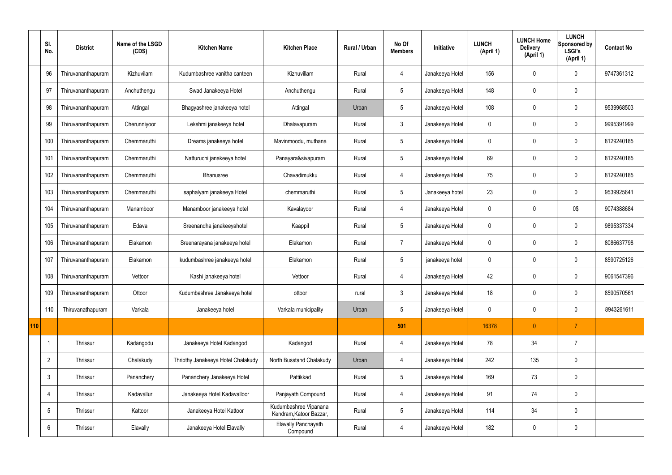|     | SI.<br>No.      | <b>District</b>    | Name of the LSGD<br>(CDS) | <b>Kitchen Name</b>                | <b>Kitchen Place</b>                             | Rural / Urban | No Of<br><b>Members</b> | Initiative      | <b>LUNCH</b><br>(April 1) | <b>LUNCH Home</b><br><b>Delivery</b><br>(April 1) | <b>LUNCH</b><br>Sponsored by<br><b>LSGI's</b><br>(April 1) | <b>Contact No</b> |
|-----|-----------------|--------------------|---------------------------|------------------------------------|--------------------------------------------------|---------------|-------------------------|-----------------|---------------------------|---------------------------------------------------|------------------------------------------------------------|-------------------|
|     | 96              | Thiruvananthapuram | Kizhuvilam                | Kudumbashree vanitha canteen       | Kizhuvillam                                      | Rural         | 4                       | Janakeeya Hotel | 156                       | $\mathbf 0$                                       | $\mathbf 0$                                                | 9747361312        |
|     | 97              | Thiruvananthapuram | Anchuthengu               | Swad Janakeeya Hotel               | Anchuthengu                                      | Rural         | $5\overline{)}$         | Janakeeya Hotel | 148                       | $\mathbf 0$                                       | $\mathbf 0$                                                |                   |
|     | 98              | Thiruvananthapuram | Attingal                  | Bhagyashree janakeeya hotel        | Attingal                                         | Urban         | $5\phantom{.0}$         | Janakeeya Hotel | 108                       | $\mathbf 0$                                       | $\mathbf 0$                                                | 9539968503        |
|     | 99              | Thiruvananthapuram | Cherunniyoor              | Lekshmi janakeeya hotel            | Dhalavapuram                                     | Rural         | $\mathbf{3}$            | Janakeeya Hotel | $\mathbf 0$               | $\mathbf 0$                                       | $\mathbf 0$                                                | 9995391999        |
|     | 100             | Thiruvananthapuram | Chemmaruthi               | Dreams janakeeya hotel             | Mavinmoodu, muthana                              | Rural         | $5\overline{)}$         | Janakeeya Hotel | $\mathbf 0$               | $\mathbf 0$                                       | $\mathbf 0$                                                | 8129240185        |
|     | 101             | Thiruvananthapuram | Chemmaruthi               | Natturuchi janakeeya hotel         | Panayara&sivapuram                               | Rural         | 5                       | Janakeeya Hotel | 69                        | $\mathbf 0$                                       | $\mathbf 0$                                                | 8129240185        |
|     | 102             | Thiruvananthapuram | Chemmaruthi               | Bhanusree                          | Chavadimukku                                     | Rural         | $\overline{4}$          | Janakeeya Hotel | 75                        | $\mathbf 0$                                       | $\mathbf 0$                                                | 8129240185        |
|     | 103             | Thiruvananthapuram | Chemmaruthi               | saphalyam janakeeya Hotel          | chemmaruthi                                      | Rural         | $5\overline{)}$         | Janakeeya hotel | 23                        | $\mathbf 0$                                       | $\mathbf 0$                                                | 9539925641        |
|     | 104             | Thiruvananthapuram | Manamboor                 | Manamboor janakeeya hotel          | Kavalayoor                                       | Rural         | $\overline{4}$          | Janakeeya Hotel | $\mathbf 0$               | $\mathbf 0$                                       | 0\$                                                        | 9074388684        |
|     | 105             | Thiruvananthapuram | Edava                     | Sreenandha janakeeyahotel          | Kaappil                                          | Rural         | $5\overline{)}$         | Janakeeya Hotel | $\mathbf 0$               | $\mathbf 0$                                       | $\mathbf 0$                                                | 9895337334        |
|     | 106             | Thiruvananthapuram | Elakamon                  | Sreenarayana janakeeya hotel       | Elakamon                                         | Rural         | $\overline{7}$          | Janakeeya Hotel | $\mathbf 0$               | $\mathbf 0$                                       | $\mathbf 0$                                                | 8086637798        |
|     | 107             | Thiruvananthapuram | Elakamon                  | kudumbashree janakeeya hotel       | Elakamon                                         | Rural         | $5\overline{)}$         | janakeeya hotel | $\mathbf 0$               | $\mathbf 0$                                       | $\mathbf 0$                                                | 8590725126        |
|     | 108             | Thiruvananthapuram | Vettoor                   | Kashi janakeeya hotel              | Vettoor                                          | Rural         | 4                       | Janakeeya Hotel | 42                        | 0                                                 | $\mathbf 0$                                                | 9061547396        |
|     | 109             | Thiruvananthapuram | Ottoor                    | Kudumbashree Janakeeya hotel       | ottoor                                           | rural         | $\mathbf{3}$            | Janakeeya Hotel | 18                        | $\pmb{0}$                                         | $\mathbf 0$                                                | 8590570561        |
|     | 110             | Thiruvanathapuram  | Varkala                   | Janakeeya hotel                    | Varkala municipality                             | Urban         | $5\overline{)}$         | Janakeeya Hotel | $\mathbf 0$               | $\pmb{0}$                                         | $\mathbf 0$                                                | 8943261611        |
| 110 |                 |                    |                           |                                    |                                                  |               | 501                     |                 | 16378                     | $\mathbf{0}$                                      | $\overline{7}$                                             |                   |
|     |                 | Thrissur           | Kadangodu                 | Janakeeya Hotel Kadangod           | Kadangod                                         | Rural         | $\overline{4}$          | Janakeeya Hotel | 78                        | 34                                                | $\overline{7}$                                             |                   |
|     | $\overline{2}$  | Thrissur           | Chalakudy                 | Thripthy Janakeeya Hotel Chalakudy | North Busstand Chalakudy                         | Urban         | $\overline{4}$          | Janakeeya Hotel | 242                       | 135                                               | $\mathbf 0$                                                |                   |
|     | $\mathbf{3}$    | Thrissur           | Pananchery                | Pananchery Janakeeya Hotel         | Pattikkad                                        | Rural         | $5\overline{)}$         | Janakeeya Hotel | 169                       | 73                                                | $\mathbf 0$                                                |                   |
|     | $\overline{4}$  | Thrissur           | Kadavallur                | Janakeeya Hotel Kadavalloor        | Panjayath Compound                               | Rural         | $\overline{4}$          | Janakeeya Hotel | 91                        | 74                                                | $\mathbf 0$                                                |                   |
|     | $5\phantom{.0}$ | Thrissur           | Kattoor                   | Janakeeya Hotel Kattoor            | Kudumbashree Vipanana<br>Kendram, Katoor Bazzar, | Rural         | $5\phantom{.0}$         | Janakeeya Hotel | 114                       | 34                                                | $\mathbf 0$                                                |                   |
|     | $6\phantom{.}6$ | Thrissur           | Elavally                  | Janakeeya Hotel Elavally           | <b>Elavally Panchayath</b><br>Compound           | Rural         | $\overline{4}$          | Janakeeya Hotel | 182                       | $\pmb{0}$                                         | $\mathbf 0$                                                |                   |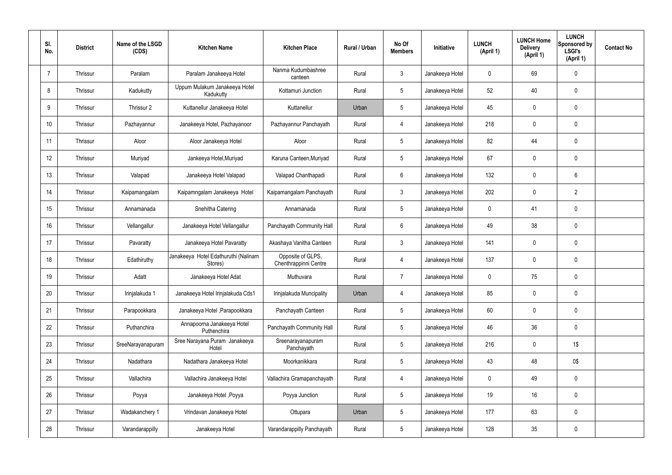| SI.<br>No.     | <b>District</b> | Name of the LSGD<br>(CDS) | <b>Kitchen Name</b>                             | <b>Kitchen Place</b>                       | Rural / Urban | No Of<br><b>Members</b> | Initiative      | <b>LUNCH</b><br>(April 1) | <b>LUNCH Home</b><br><b>Delivery</b><br>(April 1) | <b>LUNCH</b><br>Sponsored by<br><b>LSGI's</b><br>(April 1) | <b>Contact No</b> |
|----------------|-----------------|---------------------------|-------------------------------------------------|--------------------------------------------|---------------|-------------------------|-----------------|---------------------------|---------------------------------------------------|------------------------------------------------------------|-------------------|
| $\overline{7}$ | Thrissur        | Paralam                   | Paralam Janakeeya Hotel                         | Nanma Kudumbashree<br>canteen              | Rural         | $\mathfrak{Z}$          | Janakeeya Hotel | 0                         | 69                                                | $\mathbf 0$                                                |                   |
| 8              | Thrissur        | Kadukutty                 | Uppum Mulakum Janakeeya Hotel<br>Kadukutty      | Kottamuri Junction                         | Rural         | $5\overline{)}$         | Janakeeya Hotel | 52                        | 40                                                | $\pmb{0}$                                                  |                   |
| 9              | Thrissur        | Thrissur 2                | Kuttanellur Janakeeya Hotel                     | Kuttanellur                                | Urban         | $5\phantom{.0}$         | Janakeeya Hotel | 45                        | 0                                                 | $\mathbf 0$                                                |                   |
| 10             | Thrissur        | Pazhayannur               | Janakeeya Hotel, Pazhayanoor                    | Pazhayannur Panchayath                     | Rural         | $\overline{4}$          | Janakeeya Hotel | 218                       | 0                                                 | $\mathbf 0$                                                |                   |
| 11             | Thrissur        | Aloor                     | Aloor Janakeeya Hotel                           | Aloor                                      | Rural         | $5\overline{)}$         | Janakeeya Hotel | 82                        | 44                                                | $\mathbf 0$                                                |                   |
| 12             | Thrissur        | Muriyad                   | Jankeeya Hotel, Muriyad                         | Karuna Canteen, Muriyad                    | Rural         | $5\phantom{.0}$         | Janakeeya Hotel | 67                        | 0                                                 | $\mathbf 0$                                                |                   |
| 13             | Thrissur        | Valapad                   | Janakeeya Hotel Valapad                         | Valapad Chanthapadi                        | Rural         | $6\phantom{.}$          | Janakeeya Hotel | 132                       | 0                                                 | 6                                                          |                   |
| 14             | Thrissur        | Kaipamangalam             | Kaipamngalam Janakeeya Hotel                    | Kaipamangalam Panchayath                   | Rural         | $\mathbf{3}$            | Janakeeya Hotel | 202                       | 0                                                 | $\overline{2}$                                             |                   |
| 15             | Thrissur        | Annamanada                | Snehitha Catering                               | Annamanada                                 | Rural         | $5\phantom{.0}$         | Janakeeya Hotel | 0                         | 41                                                | $\mathbf 0$                                                |                   |
| 16             | Thrissur        | Vellangallur              | Janakeeya Hotel Vellangallur                    | Panchayath Community Hall                  | Rural         | 6                       | Janakeeya Hotel | 49                        | 38                                                | $\pmb{0}$                                                  |                   |
| 17             | Thrissur        | Pavaratty                 | Janakeeya Hotel Pavaratty                       | Akashaya Vanitha Canteen                   | Rural         | $\mathbf{3}$            | Janakeeya Hotel | 141                       | 0                                                 | $\mathbf 0$                                                |                   |
| 18             | Thrissur        | Edathiruthy               | Janakeeya Hotel Edathuruthi (Nalinam<br>Stores) | Opposite of GLPS,<br>Chenthrappinni Centre | Rural         | $\overline{4}$          | Janakeeya Hotel | 137                       | 0                                                 | $\mathbf 0$                                                |                   |
| 19             | Thrissur        | Adatt                     | Janakeeya Hotel Adat                            | Muthuvara                                  | Rural         | $\overline{7}$          | Janakeeya Hotel | 0                         | 75                                                | $\mathbf 0$                                                |                   |
| 20             | Thrissur        | Irinjalakuda 1            | Janakeeya Hotel Irinjalakuda Cds1               | Irinjalakuda Muncipality                   | Urban         | 4                       | Janakeeya Hotel | 85                        | $\mathbf 0$                                       | $\pmb{0}$                                                  |                   |
| 21             | Thrissur        | Parapookkara              | Janakeeya Hotel , Parapookkara                  | Panchayath Canteen                         | Rural         | $5\phantom{.0}$         | Janakeeya Hotel | 60                        | 0                                                 | $\pmb{0}$                                                  |                   |
| 22             | Thrissur        | Puthanchira               | Annapoorna Janakeeya Hotel<br>Puthenchira       | Panchayath Community Hall                  | Rural         | $5\phantom{.0}$         | Janakeeya Hotel | 46                        | 36                                                | $\pmb{0}$                                                  |                   |
| 23             | Thrissur        | SreeNarayanapuram         | Sree Narayana Puram Janakeeya<br>Hotel          | Sreenarayanapuram<br>Panchayath            | Rural         | $5\phantom{.0}$         | Janakeeya Hotel | 216                       | 0                                                 | $1\$                                                       |                   |
| 24             | Thrissur        | Nadathara                 | Nadathara Janakeeya Hotel                       | Moorkanikkara                              | Rural         | $5\phantom{.0}$         | Janakeeya Hotel | 43                        | 48                                                | $0\$                                                       |                   |
| 25             | Thrissur        | Vallachira                | Vallachira Janakeeya Hotel                      | Vallachira Gramapanchayath                 | Rural         | $\overline{4}$          | Janakeeya Hotel | 0                         | 49                                                | $\mathbf 0$                                                |                   |
| 26             | Thrissur        | Poyya                     | Janakeeya Hotel , Poyya                         | Poyya Junction                             | Rural         | $5\phantom{.0}$         | Janakeeya Hotel | 19                        | 16                                                | $\pmb{0}$                                                  |                   |
| 27             | Thrissur        | Wadakanchery 1            | Vrindavan Janakeeya Hotel                       | Ottupara                                   | Urban         | $5\phantom{.0}$         | Janakeeya Hotel | 177                       | 63                                                | $\mathbf 0$                                                |                   |
| 28             | Thrissur        | Varandarappilly           | Janakeeya Hotel                                 | Varandarappilly Panchayath                 | Rural         | $5\phantom{.0}$         | Janakeeya Hotel | 128                       | 35                                                | $\pmb{0}$                                                  |                   |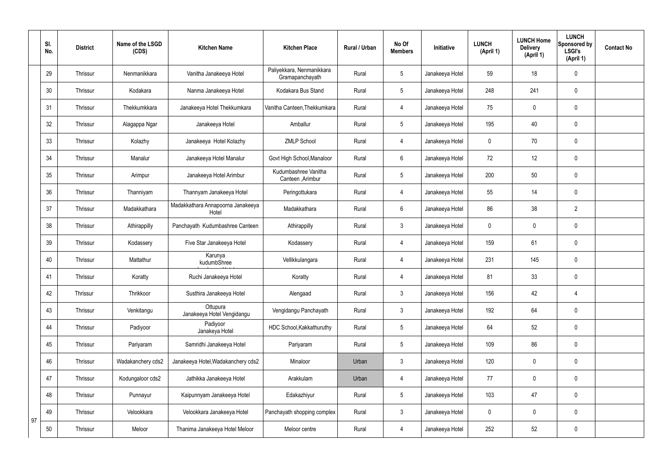|    | SI.<br>No. | <b>District</b> | Name of the LSGD<br>(CDS) | <b>Kitchen Name</b>                        | <b>Kitchen Place</b>                         | Rural / Urban | No Of<br><b>Members</b> | Initiative      | <b>LUNCH</b><br>(April 1) | <b>LUNCH Home</b><br><b>Delivery</b><br>(April 1) | <b>LUNCH</b><br>Sponsored by<br><b>LSGI's</b><br>(April 1) | <b>Contact No</b> |
|----|------------|-----------------|---------------------------|--------------------------------------------|----------------------------------------------|---------------|-------------------------|-----------------|---------------------------|---------------------------------------------------|------------------------------------------------------------|-------------------|
|    | 29         | Thrissur        | Nenmanikkara              | Vanitha Janakeeya Hotel                    | Paliyekkara, Nenmanikkara<br>Gramapanchayath | Rural         | $5\phantom{.0}$         | Janakeeya Hotel | 59                        | 18                                                | $\mathbf 0$                                                |                   |
|    | 30         | Thrissur        | Kodakara                  | Nanma Janakeeya Hotel                      | Kodakara Bus Stand                           | Rural         | $5\overline{)}$         | Janakeeya Hotel | 248                       | 241                                               | $\mathbf 0$                                                |                   |
|    | 31         | Thrissur        | Thekkumkkara              | Janakeeya Hotel Thekkumkara                | Vanitha Canteen, Thekkumkara                 | Rural         | 4                       | Janakeeya Hotel | 75                        | $\mathbf 0$                                       | $\mathbf 0$                                                |                   |
|    | 32         | Thrissur        | Alagappa Ngar             | Janakeeya Hotel                            | Amballur                                     | Rural         | $5\overline{)}$         | Janakeeya Hotel | 195                       | 40                                                | $\mathbf 0$                                                |                   |
|    | 33         | Thrissur        | Kolazhy                   | Janakeeya Hotel Kolazhy                    | <b>ZMLP School</b>                           | Rural         | 4                       | Janakeeya Hotel | 0                         | 70                                                | $\mathbf 0$                                                |                   |
|    | 34         | Thrissur        | Manalur                   | Janakeeya Hotel Manalur                    | Govt High School, Manaloor                   | Rural         | $6\overline{6}$         | Janakeeya Hotel | 72                        | 12                                                | $\pmb{0}$                                                  |                   |
|    | 35         | Thrissur        | Arimpur                   | Janakeeya Hotel Arimbur                    | Kudumbashree Vanitha<br>Canteen , Arimbur    | Rural         | $5\overline{)}$         | Janakeeya Hotel | 200                       | 50                                                | $\mathbf 0$                                                |                   |
|    | 36         | Thrissur        | Thanniyam                 | Thannyam Janakeeya Hotel                   | Peringottukara                               | Rural         | 4                       | Janakeeya Hotel | 55                        | 14                                                | $\mathbf 0$                                                |                   |
|    | 37         | Thrissur        | Madakkathara              | Madakkathara Annapoorna Janakeeya<br>Hotel | Madakkathara                                 | Rural         | $6\overline{6}$         | Janakeeya Hotel | 86                        | 38                                                | $\overline{2}$                                             |                   |
|    | 38         | Thrissur        | Athirappilly              | Panchayath Kudumbashree Canteen            | Athirappilly                                 | Rural         | $\mathbf{3}$            | Janakeeya Hotel | 0                         | 0                                                 | $\mathbf 0$                                                |                   |
|    | 39         | Thrissur        | Kodassery                 | Five Star Janakeeya Hotel                  | Kodassery                                    | Rural         | 4                       | Janakeeya Hotel | 159                       | 61                                                | $\pmb{0}$                                                  |                   |
|    | 40         | Thrissur        | Mattathur                 | Karunya<br>kudumbShree                     | Vellikkulangara                              | Rural         | 4                       | Janakeeya Hotel | 231                       | 145                                               | $\mathbf 0$                                                |                   |
|    | 41         | Thrissur        | Koratty                   | Ruchi Janakeeya Hotel                      | Koratty                                      | Rural         | 4                       | Janakeeya Hotel | 81                        | 33                                                | $\mathbf 0$                                                |                   |
|    | 42         | Thrissur        | Thrikkoor                 | Susthira Janakeeya Hotel                   | Alengaad                                     | Rural         | $3\phantom{a}$          | Janakeeya Hotel | 156                       | 42                                                | $\overline{4}$                                             |                   |
|    | 43         | Thrissur        | Venkitangu                | Ottupura<br>Janakeeya Hotel Vengidangu     | Vengidangu Panchayath                        | Rural         | $3\phantom{a}$          | Janakeeya Hotel | 192                       | 64                                                | $\mathbf 0$                                                |                   |
|    | 44         | Thrissur        | Padiyoor                  | Padiyoor<br>Janakeya Hotel                 | HDC School, Kakkathuruthy                    | Rural         | $5\overline{)}$         | Janakeeya Hotel | 64                        | 52                                                | $\mathbf 0$                                                |                   |
|    | 45         | Thrissur        | Pariyaram                 | Samridhi Janakeeya Hotel                   | Pariyaram                                    | Rural         | $5\overline{)}$         | Janakeeya Hotel | 109                       | 86                                                | $\mathbf 0$                                                |                   |
|    | 46         | Thrissur        | Wadakanchery cds2         | Janakeeya Hotel, Wadakanchery cds2         | Minaloor                                     | Urban         | $3\phantom{a}$          | Janakeeya Hotel | 120                       | 0                                                 | $\mathbf 0$                                                |                   |
|    | 47         | Thrissur        | Kodungaloor cds2          | Jathikka Janakeeya Hotel                   | Arakkulam                                    | Urban         | $\overline{4}$          | Janakeeya Hotel | 77                        | 0                                                 | $\mathbf 0$                                                |                   |
|    | 48         | Thrissur        | Punnayur                  | Kaipunnyam Janakeeya Hotel                 | Edakazhiyur                                  | Rural         | $5\overline{)}$         | Janakeeya Hotel | 103                       | 47                                                | $\mathbf 0$                                                |                   |
| 97 | 49         | Thrissur        | Velookkara                | Velookkara Janakeeya Hotel                 | Panchayath shopping complex                  | Rural         | $3\phantom{a}$          | Janakeeya Hotel | $\mathbf 0$               | 0                                                 | $\mathbf 0$                                                |                   |
|    | 50         | Thrissur        | Meloor                    | Thanima Janakeeya Hotel Meloor             | Meloor centre                                | Rural         | 4                       | Janakeeya Hotel | 252                       | 52                                                | $\pmb{0}$                                                  |                   |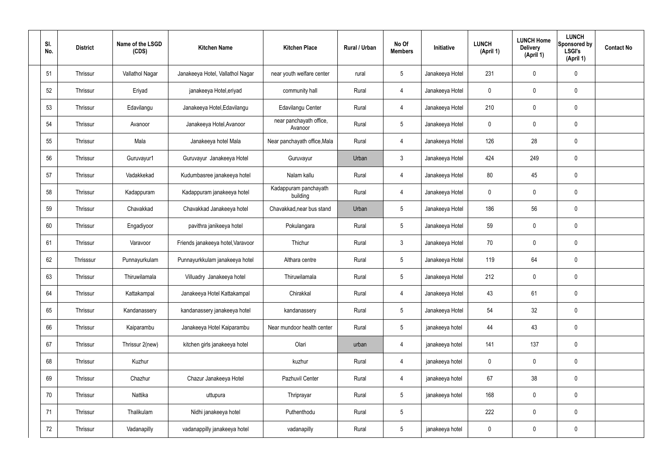| SI.<br>No. | <b>District</b> | Name of the LSGD<br>(CDS) | <b>Kitchen Name</b>               | <b>Kitchen Place</b>               | Rural / Urban | No Of<br><b>Members</b> | Initiative      | <b>LUNCH</b><br>(April 1) | <b>LUNCH Home</b><br><b>Delivery</b><br>(April 1) | <b>LUNCH</b><br>Sponsored by<br><b>LSGI's</b><br>(April 1) | <b>Contact No</b> |
|------------|-----------------|---------------------------|-----------------------------------|------------------------------------|---------------|-------------------------|-----------------|---------------------------|---------------------------------------------------|------------------------------------------------------------|-------------------|
| 51         | Thrissur        | Vallathol Nagar           | Janakeeya Hotel, Vallathol Nagar  | near youth welfare center          | rural         | $5\phantom{.0}$         | Janakeeya Hotel | 231                       | 0                                                 | $\mathbf 0$                                                |                   |
| 52         | Thrissur        | Eriyad                    | janakeeya Hotel, eriyad           | community hall                     | Rural         | $\overline{4}$          | Janakeeya Hotel | 0                         | 0                                                 | $\mathbf 0$                                                |                   |
| 53         | Thrissur        | Edavilangu                | Janakeeya Hotel, Edavilangu       | Edavilangu Center                  | Rural         | $\overline{4}$          | Janakeeya Hotel | 210                       | 0                                                 | $\mathbf 0$                                                |                   |
| 54         | Thrissur        | Avanoor                   | Janakeeya Hotel, Avanoor          | near panchayath office,<br>Avanoor | Rural         | $5\phantom{.0}$         | Janakeeya Hotel | 0                         | $\mathbf 0$                                       | $\mathbf 0$                                                |                   |
| 55         | Thrissur        | Mala                      | Janakeeya hotel Mala              | Near panchayath office, Mala       | Rural         | $\overline{4}$          | Janakeeya Hotel | 126                       | 28                                                | $\mathbf 0$                                                |                   |
| 56         | Thrissur        | Guruvayur1                | Guruvayur Janakeeya Hotel         | Guruvayur                          | Urban         | $\mathbf{3}$            | Janakeeya Hotel | 424                       | 249                                               | $\pmb{0}$                                                  |                   |
| 57         | Thrissur        | Vadakkekad                | Kudumbasree janakeeya hotel       | Nalam kallu                        | Rural         | $\overline{4}$          | Janakeeya Hotel | 80                        | 45                                                | $\mathbf 0$                                                |                   |
| 58         | Thrissur        | Kadappuram                | Kadappuram janakeeya hotel        | Kadappuram panchayath<br>building  | Rural         | $\overline{4}$          | Janakeeya Hotel | 0                         | $\mathbf 0$                                       | $\pmb{0}$                                                  |                   |
| 59         | Thrissur        | Chavakkad                 | Chavakkad Janakeeya hotel         | Chavakkad, near bus stand          | Urban         | $5\phantom{.0}$         | Janakeeya Hotel | 186                       | 56                                                | $\pmb{0}$                                                  |                   |
| 60         | Thrissur        | Engadiyoor                | pavithra janikeeya hotel          | Pokulangara                        | Rural         | $5\phantom{.0}$         | Janakeeya Hotel | 59                        | $\mathbf 0$                                       | $\mathbf 0$                                                |                   |
| 61         | Thrissur        | Varavoor                  | Friends janakeeya hotel, Varavoor | Thichur                            | Rural         | 3 <sup>1</sup>          | Janakeeya Hotel | 70                        | 0                                                 | $\pmb{0}$                                                  |                   |
| 62         | Thrisssur       | Punnayurkulam             | Punnayurkkulam janakeeya hotel    | Althara centre                     | Rural         | $5\phantom{.0}$         | Janakeeya Hotel | 119                       | 64                                                | $\pmb{0}$                                                  |                   |
| 63         | Thrissur        | Thiruwilamala             | Villuadry Janakeeya hotel         | Thiruwilamala                      | Rural         | $5\phantom{.0}$         | Janakeeya Hotel | 212                       | $\mathbf 0$                                       | $\pmb{0}$                                                  |                   |
| 64         | Thrissur        | Kattakampal               | Janakeeya Hotel Kattakampal       | Chirakkal                          | Rural         | $\overline{4}$          | Janakeeya Hotel | 43                        | 61                                                | $\pmb{0}$                                                  |                   |
| 65         | Thrissur        | Kandanassery              | kandanassery janakeeya hotel      | kandanassery                       | Rural         | $5\overline{)}$         | Janakeeya Hotel | 54                        | 32                                                | $\pmb{0}$                                                  |                   |
| 66         | Thrissur        | Kaiparambu                | Janakeeya Hotel Kaiparambu        | Near mundoor health center         | Rural         | $5\phantom{.0}$         | janakeeya hotel | 44                        | 43                                                | $\pmb{0}$                                                  |                   |
| 67         | Thrissur        | Thrissur 2(new)           | kitchen girls janakeeya hotel     | Olari                              | urban         | $\overline{4}$          | janakeeya hotel | 141                       | 137                                               | $\pmb{0}$                                                  |                   |
| 68         | Thrissur        | Kuzhur                    |                                   | kuzhur                             | Rural         | $\overline{4}$          | janakeeya hotel | 0                         | 0                                                 | $\mathbf 0$                                                |                   |
| 69         | Thrissur        | Chazhur                   | Chazur Janakeeya Hotel            | Pazhuvil Center                    | Rural         | $\overline{4}$          | janakeeya hotel | 67                        | 38                                                | $\pmb{0}$                                                  |                   |
| 70         | Thrissur        | Nattika                   | uttupura                          | Thriprayar                         | Rural         | $5\overline{)}$         | janakeeya hotel | 168                       | 0                                                 | $\mathbf 0$                                                |                   |
| 71         | Thrissur        | Thalikulam                | Nidhi janakeeya hotel             | Puthenthodu                        | Rural         | $5\phantom{.0}$         |                 | 222                       | 0                                                 | $\pmb{0}$                                                  |                   |
| 72         | Thrissur        | Vadanapilly               | vadanappilly janakeeya hotel      | vadanapilly                        | Rural         | $5\phantom{.0}$         | janakeeya hotel | 0                         | 0                                                 | $\pmb{0}$                                                  |                   |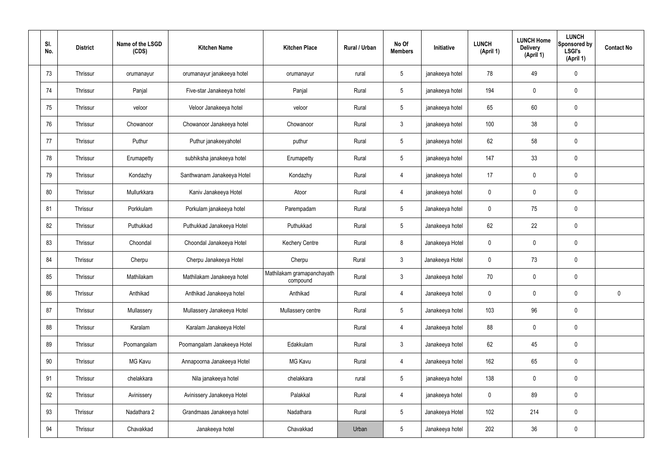| SI.<br>No. | <b>District</b> | Name of the LSGD<br>(CDS) | <b>Kitchen Name</b>         | <b>Kitchen Place</b>                   | Rural / Urban | No Of<br><b>Members</b> | Initiative      | <b>LUNCH</b><br>(April 1) | <b>LUNCH Home</b><br><b>Delivery</b><br>(April 1) | <b>LUNCH</b><br>Sponsored by<br><b>LSGI's</b><br>(April 1) | <b>Contact No</b> |
|------------|-----------------|---------------------------|-----------------------------|----------------------------------------|---------------|-------------------------|-----------------|---------------------------|---------------------------------------------------|------------------------------------------------------------|-------------------|
| 73         | Thrissur        | orumanayur                | orumanayur janakeeya hotel  | orumanayur                             | rural         | $5\phantom{.0}$         | janakeeya hotel | 78                        | 49                                                | $\mathbf 0$                                                |                   |
| 74         | Thrissur        | Panjal                    | Five-star Janakeeya hotel   | Panjal                                 | Rural         | $5\phantom{.0}$         | janakeeya hotel | 194                       | $\mathbf 0$                                       | $\pmb{0}$                                                  |                   |
| 75         | Thrissur        | veloor                    | Veloor Janakeeya hotel      | veloor                                 | Rural         | $5\phantom{.0}$         | janakeeya hotel | 65                        | 60                                                | $\pmb{0}$                                                  |                   |
| 76         | Thrissur        | Chowanoor                 | Chowanoor Janakeeya hotel   | Chowanoor                              | Rural         | $\mathbf{3}$            | janakeeya hotel | 100                       | 38                                                | $\pmb{0}$                                                  |                   |
| 77         | Thrissur        | Puthur                    | Puthur janakeeyahotel       | puthur                                 | Rural         | $5\phantom{.0}$         | janakeeya hotel | 62                        | 58                                                | $\pmb{0}$                                                  |                   |
| 78         | Thrissur        | Erumapetty                | subhiksha janakeeya hotel   | Erumapetty                             | Rural         | $5\phantom{.0}$         | janakeeya hotel | 147                       | 33                                                | $\pmb{0}$                                                  |                   |
| 79         | Thrissur        | Kondazhy                  | Santhwanam Janakeeya Hotel  | Kondazhy                               | Rural         | $\overline{4}$          | janakeeya hotel | 17                        | $\mathbf 0$                                       | $\pmb{0}$                                                  |                   |
| 80         | Thrissur        | Mullurkkara               | Kaniv Janakeeya Hotel       | Atoor                                  | Rural         | $\overline{4}$          | janakeeya hotel | $\mathbf 0$               | $\mathbf 0$                                       | $\pmb{0}$                                                  |                   |
| 81         | Thrissur        | Porkkulam                 | Porkulam janakeeya hotel    | Parempadam                             | Rural         | $5\phantom{.0}$         | Janakeeya hotel | $\mathbf 0$               | 75                                                | $\mathbf 0$                                                |                   |
| 82         | Thrissur        | Puthukkad                 | Puthukkad Janakeeya Hotel   | Puthukkad                              | Rural         | $5\phantom{.0}$         | Janakeeya hotel | 62                        | 22                                                | $\pmb{0}$                                                  |                   |
| 83         | Thrissur        | Choondal                  | Choondal Janakeeya Hotel    | <b>Kechery Centre</b>                  | Rural         | 8                       | Janakeeya Hotel | 0                         | $\mathbf 0$                                       | 0                                                          |                   |
| 84         | Thrissur        | Cherpu                    | Cherpu Janakeeya Hotel      | Cherpu                                 | Rural         | $\mathbf{3}$            | Janakeeya Hotel | $\mathbf 0$               | 73                                                | $\pmb{0}$                                                  |                   |
| 85         | Thrissur        | Mathilakam                | Mathilakam Janakeeya hotel  | Mathilakam gramapanchayath<br>compound | Rural         | $\mathbf{3}$            | Janakeeya hotel | 70                        | $\mathbf 0$                                       | 0                                                          |                   |
| 86         | Thrissur        | Anthikad                  | Anthikad Janakeeya hotel    | Anthikad                               | Rural         | $\overline{4}$          | Janakeeya hotel | 0                         | $\mathbf 0$                                       | $\mathbf 0$                                                | $\mathbf 0$       |
| 87         | Thrissur        | Mullassery                | Mullassery Janakeeya Hotel  | Mullassery centre                      | Rural         | $5\overline{)}$         | Janakeeya hotel | 103                       | 96                                                | $\pmb{0}$                                                  |                   |
| 88         | Thrissur        | Karalam                   | Karalam Janakeeya Hotel     |                                        | Rural         | $\overline{4}$          | Janakeeya hotel | 88                        | $\mathbf 0$                                       | $\pmb{0}$                                                  |                   |
| 89         | Thrissur        | Poomangalam               | Poomangalam Janakeeya Hotel | Edakkulam                              | Rural         | $\mathbf{3}$            | Janakeeya hotel | 62                        | 45                                                | $\mathbf 0$                                                |                   |
| 90         | Thrissur        | MG Kavu                   | Annapoorna Janakeeya Hotel  | MG Kavu                                | Rural         | $\overline{4}$          | Janakeeya hotel | 162                       | 65                                                | $\pmb{0}$                                                  |                   |
| 91         | Thrissur        | chelakkara                | Nila janakeeya hotel        | chelakkara                             | rural         | $5\overline{)}$         | janakeeya hotel | 138                       | $\mathbf 0$                                       | $\mathbf 0$                                                |                   |
| 92         | Thrissur        | Avinissery                | Avinissery Janakeeya Hotel  | Palakkal                               | Rural         | $\overline{4}$          | janakeeya hotel | 0                         | 89                                                | $\mathbf 0$                                                |                   |
| 93         | Thrissur        | Nadathara 2               | Grandmaas Janakeeya hotel   | Nadathara                              | Rural         | $5\phantom{.0}$         | Janakeeya Hotel | 102                       | 214                                               | $\pmb{0}$                                                  |                   |
| 94         | Thrissur        | Chavakkad                 | Janakeeya hotel             | Chavakkad                              | Urban         | $5\phantom{.0}$         | Janakeeya hotel | 202                       | $36\,$                                            | $\pmb{0}$                                                  |                   |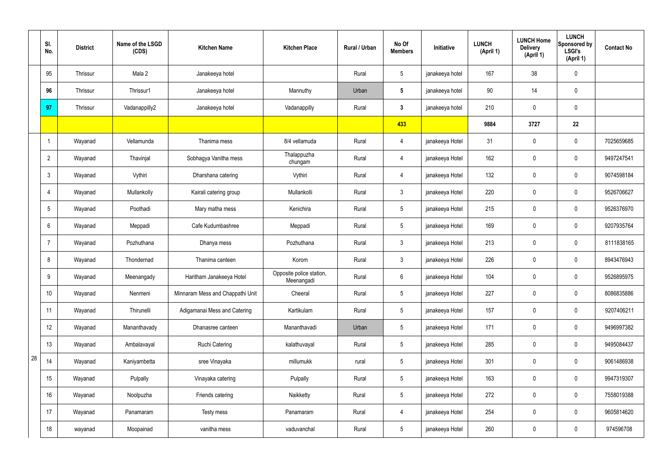|    | SI.<br>No.      | <b>District</b> | Name of the LSGD<br>(CDS) | <b>Kitchen Name</b>              | <b>Kitchen Place</b>                   | Rural / Urban | No Of<br><b>Members</b> | Initiative      | <b>LUNCH</b><br>(April 1) | <b>LUNCH Home</b><br><b>Delivery</b><br>(April 1) | <b>LUNCH</b><br>Sponsored by<br><b>LSGI's</b><br>(April 1) | <b>Contact No</b> |
|----|-----------------|-----------------|---------------------------|----------------------------------|----------------------------------------|---------------|-------------------------|-----------------|---------------------------|---------------------------------------------------|------------------------------------------------------------|-------------------|
|    | 95              | Thrissur        | Mala 2                    | Janakeeya hotel                  |                                        | Rural         | $5\phantom{.0}$         | janakeeya hotel | 167                       | 38                                                | $\mathbf 0$                                                |                   |
|    | 96              | Thrissur        | Thrissur1                 | Janakeeya hotel                  | Mannuthy                               | Urban         | $5\phantom{.0}$         | janakeeya hotel | 90                        | 14                                                | $\mathbf 0$                                                |                   |
|    | 97              | Thrissur        | Vadanappilly2             | Janakeeya hotel                  | Vadanappilly                           | Rural         | $3\phantom{a}$          | janakeeya hotel | 210                       | $\pmb{0}$                                         | $\mathbf 0$                                                |                   |
|    |                 |                 |                           |                                  |                                        |               | 433                     |                 | 9884                      | 3727                                              | 22                                                         |                   |
|    | 1               | Wayanad         | Vellamunda                | Thanima mess                     | 8/4 vellamuda                          | Rural         | $\overline{4}$          | janakeeya Hotel | 31                        | $\pmb{0}$                                         | $\mathbf 0$                                                | 7025659685        |
|    | $\overline{2}$  | Wayanad         | Thavinjal                 | Sobhagya Vanitha mess            | Thalappuzha<br>chungam                 | Rural         | 4                       | janakeeya Hotel | 162                       | $\mathbf 0$                                       | $\mathbf 0$                                                | 9497247541        |
|    | $\mathbf{3}$    | Wayanad         | Vythiri                   | Dharshana catering               | Vythiri                                | Rural         | 4                       | janakeeya Hotel | 132                       | $\mathbf 0$                                       | $\mathbf 0$                                                | 9074598184        |
|    | 4               | Wayanad         | Mullankolly               | Kairali catering group           | Mullankolli                            | Rural         | $\mathbf{3}$            | janakeeya Hotel | 220                       | $\mathbf 0$                                       | $\mathbf 0$                                                | 9526706627        |
|    | 5               | Wayanad         | Poothadi                  | Mary matha mess                  | Kenichira                              | Rural         | $5\overline{)}$         | janakeeya Hotel | 215                       | $\mathbf 0$                                       | $\mathbf 0$                                                | 9526376970        |
|    | 6               | Wayanad         | Meppadi                   | Cafe Kudumbashree                | Meppadi                                | Rural         | $5\phantom{.0}$         | janakeeya Hotel | 169                       | $\mathbf 0$                                       | $\mathbf 0$                                                | 9207935764        |
|    | 7               | Wayanad         | Pozhuthana                | Dhanya mess                      | Pozhuthana                             | Rural         | 3                       | janakeeya Hotel | 213                       | $\mathbf 0$                                       | $\mathbf 0$                                                | 8111838165        |
|    | 8               | Wayanad         | Thondernad                | Thanima canteen                  | Korom                                  | Rural         | 3                       | janakeeya Hotel | 226                       | $\mathbf 0$                                       | $\mathbf 0$                                                | 8943476943        |
|    | 9               | Wayanad         | Meenangady                | Haritham Janakeeya Hotel         | Opposite police station,<br>Meenangadi | Rural         | $6\phantom{.}$          | janakeeya Hotel | 104                       | $\mathbf 0$                                       | $\mathbf 0$                                                | 9526895975        |
|    | 10 <sup>°</sup> | Wayanad         | Nenmeni                   | Minnaram Mess and Chappathi Unit | Cheeral                                | Rural         | 5 <sup>5</sup>          | janakeeya Hotel | 227                       | $\pmb{0}$                                         | $\pmb{0}$                                                  | 8086835886        |
|    | 11              | Wayanad         | Thirunelli                | Adigamanai Mess and Catering     | Kartikulam                             | Rural         | $5\overline{)}$         | janakeeya Hotel | 157                       | $\pmb{0}$                                         | $\pmb{0}$                                                  | 9207406211        |
|    | 12              | Wayanad         | Mananthavady              | Dhanasree canteen                | Mananthavadi                           | Urban         | 5 <sub>5</sub>          | janakeeya Hotel | 171                       | $\pmb{0}$                                         | $\mathbf 0$                                                | 9496997382        |
|    | 13              | Wayanad         | Ambalavayal               | <b>Ruchi Catering</b>            | kalathuvayal                           | Rural         | $5\overline{)}$         | janakeeya Hotel | 285                       | $\pmb{0}$                                         | $\mathbf 0$                                                | 9495084437        |
| 28 | 14              | Wayanad         | Kaniyambetta              | sree Vinayaka                    | millumukk                              | rural         | $5\overline{)}$         | janakeeya Hotel | 301                       | $\pmb{0}$                                         | $\mathbf 0$                                                | 9061486938        |
|    | 15              | Wayanad         | Pulpally                  | Vinayaka catering                | Pulpally                               | Rural         | $5\overline{)}$         | janakeeya Hotel | 163                       | $\pmb{0}$                                         | $\mathbf 0$                                                | 9947319307        |
|    | 16              | Wayanad         | Noolpuzha                 | Friends catering                 | Naikketty                              | Rural         | $5\overline{)}$         | janakeeya Hotel | 272                       | $\pmb{0}$                                         | $\mathbf 0$                                                | 7558019388        |
|    | 17              | Wayanad         | Panamaram                 | Testy mess                       | Panamaram                              | Rural         | $\overline{4}$          | janakeeya Hotel | 254                       | $\pmb{0}$                                         | $\mathbf 0$                                                | 9605814620        |
|    | 18              | wayanad         | Moopainad                 | vanitha mess                     | vaduvanchal                            | Rural         | $5\overline{)}$         | janakeeya Hotel | 260                       | $\pmb{0}$                                         | $\boldsymbol{0}$                                           | 974596708         |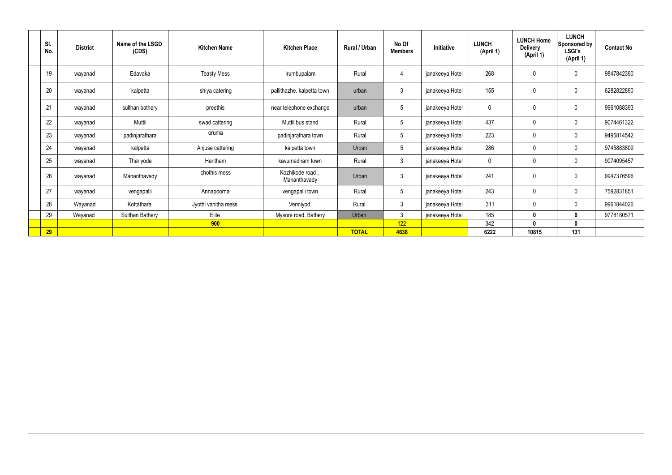| SI.<br>No. | <b>District</b> | Name of the LSGD<br>(CDS) | <b>Kitchen Name</b> | <b>Kitchen Place</b>           | Rural / Urban | No Of<br><b>Members</b> | Initiative      | <b>LUNCH</b><br>(April 1) | <b>LUNCH Home</b><br><b>Delivery</b><br>(April 1) | <b>LUNCH</b><br>Sponsored by<br><b>LSGI's</b><br>(April 1) | <b>Contact No</b> |
|------------|-----------------|---------------------------|---------------------|--------------------------------|---------------|-------------------------|-----------------|---------------------------|---------------------------------------------------|------------------------------------------------------------|-------------------|
| 19         | wayanad         | Edavaka                   | <b>Teasty Mess</b>  | Irumbupalam                    | Rural         | 4                       | janakeeya Hotel | 268                       | 0                                                 | $\mathbf 0$                                                | 9847842390        |
| 20         | wayanad         | kalpetta                  | shiya catering      | pallithazhe, kalpetta town     | urban         | $\mathfrak{Z}$          | janakeeya Hotel | 155                       | $\mathbf 0$                                       | $\pmb{0}$                                                  | 6282822890        |
| 21         | wayanad         | sulthan bathery           | preethis            | near telephone exchange        | urban         | $5\phantom{.0}$         | janakeeya Hotel | 0                         | 0                                                 | $\mathbf 0$                                                | 9961088393        |
| 22         | wayanad         | Muttil                    | swad cattering      | Muttil bus stand               | Rural         | $5\phantom{.0}$         | janakeeya Hotel | 437                       | 0                                                 | $\mathbf 0$                                                | 9074461322        |
| 23         | wayanad         | padinjarathara            | oruma               | padinjarathara town            | Rural         | 5                       | janakeeya Hotel | 223                       | $\mathbf 0$                                       | $\mathbf 0$                                                | 9495814542        |
| 24         | wayanad         | kalpetta                  | Anjuse cattering    | kalpetta town                  | Urban         | $5\phantom{.0}$         | janakeeya Hotel | 286                       | 0                                                 | $\mathbf 0$                                                | 9745883809        |
| 25         | wayanad         | Thariyode                 | Haritham            | kavumadham town                | Rural         | $\mathbf{3}$            | janakeeya Hotel | 0                         | 0                                                 | $\mathbf 0$                                                | 9074095457        |
| 26         | wayanad         | Mananthavady              | chothis mess        | Kozhikode road<br>Mananthavady | Urban         | $\mathfrak{Z}$          | janakeeya Hotel | 241                       | 0                                                 | $\mathbf 0$                                                | 9947376596        |
| 27         | wayanad         | vengapalli                | Annapoorna          | vengapalli town                | Rural         | 5                       | janakeeya Hotel | 243                       | 0                                                 | $\mathbf 0$                                                | 7592831851        |
| 28         | Wayanad         | Kottathara                | Jyothi vanitha mess | Venniyod                       | Rural         | $\mathfrak{Z}$          | janakeeya Hotel | 311                       | 0                                                 | $\mathbf 0$                                                | 9961844026        |
| 29         | Wayanad         | <b>Sulthan Bathery</b>    | Elite               | Mysore road, Bathery           | Urban         | $\mathbf{3}$            | janakeeya Hotel | 185                       | 0                                                 | 0                                                          | 9778180571        |
|            |                 |                           | 900                 |                                |               | 122                     |                 | 342                       | 0                                                 | $\mathbf{0}$                                               |                   |
| 29         |                 |                           |                     |                                | <b>TOTAL</b>  | 4638                    |                 | 6222                      | 10815                                             | 131                                                        |                   |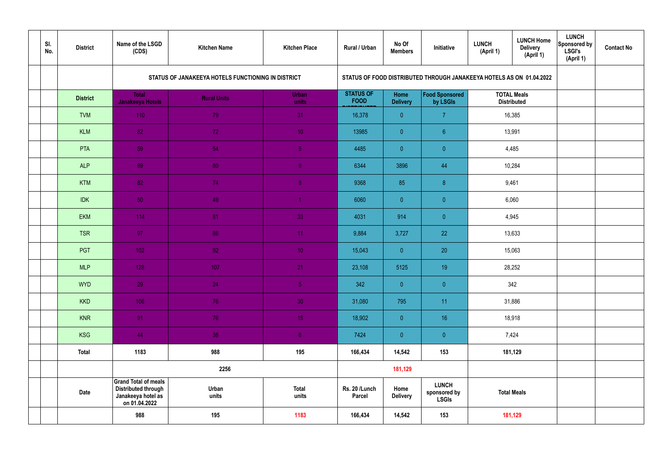| SI.<br>No. | <b>District</b> | Name of the LSGD<br>(CDS)                                                                        | <b>Kitchen Name</b>                                | <b>Kitchen Place</b>  | <b>Rural / Urban</b>            | No Of<br><b>Members</b> | Initiative                                                           | <b>LUNCH</b><br>(April 1) | <b>LUNCH Home</b><br><b>Delivery</b><br>(April 1) | <b>LUNCH</b><br>Sponsored by<br>LSGI's<br>(April 1) | <b>Contact No</b> |
|------------|-----------------|--------------------------------------------------------------------------------------------------|----------------------------------------------------|-----------------------|---------------------------------|-------------------------|----------------------------------------------------------------------|---------------------------|---------------------------------------------------|-----------------------------------------------------|-------------------|
|            |                 |                                                                                                  | STATUS OF JANAKEEYA HOTELS FUNCTIONING IN DISTRICT |                       |                                 |                         | STATUS OF FOOD DISTRIBUTED THROUGH JANAKEEYA HOTELS AS ON 01.04.2022 |                           |                                                   |                                                     |                   |
|            | <b>District</b> | <b>Total</b><br><b>Janakeeya Hotels</b>                                                          | <b>Rural Units</b>                                 | <b>Urban</b><br>units | <b>STATUS OF</b><br><b>FOOD</b> | Home<br><b>Delivery</b> | Food Sponsored<br>by LSGIs                                           |                           | <b>TOTAL Meals</b><br><b>Distributed</b>          |                                                     |                   |
|            | <b>TVM</b>      | 110                                                                                              | 79                                                 | 31                    | 16,378                          | $\overline{0}$          | $\overline{7}$                                                       |                           | 16,385                                            |                                                     |                   |
|            | <b>KLM</b>      | 82                                                                                               | 72                                                 | 10 <sup>°</sup>       | 13985                           | $\overline{0}$          | $6^{\circ}$                                                          |                           | 13,991                                            |                                                     |                   |
|            | PTA             | 59                                                                                               | 54                                                 | $\sqrt{5}$            | 4485                            | $\overline{0}$          | $\overline{0}$                                                       |                           | 4,485                                             |                                                     |                   |
|            | <b>ALP</b>      | 89                                                                                               | 80                                                 | $\overline{9}$        | 6344                            | 3896                    | 44                                                                   |                           | 10,284                                            |                                                     |                   |
|            | <b>KTM</b>      | 82                                                                                               | 74                                                 | 8 <sup>°</sup>        | 9368                            | 85                      | 8 <sup>°</sup>                                                       |                           | 9,461                                             |                                                     |                   |
|            | <b>IDK</b>      | 50                                                                                               | 49                                                 | $\blacktriangleleft$  | 6060                            | $\overline{0}$          | $\overline{0}$                                                       |                           | 6,060                                             |                                                     |                   |
|            | <b>EKM</b>      | 114                                                                                              | 81                                                 | 33                    | 4031                            | 914                     | $\overline{0}$                                                       |                           | 4,945                                             |                                                     |                   |
|            | <b>TSR</b>      | 97                                                                                               | 86                                                 | 11                    | 9,884                           | 3,727                   | 22                                                                   |                           | 13,633                                            |                                                     |                   |
|            | <b>PGT</b>      | $102$                                                                                            | 92                                                 | 10 <sup>°</sup>       | 15,043                          | $\overline{0}$          | 20                                                                   |                           | 15,063                                            |                                                     |                   |
|            | <b>MLP</b>      | 128                                                                                              | 107                                                | 21                    | 23,108                          | 5125                    | 19                                                                   |                           | 28,252                                            |                                                     |                   |
|            | <b>WYD</b>      | 29                                                                                               | 24                                                 | 5 <sub>5</sub>        | 342                             | $\overline{0}$          | $\overline{0}$                                                       |                           | 342                                               |                                                     |                   |
|            | <b>KKD</b>      | 106                                                                                              | 76                                                 | 30 <sup>°</sup>       | 31,080                          | 795                     | 11                                                                   |                           | 31,886                                            |                                                     |                   |
|            | <b>KNR</b>      | 91                                                                                               | 76                                                 | 15 <sub>1</sub>       | 18,902                          | $\overline{0}$          | 16                                                                   |                           | 18,918                                            |                                                     |                   |
|            | <b>KSG</b>      | 44                                                                                               | 38                                                 | 6 <sup>1</sup>        | 7424                            | $\overline{0}$          | $\pmb{0}$                                                            |                           | 7,424                                             |                                                     |                   |
|            | <b>Total</b>    | 1183                                                                                             | 988                                                | 195                   | 166,434                         | 14,542                  | 153                                                                  |                           | 181,129                                           |                                                     |                   |
|            |                 |                                                                                                  | 2256                                               |                       |                                 | 181,129                 |                                                                      |                           |                                                   |                                                     |                   |
|            | <b>Date</b>     | <b>Grand Total of meals</b><br><b>Distributed through</b><br>Janakeeya hotel as<br>on 01.04.2022 | Urban<br>units                                     | <b>Total</b><br>units | Rs. 20 /Lunch<br><b>Parcel</b>  | Home<br><b>Delivery</b> | <b>LUNCH</b><br>sponsored by<br><b>LSGIs</b>                         |                           | <b>Total Meals</b>                                |                                                     |                   |
|            |                 | 988                                                                                              | 195                                                | 1183                  | 166,434                         | 14,542                  | 153                                                                  |                           | 181,129                                           |                                                     |                   |